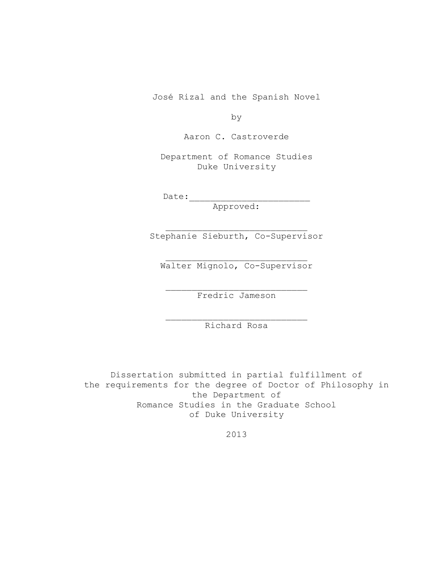José Rizal and the Spanish Novel

by

Aaron C. Castroverde

Department of Romance Studies Duke University

 $Date:$ 

Approved:

Stephanie Sieburth, Co-Supervisor

Walter Mignolo, Co-Supervisor

Fredric Jameson

Richard Rosa

Dissertation submitted in partial fulfillment of the requirements for the degree of Doctor of Philosophy in the Department of Romance Studies in the Graduate School of Duke University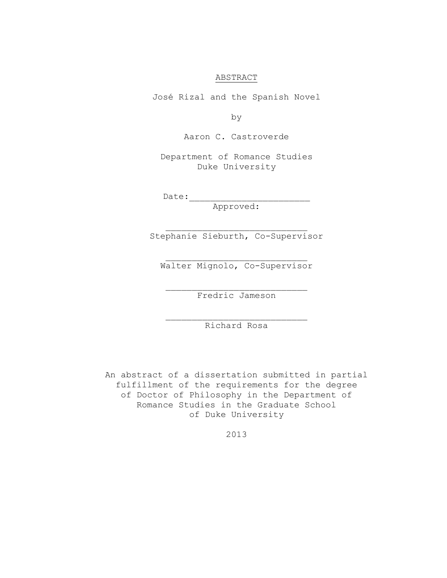#### ABSTRACT

José Rizal and the Spanish Novel

by

Aaron C. Castroverde

Department of Romance Studies Duke University

 $Date:$ 

Approved:

Stephanie Sieburth, Co-Supervisor

Walter Mignolo, Co-Supervisor

Fredric Jameson

Richard Rosa

An abstract of a dissertation submitted in partial fulfillment of the requirements for the degree of Doctor of Philosophy in the Department of Romance Studies in the Graduate School of Duke University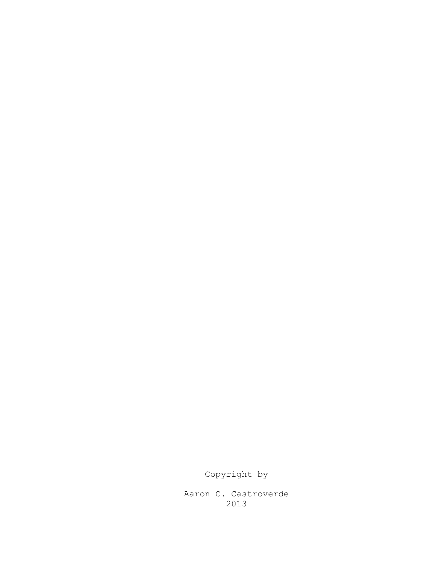Copyright by

Aaron C. Castroverde 2013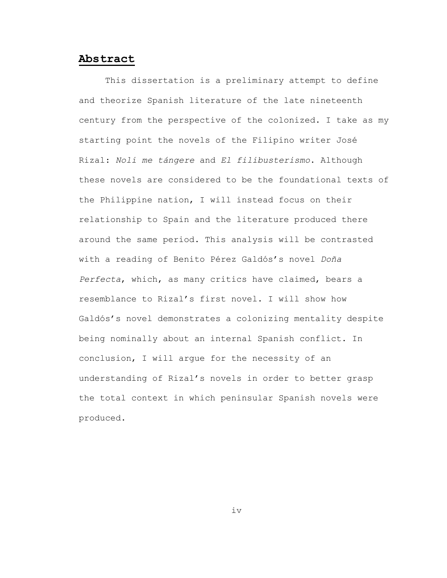### <span id="page-3-0"></span>**Abstract**

This dissertation is a preliminary attempt to define and theorize Spanish literature of the late nineteenth century from the perspective of the colonized. I take as my starting point the novels of the Filipino writer José Rizal: *Noli me tángere* and *El filibusterismo*. Although these novels are considered to be the foundational texts of the Philippine nation, I will instead focus on their relationship to Spain and the literature produced there around the same period. This analysis will be contrasted with a reading of Benito Pérez Galdós's novel *Doña Perfecta*, which, as many critics have claimed, bears a resemblance to Rizal's first novel. I will show how Galdós's novel demonstrates a colonizing mentality despite being nominally about an internal Spanish conflict. In conclusion, I will argue for the necessity of an understanding of Rizal's novels in order to better grasp the total context in which peninsular Spanish novels were produced.

iv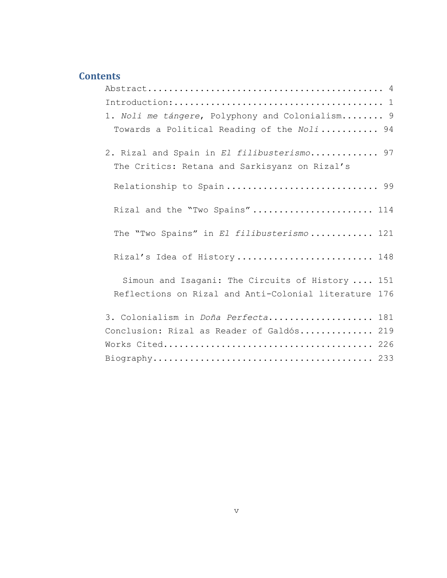### **Contents**

| $\texttt{Abstract}\dots\dots\dots\dots\dots\dots\dots\dots\dots\dots\dots\dots\dots\dots\quad4$ |     |
|-------------------------------------------------------------------------------------------------|-----|
|                                                                                                 |     |
| 1. Noli me tángere, Polyphony and Colonialism 9                                                 |     |
| Towards a Political Reading of the Noli 94                                                      |     |
| 2. Rizal and Spain in El filibusterismo 97                                                      |     |
| The Critics: Retana and Sarkisyanz on Rizal's                                                   |     |
| Relationship to Spain 99                                                                        |     |
| Rizal and the "Two Spains" 114                                                                  |     |
| The "Two Spains" in El filibusterismo 121                                                       |     |
| Rizal's Idea of History 148                                                                     |     |
| Simoun and Isagani: The Circuits of History  151                                                |     |
| Reflections on Rizal and Anti-Colonial literature 176                                           |     |
| 3. Colonialism in Doña Perfecta                                                                 | 181 |
| Conclusion: Rizal as Reader of Galdós 219                                                       |     |
|                                                                                                 |     |
|                                                                                                 |     |
|                                                                                                 |     |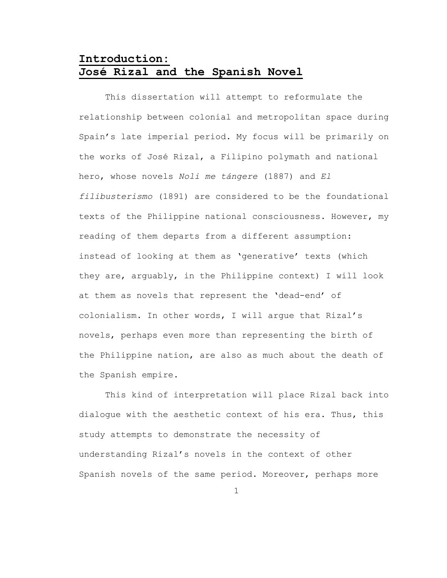## <span id="page-5-0"></span>**Introduction: José Rizal and the Spanish Novel**

This dissertation will attempt to reformulate the relationship between colonial and metropolitan space during Spain's late imperial period. My focus will be primarily on the works of José Rizal, a Filipino polymath and national hero, whose novels *Noli me tángere* (1887) and *El filibusterismo* (1891) are considered to be the foundational texts of the Philippine national consciousness. However, my reading of them departs from a different assumption: instead of looking at them as 'generative' texts (which they are, arguably, in the Philippine context) I will look at them as novels that represent the 'dead-end' of colonialism. In other words, I will argue that Rizal's novels, perhaps even more than representing the birth of the Philippine nation, are also as much about the death of the Spanish empire.

This kind of interpretation will place Rizal back into dialogue with the aesthetic context of his era. Thus, this study attempts to demonstrate the necessity of understanding Rizal's novels in the context of other Spanish novels of the same period. Moreover, perhaps more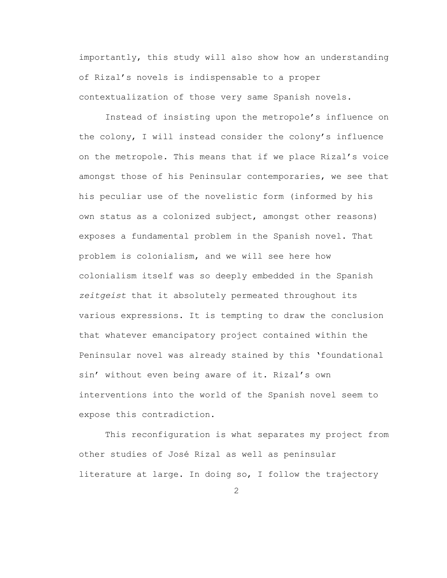importantly, this study will also show how an understanding of Rizal's novels is indispensable to a proper contextualization of those very same Spanish novels.

Instead of insisting upon the metropole's influence on the colony, I will instead consider the colony's influence on the metropole. This means that if we place Rizal's voice amongst those of his Peninsular contemporaries, we see that his peculiar use of the novelistic form (informed by his own status as a colonized subject, amongst other reasons) exposes a fundamental problem in the Spanish novel. That problem is colonialism, and we will see here how colonialism itself was so deeply embedded in the Spanish *zeitgeist* that it absolutely permeated throughout its various expressions. It is tempting to draw the conclusion that whatever emancipatory project contained within the Peninsular novel was already stained by this 'foundational sin' without even being aware of it. Rizal's own interventions into the world of the Spanish novel seem to expose this contradiction.

This reconfiguration is what separates my project from other studies of José Rizal as well as peninsular literature at large. In doing so, I follow the trajectory

 $\mathcal{P}$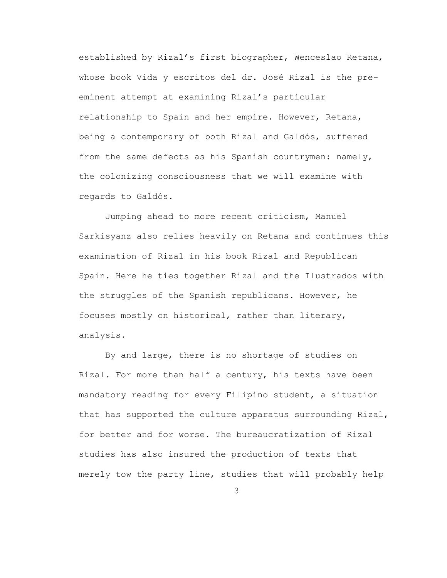established by Rizal's first biographer, Wenceslao Retana, whose book Vida y escritos del dr. José Rizal is the preeminent attempt at examining Rizal's particular relationship to Spain and her empire. However, Retana, being a contemporary of both Rizal and Galdós, suffered from the same defects as his Spanish countrymen: namely, the colonizing consciousness that we will examine with regards to Galdós.

Jumping ahead to more recent criticism, Manuel Sarkisyanz also relies heavily on Retana and continues this examination of Rizal in his book Rizal and Republican Spain. Here he ties together Rizal and the Ilustrados with the struggles of the Spanish republicans. However, he focuses mostly on historical, rather than literary, analysis.

By and large, there is no shortage of studies on Rizal. For more than half a century, his texts have been mandatory reading for every Filipino student, a situation that has supported the culture apparatus surrounding Rizal, for better and for worse. The bureaucratization of Rizal studies has also insured the production of texts that merely tow the party line, studies that will probably help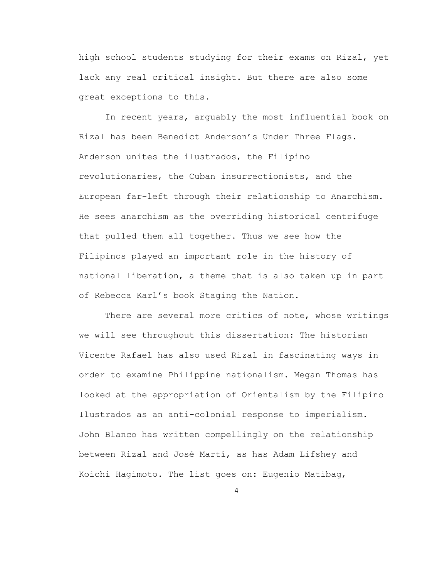high school students studying for their exams on Rizal, yet lack any real critical insight. But there are also some great exceptions to this.

In recent years, arguably the most influential book on Rizal has been Benedict Anderson's Under Three Flags. Anderson unites the ilustrados, the Filipino revolutionaries, the Cuban insurrectionists, and the European far-left through their relationship to Anarchism. He sees anarchism as the overriding historical centrifuge that pulled them all together. Thus we see how the Filipinos played an important role in the history of national liberation, a theme that is also taken up in part of Rebecca Karl's book Staging the Nation.

There are several more critics of note, whose writings we will see throughout this dissertation: The historian Vicente Rafael has also used Rizal in fascinating ways in order to examine Philippine nationalism. Megan Thomas has looked at the appropriation of Orientalism by the Filipino Ilustrados as an anti-colonial response to imperialism. John Blanco has written compellingly on the relationship between Rizal and José Martí, as has Adam Lifshey and Koichi Hagimoto. The list goes on: Eugenio Matibag,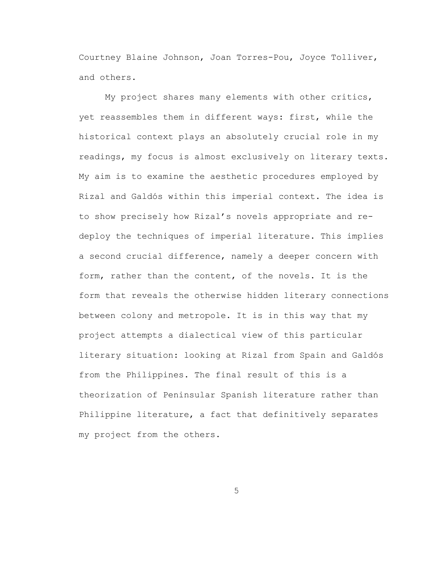Courtney Blaine Johnson, Joan Torres-Pou, Joyce Tolliver, and others.

My project shares many elements with other critics, yet reassembles them in different ways: first, while the historical context plays an absolutely crucial role in my readings, my focus is almost exclusively on literary texts. My aim is to examine the aesthetic procedures employed by Rizal and Galdós within this imperial context. The idea is to show precisely how Rizal's novels appropriate and redeploy the techniques of imperial literature. This implies a second crucial difference, namely a deeper concern with form, rather than the content, of the novels. It is the form that reveals the otherwise hidden literary connections between colony and metropole. It is in this way that my project attempts a dialectical view of this particular literary situation: looking at Rizal from Spain and Galdós from the Philippines. The final result of this is a theorization of Peninsular Spanish literature rather than Philippine literature, a fact that definitively separates my project from the others.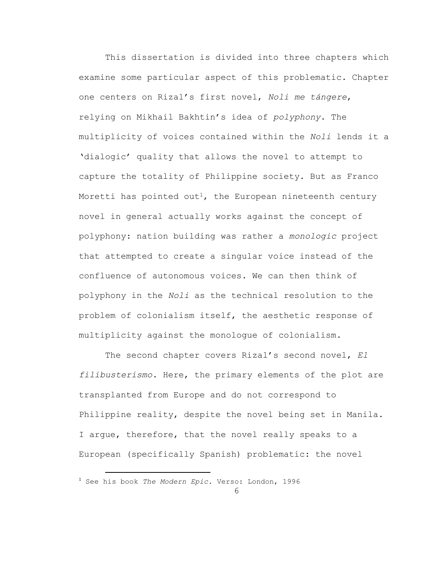This dissertation is divided into three chapters which examine some particular aspect of this problematic. Chapter one centers on Rizal's first novel, *Noli me tángere*, relying on Mikhail Bakhtin's idea of *polyphony*. The multiplicity of voices contained within the *Noli* lends it a 'dialogic' quality that allows the novel to attempt to capture the totality of Philippine society. But as Franco Moretti has pointed out<sup>1</sup>, the European nineteenth century novel in general actually works against the concept of polyphony: nation building was rather a *monologic* project that attempted to create a singular voice instead of the confluence of autonomous voices. We can then think of polyphony in the *Noli* as the technical resolution to the problem of colonialism itself, the aesthetic response of multiplicity against the monologue of colonialism.

The second chapter covers Rizal's second novel, *El filibusterismo*. Here, the primary elements of the plot are transplanted from Europe and do not correspond to Philippine reality, despite the novel being set in Manila. I argue, therefore, that the novel really speaks to a European (specifically Spanish) problematic: the novel

<sup>1</sup> See his book *The Modern Epic*. Verso: London, 1996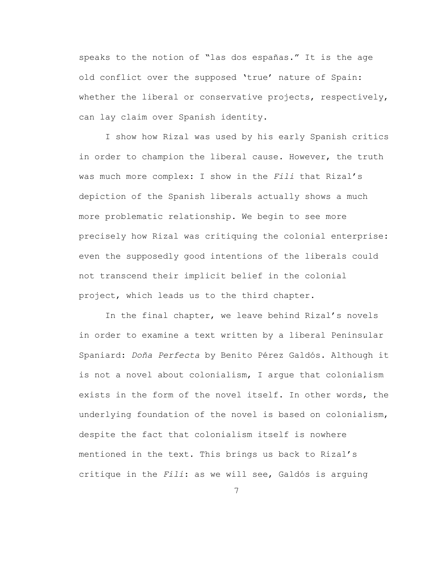speaks to the notion of "las dos españas." It is the age old conflict over the supposed 'true' nature of Spain: whether the liberal or conservative projects, respectively, can lay claim over Spanish identity.

I show how Rizal was used by his early Spanish critics in order to champion the liberal cause. However, the truth was much more complex: I show in the *Fili* that Rizal's depiction of the Spanish liberals actually shows a much more problematic relationship. We begin to see more precisely how Rizal was critiquing the colonial enterprise: even the supposedly good intentions of the liberals could not transcend their implicit belief in the colonial project, which leads us to the third chapter.

In the final chapter, we leave behind Rizal's novels in order to examine a text written by a liberal Peninsular Spaniard: *Doña Perfecta* by Benito Pérez Galdós. Although it is not a novel about colonialism, I argue that colonialism exists in the form of the novel itself. In other words, the underlying foundation of the novel is based on colonialism, despite the fact that colonialism itself is nowhere mentioned in the text. This brings us back to Rizal's critique in the *Fili*: as we will see, Galdós is arguing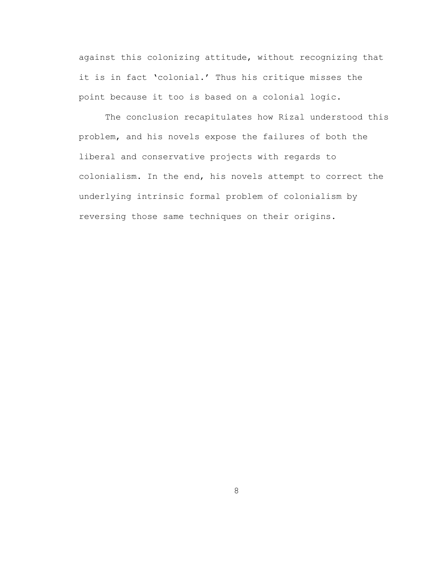against this colonizing attitude, without recognizing that it is in fact 'colonial.' Thus his critique misses the point because it too is based on a colonial logic.

The conclusion recapitulates how Rizal understood this problem, and his novels expose the failures of both the liberal and conservative projects with regards to colonialism. In the end, his novels attempt to correct the underlying intrinsic formal problem of colonialism by reversing those same techniques on their origins.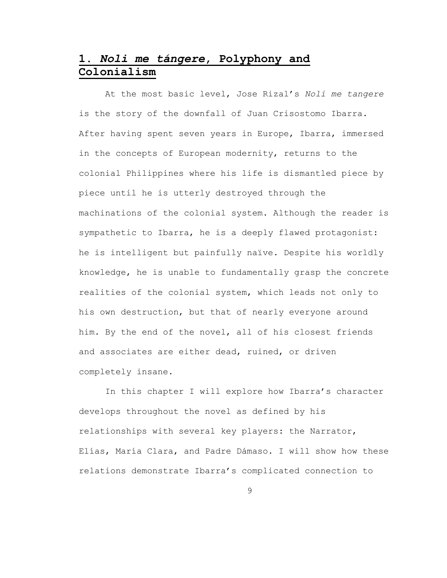# <span id="page-13-0"></span>**1.** *Noli me tángere***, Polyphony and Colonialism**

At the most basic level, Jose Rizal's *Noli me tangere* is the story of the downfall of Juan Crisostomo Ibarra. After having spent seven years in Europe, Ibarra, immersed in the concepts of European modernity, returns to the colonial Philippines where his life is dismantled piece by piece until he is utterly destroyed through the machinations of the colonial system. Although the reader is sympathetic to Ibarra, he is a deeply flawed protagonist: he is intelligent but painfully naïve. Despite his worldly knowledge, he is unable to fundamentally grasp the concrete realities of the colonial system, which leads not only to his own destruction, but that of nearly everyone around him. By the end of the novel, all of his closest friends and associates are either dead, ruined, or driven completely insane.

In this chapter I will explore how Ibarra's character develops throughout the novel as defined by his relationships with several key players: the Narrator, Elías, María Clara, and Padre Dámaso. I will show how these relations demonstrate Ibarra's complicated connection to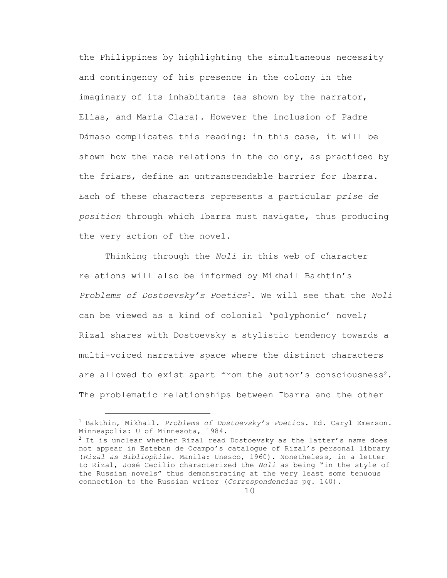the Philippines by highlighting the simultaneous necessity and contingency of his presence in the colony in the imaginary of its inhabitants (as shown by the narrator, Elías, and María Clara). However the inclusion of Padre Dámaso complicates this reading: in this case, it will be shown how the race relations in the colony, as practiced by the friars, define an untranscendable barrier for Ibarra. Each of these characters represents a particular *prise de position* through which Ibarra must navigate, thus producing the very action of the novel.

Thinking through the *Noli* in this web of character relations will also be informed by Mikhail Bakhtin's *Problems of Dostoevsky's Poetics1*. We will see that the *Noli* can be viewed as a kind of colonial 'polyphonic' novel; Rizal shares with Dostoevsky a stylistic tendency towards a multi-voiced narrative space where the distinct characters are allowed to exist apart from the author's consciousness<sup>2</sup>. The problematic relationships between Ibarra and the other

<sup>1</sup> Bakthin, Mikhail. *Problems of Dostoevsky's Poetics.* Ed. Caryl Emerson. Minneapolis: U of Minnesota, 1984.

<sup>&</sup>lt;sup>2</sup> It is unclear whether Rizal read Dostoevsky as the latter's name does not appear in Esteban de Ocampo's catalogue of Rizal's personal library (*Rizal as Bibliophile*. Manila: Unesco, 1960). Nonetheless, in a letter to Rizal, José Cecilio characterized the *Noli* as being "in the style of the Russian novels" thus demonstrating at the very least some tenuous connection to the Russian writer (*Correspondencias* pg. 140).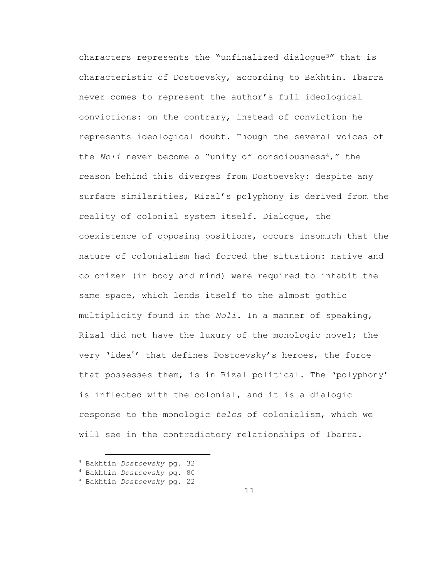characters represents the "unfinalized dialogue<sup>3"</sup> that is characteristic of Dostoevsky, according to Bakhtin. Ibarra never comes to represent the author's full ideological convictions: on the contrary, instead of conviction he represents ideological doubt. Though the several voices of the *Noli* never become a "unity of consciousness<sup>4</sup>," the reason behind this diverges from Dostoevsky: despite any surface similarities, Rizal's polyphony is derived from the reality of colonial system itself. Dialogue, the coexistence of opposing positions, occurs insomuch that the nature of colonialism had forced the situation: native and colonizer (in body and mind) were required to inhabit the same space, which lends itself to the almost gothic multiplicity found in the *Noli*. In a manner of speaking, Rizal did not have the luxury of the monologic novel; the very 'idea<sup>5'</sup> that defines Dostoevsky's heroes, the force that possesses them, is in Rizal political. The 'polyphony' is inflected with the colonial, and it is a dialogic response to the monologic *telos* of colonialism, which we will see in the contradictory relationships of Ibarra.

<sup>3</sup> Bakhtin *Dostoevsky* pg. 32

- <sup>4</sup> Bakhtin *Dostoevsky* pg. 80
- <sup>5</sup> Bakhtin *Dostoevsky* pg. 22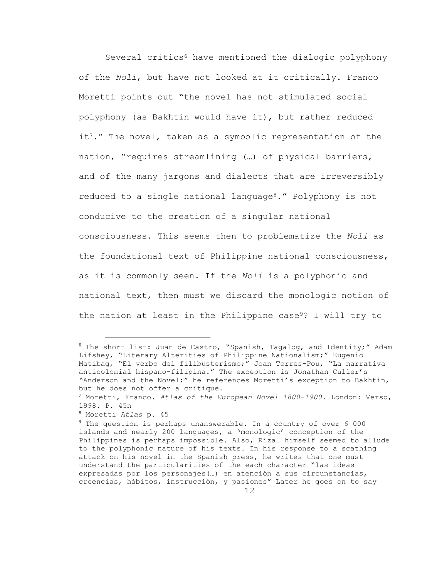Several critics<sup>6</sup> have mentioned the dialogic polyphony of the *Noli*, but have not looked at it critically. Franco Moretti points out "the novel has not stimulated social polyphony (as Bakhtin would have it), but rather reduced it<sup>7</sup>." The novel, taken as a symbolic representation of the nation, "requires streamlining (…) of physical barriers, and of the many jargons and dialects that are irreversibly reduced to a single national language<sup>8</sup>." Polyphony is not conducive to the creation of a singular national consciousness. This seems then to problematize the *Noli* as the foundational text of Philippine national consciousness, as it is commonly seen. If the *Noli* is a polyphonic and national text, then must we discard the monologic notion of the nation at least in the Philippine case<sup>9</sup>? I will try to

L,

<sup>6</sup> The short list: Juan de Castro, "Spanish, Tagalog, and Identity;" Adam Lifshey, "Literary Alterities of Philippine Nationalism;" Eugenio Matibag, "El verbo del filibusterismo;" Joan Torres-Pou, "La narrativa anticolonial hispano-filipina." The exception is Jonathan Culler's "Anderson and the Novel;" he references Moretti's exception to Bakhtin, but he does not offer a critique.

<sup>7</sup> Moretti, Franco. *Atlas of the European Novel 1800-1900*. London: Verso, 1998. P. 45n

<sup>8</sup> Moretti *Atlas* p. 45

<sup>9</sup> The question is perhaps unanswerable. In a country of over 6 000 islands and nearly 200 languages, a 'monologic' conception of the Philippines is perhaps impossible. Also, Rizal himself seemed to allude to the polyphonic nature of his texts. In his response to a scathing attack on his novel in the Spanish press, he writes that one must understand the particularities of the each character "las ideas expresadas por los personajes(…) en atención a sus circunstancias, creencias, hábitos, instrucción, y pasiones" Later he goes on to say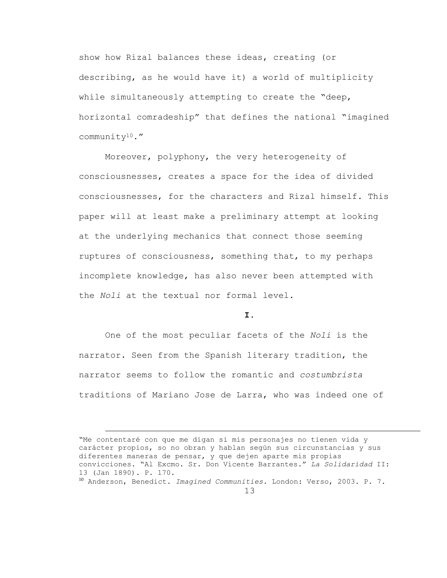show how Rizal balances these ideas, creating (or describing, as he would have it) a world of multiplicity while simultaneously attempting to create the "deep, horizontal comradeship" that defines the national "imagined community10."

Moreover, polyphony, the very heterogeneity of consciousnesses, creates a space for the idea of divided consciousnesses, for the characters and Rizal himself. This paper will at least make a preliminary attempt at looking at the underlying mechanics that connect those seeming ruptures of consciousness, something that, to my perhaps incomplete knowledge, has also never been attempted with the *Noli* at the textual nor formal level.

### **I.**

One of the most peculiar facets of the *Noli* is the narrator. Seen from the Spanish literary tradition, the narrator seems to follow the romantic and *costumbrista* traditions of Mariano Jose de Larra, who was indeed one of

"Me contentaré con que me digan si mis personajes no tienen vida y carácter propios, so no obran y hablan según sus circunstancias y sus diferentes maneras de pensar, y que dejen aparte mis propias convicciones. "Al Excmo. Sr. Don Vicente Barrantes." *La Solidaridad* II: 13 (Jan 1890). P. 170.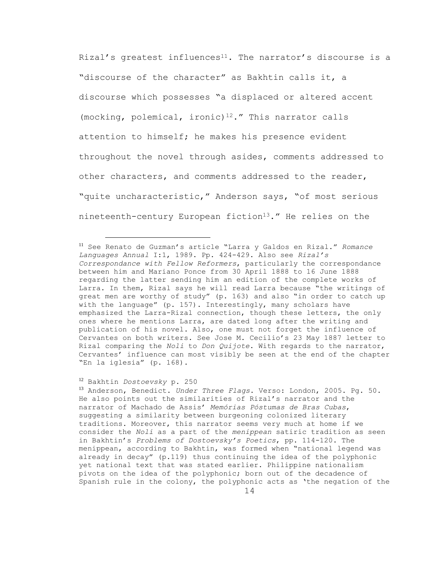Rizal's greatest influences<sup>11</sup>. The narrator's discourse is a "discourse of the character" as Bakhtin calls it, a discourse which possesses "a displaced or altered accent (mocking, polemical, ironic)<sup>12</sup>." This narrator calls attention to himself; he makes his presence evident throughout the novel through asides, comments addressed to other characters, and comments addressed to the reader, "quite uncharacteristic," Anderson says, "of most serious nineteenth-century European fiction<sup>13</sup>." He relies on the

#### <sup>12</sup> Bakhtin *Dostoevsky* p. 250

a<br>B

<sup>13</sup> Anderson, Benedict. *Under Three Flags*. Verso: London, 2005. Pg. 50. He also points out the similarities of Rizal's narrator and the narrator of Machado de Assis' *Memórias Póstumas de Bras Cubas*, suggesting a similarity between burgeoning colonized literary traditions. Moreover, this narrator seems very much at home if we consider the *Noli* as a part of the *menippean* satiric tradition as seen in Bakhtin's *Problems of Dostoevsky's Poetics*, pp. 114-120. The menippean, according to Bakhtin, was formed when "national legend was already in decay" (p.119) thus continuing the idea of the polyphonic yet national text that was stated earlier. Philippine nationalism pivots on the idea of the polyphonic; born out of the decadence of Spanish rule in the colony, the polyphonic acts as 'the negation of the

<sup>11</sup> See Renato de Guzman's article "Larra y Galdos en Rizal." *Romance Languages Annual* I:1, 1989. Pp. 424-429. Also see *Rizal's Correspondance with Fellow Reformers*, particularly the correspondance between him and Mariano Ponce from 30 April 1888 to 16 June 1888 regarding the latter sending him an edition of the complete works of Larra. In them, Rizal says he will read Larra because "the writings of great men are worthy of study" (p. 163) and also "in order to catch up with the language" (p. 157). Interestingly, many scholars have emphasized the Larra-Rizal connection, though these letters, the only ones where he mentions Larra, are dated long after the writing and publication of his novel. Also, one must not forget the influence of Cervantes on both writers. See Jose M. Cecilio's 23 May 1887 letter to Rizal comparing the *Noli* to *Don Quijote*. With regards to the narrator, Cervantes' influence can most visibly be seen at the end of the chapter "En la iglesia" (p. 168).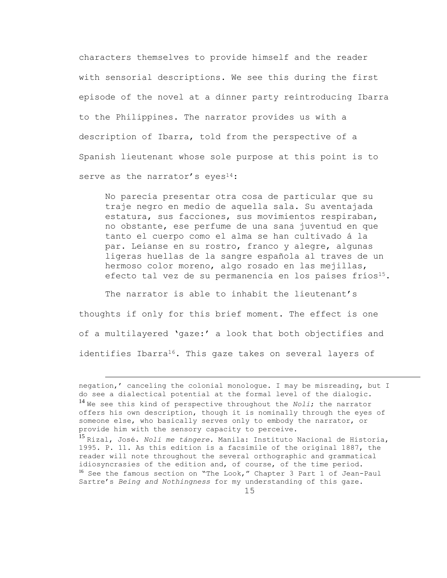characters themselves to provide himself and the reader with sensorial descriptions. We see this during the first episode of the novel at a dinner party reintroducing Ibarra to the Philippines. The narrator provides us with a description of Ibarra, told from the perspective of a Spanish lieutenant whose sole purpose at this point is to serve as the narrator's eyes<sup>14</sup>:

No parecía presentar otra cosa de particular que su traje negro en medio de aquella sala. Su aventajada estatura, sus facciones, sus movimientos respiraban, no obstante, ese perfume de una sana juventud en que tanto el cuerpo como el alma se han cultivado á la par. Leíanse en su rostro, franco y alegre, algunas ligeras huellas de la sangre española al traves de un hermoso color moreno, algo rosado en las mejillas, efecto tal vez de su permanencia en los países fríos<sup>15</sup>.

The narrator is able to inhabit the lieutenant's thoughts if only for this brief moment. The effect is one of a multilayered 'gaze:' a look that both objectifies and identifies Ibarra<sup>16</sup>. This gaze takes on several layers of

negation,' canceling the colonial monologue. I may be misreading, but I do see a dialectical potential at the formal level of the dialogic. <sup>14</sup> We see this kind of perspective throughout the *Noli*; the narrator offers his own description, though it is nominally through the eyes of someone else, who basically serves only to embody the narrator, or provide him with the sensory capacity to perceive. <sup>15</sup> Rizal, José. *Noli me tángere*. Manila: Instituto Nacional de Historia, 1995. P. 11. As this edition is a facsimile of the original 1887, the

reader will note throughout the several orthographic and grammatical idiosyncrasies of the edition and, of course, of the time period. <sup>16</sup> See the famous section on "The Look," Chapter 3 Part 1 of Jean-Paul Sartre's *Being and Nothingness* for my understanding of this gaze.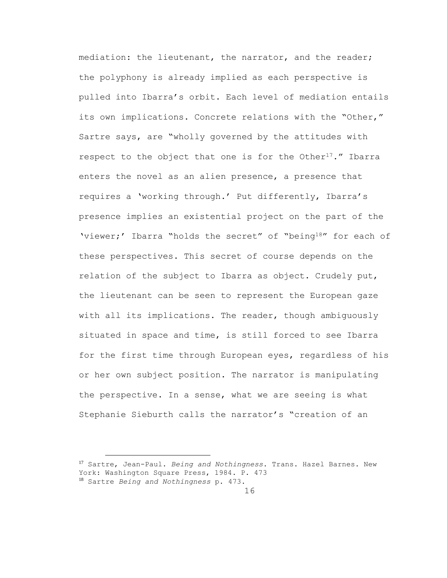mediation: the lieutenant, the narrator, and the reader; the polyphony is already implied as each perspective is pulled into Ibarra's orbit. Each level of mediation entails its own implications. Concrete relations with the "Other," Sartre says, are "wholly governed by the attitudes with respect to the object that one is for the Other<sup>17</sup>." Ibarra enters the novel as an alien presence, a presence that requires a 'working through.' Put differently, Ibarra's presence implies an existential project on the part of the 'viewer;' Ibarra "holds the secret" of "being18" for each of these perspectives. This secret of course depends on the relation of the subject to Ibarra as object. Crudely put, the lieutenant can be seen to represent the European gaze with all its implications. The reader, though ambiguously situated in space and time, is still forced to see Ibarra for the first time through European eyes, regardless of his or her own subject position. The narrator is manipulating the perspective. In a sense, what we are seeing is what Stephanie Sieburth calls the narrator's "creation of an

<sup>17</sup> Sartre, Jean-Paul. *Being and Nothingness*. Trans. Hazel Barnes. New York: Washington Square Press, 1984. P. 473 <sup>18</sup> Sartre *Being and Nothingness* p. 473.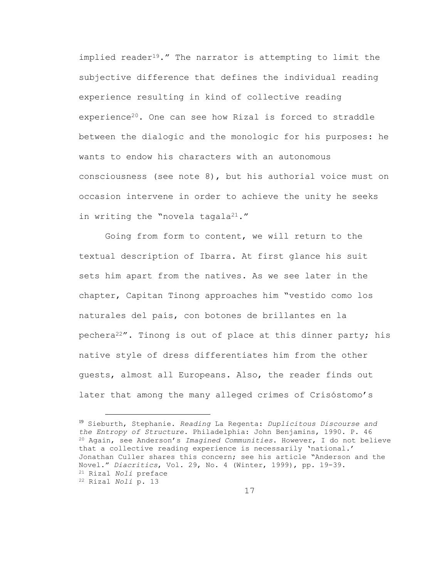implied reader<sup>19</sup>." The narrator is attempting to limit the subjective difference that defines the individual reading experience resulting in kind of collective reading experience<sup>20</sup>. One can see how Rizal is forced to straddle between the dialogic and the monologic for his purposes: he wants to endow his characters with an autonomous consciousness (see note 8), but his authorial voice must on occasion intervene in order to achieve the unity he seeks in writing the "novela tagala<sup>21</sup>."

Going from form to content, we will return to the textual description of Ibarra. At first glance his suit sets him apart from the natives. As we see later in the chapter, Capitan Tinong approaches him "vestido como los naturales del país, con botones de brillantes en la pechera<sup>22"</sup>. Tinong is out of place at this dinner party; his native style of dress differentiates him from the other guests, almost all Europeans. Also, the reader finds out later that among the many alleged crimes of Crisóstomo's

L,

<sup>19</sup> Sieburth, Stephanie. *Reading* La Regenta: *Duplicitous Discourse and the Entropy of Structure*. Philadelphia: John Benjamins, 1990. P. 46 <sup>20</sup> Again, see Anderson's *Imagined Communities*. However, I do not believe that a collective reading experience is necessarily 'national.' Jonathan Culler shares this concern; see his article "Anderson and the Novel." *Diacritics*, Vol. 29, No. 4 (Winter, 1999), pp. 19-39. <sup>21</sup> Rizal *Noli* preface <sup>22</sup> Rizal *Noli* p. 13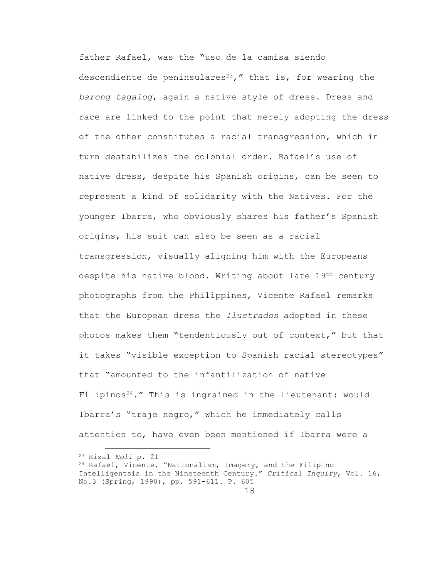father Rafael, was the "uso de la camisa siendo descendiente de peninsulares<sup>23</sup>," that is, for wearing the *barong tagalog*, again a native style of dress. Dress and race are linked to the point that merely adopting the dress of the other constitutes a racial transgression, which in turn destabilizes the colonial order. Rafael's use of native dress, despite his Spanish origins, can be seen to represent a kind of solidarity with the Natives. For the younger Ibarra, who obviously shares his father's Spanish origins, his suit can also be seen as a racial transgression, visually aligning him with the Europeans despite his native blood. Writing about late 19th century photographs from the Philippines, Vicente Rafael remarks that the European dress the *Ilustrados* adopted in these photos makes them "tendentiously out of context," but that it takes "visible exception to Spanish racial stereotypes" that "amounted to the infantilization of native Filipinos<sup>24</sup>." This is ingrained in the lieutenant: would Ibarra's "traje negro," which he immediately calls attention to, have even been mentioned if Ibarra were a

<sup>23</sup> Rizal *Noli* p. 21 <sup>24</sup> Rafael, Vicente. "Nationalism, Imagery, and the Filipino Intelligentsia in the Nineteenth Century." *Critical Inquiry*, Vol. 16, No.3 (Spring, 1990), pp. 591-611. P. 605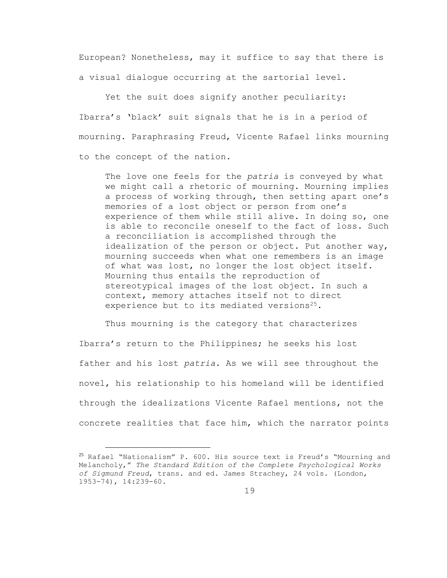European? Nonetheless, may it suffice to say that there is a visual dialogue occurring at the sartorial level.

Yet the suit does signify another peculiarity: Ibarra's 'black' suit signals that he is in a period of mourning. Paraphrasing Freud, Vicente Rafael links mourning to the concept of the nation.

The love one feels for the *patria* is conveyed by what we might call a rhetoric of mourning. Mourning implies a process of working through, then setting apart one's memories of a lost object or person from one's experience of them while still alive. In doing so, one is able to reconcile oneself to the fact of loss. Such a reconciliation is accomplished through the idealization of the person or object. Put another way, mourning succeeds when what one remembers is an image of what was lost, no longer the lost object itself. Mourning thus entails the reproduction of stereotypical images of the lost object. In such a context, memory attaches itself not to direct experience but to its mediated versions<sup>25</sup>.

Thus mourning is the category that characterizes Ibarra's return to the Philippines; he seeks his lost father and his lost *patria*. As we will see throughout the novel, his relationship to his homeland will be identified through the idealizations Vicente Rafael mentions, not the concrete realities that face him, which the narrator points

<sup>25</sup> Rafael "Nationalism" P. 600. His source text is Freud's "Mourning and Melancholy," *The Standard Edition of the Complete Psychological Works of Sigmund Freud*, trans. and ed. James Strachey, 24 vols. (London, 1953-74), 14:239-60.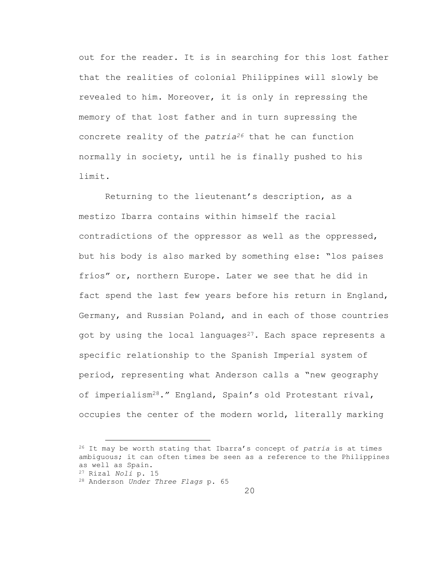out for the reader. It is in searching for this lost father that the realities of colonial Philippines will slowly be revealed to him. Moreover, it is only in repressing the memory of that lost father and in turn supressing the concrete reality of the *patria<sup>26</sup>* that he can function normally in society, until he is finally pushed to his limit.

Returning to the lieutenant's description, as a mestizo Ibarra contains within himself the racial contradictions of the oppressor as well as the oppressed, but his body is also marked by something else: "los países fríos" or, northern Europe. Later we see that he did in fact spend the last few years before his return in England, Germany, and Russian Poland, and in each of those countries got by using the local languages $27$ . Each space represents a specific relationship to the Spanish Imperial system of period, representing what Anderson calls a "new geography of imperialism28." England, Spain's old Protestant rival, occupies the center of the modern world, literally marking

<sup>26</sup> It may be worth stating that Ibarra's concept of *patria* is at times ambiguous; it can often times be seen as a reference to the Philippines as well as Spain.

<sup>27</sup> Rizal *Noli* p. 15

<sup>28</sup> Anderson *Under Three Flags* p. 65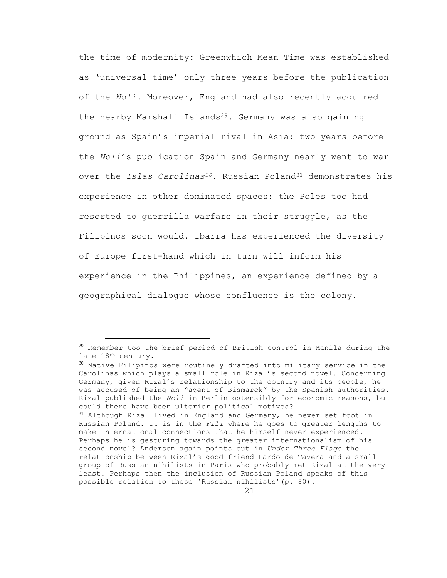the time of modernity: Greenwhich Mean Time was established as 'universal time' only three years before the publication of the *Noli*. Moreover, England had also recently acquired the nearby Marshall Islands<sup>29</sup>. Germany was also gaining ground as Spain's imperial rival in Asia: two years before the *Noli*'s publication Spain and Germany nearly went to war over the *Islas Carolinas30*. Russian Poland<sup>31</sup> demonstrates his experience in other dominated spaces: the Poles too had resorted to guerrilla warfare in their struggle, as the Filipinos soon would. Ibarra has experienced the diversity of Europe first-hand which in turn will inform his experience in the Philippines, an experience defined by a geographical dialogue whose confluence is the colony.

 $29$  Remember too the brief period of British control in Manila during the late 18th century.

<sup>30</sup> Native Filipinos were routinely drafted into military service in the Carolinas which plays a small role in Rizal's second novel. Concerning Germany, given Rizal's relationship to the country and its people, he was accused of being an "agent of Bismarck" by the Spanish authorities. Rizal published the *Noli* in Berlin ostensibly for economic reasons, but could there have been ulterior political motives?

<sup>&</sup>lt;sup>31</sup> Although Rizal lived in England and Germany, he never set foot in Russian Poland. It is in the *Fili* where he goes to greater lengths to make international connections that he himself never experienced. Perhaps he is gesturing towards the greater internationalism of his second novel? Anderson again points out in *Under Three Flags* the relationship between Rizal's good friend Pardo de Tavera and a small group of Russian nihilists in Paris who probably met Rizal at the very least. Perhaps then the inclusion of Russian Poland speaks of this possible relation to these 'Russian nihilists'(p. 80).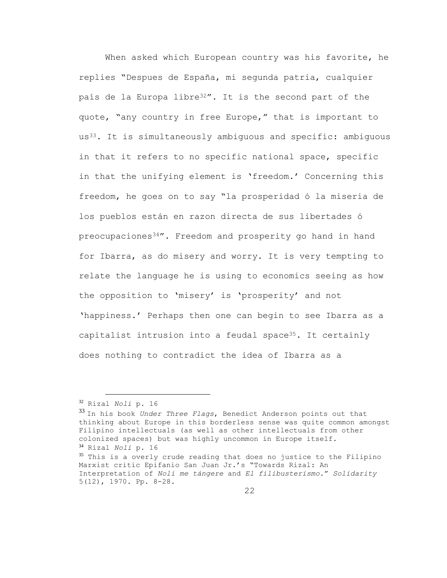When asked which European country was his favorite, he replies "Despues de España, mi segunda patria, cualquier país de la Europa libre<sup>32"</sup>. It is the second part of the quote, "any country in free Europe," that is important to us33. It is simultaneously ambiguous and specific: ambiguous in that it refers to no specific national space, specific in that the unifying element is 'freedom.' Concerning this freedom, he goes on to say "la prosperidad ó la miseria de los pueblos están en razon directa de sus libertades ó preocupaciones<sup>34</sup>". Freedom and prosperity go hand in hand for Ibarra, as do misery and worry. It is very tempting to relate the language he is using to economics seeing as how the opposition to 'misery' is 'prosperity' and not 'happiness.' Perhaps then one can begin to see Ibarra as a capitalist intrusion into a feudal space<sup>35</sup>. It certainly does nothing to contradict the idea of Ibarra as a

<sup>32</sup> Rizal *Noli* p. 16

<sup>33</sup> In his book *Under Three Flags*, Benedict Anderson points out that thinking about Europe in this borderless sense was quite common amongst Filipino intellectuals (as well as other intellectuals from other colonized spaces) but was highly uncommon in Europe itself. <sup>34</sup> Rizal *Noli* p. 16

<sup>&</sup>lt;sup>35</sup> This is a overly crude reading that does no justice to the Filipino Marxist critic Epifanio San Juan Jr.'s "Towards Rizal: An Interpretation of *Noli me tángere* and *El filibusterismo.*" *Solidarity* 5(12), 1970. Pp. 8-28.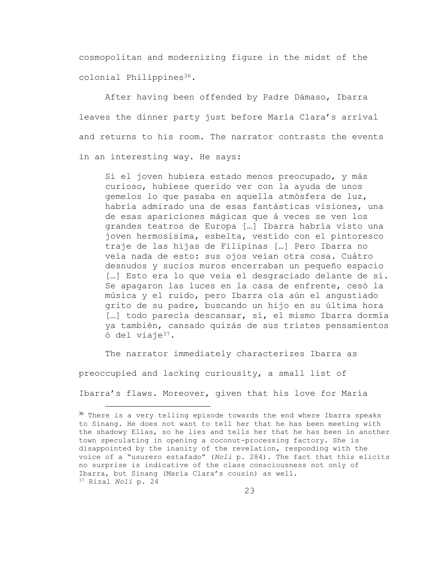cosmopolitan and modernizing figure in the midst of the colonial Philippines<sup>36</sup>.

After having been offended by Padre Dámaso, Ibarra leaves the dinner party just before María Clara's arrival and returns to his room. The narrator contrasts the events in an interesting way. He says:

Si el joven hubiera estado menos preocupado, y más curioso, hubiese querido ver con la ayuda de unos gemelos lo que pasaba en aquella atmósfera de luz, habría admirado una de esas fantásticas visiones, una de esas apariciones mágicas que á veces se ven los grandes teatros de Europa […] Ibarra habría visto una joven hermosísima, esbelta, vestido con el pintoresco traje de las hijas de Filipinas […] Pero Ibarra no veía nada de esto: sus ojos veían otra cosa. Cuátro desnudos y sucios muros encerraban un pequeño espacio […] Esto era lo que veía el desgraciado delante de sí. Se apagaron las luces en la casa de enfrente, cesó la música y el ruido, pero Ibarra oía aún el angustiado grito de su padre, buscando un hijo en su última hora [...] todo parecía descansar, sí, el mismo Ibarra dormía ya también, cansado quizás de sus tristes pensamientos ó del viaje37.

The narrator immediately characterizes Ibarra as

preoccupied and lacking curiousity, a small list of

L,

Ibarra's flaws. Moreover, given that his love for María

<sup>&</sup>lt;sup>36</sup> There is a very telling episode towards the end where Ibarra speaks to Sinang. He does not want to tell her that he has been meeting with the shadowy Elías, so he lies and tells her that he has been in another town speculating in opening a coconut-processing factory. She is disappointed by the inanity of the revelation, responding with the voice of a "usurero estafado" (*Noli* p. 284). The fact that this elicits no surprise is indicative of the class consciousness not only of Ibarra, but Sinang (María Clara's cousin) as well. <sup>37</sup> Rizal *Noli* p. 24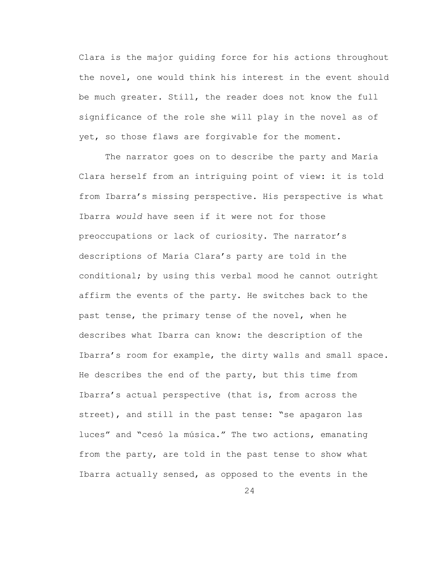Clara is the major guiding force for his actions throughout the novel, one would think his interest in the event should be much greater. Still, the reader does not know the full significance of the role she will play in the novel as of yet, so those flaws are forgivable for the moment.

The narrator goes on to describe the party and María Clara herself from an intriguing point of view: it is told from Ibarra's missing perspective. His perspective is what Ibarra *would* have seen if it were not for those preoccupations or lack of curiosity. The narrator's descriptions of María Clara's party are told in the conditional; by using this verbal mood he cannot outright affirm the events of the party. He switches back to the past tense, the primary tense of the novel, when he describes what Ibarra can know: the description of the Ibarra's room for example, the dirty walls and small space. He describes the end of the party, but this time from Ibarra's actual perspective (that is, from across the street), and still in the past tense: "se apagaron las luces" and "cesó la música." The two actions, emanating from the party, are told in the past tense to show what Ibarra actually sensed, as opposed to the events in the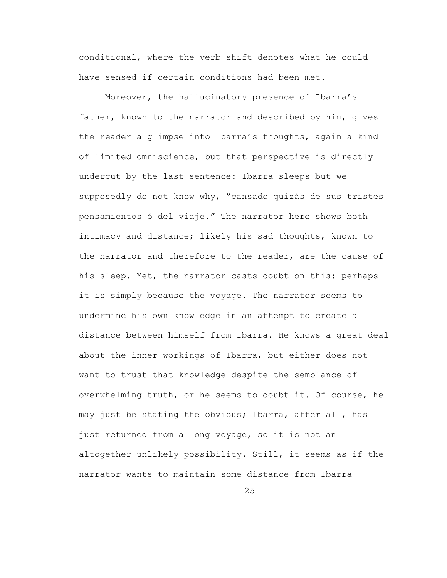conditional, where the verb shift denotes what he could have sensed if certain conditions had been met.

Moreover, the hallucinatory presence of Ibarra's father, known to the narrator and described by him, gives the reader a glimpse into Ibarra's thoughts, again a kind of limited omniscience, but that perspective is directly undercut by the last sentence: Ibarra sleeps but we supposedly do not know why, "cansado quizás de sus tristes pensamientos ó del viaje." The narrator here shows both intimacy and distance; likely his sad thoughts, known to the narrator and therefore to the reader, are the cause of his sleep. Yet, the narrator casts doubt on this: perhaps it is simply because the voyage. The narrator seems to undermine his own knowledge in an attempt to create a distance between himself from Ibarra. He knows a great deal about the inner workings of Ibarra, but either does not want to trust that knowledge despite the semblance of overwhelming truth, or he seems to doubt it. Of course, he may just be stating the obvious; Ibarra, after all, has just returned from a long voyage, so it is not an altogether unlikely possibility. Still, it seems as if the narrator wants to maintain some distance from Ibarra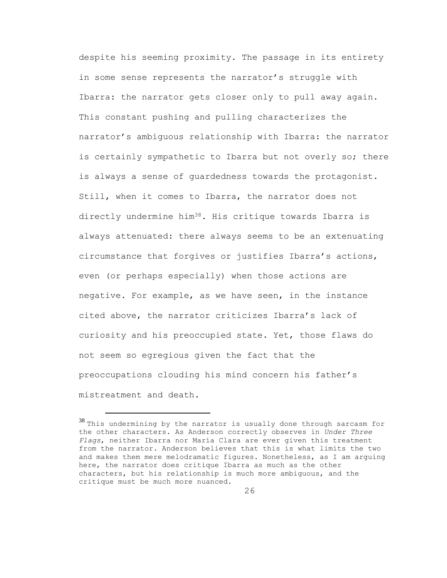despite his seeming proximity. The passage in its entirety in some sense represents the narrator's struggle with Ibarra: the narrator gets closer only to pull away again. This constant pushing and pulling characterizes the narrator's ambiguous relationship with Ibarra: the narrator is certainly sympathetic to Ibarra but not overly so; there is always a sense of guardedness towards the protagonist. Still, when it comes to Ibarra, the narrator does not directly undermine him<sup>38</sup>. His critique towards Ibarra is always attenuated: there always seems to be an extenuating circumstance that forgives or justifies Ibarra's actions, even (or perhaps especially) when those actions are negative. For example, as we have seen, in the instance cited above, the narrator criticizes Ibarra's lack of curiosity and his preoccupied state. Yet, those flaws do not seem so egregious given the fact that the preoccupations clouding his mind concern his father's mistreatment and death.

 $38$  This undermining by the narrator is usually done through sarcasm for the other characters. As Anderson correctly observes in *Under Three Flags*, neither Ibarra nor María Clara are ever given this treatment from the narrator. Anderson believes that this is what limits the two and makes them mere melodramatic figures. Nonetheless, as I am arguing here, the narrator does critique Ibarra as much as the other characters, but his relationship is much more ambiguous, and the critique must be much more nuanced.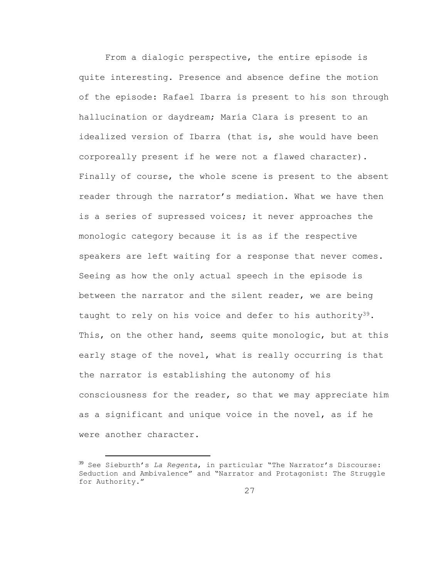From a dialogic perspective, the entire episode is quite interesting. Presence and absence define the motion of the episode: Rafael Ibarra is present to his son through hallucination or daydream; María Clara is present to an idealized version of Ibarra (that is, she would have been corporeally present if he were not a flawed character). Finally of course, the whole scene is present to the absent reader through the narrator's mediation. What we have then is a series of supressed voices; it never approaches the monologic category because it is as if the respective speakers are left waiting for a response that never comes. Seeing as how the only actual speech in the episode is between the narrator and the silent reader, we are being taught to rely on his voice and defer to his authority<sup>39</sup>. This, on the other hand, seems quite monologic, but at this early stage of the novel, what is really occurring is that the narrator is establishing the autonomy of his consciousness for the reader, so that we may appreciate him as a significant and unique voice in the novel, as if he were another character.

<sup>39</sup> See Sieburth's *La Regenta*, in particular "The Narrator's Discourse: Seduction and Ambivalence" and "Narrator and Protagonist: The Struggle for Authority."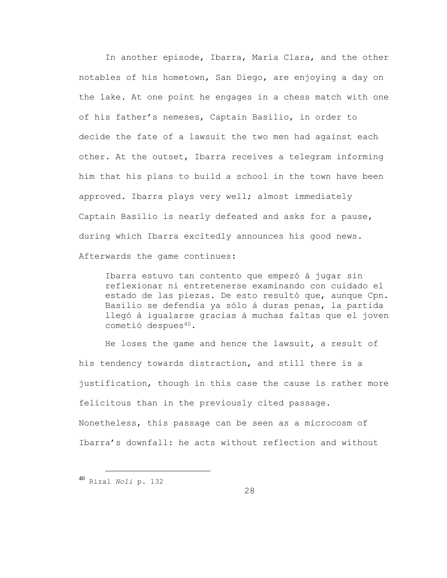In another episode, Ibarra, María Clara, and the other notables of his hometown, San Diego, are enjoying a day on the lake. At one point he engages in a chess match with one of his father's nemeses, Captain Basilio, in order to decide the fate of a lawsuit the two men had against each other. At the outset, Ibarra receives a telegram informing him that his plans to build a school in the town have been approved. Ibarra plays very well; almost immediately Captain Basilio is nearly defeated and asks for a pause, during which Ibarra excitedly announces his good news. Afterwards the game continues:

Ibarra estuvo tan contento que empezó á jugar sin reflexionar ni entretenerse examinando con cuidado el estado de las piezas. De esto resultó que, aunque Cpn. Basilio se defendía ya sólo á duras penas, la partida llegó á igualarse gracias á muchas faltas que el joven cometió despues<sup>40</sup>.

He loses the game and hence the lawsuit, a result of his tendency towards distraction, and still there is a justification, though in this case the cause is rather more felicitous than in the previously cited passage. Nonetheless, this passage can be seen as a microcosm of Ibarra's downfall: he acts without reflection and without

<sup>40</sup> Rizal *Noli* p. 132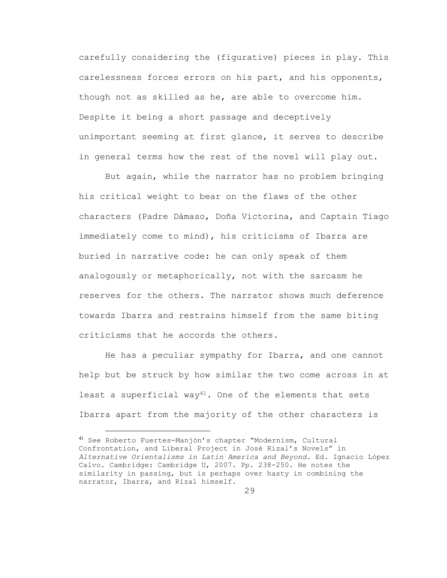carefully considering the (figurative) pieces in play. This carelessness forces errors on his part, and his opponents, though not as skilled as he, are able to overcome him. Despite it being a short passage and deceptively unimportant seeming at first glance, it serves to describe in general terms how the rest of the novel will play out.

But again, while the narrator has no problem bringing his critical weight to bear on the flaws of the other characters (Padre Dámaso, Doña Victorina, and Captain Tiago immediately come to mind), his criticisms of Ibarra are buried in narrative code: he can only speak of them analogously or metaphorically, not with the sarcasm he reserves for the others. The narrator shows much deference towards Ibarra and restrains himself from the same biting criticisms that he accords the others.

He has a peculiar sympathy for Ibarra, and one cannot help but be struck by how similar the two come across in at least a superficial way<sup>41</sup>. One of the elements that sets Ibarra apart from the majority of the other characters is

<sup>41</sup> See Roberto Fuertes-Manjón's chapter "Modernism, Cultural Confrontation, and Liberal Project in José Rizal's Novels" in *Alternative Orientalisms in Latin America and Beyond*. Ed. Ignacio López Calvo. Cambridge: Cambridge U, 2007. Pp. 238-250. He notes the similarity in passing, but is perhaps over hasty in combining the narrator, Ibarra, and Rizal himself.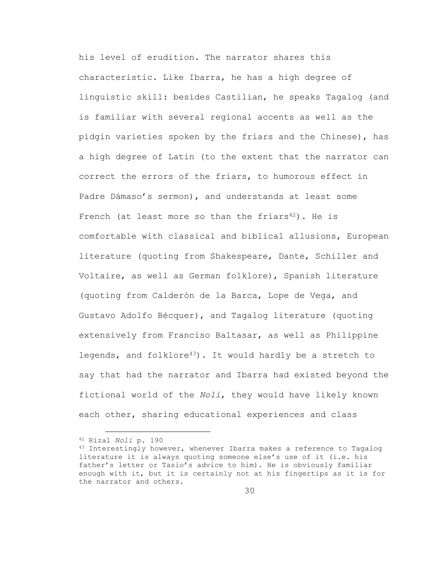his level of erudition. The narrator shares this characteristic. Like Ibarra, he has a high degree of linguistic skill: besides Castilian, he speaks Tagalog (and is familiar with several regional accents as well as the pidgin varieties spoken by the friars and the Chinese), has a high degree of Latin (to the extent that the narrator can correct the errors of the friars, to humorous effect in Padre Dámaso's sermon), and understands at least some French (at least more so than the friars<sup>42</sup>). He is comfortable with classical and biblical allusions, European literature (quoting from Shakespeare, Dante, Schiller and Voltaire, as well as German folklore), Spanish literature (quoting from Calderón de la Barca, Lope de Vega, and Gustavo Adolfo Bécquer), and Tagalog literature (quoting extensively from Franciso Baltasar, as well as Philippine legends, and folklore<sup>43</sup>). It would hardly be a stretch to say that had the narrator and Ibarra had existed beyond the fictional world of the *Noli*, they would have likely known each other, sharing educational experiences and class

i<br>L

<sup>42</sup> Rizal *Noli* p. 190

<sup>43</sup> Interestingly however, whenever Ibarra makes a reference to Tagalog literature it is always quoting someone else's use of it (i.e. his father's letter or Tasio's advice to him). He is obviously familiar enough with it, but it is certainly not at his fingertips as it is for the narrator and others.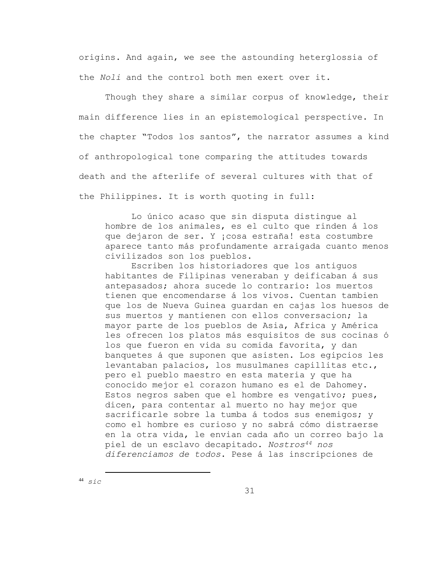origins. And again, we see the astounding heterglossia of the *Noli* and the control both men exert over it.

Though they share a similar corpus of knowledge, their main difference lies in an epistemological perspective. In the chapter "Todos los santos", the narrator assumes a kind of anthropological tone comparing the attitudes towards death and the afterlife of several cultures with that of the Philippines. It is worth quoting in full:

Lo único acaso que sin disputa distingue al hombre de los animales, es el culto que rinden á los que dejaron de ser. Y ¡cosa estraña! esta costumbre aparece tanto más profundamente arraigada cuanto menos civilizados son los pueblos.

Escriben los historiadores que los antiguos habitantes de Filipinas veneraban y deificaban á sus antepasados; ahora sucede lo contrario: los muertos tienen que encomendarse á los vivos. Cuentan tambien que los de Nueva Guinea guardan en cajas los huesos de sus muertos y mantienen con ellos conversacion; la mayor parte de los pueblos de Asia, Africa y América les ofrecen los platos más esquisitos de sus cocinas ó los que fueron en vida su comida favorita, y dan banquetes á que suponen que asisten. Los egipcios les levantaban palacios, los musulmanes capillitas etc., pero el pueblo maestro en esta materia y que ha conocido mejor el corazon humano es el de Dahomey. Estos negros saben que el hombre es vengativo; pues, dicen, para contentar al muerto no hay mejor que sacrificarle sobre la tumba á todos sus enemigos; y como el hombre es curioso y no sabrá cómo distraerse en la otra vida, le envian cada año un correo bajo la piel de un esclavo decapitado. *Nostros<sup>44</sup> nos diferenciamos de todos*. Pese á las inscripciones de

i<br>L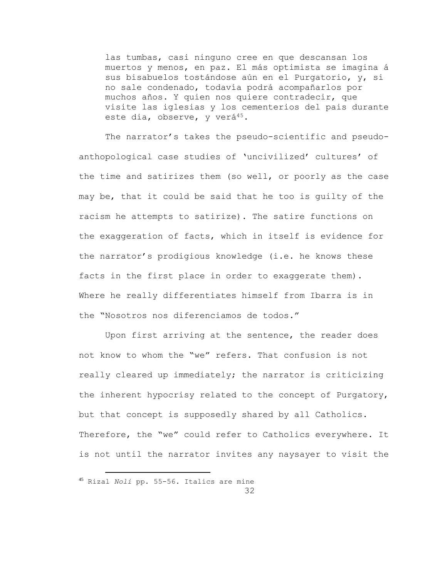las tumbas, casi ninguno cree en que descansan los muertos y menos, en paz. El más optimista se imagina á sus bisabuelos tostándose aún en el Purgatorio, y, si no sale condenado, todavía podrá acompañarlos por muchos años. Y quien nos quiere contradecir, que visite las iglesias y los cementerios del pais durante este dia, observe, y verá<sup>45</sup>.

The narrator's takes the pseudo-scientific and pseudoanthopological case studies of 'uncivilized' cultures' of the time and satirizes them (so well, or poorly as the case may be, that it could be said that he too is guilty of the racism he attempts to satirize). The satire functions on the exaggeration of facts, which in itself is evidence for the narrator's prodigious knowledge (i.e. he knows these facts in the first place in order to exaggerate them). Where he really differentiates himself from Ibarra is in the "Nosotros nos diferenciamos de todos."

Upon first arriving at the sentence, the reader does not know to whom the "we" refers. That confusion is not really cleared up immediately; the narrator is criticizing the inherent hypocrisy related to the concept of Purgatory, but that concept is supposedly shared by all Catholics. Therefore, the "we" could refer to Catholics everywhere. It is not until the narrator invites any naysayer to visit the

<sup>45</sup> Rizal *Noli* pp. 55-56. Italics are mine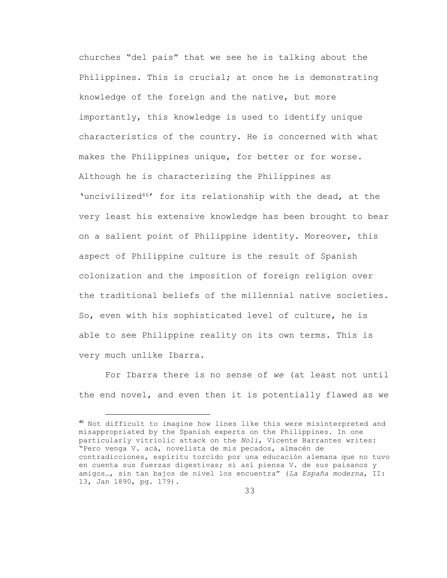churches "del pais" that we see he is talking about the Philippines. This is crucial; at once he is demonstrating knowledge of the foreign and the native, but more importantly, this knowledge is used to identify unique characteristics of the country. He is concerned with what makes the Philippines unique, for better or for worse. Although he is characterizing the Philippines as 'uncivilized46' for its relationship with the dead, at the very least his extensive knowledge has been brought to bear on a salient point of Philippine identity. Moreover, this aspect of Philippine culture is the result of Spanish colonization and the imposition of foreign religion over the traditional beliefs of the millennial native societies. So, even with his sophisticated level of culture, he is able to see Philippine reality on its own terms. This is very much unlike Ibarra.

For Ibarra there is no sense of *we* (at least not until the end novel, and even then it is potentially flawed as we

L,

<sup>46</sup> Not difficult to imagine how lines like this were misinterpreted and misappropriated by the Spanish experts on the Philippines. In one particularly vitriolic attack on the *Noli*, Vicente Barrantes writes: "Pero venga V. acá, novelista de mis pecados, almacén de contradicciones, espíritu torcido por una educación alemana que no tuvo en cuenta sus fuerzas digestivas; sí así piensa V. de sus paisanos y amigos…, sin tan bajos de nivel los encuentra" (*La España moderna*, II: 13, Jan 1890, pg. 179).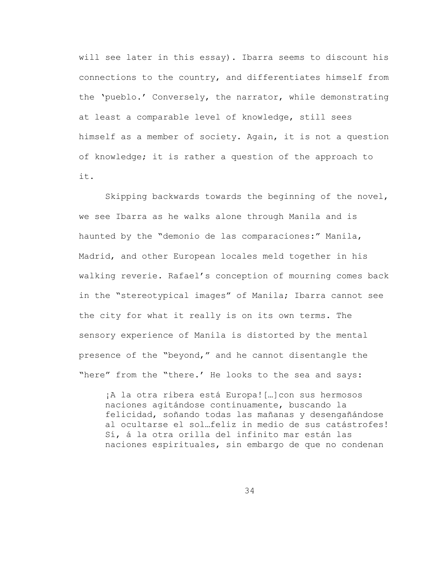will see later in this essay). Ibarra seems to discount his connections to the country, and differentiates himself from the 'pueblo.' Conversely, the narrator, while demonstrating at least a comparable level of knowledge, still sees himself as a member of society. Again, it is not a question of knowledge; it is rather a question of the approach to it.

Skipping backwards towards the beginning of the novel, we see Ibarra as he walks alone through Manila and is haunted by the "demonio de las comparaciones:" Manila, Madrid, and other European locales meld together in his walking reverie. Rafael's conception of mourning comes back in the "stereotypical images" of Manila; Ibarra cannot see the city for what it really is on its own terms. The sensory experience of Manila is distorted by the mental presence of the "beyond," and he cannot disentangle the "here" from the "there.' He looks to the sea and says:

¡A la otra ribera está Europa![…]con sus hermosos naciones agitándose continuamente, buscando la felicidad, soñando todas las mañanas y desengañándose al ocultarse el sol…feliz in medio de sus catástrofes! Sí, á la otra orilla del infinito mar están las naciones espirituales, sin embargo de que no condenan

34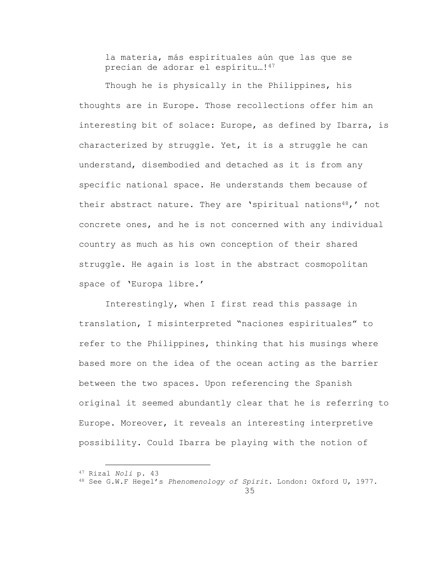la materia, más espirituales aún que las que se precian de adorar el espíritu…!<sup>47</sup>

Though he is physically in the Philippines, his thoughts are in Europe. Those recollections offer him an interesting bit of solace: Europe, as defined by Ibarra, is characterized by struggle. Yet, it is a struggle he can understand, disembodied and detached as it is from any specific national space. He understands them because of their abstract nature. They are 'spiritual nations<sup>48</sup>,' not concrete ones, and he is not concerned with any individual country as much as his own conception of their shared struggle. He again is lost in the abstract cosmopolitan space of 'Europa libre.'

Interestingly, when I first read this passage in translation, I misinterpreted "naciones espirituales" to refer to the Philippines, thinking that his musings where based more on the idea of the ocean acting as the barrier between the two spaces. Upon referencing the Spanish original it seemed abundantly clear that he is referring to Europe. Moreover, it reveals an interesting interpretive possibility. Could Ibarra be playing with the notion of

<sup>47</sup> Rizal *Noli* p. 43

<sup>48</sup> See G.W.F Hegel's *Phenomenology of Spirit*. London: Oxford U, 1977.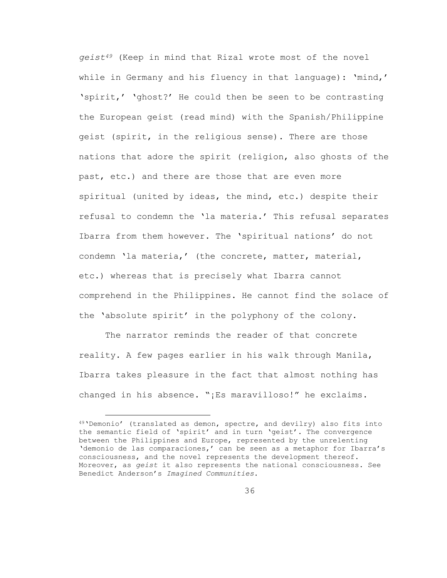*geist<sup>49</sup>* (Keep in mind that Rizal wrote most of the novel while in Germany and his fluency in that language): 'mind,' 'spirit,' 'ghost?' He could then be seen to be contrasting the European geist (read mind) with the Spanish/Philippine geist (spirit, in the religious sense). There are those nations that adore the spirit (religion, also ghosts of the past, etc.) and there are those that are even more spiritual (united by ideas, the mind, etc.) despite their refusal to condemn the 'la materia.' This refusal separates Ibarra from them however. The 'spiritual nations' do not condemn 'la materia,' (the concrete, matter, material, etc.) whereas that is precisely what Ibarra cannot comprehend in the Philippines. He cannot find the solace of the 'absolute spirit' in the polyphony of the colony.

The narrator reminds the reader of that concrete reality. A few pages earlier in his walk through Manila, Ibarra takes pleasure in the fact that almost nothing has changed in his absence. "¡Es maravilloso!" he exclaims.

<sup>49</sup>'Demonio' (translated as demon, spectre, and devilry) also fits into the semantic field of 'spirit' and in turn 'geist'. The convergence between the Philippines and Europe, represented by the unrelenting 'demonio de las comparaciones,' can be seen as a metaphor for Ibarra's consciousness, and the novel represents the development thereof. Moreover, as *geist* it also represents the national consciousness. See Benedict Anderson's *Imagined Communities*.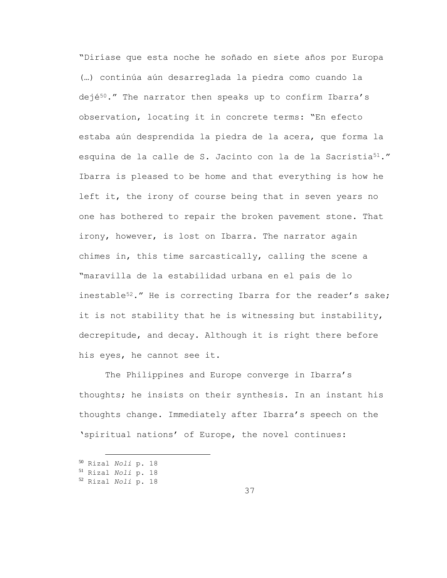"Diríase que esta noche he soñado en siete años por Europa (…) continúa aún desarreglada la piedra como cuando la dejé<sup>50</sup>." The narrator then speaks up to confirm Ibarra's observation, locating it in concrete terms: "En efecto estaba aún desprendida la piedra de la acera, que forma la esquina de la calle de S. Jacinto con la de la Sacristia<sup>51</sup>." Ibarra is pleased to be home and that everything is how he left it, the irony of course being that in seven years no one has bothered to repair the broken pavement stone. That irony, however, is lost on Ibarra. The narrator again chimes in, this time sarcastically, calling the scene a "maravilla de la estabilidad urbana en el país de lo inestable<sup>52</sup>." He is correcting Ibarra for the reader's sake; it is not stability that he is witnessing but instability, decrepitude, and decay. Although it is right there before his eyes, he cannot see it.

The Philippines and Europe converge in Ibarra's thoughts; he insists on their synthesis. In an instant his thoughts change. Immediately after Ibarra's speech on the 'spiritual nations' of Europe, the novel continues:

<sup>50</sup> Rizal *Noli* p. 18

<sup>51</sup> Rizal *Noli* p. 18

<sup>52</sup> Rizal *Noli* p. 18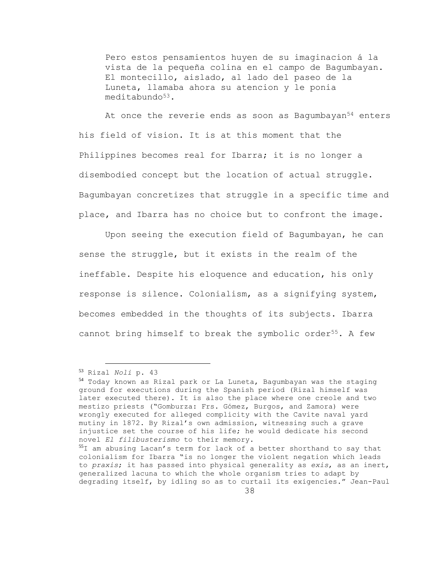Pero estos pensamientos huyen de su imaginacion á la vista de la pequeña colina en el campo de Bagumbayan. El montecillo, aislado, al lado del paseo de la Luneta, llamaba ahora su atencion y le ponia meditabundo<sup>53</sup>.

At once the reverie ends as soon as Bagumbayan<sup>54</sup> enters his field of vision. It is at this moment that the Philippines becomes real for Ibarra; it is no longer a disembodied concept but the location of actual struggle. Bagumbayan concretizes that struggle in a specific time and place, and Ibarra has no choice but to confront the image.

Upon seeing the execution field of Bagumbayan, he can sense the struggle, but it exists in the realm of the ineffable. Despite his eloquence and education, his only response is silence. Colonialism, as a signifying system, becomes embedded in the thoughts of its subjects. Ibarra cannot bring himself to break the symbolic order<sup>55</sup>. A few

<sup>53</sup> Rizal *Noli* p. 43

<sup>54</sup> Today known as Rizal park or La Luneta, Bagumbayan was the staging ground for executions during the Spanish period (Rizal himself was later executed there). It is also the place where one creole and two mestizo priests ("Gomburza: Frs. Gómez, Burgos, and Zamora) were wrongly executed for alleged complicity with the Cavite naval yard mutiny in 1872. By Rizal's own admission, witnessing such a grave injustice set the course of his life; he would dedicate his second novel *El filibusterismo* to their memory.

<sup>55</sup>I am abusing Lacan's term for lack of a better shorthand to say that colonialism for Ibarra "is no longer the violent negation which leads to *praxis*; it has passed into physical generality as *exis*, as an inert, generalized lacuna to which the whole organism tries to adapt by degrading itself, by idling so as to curtail its exigencies." Jean-Paul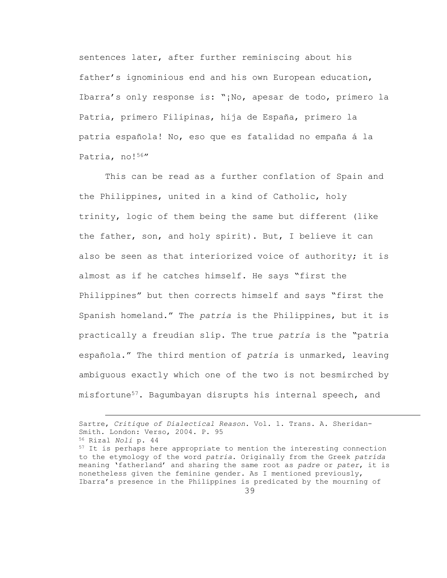sentences later, after further reminiscing about his father's ignominious end and his own European education, Ibarra's only response is: "¡No, apesar de todo, primero la Patria, primero Filipinas, hija de España, primero la patria española! No, eso que es fatalidad no empaña á la Patria, no!56"

This can be read as a further conflation of Spain and the Philippines, united in a kind of Catholic, holy trinity, logic of them being the same but different (like the father, son, and holy spirit). But, I believe it can also be seen as that interiorized voice of authority; it is almost as if he catches himself. He says "first the Philippines" but then corrects himself and says "first the Spanish homeland." The *patria* is the Philippines, but it is practically a freudian slip. The true *patria* is the "patria española." The third mention of *patria* is unmarked, leaving ambiguous exactly which one of the two is not besmirched by misfortune57. Bagumbayan disrupts his internal speech, and

Sartre, *Critique of Dialectical Reason*. Vol. 1. Trans. A. Sheridan-Smith. London: Verso, 2004. P. 95 <sup>56</sup> Rizal *Noli* p. 44

<sup>&</sup>lt;sup>57</sup> It is perhaps here appropriate to mention the interesting connection to the etymology of the word *patria*. Originally from the Greek *patrída* meaning 'fatherland' and sharing the same root as *padre* or *pater*, it is nonetheless given the feminine gender. As I mentioned previously, Ibarra's presence in the Philippines is predicated by the mourning of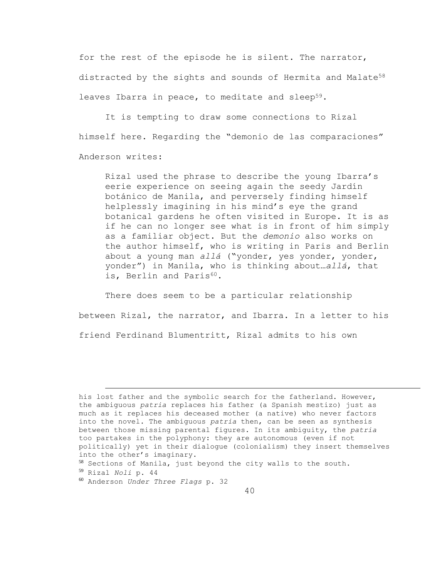for the rest of the episode he is silent. The narrator, distracted by the sights and sounds of Hermita and Malate<sup>58</sup> leaves Ibarra in peace, to meditate and sleep<sup>59</sup>.

It is tempting to draw some connections to Rizal himself here. Regarding the "demonio de las comparaciones" Anderson writes:

Rizal used the phrase to describe the young Ibarra's eerie experience on seeing again the seedy Jardín botánico de Manila, and perversely finding himself helplessly imagining in his mind's eye the grand botanical gardens he often visited in Europe. It is as if he can no longer see what is in front of him simply as a familiar object. But the *demonio* also works on the author himself, who is writing in Paris and Berlin about a young man *allá* ("yonder, yes yonder, yonder, yonder") in Manila, who is thinking about…*allá*, that is, Berlin and Paris<sup>60</sup>.

There does seem to be a particular relationship between Rizal, the narrator, and Ibarra. In a letter to his friend Ferdinand Blumentritt, Rizal admits to his own

L,

his lost father and the symbolic search for the fatherland. However, the ambiguous *patria* replaces his father (a Spanish mestizo) just as much as it replaces his deceased mother (a native) who never factors into the novel. The ambiguous *patria* then, can be seen as synthesis between those missing parental figures. In its ambiguity, the *patria* too partakes in the polyphony: they are autonomous (even if not politically) yet in their dialogue (colonialism) they insert themselves into the other's imaginary.

<sup>58</sup> Sections of Manila, just beyond the city walls to the south.

<sup>59</sup> Rizal *Noli* p. 44

<sup>60</sup> Anderson *Under Three Flags* p. 32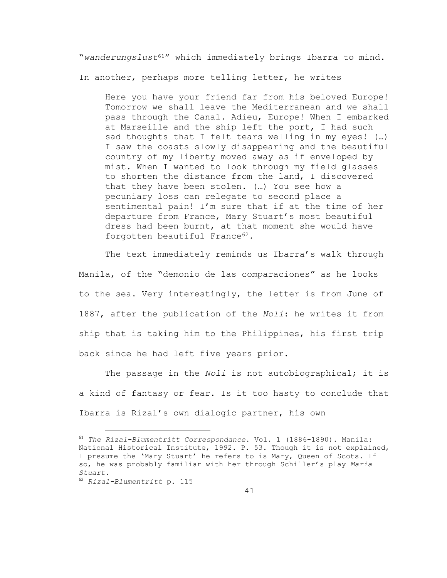"*wanderungslust*61" which immediately brings Ibarra to mind.

In another, perhaps more telling letter, he writes

Here you have your friend far from his beloved Europe! Tomorrow we shall leave the Mediterranean and we shall pass through the Canal. Adieu, Europe! When I embarked at Marseille and the ship left the port, I had such sad thoughts that I felt tears welling in my eyes! (…) I saw the coasts slowly disappearing and the beautiful country of my liberty moved away as if enveloped by mist. When I wanted to look through my field glasses to shorten the distance from the land, I discovered that they have been stolen. (…) You see how a pecuniary loss can relegate to second place a sentimental pain! I'm sure that if at the time of her departure from France, Mary Stuart's most beautiful dress had been burnt, at that moment she would have forgotten beautiful France<sup>62</sup>.

The text immediately reminds us Ibarra's walk through Manila, of the "demonio de las comparaciones" as he looks to the sea. Very interestingly, the letter is from June of 1887, after the publication of the *Noli*: he writes it from ship that is taking him to the Philippines, his first trip back since he had left five years prior.

The passage in the *Noli* is not autobiographical; it is a kind of fantasy or fear. Is it too hasty to conclude that Ibarra is Rizal's own dialogic partner, his own

<sup>61</sup> *The Rizal-Blumentritt Correspondance*. Vol. 1 (1886-1890). Manila: National Historical Institute, 1992. P. 53. Though it is not explained, I presume the 'Mary Stuart' he refers to is Mary, Queen of Scots. If so, he was probably familiar with her through Schiller's play *Maria Stuart*.

<sup>62</sup> *Rizal-Blumentritt* p. 115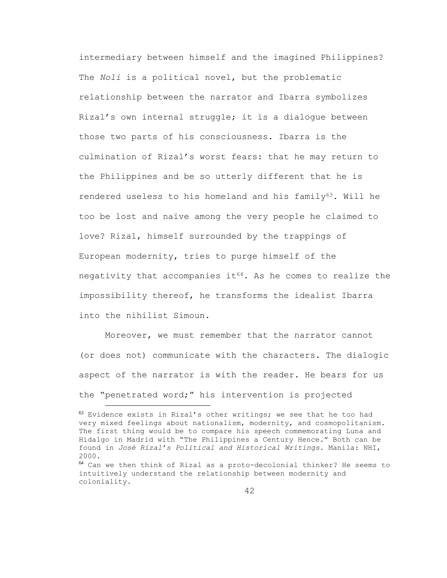intermediary between himself and the imagined Philippines? The *Noli* is a political novel, but the problematic relationship between the narrator and Ibarra symbolizes Rizal's own internal struggle; it is a dialogue between those two parts of his consciousness. Ibarra is the culmination of Rizal's worst fears: that he may return to the Philippines and be so utterly different that he is rendered useless to his homeland and his family<sup>63</sup>. Will he too be lost and naïve among the very people he claimed to love? Rizal, himself surrounded by the trappings of European modernity, tries to purge himself of the negativity that accompanies it<sup>64</sup>. As he comes to realize the impossibility thereof, he transforms the idealist Ibarra into the nihilist Simoun.

Moreover, we must remember that the narrator cannot (or does not) communicate with the characters. The dialogic aspect of the narrator is with the reader. He bears for us the "penetrated word;" his intervention is projected

 $^{63}$  Evidence exists in Rizal's other writings; we see that he too had very mixed feelings about nationalism, modernity, and cosmopolitanism. The first thing would be to compare his speech commemorating Luna and Hidalgo in Madrid with "The Philippines a Century Hence." Both can be found in *José Rizal's Political and Historical Writings*. Manila: NHI, 2000.

<sup>64</sup> Can we then think of Rizal as a proto-decolonial thinker? He seems to intuitively understand the relationship between modernity and coloniality.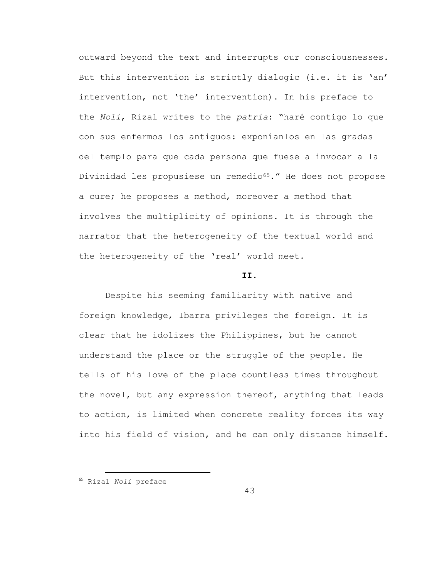outward beyond the text and interrupts our consciousnesses. But this intervention is strictly dialogic (i.e. it is 'an' intervention, not 'the' intervention). In his preface to the *Noli*, Rizal writes to the *patria*: "haré contigo lo que con sus enfermos los antiguos: exponíanlos en las gradas del templo para que cada persona que fuese a invocar a la Divinidad les propusiese un remedio<sup>65</sup>." He does not propose a cure; he proposes a method, moreover a method that involves the multiplicity of opinions. It is through the narrator that the heterogeneity of the textual world and the heterogeneity of the 'real' world meet.

## **II.**

Despite his seeming familiarity with native and foreign knowledge, Ibarra privileges the foreign. It is clear that he idolizes the Philippines, but he cannot understand the place or the struggle of the people. He tells of his love of the place countless times throughout the novel, but any expression thereof, anything that leads to action, is limited when concrete reality forces its way into his field of vision, and he can only distance himself.

÷.

43

<sup>65</sup> Rizal *Noli* preface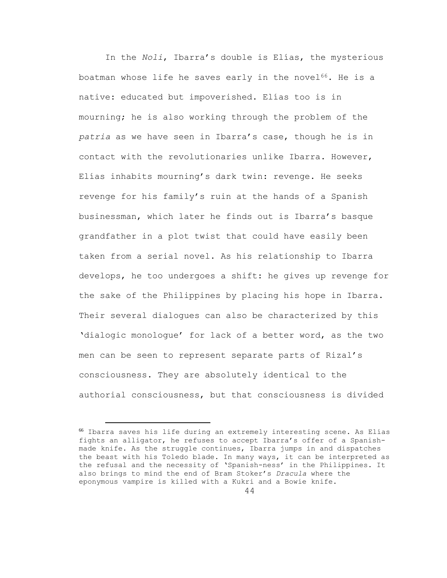In the *Noli*, Ibarra's double is Elías, the mysterious boatman whose life he saves early in the novel $^{66}$ . He is a native: educated but impoverished. Elías too is in mourning; he is also working through the problem of the *patria* as we have seen in Ibarra's case, though he is in contact with the revolutionaries unlike Ibarra. However, Elías inhabits mourning's dark twin: revenge. He seeks revenge for his family's ruin at the hands of a Spanish businessman, which later he finds out is Ibarra's basque grandfather in a plot twist that could have easily been taken from a serial novel. As his relationship to Ibarra develops, he too undergoes a shift: he gives up revenge for the sake of the Philippines by placing his hope in Ibarra. Their several dialogues can also be characterized by this 'dialogic monologue' for lack of a better word, as the two men can be seen to represent separate parts of Rizal's consciousness. They are absolutely identical to the authorial consciousness, but that consciousness is divided

<sup>66</sup> Ibarra saves his life during an extremely interesting scene. As Elías fights an alligator, he refuses to accept Ibarra's offer of a Spanishmade knife. As the struggle continues, Ibarra jumps in and dispatches the beast with his Toledo blade. In many ways, it can be interpreted as the refusal and the necessity of 'Spanish-ness' in the Philippines. It also brings to mind the end of Bram Stoker's *Dracula* where the eponymous vampire is killed with a Kukri and a Bowie knife.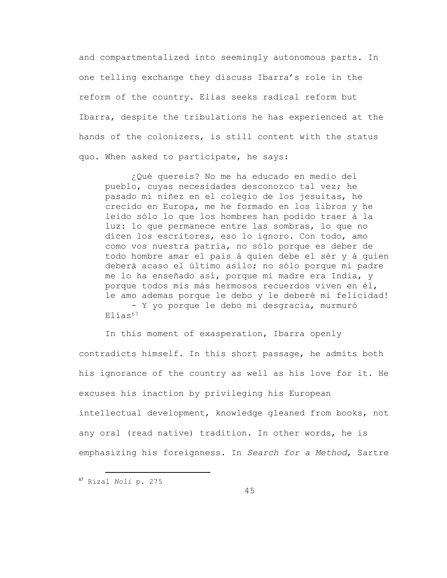and compartmentalized into seemingly autonomous parts. In one telling exchange they discuss Ibarra's role in the reform of the country. Elias seeks radical reform but Ibarra, despite the tribulations he has experienced at the hands of the colonizers, is still content with the status quo. When asked to participate, he says:

¿Qué quereis? No me ha educado en medio del pueblo, cuyas necesidades desconozco tal vez; he pasado mi niñez en el colegio de los jesuitas, he crecido en Europa, me he formado en los libros y he leido sólo lo que los hombres han podido traer á la luz: lo que permanece entre las sombras, lo que no dicen los escritores, eso lo ignoro. Con todo, amo como vos nuestra patria, no sólo porque es deber de todo hombre amar el pais á quien debe el sér y á quien deberá acaso el último asilo; no sólo porque mi padre me lo ha enseñado así, porque mi madre era India, y porque todos mis más hermosos recuerdos viven en él, le amo ademas porque le debo y le deberé mi felicidad!

- Y yo porque le debo mi desgracia, murmuró  $E1$ ías<sup>67</sup>

In this moment of exasperation, Ibarra openly contradicts himself. In this short passage, he admits both his ignorance of the country as well as his love for it. He excuses his inaction by privileging his European intellectual development, knowledge gleaned from books, not any oral (read native) tradition. In other words, he is emphasizing his foreignness. In *Search for a Method*, Sartre

<sup>67</sup> Rizal *Noli* p. 275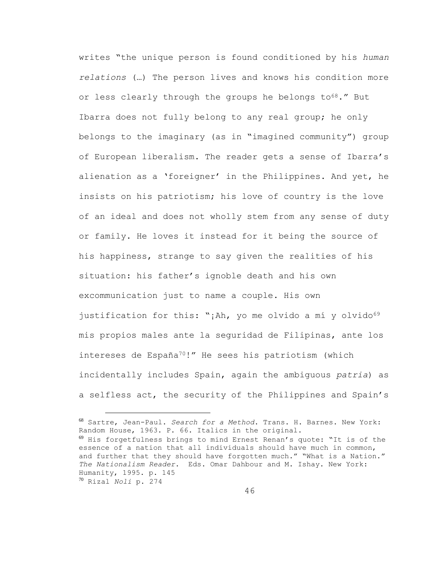writes "the unique person is found conditioned by his *human relations* (…) The person lives and knows his condition more or less clearly through the groups he belongs to<sup>68</sup>." But Ibarra does not fully belong to any real group; he only belongs to the imaginary (as in "imagined community") group of European liberalism. The reader gets a sense of Ibarra's alienation as a 'foreigner' in the Philippines. And yet, he insists on his patriotism; his love of country is the love of an ideal and does not wholly stem from any sense of duty or family. He loves it instead for it being the source of his happiness, strange to say given the realities of his situation: his father's ignoble death and his own excommunication just to name a couple. His own justification for this: "¡Ah, yo me olvido a mí y olvido<sup>69</sup> mis propios males ante la seguridad de Filipinas, ante los intereses de España70!" He sees his patriotism (which incidentally includes Spain, again the ambiguous *patria*) as a selfless act, the security of the Philippines and Spain's

<sup>68</sup> Sartre, Jean-Paul. *Search for a Method*. Trans. H. Barnes. New York: Random House, 1963. P. 66. Italics in the original. <sup>69</sup> His forgetfulness brings to mind Ernest Renan's quote: "It is of the essence of a nation that all individuals should have much in common, and further that they should have forgotten much." "What is a Nation." *The Nationalism Reader*. Eds. Omar Dahbour and M. Ishay. New York: Humanity, 1995. p. 145 <sup>70</sup> Rizal *Noli* p. 274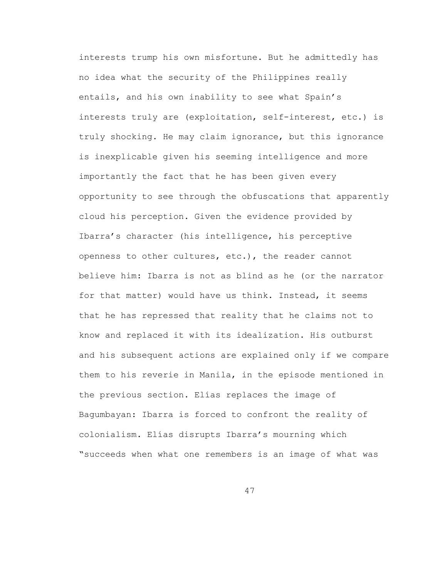interests trump his own misfortune. But he admittedly has no idea what the security of the Philippines really entails, and his own inability to see what Spain's interests truly are (exploitation, self-interest, etc.) is truly shocking. He may claim ignorance, but this ignorance is inexplicable given his seeming intelligence and more importantly the fact that he has been given every opportunity to see through the obfuscations that apparently cloud his perception. Given the evidence provided by Ibarra's character (his intelligence, his perceptive openness to other cultures, etc.), the reader cannot believe him: Ibarra is not as blind as he (or the narrator for that matter) would have us think. Instead, it seems that he has repressed that reality that he claims not to know and replaced it with its idealization. His outburst and his subsequent actions are explained only if we compare them to his reverie in Manila, in the episode mentioned in the previous section. Elías replaces the image of Bagumbayan: Ibarra is forced to confront the reality of colonialism. Elías disrupts Ibarra's mourning which "succeeds when what one remembers is an image of what was

47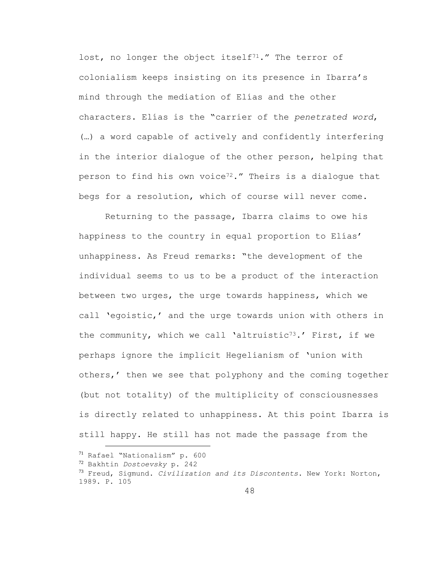lost, no longer the object itself<sup>71</sup>." The terror of colonialism keeps insisting on its presence in Ibarra's mind through the mediation of Elías and the other characters. Elías is the "carrier of the *penetrated word*, (…) a word capable of actively and confidently interfering in the interior dialogue of the other person, helping that person to find his own voice<sup>72</sup>." Theirs is a dialogue that begs for a resolution, which of course will never come.

Returning to the passage, Ibarra claims to owe his happiness to the country in equal proportion to Elías' unhappiness. As Freud remarks: "the development of the individual seems to us to be a product of the interaction between two urges, the urge towards happiness, which we call 'egoistic,' and the urge towards union with others in the community, which we call 'altruistic<sup>73</sup>.' First, if we perhaps ignore the implicit Hegelianism of 'union with others,' then we see that polyphony and the coming together (but not totality) of the multiplicity of consciousnesses is directly related to unhappiness. At this point Ibarra is still happy. He still has not made the passage from the

<sup>71</sup> Rafael "Nationalism" p. 600

<sup>72</sup> Bakhtin *Dostoevsky* p. 242

<sup>73</sup> Freud, Sigmund. *Civilization and its Discontents*. New York: Norton, 1989. P. 105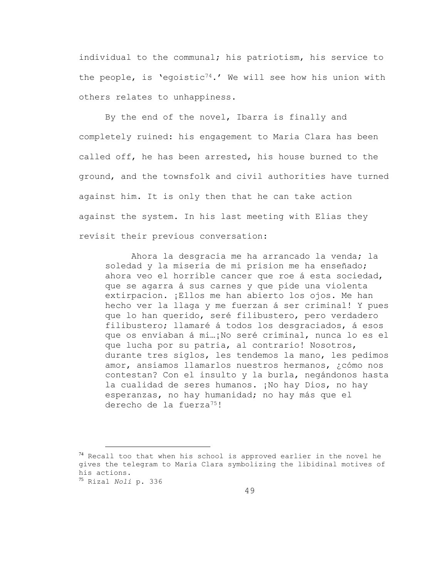individual to the communal; his patriotism, his service to the people, is 'egoistic<sup>74</sup>.' We will see how his union with others relates to unhappiness.

By the end of the novel, Ibarra is finally and completely ruined: his engagement to Maria Clara has been called off, he has been arrested, his house burned to the ground, and the townsfolk and civil authorities have turned against him. It is only then that he can take action against the system. In his last meeting with Elias they revisit their previous conversation:

Ahora la desgracia me ha arrancado la venda; la soledad y la miseria de mi prision me ha enseñado; ahora veo el horrible cancer que roe á esta sociedad, que se agarra á sus carnes y que pide una violenta extirpacion. ¡Ellos me han abierto los ojos. Me han hecho ver la llaga y me fuerzan á ser criminal! Y pues que lo han querido, seré filibustero, pero verdadero filibustero; llamaré á todos los desgraciados, á esos que os enviaban á mi…¡No seré criminal, nunca lo es el que lucha por su patria, al contrario! Nosotros, durante tres siglos, les tendemos la mano, les pedimos amor, ansiamos llamarlos nuestros hermanos, ¿cómo nos contestan? Con el insulto y la burla, negándonos hasta la cualidad de seres humanos. ¡No hay Dios, no hay esperanzas, no hay humanidad; no hay más que el derecho de la fuerza<sup>75</sup>!

<sup>75</sup> Rizal *Noli* p. 336

 $74$  Recall too that when his school is approved earlier in the novel he gives the telegram to María Clara symbolizing the libidinal motives of his actions.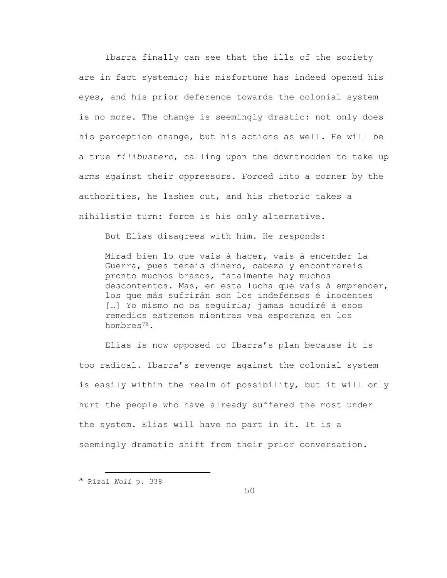Ibarra finally can see that the ills of the society are in fact systemic; his misfortune has indeed opened his eyes, and his prior deference towards the colonial system is no more. The change is seemingly drastic: not only does his perception change, but his actions as well. He will be a true *filibustero*, calling upon the downtrodden to take up arms against their oppressors. Forced into a corner by the authorities, he lashes out, and his rhetoric takes a nihilistic turn: force is his only alternative.

But Elías disagrees with him. He responds:

Mirad bien lo que vais á hacer, vais á encender la Guerra, pues teneis dinero, cabeza y encontrareis pronto muchos brazos, fatalmente hay muchos descontentos. Mas, en esta lucha que vais á emprender, los que más sufrirán son los indefensos é inocentes [...] Yo mismo no os sequiria; jamas acudiré á esos remedios estremos mientras vea esperanza en los hombres<sup>76</sup>.

Elías is now opposed to Ibarra's plan because it is too radical. Ibarra's revenge against the colonial system is easily within the realm of possibility, but it will only hurt the people who have already suffered the most under the system. Elías will have no part in it. It is a seemingly dramatic shift from their prior conversation.

<sup>76</sup> Rizal *Noli* p. 338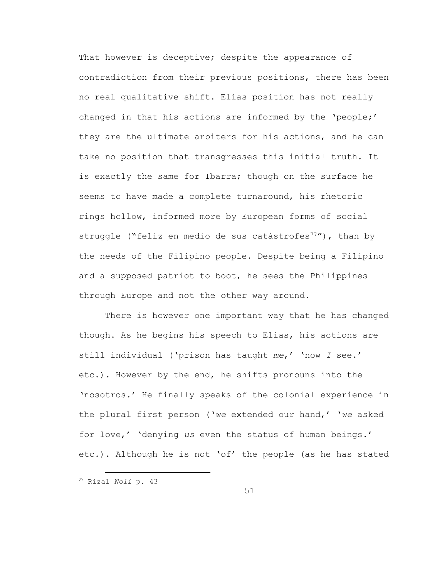That however is deceptive; despite the appearance of contradiction from their previous positions, there has been no real qualitative shift. Elías position has not really changed in that his actions are informed by the 'people;' they are the ultimate arbiters for his actions, and he can take no position that transgresses this initial truth. It is exactly the same for Ibarra; though on the surface he seems to have made a complete turnaround, his rhetoric rings hollow, informed more by European forms of social struggle ("feliz en medio de sus catástrofes<sup>77</sup>"), than by the needs of the Filipino people. Despite being a Filipino and a supposed patriot to boot, he sees the Philippines through Europe and not the other way around.

There is however one important way that he has changed though. As he begins his speech to Elías, his actions are still individual ('prison has taught *me*,' 'now *I* see.' etc.). However by the end, he shifts pronouns into the 'nosotros.' He finally speaks of the colonial experience in the plural first person ('*we* extended our hand,' '*we* asked for love,' 'denying *us* even the status of human beings.' etc.). Although he is not 'of' the people (as he has stated

÷.

51

<sup>77</sup> Rizal *Noli* p. 43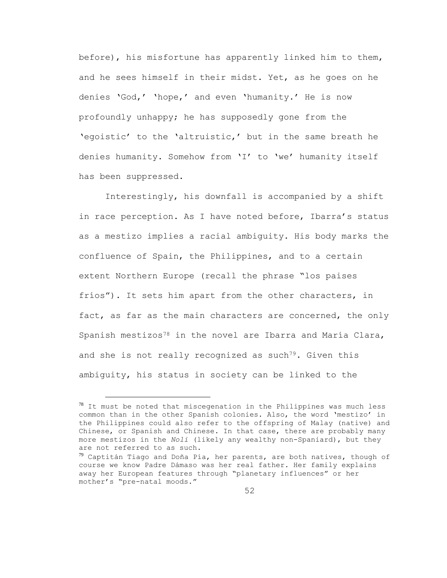before), his misfortune has apparently linked him to them, and he sees himself in their midst. Yet, as he goes on he denies 'God,' 'hope,' and even 'humanity.' He is now profoundly unhappy; he has supposedly gone from the 'egoistic' to the 'altruistic,' but in the same breath he denies humanity. Somehow from 'I' to 'we' humanity itself has been suppressed.

Interestingly, his downfall is accompanied by a shift in race perception. As I have noted before, Ibarra's status as a mestizo implies a racial ambiguity. His body marks the confluence of Spain, the Philippines, and to a certain extent Northern Europe (recall the phrase "los paises fríos"). It sets him apart from the other characters, in fact, as far as the main characters are concerned, the only Spanish mestizos<sup>78</sup> in the novel are Ibarra and María Clara, and she is not really recognized as such<sup>79</sup>. Given this ambiguity, his status in society can be linked to the

L,

 $78$  It must be noted that miscegenation in the Philippines was much less common than in the other Spanish colonies. Also, the word 'mestizo' in the Philippines could also refer to the offspring of Malay (native) and Chinese, or Spanish and Chinese. In that case, there are probably many more mestizos in the *Noli* (likely any wealthy non-Spaniard), but they are not referred to as such.

 $79$  Captitán Tiago and Doña Pía, her parents, are both natives, though of course we know Padre Dámaso was her real father. Her family explains away her European features through "planetary influences" or her mother's "pre-natal moods."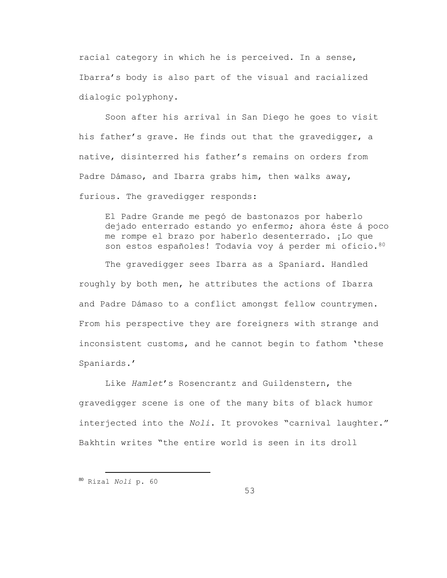racial category in which he is perceived. In a sense, Ibarra's body is also part of the visual and racialized dialogic polyphony.

Soon after his arrival in San Diego he goes to visit his father's grave. He finds out that the gravedigger, a native, disinterred his father's remains on orders from Padre Dámaso, and Ibarra grabs him, then walks away, furious. The gravedigger responds:

El Padre Grande me pegó de bastonazos por haberlo dejado enterrado estando yo enfermo; ahora éste á poco me rompe el brazo por haberlo desenterrado. ¡Lo que son estos españoles! Todavia voy á perder mi oficio. 80

The gravedigger sees Ibarra as a Spaniard. Handled roughly by both men, he attributes the actions of Ibarra and Padre Dámaso to a conflict amongst fellow countrymen. From his perspective they are foreigners with strange and inconsistent customs, and he cannot begin to fathom 'these Spaniards.'

Like *Hamlet*'s Rosencrantz and Guildenstern, the gravedigger scene is one of the many bits of black humor interjected into the *Noli*. It provokes "carnival laughter." Bakhtin writes "the entire world is seen in its droll

<sup>80</sup> Rizal *Noli* p. 60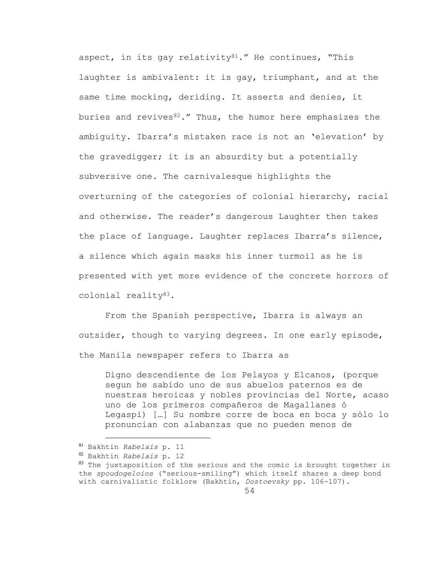aspect, in its gay relativity $81.$ " He continues, "This laughter is ambivalent: it is gay, triumphant, and at the same time mocking, deriding. It asserts and denies, it buries and revives $82.$ " Thus, the humor here emphasizes the ambiguity. Ibarra's mistaken race is not an 'elevation' by the gravedigger; it is an absurdity but a potentially subversive one. The carnivalesque highlights the overturning of the categories of colonial hierarchy, racial and otherwise. The reader's dangerous Laughter then takes the place of language. Laughter replaces Ibarra's silence, a silence which again masks his inner turmoil as he is presented with yet more evidence of the concrete horrors of colonial reality83.

From the Spanish perspective, Ibarra is always an outsider, though to varying degrees. In one early episode, the Manila newspaper refers to Ibarra as

Digno descendiente de los Pelayos y Elcanos, (porque segun he sabido uno de sus abuelos paternos es de nuestras heroicas y nobles provincias del Norte, acaso uno de los primeros compañeros de Magallanes ó Legaspi) […] Su nombre corre de boca en boca y sólo lo pronuncian con alabanzas que no pueden menos de

<sup>81</sup> Bakhtin *Rabelais* p. 11

<sup>82</sup> Bakhtin *Rabelais* p. 12

<sup>83</sup> The juxtaposition of the serious and the comic is brought together in the *spoudogeloios* ("serious-smiling") which itself shares a deep bond with carnivalistic folklore (Bakhtin, *Dostoevsky* pp. 106-107).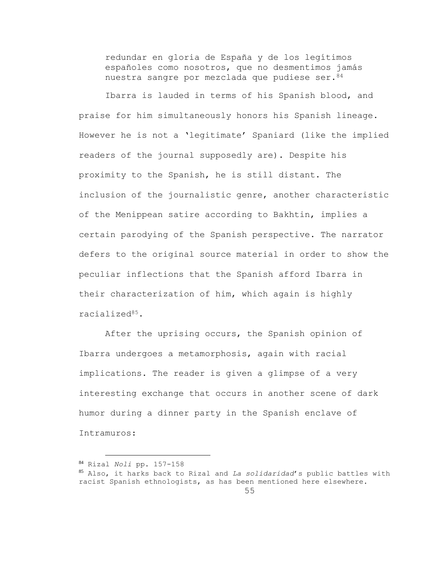redundar en gloria de España y de los legítimos españoles como nosotros, que no desmentimos jamás nuestra sangre por mezclada que pudiese ser.<sup>84</sup>

Ibarra is lauded in terms of his Spanish blood, and praise for him simultaneously honors his Spanish lineage. However he is not a 'legitimate' Spaniard (like the implied readers of the journal supposedly are). Despite his proximity to the Spanish, he is still distant. The inclusion of the journalistic genre, another characteristic of the Menippean satire according to Bakhtin, implies a certain parodying of the Spanish perspective. The narrator defers to the original source material in order to show the peculiar inflections that the Spanish afford Ibarra in their characterization of him, which again is highly racialized85.

After the uprising occurs, the Spanish opinion of Ibarra undergoes a metamorphosis, again with racial implications. The reader is given a glimpse of a very interesting exchange that occurs in another scene of dark humor during a dinner party in the Spanish enclave of Intramuros:

<sup>84</sup> Rizal *Noli* pp. 157-158

<sup>85</sup> Also, it harks back to Rizal and *La solidaridad*'s public battles with racist Spanish ethnologists, as has been mentioned here elsewhere.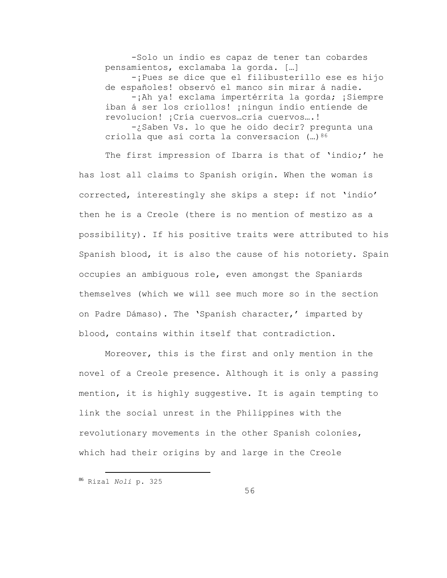-Solo un indio es capaz de tener tan cobardes pensamientos, exclamaba la gorda. […] -¡Pues se dice que el filibusterillo ese es hijo de españoles! observó el manco sin mirar á nadie. -¡Ah ya! exclama impertérrita la gorda; ¡Siempre iban á ser los criollos! ¡ningun indio entiende de revolucion! ¡Cría cuervos…cría cuervos….! -¿Saben Vs. lo que he oido decir? pregunta una criolla que así corta la conversacion  $(...)^{86}$ 

The first impression of Ibarra is that of 'indio;' he has lost all claims to Spanish origin. When the woman is corrected, interestingly she skips a step: if not 'indio' then he is a Creole (there is no mention of mestizo as a possibility). If his positive traits were attributed to his Spanish blood, it is also the cause of his notoriety. Spain occupies an ambiguous role, even amongst the Spaniards themselves (which we will see much more so in the section on Padre Dámaso). The 'Spanish character,' imparted by blood, contains within itself that contradiction.

Moreover, this is the first and only mention in the novel of a Creole presence. Although it is only a passing mention, it is highly suggestive. It is again tempting to link the social unrest in the Philippines with the revolutionary movements in the other Spanish colonies, which had their origins by and large in the Creole

<sup>86</sup> Rizal *Noli* p. 325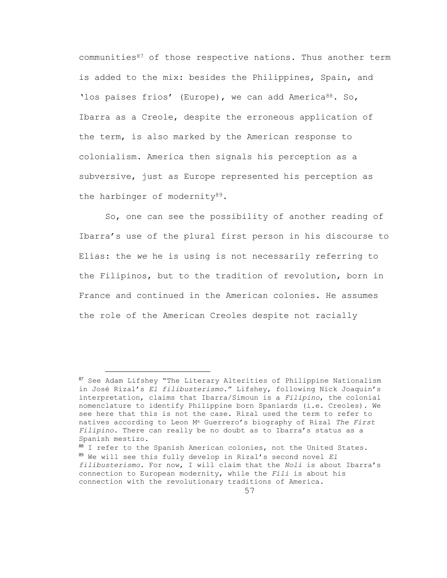communities $87$  of those respective nations. Thus another term is added to the mix: besides the Philippines, Spain, and 'los paises frios' (Europe), we can add America<sup>88</sup>. So, Ibarra as a Creole, despite the erroneous application of the term, is also marked by the American response to colonialism. America then signals his perception as a subversive, just as Europe represented his perception as the harbinger of modernity<sup>89</sup>.

So, one can see the possibility of another reading of Ibarra's use of the plural first person in his discourse to Elías: the *we* he is using is not necessarily referring to the Filipinos, but to the tradition of revolution, born in France and continued in the American colonies. He assumes the role of the American Creoles despite not racially

<sup>87</sup> See Adam Lifshey "The Literary Alterities of Philippine Nationalism in José Rizal's *El filibusterismo*." Lifshey, following Nick Joaquin's interpretation, claims that Ibarra/Simoun is a *Filipino*, the colonial nomenclature to identify Philippine born Spaniards (i.e. Creoles). We see here that this is not the case. Rizal used the term to refer to natives according to Leon M<sup>a</sup> Guerrero's biography of Rizal *The First Filipino*. There can really be no doubt as to Ibarra's status as a Spanish mestizo.

<sup>88</sup> I refer to the Spanish American colonies, not the United States. <sup>89</sup> We will see this fully develop in Rizal's second novel *El filibusterismo*. For now, I will claim that the *Noli* is about Ibarra's connection to European modernity, while the *Fili* is about his connection with the revolutionary traditions of America.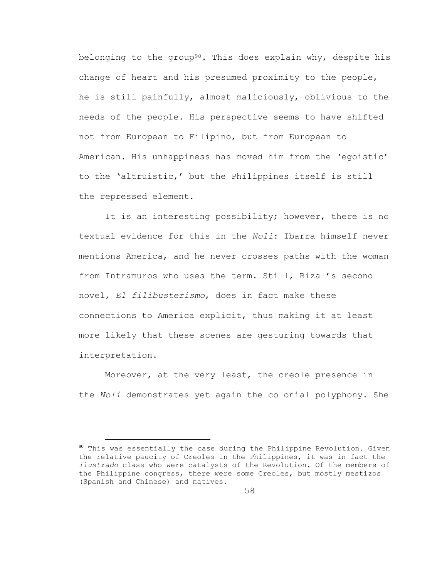belonging to the group<sup>90</sup>. This does explain why, despite his change of heart and his presumed proximity to the people, he is still painfully, almost maliciously, oblivious to the needs of the people. His perspective seems to have shifted not from European to Filipino, but from European to American. His unhappiness has moved him from the 'egoistic' to the 'altruistic,' but the Philippines itself is still the repressed element.

It is an interesting possibility; however, there is no textual evidence for this in the *Noli*: Ibarra himself never mentions America, and he never crosses paths with the woman from Intramuros who uses the term. Still, Rizal's second novel, *El filibusterismo*, does in fact make these connections to America explicit, thus making it at least more likely that these scenes are gesturing towards that interpretation.

Moreover, at the very least, the creole presence in the *Noli* demonstrates yet again the colonial polyphony. She

 $90$  This was essentially the case during the Philippine Revolution. Given the relative paucity of Creoles in the Philippines, it was in fact the *ilustrado* class who were catalysts of the Revolution. Of the members of the Philippine congress, there were some Creoles, but mostly mestizos (Spanish and Chinese) and natives.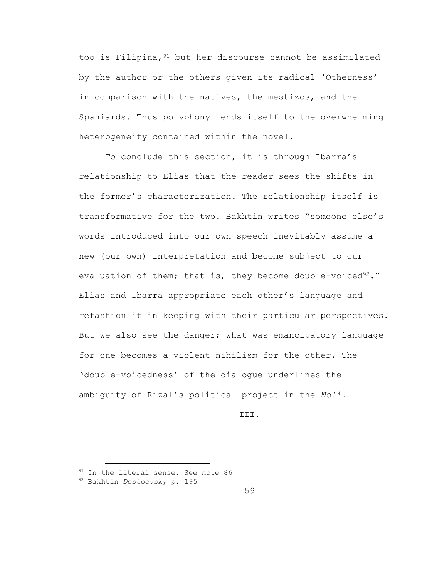too is Filipina, <sup>91</sup> but her discourse cannot be assimilated by the author or the others given its radical 'Otherness' in comparison with the natives, the mestizos, and the Spaniards. Thus polyphony lends itself to the overwhelming heterogeneity contained within the novel.

To conclude this section, it is through Ibarra's relationship to Elías that the reader sees the shifts in the former's characterization. The relationship itself is transformative for the two. Bakhtin writes "someone else's words introduced into our own speech inevitably assume a new (our own) interpretation and become subject to our evaluation of them; that is, they become double-voiced $92.$ " Elías and Ibarra appropriate each other's language and refashion it in keeping with their particular perspectives. But we also see the danger; what was emancipatory language for one becomes a violent nihilism for the other. The 'double-voicedness' of the dialogue underlines the ambiguity of Rizal's political project in the *Noli.*

## **III.**

<sup>&</sup>lt;sup>91</sup> In the literal sense. See note 86

<sup>92</sup> Bakhtin *Dostoevsky* p. 195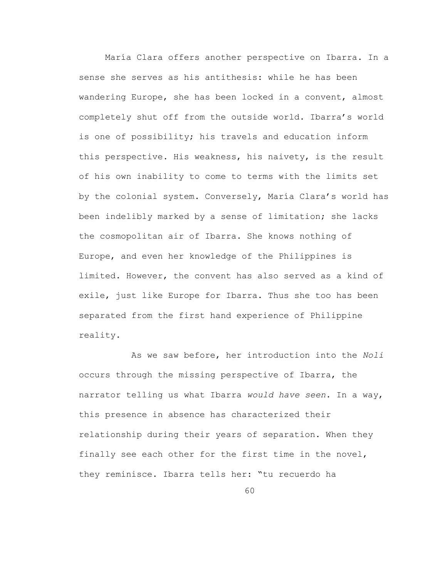María Clara offers another perspective on Ibarra. In a sense she serves as his antithesis: while he has been wandering Europe, she has been locked in a convent, almost completely shut off from the outside world. Ibarra's world is one of possibility; his travels and education inform this perspective. His weakness, his naivety, is the result of his own inability to come to terms with the limits set by the colonial system. Conversely, María Clara's world has been indelibly marked by a sense of limitation; she lacks the cosmopolitan air of Ibarra. She knows nothing of Europe, and even her knowledge of the Philippines is limited. However, the convent has also served as a kind of exile, just like Europe for Ibarra. Thus she too has been separated from the first hand experience of Philippine reality.

As we saw before, her introduction into the *Noli* occurs through the missing perspective of Ibarra, the narrator telling us what Ibarra *would have seen*. In a way, this presence in absence has characterized their relationship during their years of separation. When they finally see each other for the first time in the novel, they reminisce. Ibarra tells her: "tu recuerdo ha

60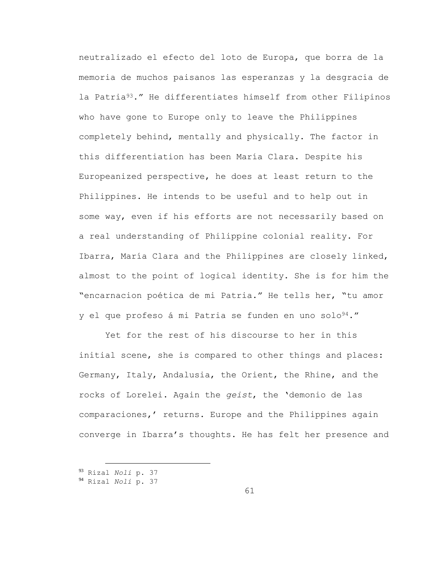neutralizado el efecto del loto de Europa, que borra de la memoria de muchos paisanos las esperanzas y la desgracia de la Patria93." He differentiates himself from other Filipinos who have gone to Europe only to leave the Philippines completely behind, mentally and physically. The factor in this differentiation has been María Clara. Despite his Europeanized perspective, he does at least return to the Philippines. He intends to be useful and to help out in some way, even if his efforts are not necessarily based on a real understanding of Philippine colonial reality. For Ibarra, María Clara and the Philippines are closely linked, almost to the point of logical identity. She is for him the "encarnacion poética de mi Patria." He tells her, "tu amor y el que profeso á mi Patria se funden en uno solo<sup>94</sup>."

Yet for the rest of his discourse to her in this initial scene, she is compared to other things and places: Germany, Italy, Andalusia, the Orient, the Rhine, and the rocks of Lorelei. Again the *geist*, the 'demonio de las comparaciones,' returns. Europe and the Philippines again converge in Ibarra's thoughts. He has felt her presence and

<sup>93</sup> Rizal *Noli* p. 37

<sup>94</sup> Rizal *Noli* p. 37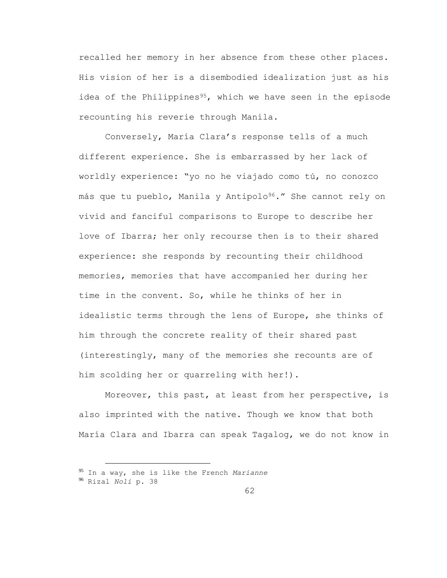recalled her memory in her absence from these other places. His vision of her is a disembodied idealization just as his idea of the Philippines<sup>95</sup>, which we have seen in the episode recounting his reverie through Manila.

Conversely, María Clara's response tells of a much different experience. She is embarrassed by her lack of worldly experience: "yo no he viajado como tú, no conozco más que tu pueblo, Manila y Antipolo<sup>96</sup>." She cannot rely on vivid and fanciful comparisons to Europe to describe her love of Ibarra; her only recourse then is to their shared experience: she responds by recounting their childhood memories, memories that have accompanied her during her time in the convent. So, while he thinks of her in idealistic terms through the lens of Europe, she thinks of him through the concrete reality of their shared past (interestingly, many of the memories she recounts are of him scolding her or quarreling with her!).

Moreover, this past, at least from her perspective, is also imprinted with the native. Though we know that both María Clara and Ibarra can speak Tagalog, we do not know in

<sup>95</sup> In a way, she is like the French *Marianne*

<sup>96</sup> Rizal *Noli* p. 38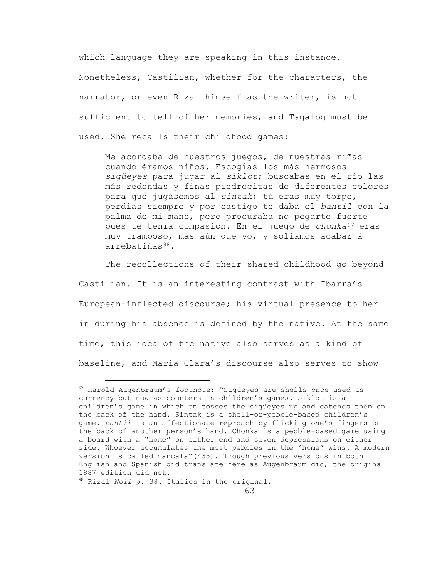which language they are speaking in this instance. Nonetheless, Castilian, whether for the characters, the narrator, or even Rizal himself as the writer, is not sufficient to tell of her memories, and Tagalog must be used. She recalls their childhood games:

Me acordaba de nuestros juegos, de nuestras riñas cuando éramos niños. Escogías los más hermosos *sigüeyes* para jugar al *siklot*; buscabas en el río las más redondas y finas piedrecitas de diferentes colores para que jugásemos al *sintak*; tú eras muy torpe, perdías siempre y por castigo te daba el *bantil* con la palma de mi mano, pero procuraba no pegarte fuerte pues te tenía compasion. En el juego de *chonka<sup>97</sup>* eras muy tramposo, más aún que yo, y solíamos acabar á arrebatiñas98.

The recollections of their shared childhood go beyond Castilian. It is an interesting contrast with Ibarra's European-inflected discourse; his virtual presence to her in during his absence is defined by the native. At the same time, this idea of the native also serves as a kind of baseline, and María Clara's discourse also serves to show

<sup>97</sup> Harold Augenbraum's footnote: "Sigüeyes are shells once used as currency but now as counters in children's games. Siklot is a children's game in which on tosses the sigüeyes up and catches them on the back of the hand. Sintak is a shell-or-pebble-based children's game. *Bantil* is an affectionate reproach by flicking one's fingers on the back of another person's hand. Chonka is a pebble-based game using a board with a "home" on either end and seven depressions on either side. Whoever accumulates the most pebbles in the "home" wins. A modern version is called mancala"(435). Though previous versions in both English and Spanish did translate here as Augenbraum did, the original 1887 edition did not.

<sup>98</sup> Rizal *Noli* p. 38. Italics in the original.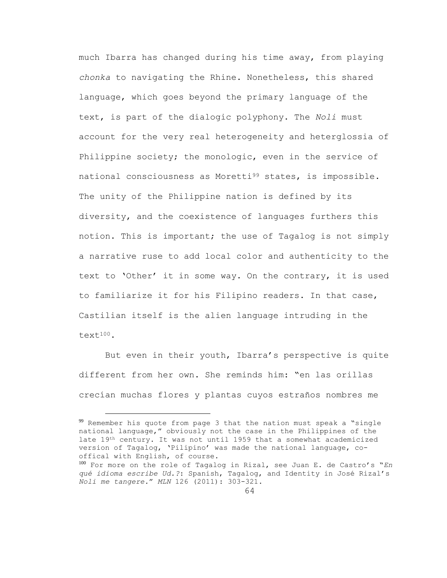much Ibarra has changed during his time away, from playing *chonka* to navigating the Rhine. Nonetheless, this shared language, which goes beyond the primary language of the text, is part of the dialogic polyphony. The *Noli* must account for the very real heterogeneity and heterglossia of Philippine society; the monologic, even in the service of national consciousness as Moretti<sup>99</sup> states, is impossible. The unity of the Philippine nation is defined by its diversity, and the coexistence of languages furthers this notion. This is important; the use of Tagalog is not simply a narrative ruse to add local color and authenticity to the text to 'Other' it in some way. On the contrary, it is used to familiarize it for his Filipino readers. In that case, Castilian itself is the alien language intruding in the text100.

But even in their youth, Ibarra's perspective is quite different from her own. She reminds him: "en las orillas crecían muchas flores y plantas cuyos estraños nombres me

<sup>99</sup> Remember his quote from page 3 that the nation must speak a "single national language," obviously not the case in the Philippines of the late 19th century. It was not until 1959 that a somewhat academicized version of Tagalog, 'Pilipino' was made the national language, cooffical with English, of course.

<sup>100</sup> For more on the role of Tagalog in Rizal, see Juan E. de Castro's "*En qué idioma escribe Ud.?*: Spanish, Tagalog, and Identity in José Rizal's *Noli me tangere.*" *MLN* 126 (2011): 303-321.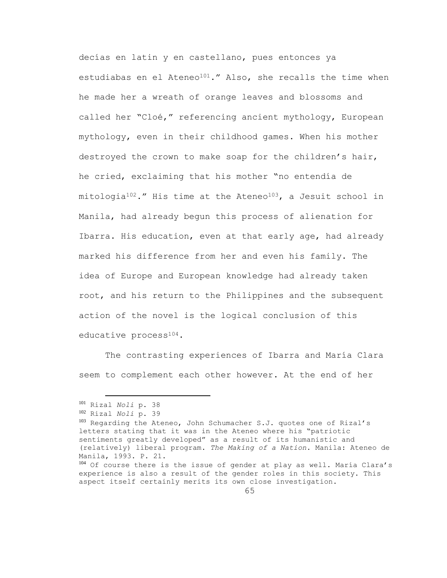decías en latin y en castellano, pues entonces ya estudiabas en el Ateneo<sup>101</sup>." Also, she recalls the time when he made her a wreath of orange leaves and blossoms and called her "Cloé," referencing ancient mythology, European mythology, even in their childhood games. When his mother destroyed the crown to make soap for the children's hair, he cried, exclaiming that his mother "no entendía de  $mitological<sup>102</sup>$ ." His time at the Ateneo<sup>103</sup>, a Jesuit school in Manila, had already begun this process of alienation for Ibarra. His education, even at that early age, had already marked his difference from her and even his family. The idea of Europe and European knowledge had already taken root, and his return to the Philippines and the subsequent action of the novel is the logical conclusion of this educative process<sup>104</sup>.

The contrasting experiences of Ibarra and María Clara seem to complement each other however. At the end of her

<sup>101</sup> Rizal *Noli* p. 38

<sup>102</sup> Rizal *Noli* p. 39

<sup>103</sup> Regarding the Ateneo, John Schumacher S.J. quotes one of Rizal's letters stating that it was in the Ateneo where his "patriotic sentiments greatly developed" as a result of its humanistic and (relatively) liberal program. *The Making of a Nation*. Manila: Ateneo de Manila, 1993. P. 21.

<sup>104</sup> Of course there is the issue of gender at play as well. María Clara's experience is also a result of the gender roles in this society. This aspect itself certainly merits its own close investigation.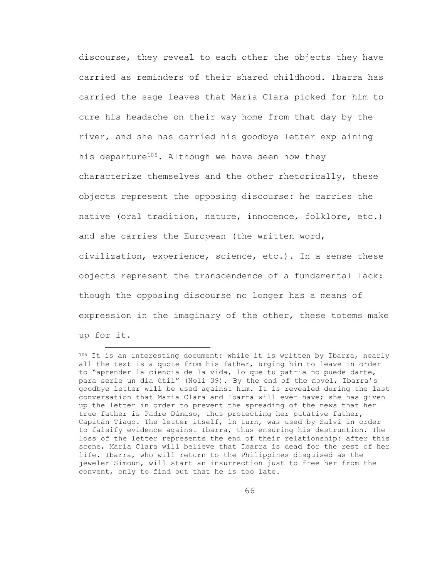discourse, they reveal to each other the objects they have carried as reminders of their shared childhood. Ibarra has carried the sage leaves that María Clara picked for him to cure his headache on their way home from that day by the river, and she has carried his goodbye letter explaining his departure<sup>105</sup>. Although we have seen how they characterize themselves and the other rhetorically, these objects represent the opposing discourse: he carries the native (oral tradition, nature, innocence, folklore, etc.) and she carries the European (the written word, civilization, experience, science, etc.). In a sense these objects represent the transcendence of a fundamental lack: though the opposing discourse no longer has a means of expression in the imaginary of the other, these totems make up for it.

<sup>105</sup> It is an interesting document: while it is written by Ibarra, nearly all the text is a quote from his father, urging him to leave in order to "aprender la ciencia de la vida, lo que tu patria no puede darte, para serle un día útil" (Noli 39). By the end of the novel, Ibarra's goodbye letter will be used against him. It is revealed during the last conversation that María Clara and Ibarra will ever have; she has given up the letter in order to prevent the spreading of the news that her true father is Padre Dámaso, thus protecting her putative father, Capitán Tiago. The letter itself, in turn, was used by Salví in order to falsify evidence against Ibarra, thus ensuring his destruction. The loss of the letter represents the end of their relationship: after this scene, María Clara will believe that Ibarra is dead for the rest of her life. Ibarra, who will return to the Philippines disguised as the jeweler Simoun, will start an insurrection just to free her from the convent, only to find out that he is too late.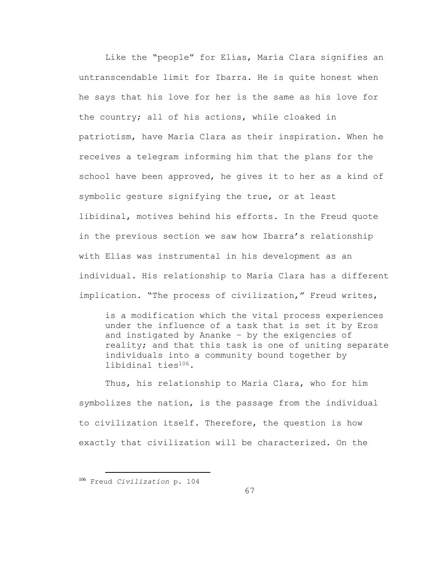Like the "people" for Elías, María Clara signifies an untranscendable limit for Ibarra. He is quite honest when he says that his love for her is the same as his love for the country; all of his actions, while cloaked in patriotism, have María Clara as their inspiration. When he receives a telegram informing him that the plans for the school have been approved, he gives it to her as a kind of symbolic gesture signifying the true, or at least libidinal, motives behind his efforts. In the Freud quote in the previous section we saw how Ibarra's relationship with Elías was instrumental in his development as an individual. His relationship to María Clara has a different implication. "The process of civilization," Freud writes,

is a modification which the vital process experiences under the influence of a task that is set it by Eros and instigated by Ananke – by the exigencies of reality; and that this task is one of uniting separate individuals into a community bound together by libidinal ties106.

Thus, his relationship to María Clara, who for him symbolizes the nation, is the passage from the individual to civilization itself. Therefore, the question is how exactly that civilization will be characterized. On the

<sup>106</sup> Freud *Civilization* p. 104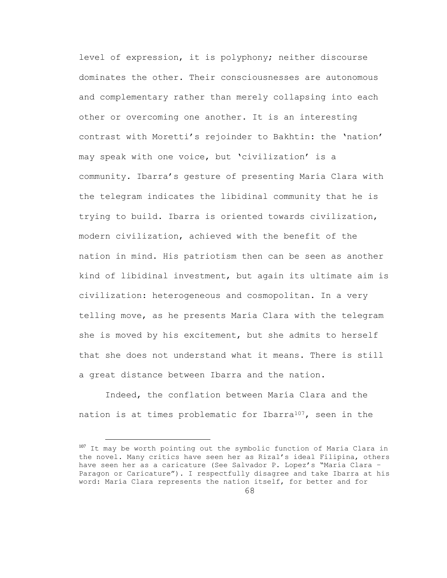level of expression, it is polyphony; neither discourse dominates the other. Their consciousnesses are autonomous and complementary rather than merely collapsing into each other or overcoming one another. It is an interesting contrast with Moretti's rejoinder to Bakhtin: the 'nation' may speak with one voice, but 'civilization' is a community. Ibarra's gesture of presenting María Clara with the telegram indicates the libidinal community that he is trying to build. Ibarra is oriented towards civilization, modern civilization, achieved with the benefit of the nation in mind. His patriotism then can be seen as another kind of libidinal investment, but again its ultimate aim is civilization: heterogeneous and cosmopolitan. In a very telling move, as he presents María Clara with the telegram she is moved by his excitement, but she admits to herself that she does not understand what it means. There is still a great distance between Ibarra and the nation.

Indeed, the conflation between María Clara and the nation is at times problematic for Ibarra<sup>107</sup>, seen in the

<sup>&</sup>lt;sup>107</sup> It may be worth pointing out the symbolic function of María Clara in the novel. Many critics have seen her as Rizal's ideal Filipina, others have seen her as a caricature (See Salvador P. Lopez's "María Clara – Paragon or Caricature"). I respectfully disagree and take Ibarra at his word: María Clara represents the nation itself, for better and for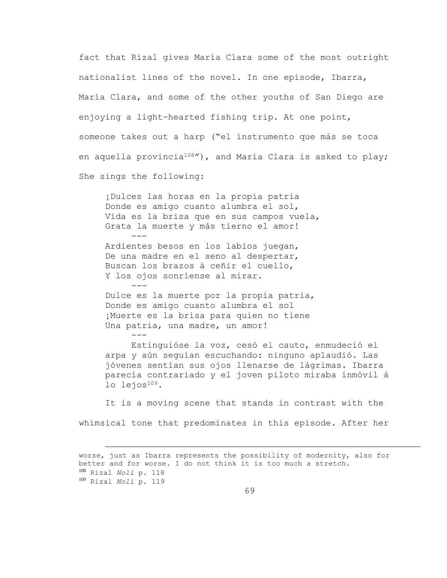fact that Rizal gives María Clara some of the most outright nationalist lines of the novel. In one episode, Ibarra, María Clara, and some of the other youths of San Diego are enjoying a light-hearted fishing trip. At one point, someone takes out a harp ("el instrumento que más se toca en aquella provincia<sup>108</sup>"), and María Clara is asked to play; She sings the following:

¡Dulces las horas en la propia patria Donde es amigo cuanto alumbra el sol, Vida es la brisa que en sus campos vuela, Grata la muerte y más tierno el amor! Ardientes besos en los labios juegan, De una madre en el seno al despertar, Buscan los brazos á ceñir el cuello, Y los ojos sonríense al mirar. --- Dulce es la muerte por la propia patria, Donde es amigo cuanto alumbra el sol

¡Muerte es la brisa para quien no tiene Una patria, una madre, un amor! ---

a<br>B

Estinguióse la voz, cesó el cauto, enmudeció el arpa y aún seguían escuchando: ninguno aplaudió. Las jóvenes sentían sus ojos llenarse de lágrimas. Ibarra parecía contrariado y el joven piloto miraba inmóvil á lo lejos<sup>109</sup>.

It is a moving scene that stands in contrast with the whimsical tone that predominates in this episode. After her

worse, just as Ibarra represents the possibility of modernity, also for better and for worse. I do not think it is too much a stretch. <sup>108</sup> Rizal *Noli* p. 118 <sup>109</sup> Rizal *Noli* p. 119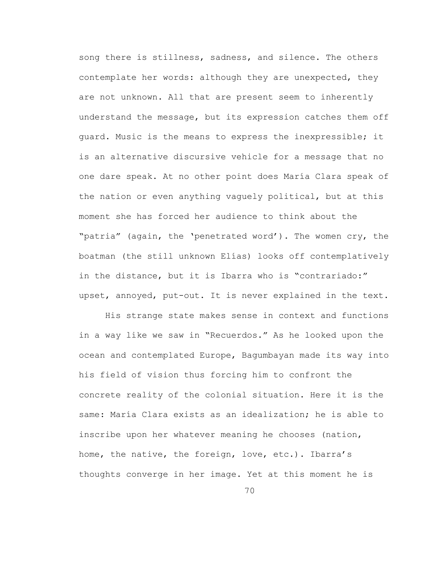song there is stillness, sadness, and silence. The others contemplate her words: although they are unexpected, they are not unknown. All that are present seem to inherently understand the message, but its expression catches them off guard. Music is the means to express the inexpressible; it is an alternative discursive vehicle for a message that no one dare speak. At no other point does María Clara speak of the nation or even anything vaguely political, but at this moment she has forced her audience to think about the "patria" (again, the 'penetrated word'). The women cry, the boatman (the still unknown Elías) looks off contemplatively in the distance, but it is Ibarra who is "contrariado:" upset, annoyed, put-out. It is never explained in the text.

His strange state makes sense in context and functions in a way like we saw in "Recuerdos." As he looked upon the ocean and contemplated Europe, Bagumbayan made its way into his field of vision thus forcing him to confront the concrete reality of the colonial situation. Here it is the same: María Clara exists as an idealization; he is able to inscribe upon her whatever meaning he chooses (nation, home, the native, the foreign, love, etc.). Ibarra's thoughts converge in her image. Yet at this moment he is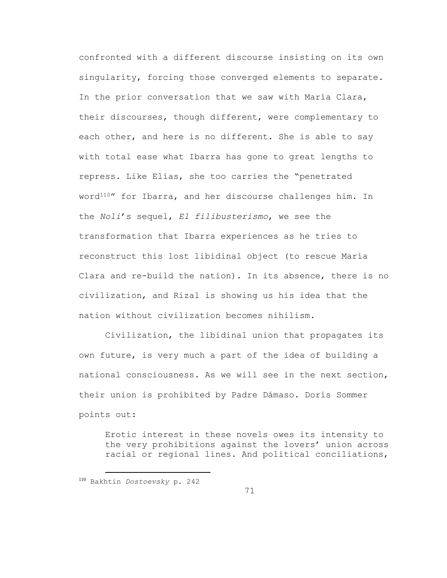confronted with a different discourse insisting on its own singularity, forcing those converged elements to separate. In the prior conversation that we saw with María Clara, their discourses, though different, were complementary to each other, and here is no different. She is able to say with total ease what Ibarra has gone to great lengths to repress. Like Elías, she too carries the "penetrated word<sup>110</sup>" for Ibarra, and her discourse challenges him. In the *Noli*'s sequel, *El filibusterismo*, we see the transformation that Ibarra experiences as he tries to reconstruct this lost libidinal object (to rescue María Clara and re-build the nation). In its absence, there is no civilization, and Rizal is showing us his idea that the nation without civilization becomes nihilism.

Civilization, the libidinal union that propagates its own future, is very much a part of the idea of building a national consciousness. As we will see in the next section, their union is prohibited by Padre Dámaso. Doris Sommer points out:

Erotic interest in these novels owes its intensity to the very prohibitions against the lovers' union across racial or regional lines. And political conciliations,

<sup>110</sup> Bakhtin *Dostoevsky* p. 242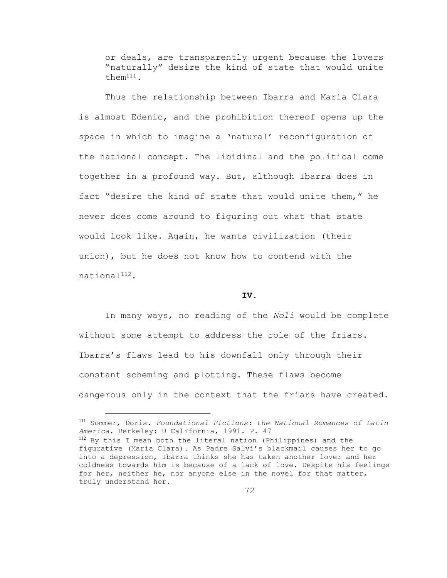or deals, are transparently urgent because the lovers "naturally" desire the kind of state that would unite them111.

Thus the relationship between Ibarra and María Clara is almost Edenic, and the prohibition thereof opens up the space in which to imagine a 'natural' reconfiguration of the national concept. The libidinal and the political come together in a profound way. But, although Ibarra does in fact "desire the kind of state that would unite them," he never does come around to figuring out what that state would look like. Again, he wants civilization (their union), but he does not know how to contend with the national112.

## **IV.**

In many ways, no reading of the *Noli* would be complete without some attempt to address the role of the friars. Ibarra's flaws lead to his downfall only through their constant scheming and plotting. These flaws become dangerous only in the context that the friars have created.

<sup>111</sup> Sommer, Doris. *Foundational Fictions: the National Romances of Latin America*. Berkeley: U California, 1991. P. 47

<sup>112</sup> By this I mean both the literal nation (Philippines) and the figurative (María Clara). As Padre Salví's blackmail causes her to go into a depression, Ibarra thinks she has taken another lover and her coldness towards him is because of a lack of love. Despite his feelings for her, neither he, nor anyone else in the novel for that matter, truly understand her.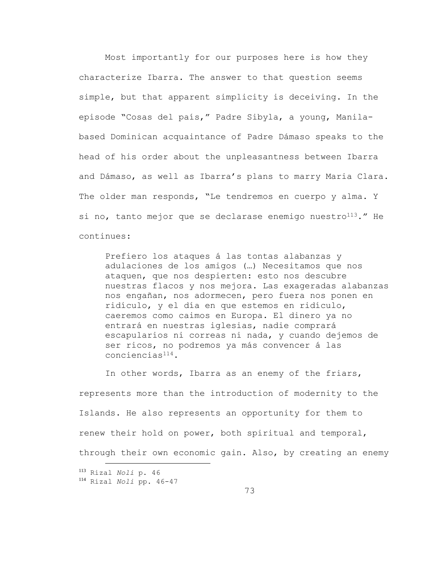Most importantly for our purposes here is how they characterize Ibarra. The answer to that question seems simple, but that apparent simplicity is deceiving. In the episode "Cosas del país," Padre Sibyla, a young, Manilabased Dominican acquaintance of Padre Dámaso speaks to the head of his order about the unpleasantness between Ibarra and Dámaso, as well as Ibarra's plans to marry Maria Clara. The older man responds, "Le tendremos en cuerpo y alma. Y si no, tanto mejor que se declarase enemigo nuestro $113$ ." He continues:

Prefiero los ataques á las tontas alabanzas y adulaciones de los amigos (…) Necesitamos que nos ataquen, que nos despierten: esto nos descubre nuestras flacos y nos mejora. Las exageradas alabanzas nos engañan, nos adormecen, pero fuera nos ponen en ridículo, y el día en que estemos en ridículo, caeremos como caimos en Europa. El dinero ya no entrará en nuestras iglesias, nadie comprará escapularios ni correas ni nada, y cuando dejemos de ser ricos, no podremos ya más convencer á las conciencias114.

In other words, Ibarra as an enemy of the friars, represents more than the introduction of modernity to the Islands. He also represents an opportunity for them to renew their hold on power, both spiritual and temporal, through their own economic gain. Also, by creating an enemy a<br>B

<sup>113</sup> Rizal *Noli* p. 46 <sup>114</sup> Rizal *Noli* pp. 46-47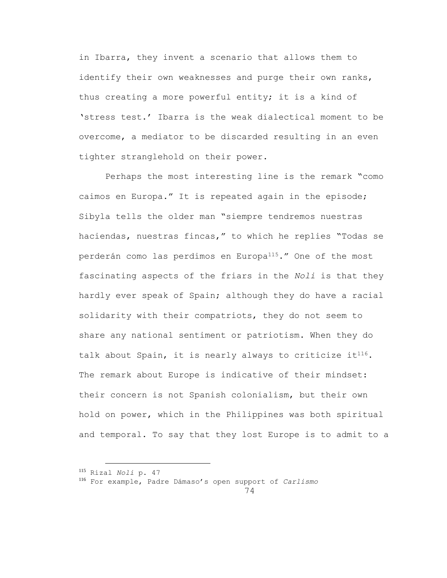in Ibarra, they invent a scenario that allows them to identify their own weaknesses and purge their own ranks, thus creating a more powerful entity; it is a kind of 'stress test.' Ibarra is the weak dialectical moment to be overcome, a mediator to be discarded resulting in an even tighter stranglehold on their power.

Perhaps the most interesting line is the remark "como caimos en Europa." It is repeated again in the episode; Sibyla tells the older man "siempre tendremos nuestras haciendas, nuestras fincas," to which he replies "Todas se perderán como las perdimos en Europa115." One of the most fascinating aspects of the friars in the *Noli* is that they hardly ever speak of Spain; although they do have a racial solidarity with their compatriots, they do not seem to share any national sentiment or patriotism. When they do talk about Spain, it is nearly always to criticize it<sup>116</sup>. The remark about Europe is indicative of their mindset: their concern is not Spanish colonialism, but their own hold on power, which in the Philippines was both spiritual and temporal. To say that they lost Europe is to admit to a

a<br>B

<sup>116</sup> For example, Padre Dámaso's open support of *Carlismo*

<sup>115</sup> Rizal *Noli* p. 47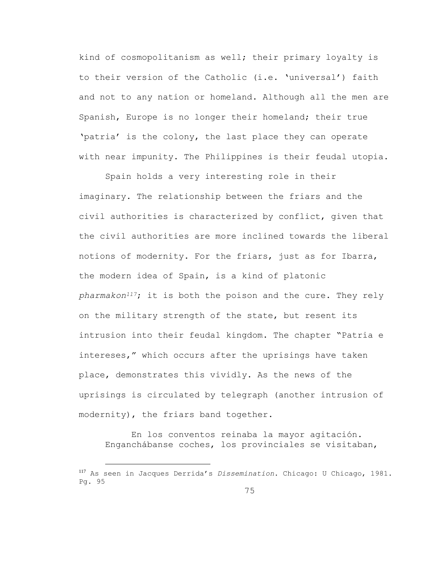kind of cosmopolitanism as well; their primary loyalty is to their version of the Catholic (i.e. 'universal') faith and not to any nation or homeland. Although all the men are Spanish, Europe is no longer their homeland; their true 'patria' is the colony, the last place they can operate with near impunity. The Philippines is their feudal utopia.

Spain holds a very interesting role in their imaginary. The relationship between the friars and the civil authorities is characterized by conflict, given that the civil authorities are more inclined towards the liberal notions of modernity. For the friars, just as for Ibarra, the modern idea of Spain, is a kind of platonic *pharmakon117*; it is both the poison and the cure. They rely on the military strength of the state, but resent its intrusion into their feudal kingdom. The chapter "Patria e intereses," which occurs after the uprisings have taken place, demonstrates this vividly. As the news of the uprisings is circulated by telegraph (another intrusion of modernity), the friars band together.

En los conventos reinaba la mayor agitación. Enganchábanse coches, los provinciales se visitaban,

<sup>117</sup> As seen in Jacques Derrida's *Dissemination*. Chicago: U Chicago, 1981. Pg. 95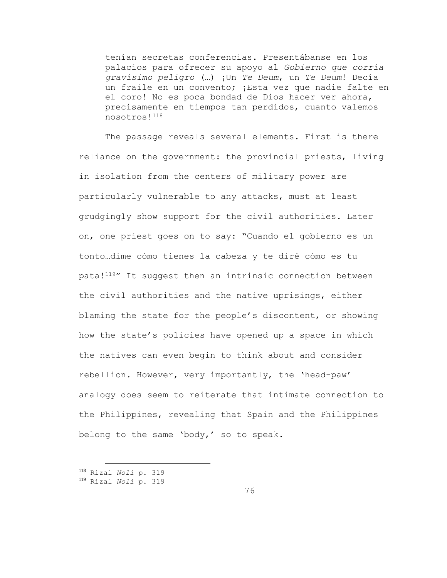tenían secretas conferencias. Presentábanse en los palacios para ofrecer su apoyo al *Gobierno que corría gravísimo peligro* (…) ¡Un *Te Deum*, un *Te Deum*! Decía un fraile en un convento; ¡Esta vez que nadie falte en el coro! No es poca bondad de Dios hacer ver ahora, precisamente en tiempos tan perdidos, cuanto valemos nosotros!<sup>118</sup>

The passage reveals several elements. First is there reliance on the government: the provincial priests, living in isolation from the centers of military power are particularly vulnerable to any attacks, must at least grudgingly show support for the civil authorities. Later on, one priest goes on to say: "Cuando el gobierno es un tonto…dime cómo tienes la cabeza y te diré cómo es tu pata!119" It suggest then an intrinsic connection between the civil authorities and the native uprisings, either blaming the state for the people's discontent, or showing how the state's policies have opened up a space in which the natives can even begin to think about and consider rebellion. However, very importantly, the 'head-paw' analogy does seem to reiterate that intimate connection to the Philippines, revealing that Spain and the Philippines belong to the same 'body,' so to speak.

<sup>118</sup> Rizal *Noli* p. 319

<sup>119</sup> Rizal *Noli* p. 319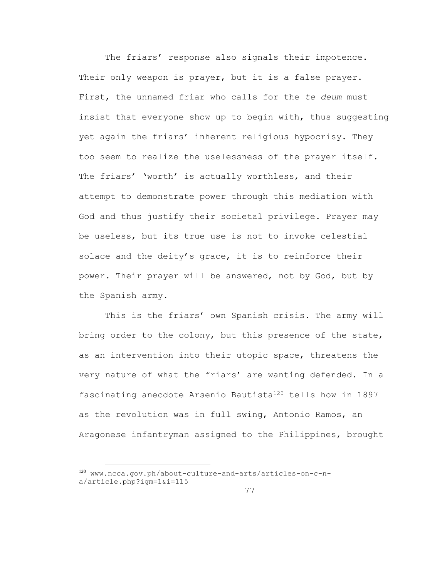The friars' response also signals their impotence. Their only weapon is prayer, but it is a false prayer. First, the unnamed friar who calls for the *te deum* must insist that everyone show up to begin with, thus suggesting yet again the friars' inherent religious hypocrisy. They too seem to realize the uselessness of the prayer itself. The friars' 'worth' is actually worthless, and their attempt to demonstrate power through this mediation with God and thus justify their societal privilege. Prayer may be useless, but its true use is not to invoke celestial solace and the deity's grace, it is to reinforce their power. Their prayer will be answered, not by God, but by the Spanish army.

This is the friars' own Spanish crisis. The army will bring order to the colony, but this presence of the state, as an intervention into their utopic space, threatens the very nature of what the friars' are wanting defended. In a fascinating anecdote Arsenio Bautista<sup>120</sup> tells how in 1897 as the revolution was in full swing, Antonio Ramos, an Aragonese infantryman assigned to the Philippines, brought

<sup>120</sup> www.ncca.gov.ph/about-culture-and-arts/articles-on-c-na/article.php?igm=1&i=115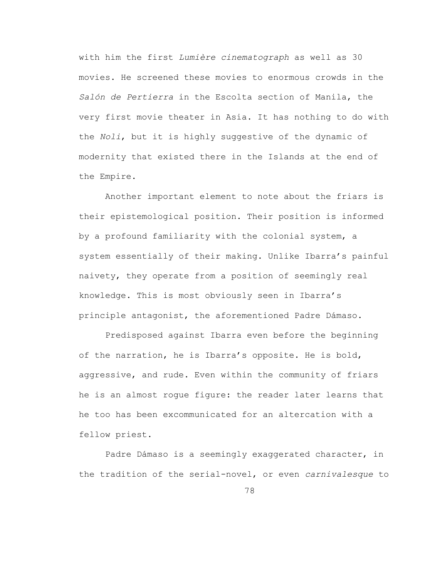with him the first *Lumière cinematograph* as well as 30 movies. He screened these movies to enormous crowds in the *Salón de Pertierra* in the Escolta section of Manila, the very first movie theater in Asia. It has nothing to do with the *Noli*, but it is highly suggestive of the dynamic of modernity that existed there in the Islands at the end of the Empire.

Another important element to note about the friars is their epistemological position. Their position is informed by a profound familiarity with the colonial system, a system essentially of their making. Unlike Ibarra's painful naivety, they operate from a position of seemingly real knowledge. This is most obviously seen in Ibarra's principle antagonist, the aforementioned Padre Dámaso.

Predisposed against Ibarra even before the beginning of the narration, he is Ibarra's opposite. He is bold, aggressive, and rude. Even within the community of friars he is an almost rogue figure: the reader later learns that he too has been excommunicated for an altercation with a fellow priest.

Padre Dámaso is a seemingly exaggerated character, in the tradition of the serial-novel, or even *carnivalesque* to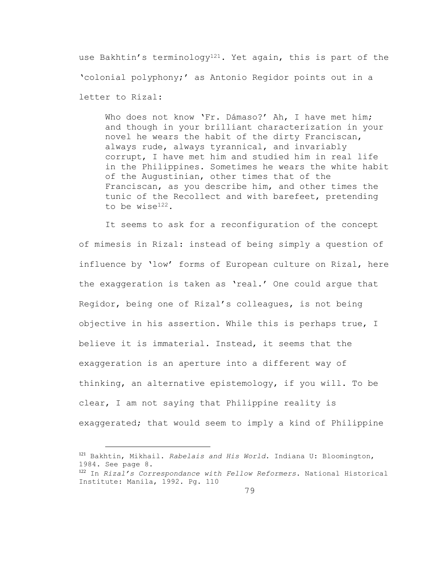use Bakhtin's terminology<sup>121</sup>. Yet again, this is part of the 'colonial polyphony;' as Antonio Regidor points out in a letter to Rizal:

Who does not know 'Fr. Dámaso?' Ah, I have met him; and though in your brilliant characterization in your novel he wears the habit of the dirty Franciscan, always rude, always tyrannical, and invariably corrupt, I have met him and studied him in real life in the Philippines. Sometimes he wears the white habit of the Augustinian, other times that of the Franciscan, as you describe him, and other times the tunic of the Recollect and with barefeet, pretending to be wise122.

It seems to ask for a reconfiguration of the concept of mimesis in Rizal: instead of being simply a question of influence by 'low' forms of European culture on Rizal, here the exaggeration is taken as 'real.' One could argue that Regidor, being one of Rizal's colleagues, is not being objective in his assertion. While this is perhaps true, I believe it is immaterial. Instead, it seems that the exaggeration is an aperture into a different way of thinking, an alternative epistemology, if you will. To be clear, I am not saying that Philippine reality is exaggerated; that would seem to imply a kind of Philippine

<sup>121</sup> Bakhtin, Mikhail. *Rabelais and His World*. Indiana U: Bloomington, 1984. See page 8.

a<br>B

<sup>122</sup> In *Rizal's Correspondance with Fellow Reformers*. National Historical Institute: Manila, 1992. Pg. 110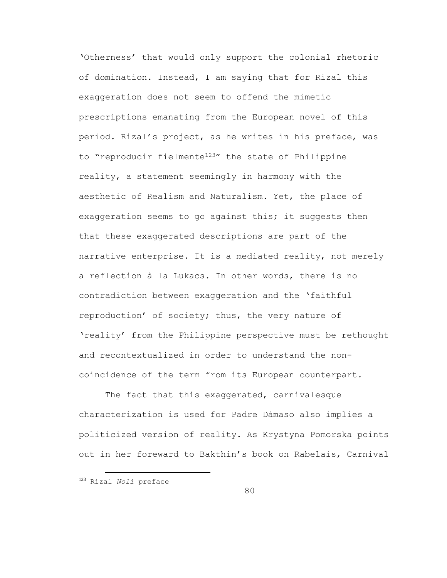'Otherness' that would only support the colonial rhetoric of domination. Instead, I am saying that for Rizal this exaggeration does not seem to offend the mimetic prescriptions emanating from the European novel of this period. Rizal's project, as he writes in his preface, was to "reproducir fielmente<sup>123</sup>" the state of Philippine reality, a statement seemingly in harmony with the aesthetic of Realism and Naturalism. Yet, the place of exaggeration seems to go against this; it suggests then that these exaggerated descriptions are part of the narrative enterprise. It is a mediated reality, not merely a reflection à la Lukacs. In other words, there is no contradiction between exaggeration and the 'faithful reproduction' of society; thus, the very nature of 'reality' from the Philippine perspective must be rethought and recontextualized in order to understand the noncoincidence of the term from its European counterpart.

The fact that this exaggerated, carnivalesque characterization is used for Padre Dámaso also implies a politicized version of reality. As Krystyna Pomorska points out in her foreward to Bakthin's book on Rabelais, Carnival

<sup>123</sup> Rizal *Noli* preface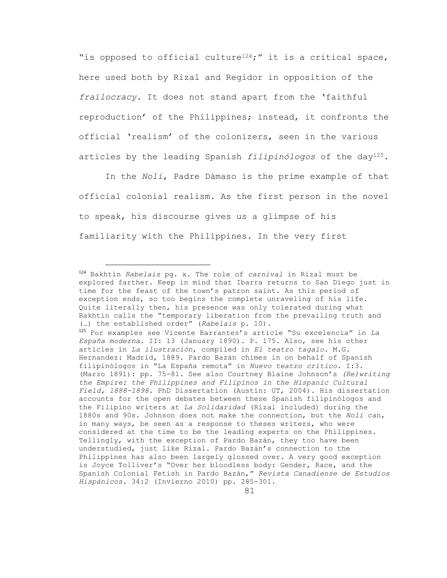"is opposed to official culture<sup>124</sup>;" it is a critical space, here used both by Rizal and Regidor in opposition of the *frailocracy*. It does not stand apart from the 'faithful reproduction' of the Philippines; instead, it confronts the official 'realism' of the colonizers, seen in the various articles by the leading Spanish *filipinólogos* of the day125.

In the *Noli*, Padre Dámaso is the prime example of that official colonial realism. As the first person in the novel to speak, his discourse gives us a glimpse of his familiarity with the Philippines. In the very first

<sup>124</sup> Bakhtin *Rabelais* pg. x. The role of *carnival* in Rizal must be explored farther. Keep in mind that Ibarra returns to San Diego just in time for the feast of the town's patron saint. As this period of exception ends, so too begins the complete unraveling of his life. Quite literally then, his presence was only tolerated during what Bakhtin calls the "temporary liberation from the prevailing truth and (…) the established order" (*Rabelais* p. 10). <sup>125</sup> For examples see Vicente Barrantes's article "Su excelencia" in *La España moderna*. II: 13 (January 1890). P. 175. Also, see his other articles in *La ilustración*, compiled in *El teatro tagalo*. M.G. Hernandez: Madrid, 1889. Pardo Bazán chimes in on behalf of Spanish filipinólogos in "La España remota" in *Nuevo teatro crítico*. I:3. (Marzo 1891): pp. 75-81. See also Courtney Blaine Johnson's *(Re)writing the Empire: the Philippines and Filipinos in the Hispanic Cultural Field, 1888-1898*. PhD Dissertation (Austin: UT, 2004). His dissertation accounts for the open debates between these Spanish filipinólogos and the Filipino writers at *La Solidaridad* (Rizal included) during the 1880s and 90s. Johnson does not make the connection, but the *Noli* can, in many ways, be seen as a response to theses writers, who were considered at the time to be the leading experts on the Philippines. Tellingly, with the exception of Pardo Bazán, they too have been understudied, just like Rizal. Pardo Bazán's connection to the Philippines has also been largely glossed over. A very good exception is Joyce Tolliver's "Over her bloodless body: Gender, Race, and the Spanish Colonial Fetish in Pardo Bazán," *Revista Canadiense de Estudios Hispánicos*. 34:2 (Invierno 2010) pp. 285-301.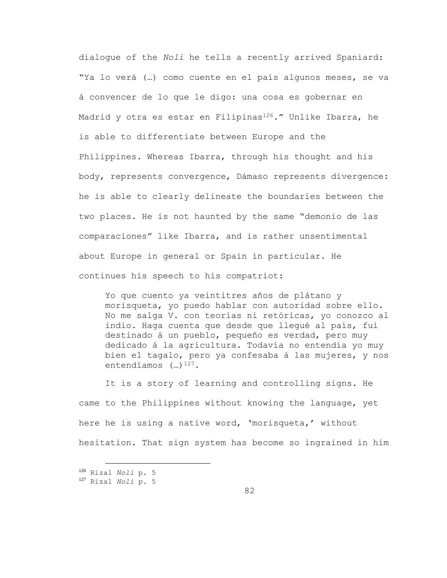dialogue of the *Noli* he tells a recently arrived Spaniard: "Ya lo verá (…) como cuente en el país algunos meses, se va á convencer de lo que le digo: una cosa es gobernar en Madrid y otra es estar en Filipinas<sup>126</sup>." Unlike Ibarra, he is able to differentiate between Europe and the Philippines. Whereas Ibarra, through his thought and his body, represents convergence, Dámaso represents divergence: he is able to clearly delineate the boundaries between the two places. He is not haunted by the same "demonio de las comparaciones" like Ibarra, and is rather unsentimental about Europe in general or Spain in particular. He continues his speech to his compatriot:

Yo que cuento ya veintitres años de plátano y morisqueta, yo puedo hablar con autoridad sobre ello. No me salga V. con teorías ni retóricas, yo conozco al indio. Haga cuenta que desde que llegué al país, fuí destinado á un pueblo, pequeño es verdad, pero muy dedicado á la agricultura. Todavía no entendía yo muy bien el tagalo, pero ya confesaba á las mujeres, y nos entendíamos  $(\dots)$ <sup>127</sup>.

It is a story of learning and controlling signs. He came to the Philippines without knowing the language, yet here he is using a native word, 'morisqueta,' without hesitation. That sign system has become so ingrained in him

<sup>126</sup> Rizal *Noli* p. 5

<sup>127</sup> Rizal *Noli* p. 5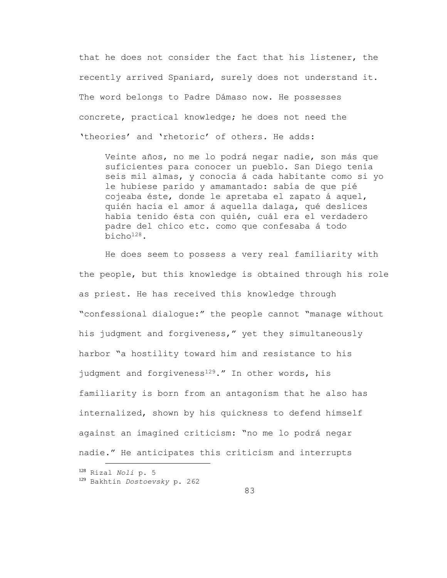that he does not consider the fact that his listener, the recently arrived Spaniard, surely does not understand it. The word belongs to Padre Dámaso now. He possesses concrete, practical knowledge; he does not need the 'theories' and 'rhetoric' of others. He adds:

Veinte años, no me lo podrá negar nadie, son más que suficientes para conocer un pueblo. San Diego tenía seis mil almas, y conocía á cada habitante como si yo le hubiese parido y amamantado: sabía de que pié cojeaba éste, donde le apretaba el zapato á aquel, quién hacía el amor á aquella dalaga, qué deslices había tenido ésta con quién, cuál era el verdadero padre del chico etc. como que confesaba á todo bicho128.

He does seem to possess a very real familiarity with the people, but this knowledge is obtained through his role as priest. He has received this knowledge through "confessional dialogue:" the people cannot "manage without his judgment and forgiveness," yet they simultaneously harbor "a hostility toward him and resistance to his judgment and forgiveness<sup>129</sup>." In other words, his familiarity is born from an antagonism that he also has internalized, shown by his quickness to defend himself against an imagined criticism: "no me lo podrá negar nadie." He anticipates this criticism and interrupts

<sup>128</sup> Rizal *Noli* p. 5 <sup>129</sup> Bakhtin *Dostoevsky* p. 262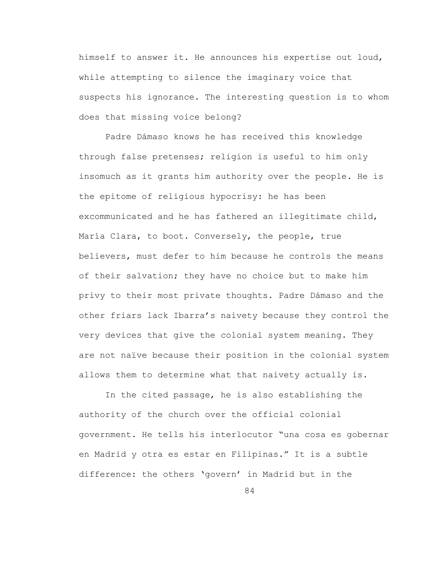himself to answer it. He announces his expertise out loud, while attempting to silence the imaginary voice that suspects his ignorance. The interesting question is to whom does that missing voice belong?

Padre Dámaso knows he has received this knowledge through false pretenses; religion is useful to him only insomuch as it grants him authority over the people. He is the epitome of religious hypocrisy: he has been excommunicated and he has fathered an illegitimate child, María Clara, to boot. Conversely, the people, true believers, must defer to him because he controls the means of their salvation; they have no choice but to make him privy to their most private thoughts. Padre Dámaso and the other friars lack Ibarra's naivety because they control the very devices that give the colonial system meaning. They are not naïve because their position in the colonial system allows them to determine what that naivety actually is.

In the cited passage, he is also establishing the authority of the church over the official colonial government. He tells his interlocutor "una cosa es gobernar en Madrid y otra es estar en Filipinas." It is a subtle difference: the others 'govern' in Madrid but in the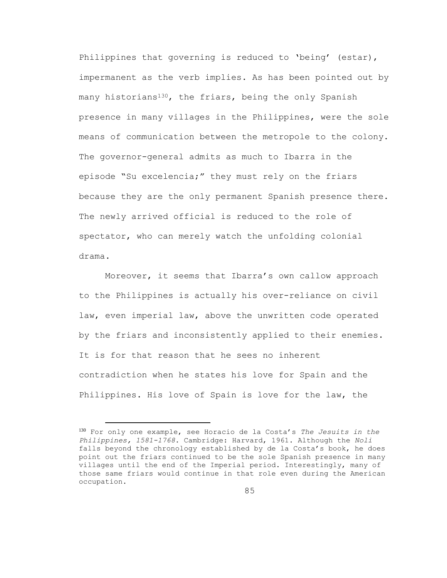Philippines that governing is reduced to 'being' (estar), impermanent as the verb implies. As has been pointed out by many historians<sup>130</sup>, the friars, being the only Spanish presence in many villages in the Philippines, were the sole means of communication between the metropole to the colony. The governor-general admits as much to Ibarra in the episode "Su excelencia;" they must rely on the friars because they are the only permanent Spanish presence there. The newly arrived official is reduced to the role of spectator, who can merely watch the unfolding colonial drama.

Moreover, it seems that Ibarra's own callow approach to the Philippines is actually his over-reliance on civil law, even imperial law, above the unwritten code operated by the friars and inconsistently applied to their enemies. It is for that reason that he sees no inherent contradiction when he states his love for Spain and the Philippines. His love of Spain is love for the law, the

<sup>130</sup> For only one example, see Horacio de la Costa's *The Jesuits in the Philippines, 1581-1768*. Cambridge: Harvard, 1961. Although the *Noli* falls beyond the chronology established by de la Costa's book, he does point out the friars continued to be the sole Spanish presence in many villages until the end of the Imperial period. Interestingly, many of those same friars would continue in that role even during the American occupation.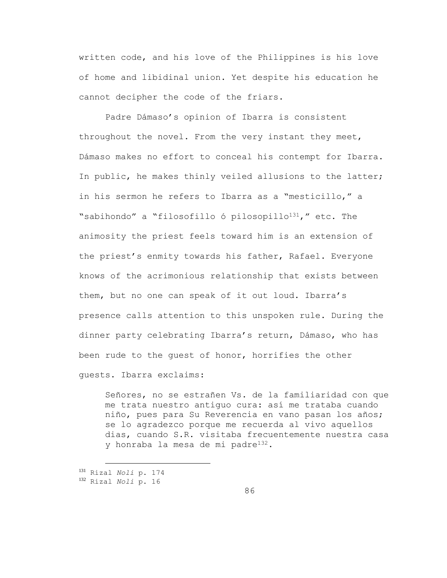written code, and his love of the Philippines is his love of home and libidinal union. Yet despite his education he cannot decipher the code of the friars.

Padre Dámaso's opinion of Ibarra is consistent throughout the novel. From the very instant they meet, Dámaso makes no effort to conceal his contempt for Ibarra. In public, he makes thinly veiled allusions to the latter; in his sermon he refers to Ibarra as a "mesticillo," a "sabihondo" a "filosofillo ó pilosopillo<sup>131</sup>," etc. The animosity the priest feels toward him is an extension of the priest's enmity towards his father, Rafael. Everyone knows of the acrimonious relationship that exists between them, but no one can speak of it out loud. Ibarra's presence calls attention to this unspoken rule. During the dinner party celebrating Ibarra's return, Dámaso, who has been rude to the guest of honor, horrifies the other guests. Ibarra exclaims:

Señores, no se estrañen Vs. de la familiaridad con que me trata nuestro antiguo cura: así me trataba cuando niño, pues para Su Reverencia en vano pasan los años; se lo agradezco porque me recuerda al vivo aquellos dias, cuando S.R. visitaba frecuentemente nuestra casa y honraba la mesa de mi padre132.

<sup>131</sup> Rizal *Noli* p. 174

<sup>132</sup> Rizal *Noli* p. 16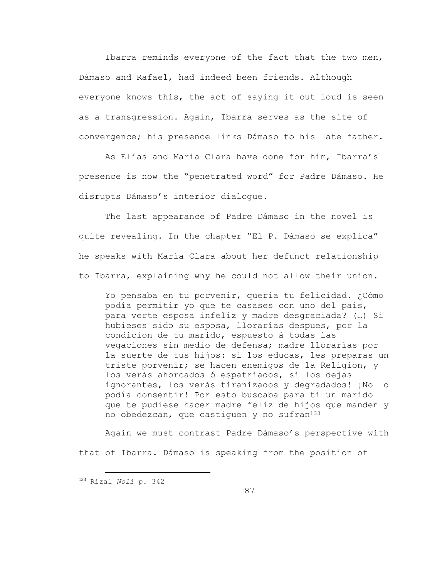Ibarra reminds everyone of the fact that the two men, Dámaso and Rafael, had indeed been friends. Although everyone knows this, the act of saying it out loud is seen as a transgression. Again, Ibarra serves as the site of convergence; his presence links Dámaso to his late father.

As Elías and María Clara have done for him, Ibarra's presence is now the "penetrated word" for Padre Dámaso. He disrupts Dámaso's interior dialogue.

The last appearance of Padre Dámaso in the novel is quite revealing. In the chapter "El P. Dámaso se explica" he speaks with María Clara about her defunct relationship to Ibarra, explaining why he could not allow their union.

Yo pensaba en tu porvenir, queria tu felicidad. ¿Cómo podía permitir yo que te casases con uno del pais, para verte esposa infeliz y madre desgraciada? (…) Si hubieses sido su esposa, llorarías despues, por la condicion de tu marido, espuesto á todas las vegaciones sin medio de defensa; madre llorarías por la suerte de tus hijos: si los educas, les preparas un triste porvenir; se hacen enemigos de la Religion, y los verás ahorcados ó espatriados, si los dejas ignorantes, los verás tiranizados y degradados! ¡No lo podía consentir! Por esto buscaba para tí un marido que te pudiese hacer madre feliz de hijos que manden y no obedezcan, que castiquen y no sufran $133$ 

Again we must contrast Padre Dámaso's perspective with that of Ibarra. Dámaso is speaking from the position of

<sup>133</sup> Rizal *Noli* p. 342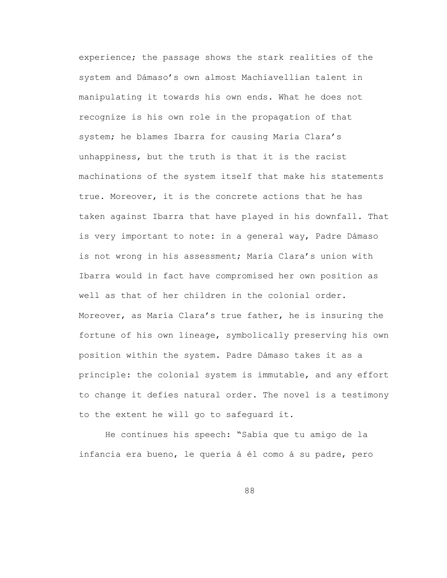experience; the passage shows the stark realities of the system and Dámaso's own almost Machiavellian talent in manipulating it towards his own ends. What he does not recognize is his own role in the propagation of that system; he blames Ibarra for causing María Clara's unhappiness, but the truth is that it is the racist machinations of the system itself that make his statements true. Moreover, it is the concrete actions that he has taken against Ibarra that have played in his downfall. That is very important to note: in a general way, Padre Dámaso is not wrong in his assessment; María Clara's union with Ibarra would in fact have compromised her own position as well as that of her children in the colonial order. Moreover, as María Clara's true father, he is insuring the fortune of his own lineage, symbolically preserving his own position within the system. Padre Dámaso takes it as a principle: the colonial system is immutable, and any effort to change it defies natural order. The novel is a testimony to the extent he will go to safeguard it.

He continues his speech: "Sabía que tu amigo de la infancia era bueno, le quería á él como á su padre, pero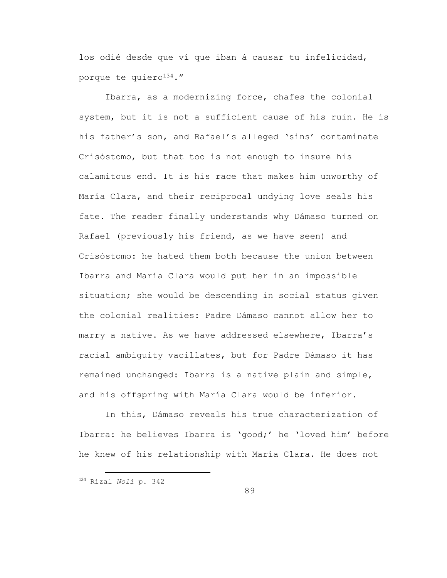los odié desde que ví que iban á causar tu infelicidad, porque te quiero<sup>134</sup>."

Ibarra, as a modernizing force, chafes the colonial system, but it is not a sufficient cause of his ruin. He is his father's son, and Rafael's alleged 'sins' contaminate Crisóstomo, but that too is not enough to insure his calamitous end. It is his race that makes him unworthy of María Clara, and their reciprocal undying love seals his fate. The reader finally understands why Dámaso turned on Rafael (previously his friend, as we have seen) and Crisóstomo: he hated them both because the union between Ibarra and María Clara would put her in an impossible situation; she would be descending in social status given the colonial realities: Padre Dámaso cannot allow her to marry a native. As we have addressed elsewhere, Ibarra's racial ambiguity vacillates, but for Padre Dámaso it has remained unchanged: Ibarra is a native plain and simple, and his offspring with María Clara would be inferior.

In this, Dámaso reveals his true characterization of Ibarra: he believes Ibarra is 'good;' he 'loved him' before he knew of his relationship with María Clara. He does not

<sup>134</sup> Rizal *Noli* p. 342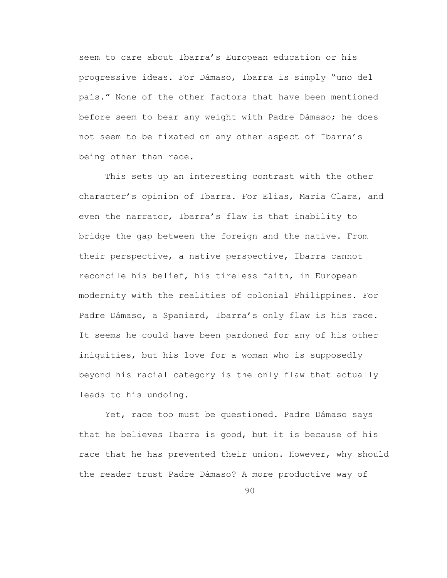seem to care about Ibarra's European education or his progressive ideas. For Dámaso, Ibarra is simply "uno del país." None of the other factors that have been mentioned before seem to bear any weight with Padre Dámaso; he does not seem to be fixated on any other aspect of Ibarra's being other than race.

This sets up an interesting contrast with the other character's opinion of Ibarra. For Elías, María Clara, and even the narrator, Ibarra's flaw is that inability to bridge the gap between the foreign and the native. From their perspective, a native perspective, Ibarra cannot reconcile his belief, his tireless faith, in European modernity with the realities of colonial Philippines. For Padre Dámaso, a Spaniard, Ibarra's only flaw is his race. It seems he could have been pardoned for any of his other iniquities, but his love for a woman who is supposedly beyond his racial category is the only flaw that actually leads to his undoing.

Yet, race too must be questioned. Padre Dámaso says that he believes Ibarra is good, but it is because of his race that he has prevented their union. However, why should the reader trust Padre Dámaso? A more productive way of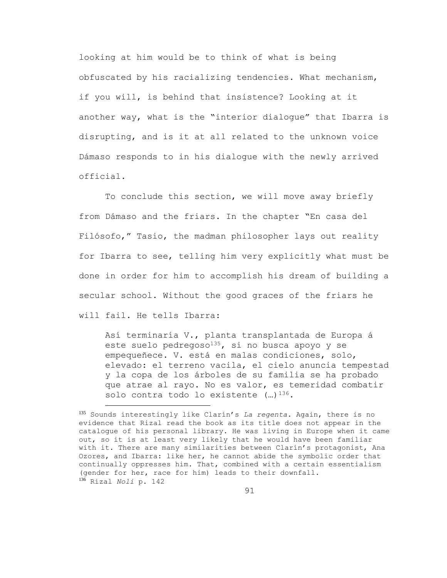looking at him would be to think of what is being obfuscated by his racializing tendencies. What mechanism, if you will, is behind that insistence? Looking at it another way, what is the "interior dialogue" that Ibarra is disrupting, and is it at all related to the unknown voice Dámaso responds to in his dialogue with the newly arrived official.

To conclude this section, we will move away briefly from Dámaso and the friars. In the chapter "En casa del Filósofo," Tasio, the madman philosopher lays out reality for Ibarra to see, telling him very explicitly what must be done in order for him to accomplish his dream of building a secular school. Without the good graces of the friars he will fail. He tells Ibarra:

Así terminaría V., planta transplantada de Europa á este suelo pedregoso $135$ , si no busca apoyo y se empequeñece. V. está en malas condiciones, solo, elevado: el terreno vacila, el cielo anuncia tempestad y la copa de los árboles de su familia se ha probado que atrae al rayo. No es valor, es temeridad combatir solo contra todo lo existente  $(\ldots)^{136}$ .

<sup>135</sup> Sounds interestingly like Clarín's *La regenta*. Again, there is no evidence that Rizal read the book as its title does not appear in the catalogue of his personal library. He was living in Europe when it came out, so it is at least very likely that he would have been familiar with it. There are many similarities between Clarín's protagonist, Ana Ozores, and Ibarra: like her, he cannot abide the symbolic order that continually oppresses him. That, combined with a certain essentialism (gender for her, race for him) leads to their downfall. <sup>136</sup> Rizal *Noli* p. 142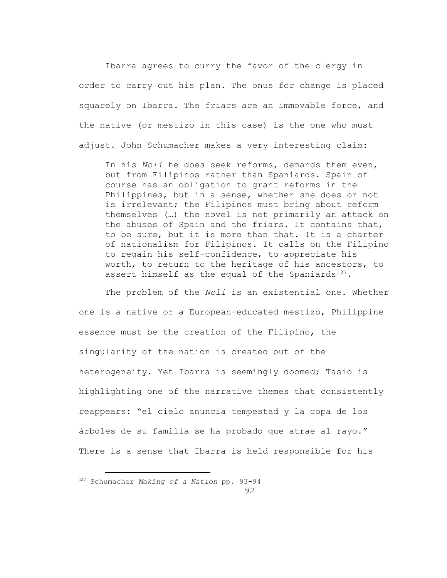Ibarra agrees to curry the favor of the clergy in order to carry out his plan. The onus for change is placed squarely on Ibarra. The friars are an immovable force, and the native (or mestizo in this case) is the one who must adjust. John Schumacher makes a very interesting claim:

In his *Noli* he does seek reforms, demands them even, but from Filipinos rather than Spaniards. Spain of course has an obligation to grant reforms in the Philippines, but in a sense, whether she does or not is irrelevant; the Filipinos must bring about reform themselves (…) the novel is not primarily an attack on the abuses of Spain and the friars. It contains that, to be sure, but it is more than that. It is a charter of nationalism for Filipinos. It calls on the Filipino to regain his self-confidence, to appreciate his worth, to return to the heritage of his ancestors, to assert himself as the equal of the Spaniards $137$ .

The problem of the *Noli* is an existential one. Whether one is a native or a European-educated mestizo, Philippine essence must be the creation of the Filipino, the singularity of the nation is created out of the heterogeneity. Yet Ibarra is seemingly doomed; Tasio is highlighting one of the narrative themes that consistently reappears: "el cielo anuncia tempestad y la copa de los árboles de su familia se ha probado que atrae al rayo." There is a sense that Ibarra is held responsible for his

<sup>137</sup> Schumacher *Making of a Nation* pp. 93-94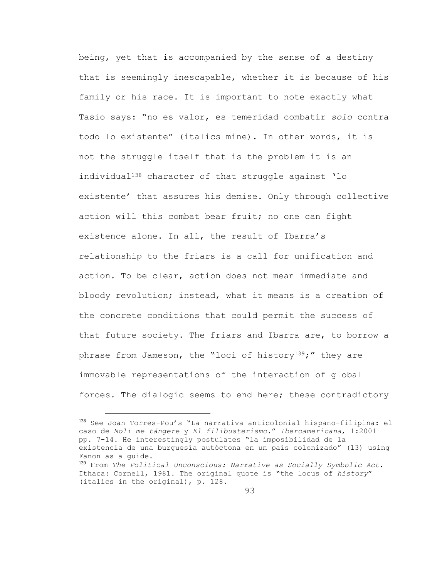being, yet that is accompanied by the sense of a destiny that is seemingly inescapable, whether it is because of his family or his race. It is important to note exactly what Tasio says: "no es valor, es temeridad combatir *solo* contra todo lo existente" (italics mine). In other words, it is not the struggle itself that is the problem it is an individual<sup>138</sup> character of that struggle against 'lo existente' that assures his demise. Only through collective action will this combat bear fruit; no one can fight existence alone. In all, the result of Ibarra's relationship to the friars is a call for unification and action. To be clear, action does not mean immediate and bloody revolution; instead, what it means is a creation of the concrete conditions that could permit the success of that future society. The friars and Ibarra are, to borrow a phrase from Jameson, the "loci of history<sup>139</sup>;" they are immovable representations of the interaction of global forces. The dialogic seems to end here; these contradictory

<sup>138</sup> See Joan Torres-Pou's "La narrativa anticolonial hispano-filipina: el caso de *Noli me tángere* y *El filibusterismo.*" *Iberoamericana*, 1:2001 pp. 7-14. He interestingly postulates "la imposibilidad de la existencia de una burguesía autóctona en un país colonizado" (13) using Fanon as a guide.

<sup>139</sup> From *The Political Unconscious: Narrative as Socially Symbolic Act*. Ithaca: Cornell, 1981. The original quote is "the locus of *history*" (italics in the original), p. 128.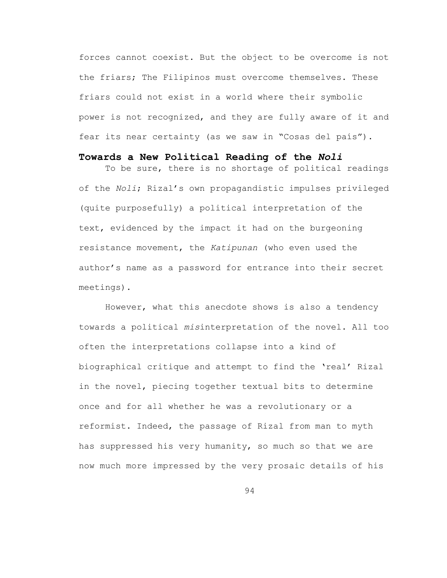forces cannot coexist. But the object to be overcome is not the friars; The Filipinos must overcome themselves. These friars could not exist in a world where their symbolic power is not recognized, and they are fully aware of it and fear its near certainty (as we saw in "Cosas del país").

## **Towards a New Political Reading of the** *Noli*

To be sure, there is no shortage of political readings of the *Noli*; Rizal's own propagandistic impulses privileged (quite purposefully) a political interpretation of the text, evidenced by the impact it had on the burgeoning resistance movement, the *Katipunan* (who even used the author's name as a password for entrance into their secret meetings).

However, what this anecdote shows is also a tendency towards a political *mis*interpretation of the novel. All too often the interpretations collapse into a kind of biographical critique and attempt to find the 'real' Rizal in the novel, piecing together textual bits to determine once and for all whether he was a revolutionary or a reformist. Indeed, the passage of Rizal from man to myth has suppressed his very humanity, so much so that we are now much more impressed by the very prosaic details of his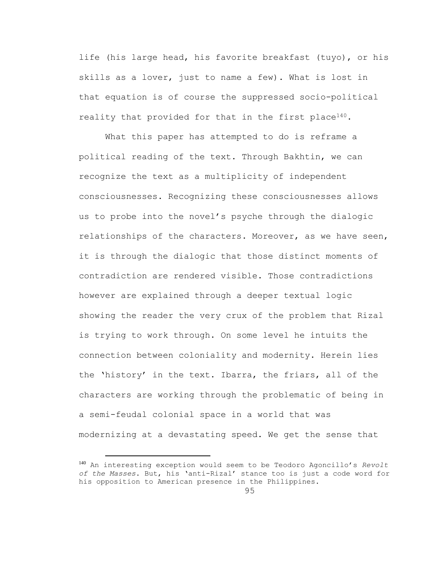life (his large head, his favorite breakfast (tuyo), or his skills as a lover, just to name a few). What is lost in that equation is of course the suppressed socio-political reality that provided for that in the first place<sup>140</sup>.

What this paper has attempted to do is reframe a political reading of the text. Through Bakhtin, we can recognize the text as a multiplicity of independent consciousnesses. Recognizing these consciousnesses allows us to probe into the novel's psyche through the dialogic relationships of the characters. Moreover, as we have seen, it is through the dialogic that those distinct moments of contradiction are rendered visible. Those contradictions however are explained through a deeper textual logic showing the reader the very crux of the problem that Rizal is trying to work through. On some level he intuits the connection between coloniality and modernity. Herein lies the 'history' in the text. Ibarra, the friars, all of the characters are working through the problematic of being in a semi-feudal colonial space in a world that was modernizing at a devastating speed. We get the sense that

<sup>140</sup> An interesting exception would seem to be Teodoro Agoncillo's *Revolt of the Masses*. But, his 'anti-Rizal' stance too is just a code word for his opposition to American presence in the Philippines.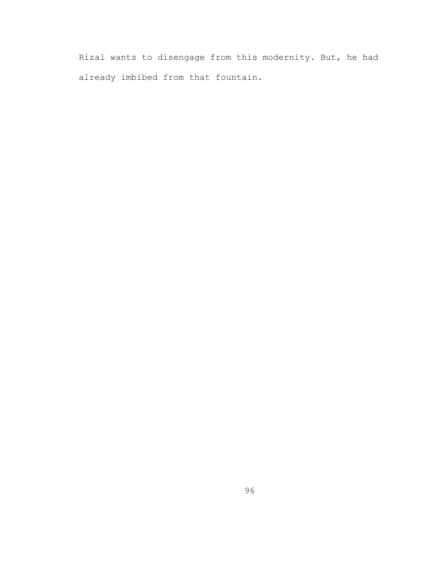Rizal wants to disengage from this modernity. But, he had already imbibed from that fountain.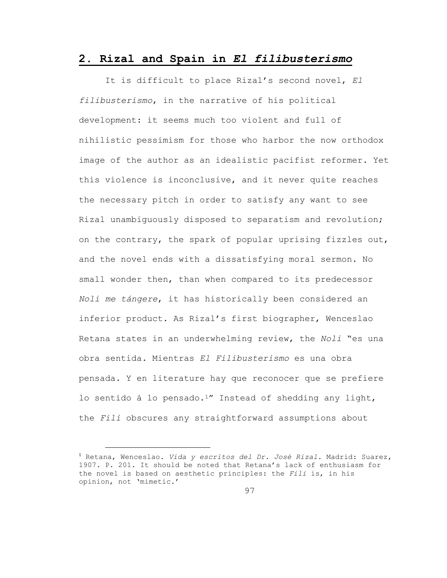## **2. Rizal and Spain in** *El filibusterismo*

It is difficult to place Rizal's second novel, *El filibusterismo*, in the narrative of his political development: it seems much too violent and full of nihilistic pessimism for those who harbor the now orthodox image of the author as an idealistic pacifist reformer. Yet this violence is inconclusive, and it never quite reaches the necessary pitch in order to satisfy any want to see Rizal unambiguously disposed to separatism and revolution; on the contrary, the spark of popular uprising fizzles out, and the novel ends with a dissatisfying moral sermon. No small wonder then, than when compared to its predecessor *Noli me tángere*, it has historically been considered an inferior product. As Rizal's first biographer, Wenceslao Retana states in an underwhelming review, the *Noli* "es una obra sentida. Mientras *El Filibusterismo* es una obra pensada. Y en literature hay que reconocer que se prefiere lo sentido á lo pensado.1" Instead of shedding any light, the *Fili* obscures any straightforward assumptions about

<sup>1</sup> Retana, Wenceslao. *Vida y escritos del Dr. José Rizal.* Madrid: Suarez, 1907. P. 201. It should be noted that Retana's lack of enthusiasm for the novel is based on aesthetic principles: the *Fili* is, in his opinion, not 'mimetic.'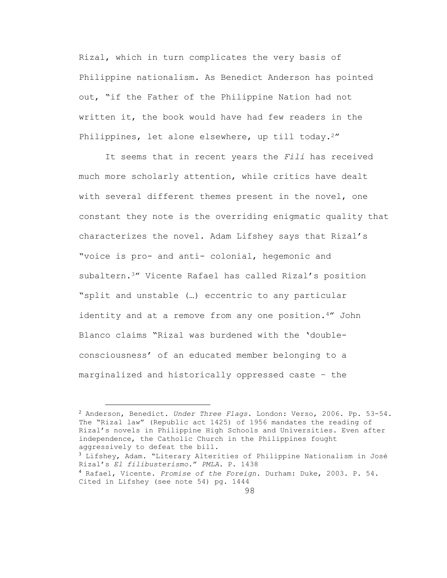Rizal, which in turn complicates the very basis of Philippine nationalism. As Benedict Anderson has pointed out, "if the Father of the Philippine Nation had not written it, the book would have had few readers in the Philippines, let alone elsewhere, up till today.<sup>2"</sup>

It seems that in recent years the *Fili* has received much more scholarly attention, while critics have dealt with several different themes present in the novel, one constant they note is the overriding enigmatic quality that characterizes the novel. Adam Lifshey says that Rizal's "voice is pro- and anti- colonial, hegemonic and subaltern.3" Vicente Rafael has called Rizal's position "split and unstable (…) eccentric to any particular identity and at a remove from any one position.4" John Blanco claims "Rizal was burdened with the 'doubleconsciousness' of an educated member belonging to a marginalized and historically oppressed caste – the

<sup>2</sup> Anderson, Benedict. *Under Three Flags*. London: Verso, 2006. Pp. 53-54. The "Rizal law" (Republic act 1425) of 1956 mandates the reading of Rizal's novels in Philippine High Schools and Universities. Even after independence, the Catholic Church in the Philippines fought aggressively to defeat the bill.

<sup>3</sup> Lifshey, Adam. "Literary Alterities of Philippine Nationalism in José Rizal's *El filibusterismo.*" *PMLA*. P. 1438

<sup>4</sup> Rafael, Vicente. *Promise of the Foreign*. Durham: Duke, 2003. P. 54. Cited in Lifshey (see note 54) pg. 1444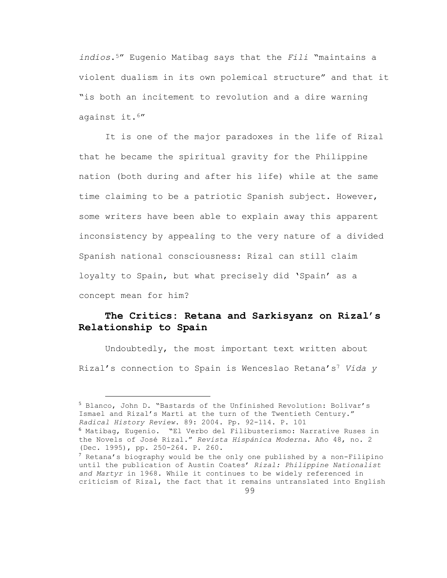*indios*.5" Eugenio Matibag says that the *Fili* "maintains a violent dualism in its own polemical structure" and that it "is both an incitement to revolution and a dire warning against it.6"

It is one of the major paradoxes in the life of Rizal that he became the spiritual gravity for the Philippine nation (both during and after his life) while at the same time claiming to be a patriotic Spanish subject. However, some writers have been able to explain away this apparent inconsistency by appealing to the very nature of a divided Spanish national consciousness: Rizal can still claim loyalty to Spain, but what precisely did 'Spain' as a concept mean for him?

## **The Critics: Retana and Sarkisyanz on Rizal's Relationship to Spain**

Undoubtedly, the most important text written about Rizal's connection to Spain is Wenceslao Retana's<sup>7</sup> *Vida y* 

<sup>5</sup> Blanco, John D. "Bastards of the Unfinished Revolution: Bolívar's Ismael and Rizal's Martí at the turn of the Twentieth Century." *Radical History Review*. 89: 2004. Pp. 92-114. P. 101 <sup>6</sup> Matibag, Eugenio. "El Verbo del Filibusterismo: Narrative Ruses in the Novels of José Rizal." *Revista Hispánica Moderna*. Año 48, no. 2

<sup>(</sup>Dec. 1995), pp. 250-264. P. 260.

 $7$  Retana's biography would be the only one published by a non-Filipino until the publication of Austin Coates' *Rizal: Philippine Nationalist and Martyr* in 1968. While it continues to be widely referenced in criticism of Rizal, the fact that it remains untranslated into English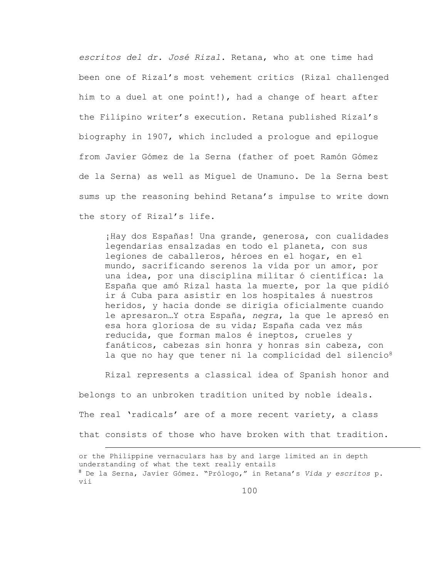*escritos del dr. José Rizal*. Retana, who at one time had been one of Rizal's most vehement critics (Rizal challenged him to a duel at one point!), had a change of heart after the Filipino writer's execution. Retana published Rizal's biography in 1907, which included a prologue and epilogue from Javier Gómez de la Serna (father of poet Ramón Gómez de la Serna) as well as Miguel de Unamuno. De la Serna best sums up the reasoning behind Retana's impulse to write down the story of Rizal's life.

¡Hay dos Españas! Una grande, generosa, con cualidades legendarias ensalzadas en todo el planeta, con sus legiones de caballeros, héroes en el hogar, en el mundo, sacrificando serenos la vida por un amor, por una idea, por una disciplina militar ó científica: la España que amó Rizal hasta la muerte, por la que pidió ir á Cuba para asistir en los hospitales á nuestros heridos, y hacia donde se dirigía oficialmente cuando le apresaron…Y otra España, *negra*, la que le apresó en esa hora gloriosa de su vida; España cada vez más reducida, que forman malos é ineptos, crueles y fanáticos, cabezas sin honra y honras sin cabeza, con la que no hay que tener ni la complicidad del silencio<sup>8</sup>

Rizal represents a classical idea of Spanish honor and belongs to an unbroken tradition united by noble ideals. The real 'radicals' are of a more recent variety, a class that consists of those who have broken with that tradition. a<br>B

or the Philippine vernaculars has by and large limited an in depth understanding of what the text really entails <sup>8</sup> De la Serna, Javier Gómez. "Prólogo," in Retana's *Vida y escritos* p. vii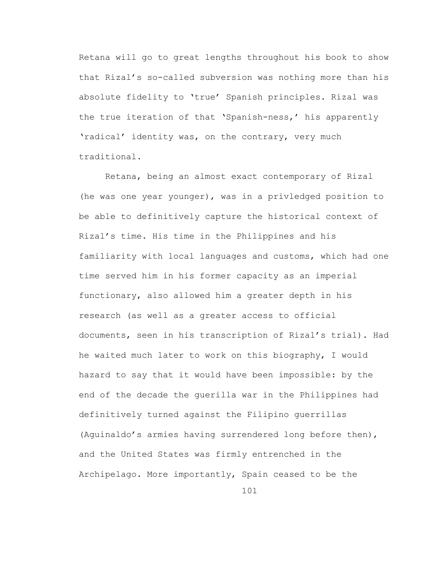Retana will go to great lengths throughout his book to show that Rizal's so-called subversion was nothing more than his absolute fidelity to 'true' Spanish principles. Rizal was the true iteration of that 'Spanish-ness,' his apparently 'radical' identity was, on the contrary, very much traditional.

Retana, being an almost exact contemporary of Rizal (he was one year younger), was in a privledged position to be able to definitively capture the historical context of Rizal's time. His time in the Philippines and his familiarity with local languages and customs, which had one time served him in his former capacity as an imperial functionary, also allowed him a greater depth in his research (as well as a greater access to official documents, seen in his transcription of Rizal's trial). Had he waited much later to work on this biography, I would hazard to say that it would have been impossible: by the end of the decade the guerilla war in the Philippines had definitively turned against the Filipino guerrillas (Aguinaldo's armies having surrendered long before then), and the United States was firmly entrenched in the Archipelago. More importantly, Spain ceased to be the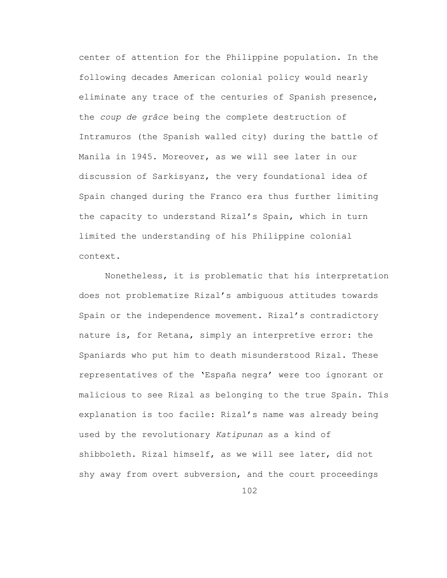center of attention for the Philippine population. In the following decades American colonial policy would nearly eliminate any trace of the centuries of Spanish presence, the *coup de grâce* being the complete destruction of Intramuros (the Spanish walled city) during the battle of Manila in 1945. Moreover, as we will see later in our discussion of Sarkisyanz, the very foundational idea of Spain changed during the Franco era thus further limiting the capacity to understand Rizal's Spain, which in turn limited the understanding of his Philippine colonial context.

Nonetheless, it is problematic that his interpretation does not problematize Rizal's ambiguous attitudes towards Spain or the independence movement. Rizal's contradictory nature is, for Retana, simply an interpretive error: the Spaniards who put him to death misunderstood Rizal. These representatives of the 'España negra' were too ignorant or malicious to see Rizal as belonging to the true Spain. This explanation is too facile: Rizal's name was already being used by the revolutionary *Katipunan* as a kind of shibboleth. Rizal himself, as we will see later, did not shy away from overt subversion, and the court proceedings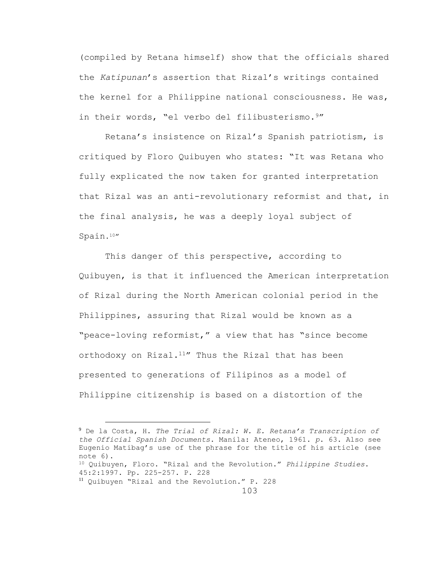(compiled by Retana himself) show that the officials shared the *Katipunan*'s assertion that Rizal's writings contained the kernel for a Philippine national consciousness. He was, in their words, "el verbo del filibusterismo.9"

Retana's insistence on Rizal's Spanish patriotism, is critiqued by Floro Quibuyen who states: "It was Retana who fully explicated the now taken for granted interpretation that Rizal was an anti-revolutionary reformist and that, in the final analysis, he was a deeply loyal subject of Spain.10"

This danger of this perspective, according to Quibuyen, is that it influenced the American interpretation of Rizal during the North American colonial period in the Philippines, assuring that Rizal would be known as a "peace-loving reformist," a view that has "since become orthodoxy on Rizal.<sup>11</sup>" Thus the Rizal that has been presented to generations of Filipinos as a model of Philippine citizenship is based on a distortion of the

<sup>11</sup> Quibuyen "Rizal and the Revolution." P. 228

<sup>9</sup> De la Costa, H. *The Trial of Rizal: W. E. Retana's Transcription of the Official Spanish Documents*. Manila: Ateneo, 1961. *p*. 63. Also see Eugenio Matibag's use of the phrase for the title of his article (see note 6).

<sup>10</sup> Quibuyen, Floro. "Rizal and the Revolution." *Philippine Studies*. 45:2:1997. Pp. 225-257. P. 228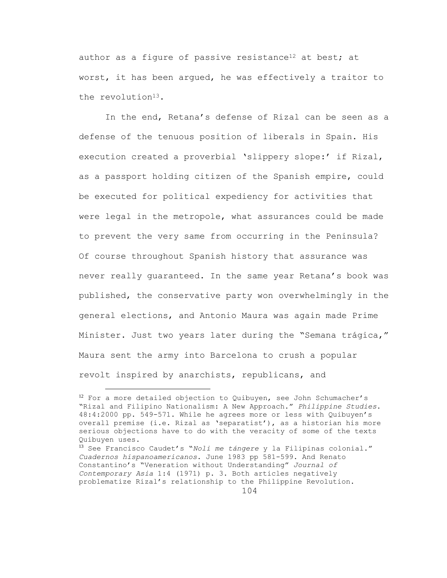author as a figure of passive resistance<sup>12</sup> at best; at worst, it has been argued, he was effectively a traitor to the revolution<sup>13</sup>.

In the end, Retana's defense of Rizal can be seen as a defense of the tenuous position of liberals in Spain. His execution created a proverbial 'slippery slope:' if Rizal, as a passport holding citizen of the Spanish empire, could be executed for political expediency for activities that were legal in the metropole, what assurances could be made to prevent the very same from occurring in the Peninsula? Of course throughout Spanish history that assurance was never really guaranteed. In the same year Retana's book was published, the conservative party won overwhelmingly in the general elections, and Antonio Maura was again made Prime Minister. Just two years later during the "Semana trágica," Maura sent the army into Barcelona to crush a popular revolt inspired by anarchists, republicans, and

÷.

 $12$  For a more detailed objection to Quibuyen, see John Schumacher's "Rizal and Filipino Nationalism: A New Approach." *Philippine Studies*. 48:4:2000 pp. 549-571. While he agrees more or less with Quibuyen's overall premise (i.e. Rizal as 'separatist'), as a historian his more serious objections have to do with the veracity of some of the texts Quibuyen uses.

<sup>13</sup> See Francisco Caudet's "*Noli me tángere* y la Filipinas colonial." *Cuadernos hispanoamericanos*. June 1983 pp 581-599. And Renato Constantino's "Veneration without Understanding" *Journal of Contemporary Asia* 1:4 (1971) p. 3. Both articles negatively problematize Rizal's relationship to the Philippine Revolution.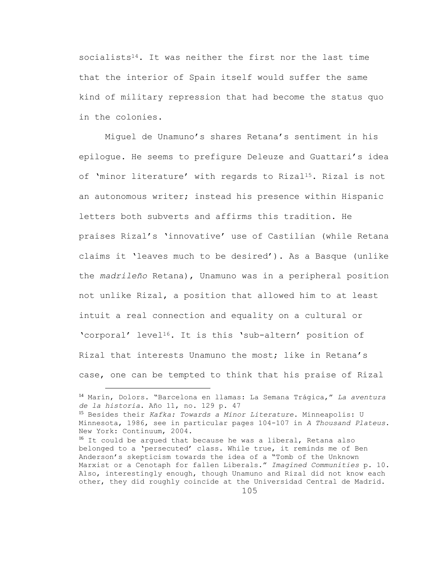socialists<sup>14</sup>. It was neither the first nor the last time that the interior of Spain itself would suffer the same kind of military repression that had become the status quo in the colonies.

Miguel de Unamuno's shares Retana's sentiment in his epilogue. He seems to prefigure Deleuze and Guattari's idea of 'minor literature' with regards to Rizal<sup>15</sup>. Rizal is not an autonomous writer; instead his presence within Hispanic letters both subverts and affirms this tradition. He praises Rizal's 'innovative' use of Castilian (while Retana claims it 'leaves much to be desired'). As a Basque (unlike the *madrileño* Retana), Unamuno was in a peripheral position not unlike Rizal, a position that allowed him to at least intuit a real connection and equality on a cultural or 'corporal' level16. It is this 'sub-altern' position of Rizal that interests Unamuno the most; like in Retana's case, one can be tempted to think that his praise of Rizal

L,

<sup>14</sup> Marín, Dolors. "Barcelona en llamas: La Semana Trágica," *La aventura de la historia*. Año 11, no. 129 p. 47

<sup>15</sup> Besides their *Kafka: Towards a Minor Literature*. Minneapolis: U Minnesota, 1986, see in particular pages 104-107 in *A Thousand Plateus*. New York: Continuum, 2004.

 $16$  It could be argued that because he was a liberal, Retana also belonged to a 'persecuted' class. While true, it reminds me of Ben Anderson's skepticism towards the idea of a "Tomb of the Unknown Marxist or a Cenotaph for fallen Liberals." *Imagined Communities* p. 10. Also, interestingly enough, though Unamuno and Rizal did not know each other, they did roughly coincide at the Universidad Central de Madrid.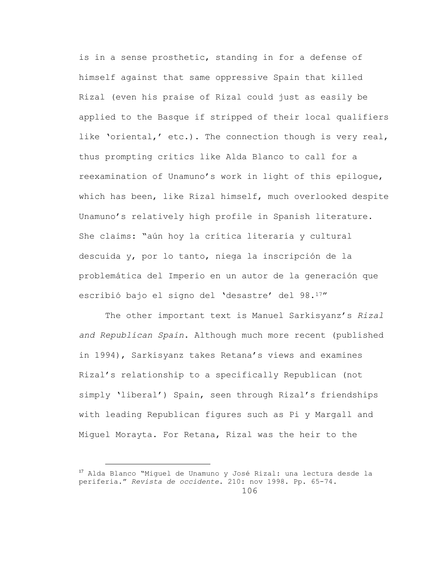is in a sense prosthetic, standing in for a defense of himself against that same oppressive Spain that killed Rizal (even his praise of Rizal could just as easily be applied to the Basque if stripped of their local qualifiers like 'oriental,' etc.). The connection though is very real, thus prompting critics like Alda Blanco to call for a reexamination of Unamuno's work in light of this epilogue, which has been, like Rizal himself, much overlooked despite Unamuno's relatively high profile in Spanish literature. She claims: "aún hoy la crítica literaria y cultural descuida y, por lo tanto, niega la inscripción de la problemática del Imperio en un autor de la generación que escribió bajo el signo del 'desastre' del 98.17"

The other important text is Manuel Sarkisyanz's *Rizal and Republican Spain*. Although much more recent (published in 1994), Sarkisyanz takes Retana's views and examines Rizal's relationship to a specifically Republican (not simply 'liberal') Spain, seen through Rizal's friendships with leading Republican figures such as Pi y Margall and Miguel Morayta. For Retana, Rizal was the heir to the

<sup>106</sup> <sup>17</sup> Alda Blanco "Miguel de Unamuno y José Rizal: una lectura desde la periferia." *Revista de occidente*. 210: nov 1998. Pp. 65-74.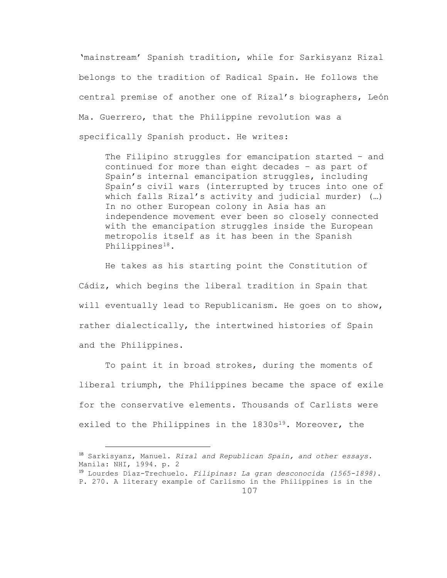'mainstream' Spanish tradition, while for Sarkisyanz Rizal belongs to the tradition of Radical Spain. He follows the central premise of another one of Rizal's biographers, León Ma. Guerrero, that the Philippine revolution was a specifically Spanish product. He writes:

The Filipino struggles for emancipation started – and continued for more than eight decades – as part of Spain's internal emancipation struggles, including Spain's civil wars (interrupted by truces into one of which falls Rizal's activity and judicial murder) (…) In no other European colony in Asia has an independence movement ever been so closely connected with the emancipation struggles inside the European metropolis itself as it has been in the Spanish Philippines18.

He takes as his starting point the Constitution of Cádiz, which begins the liberal tradition in Spain that will eventually lead to Republicanism. He goes on to show, rather dialectically, the intertwined histories of Spain and the Philippines.

To paint it in broad strokes, during the moments of liberal triumph, the Philippines became the space of exile for the conservative elements. Thousands of Carlists were exiled to the Philippines in the  $1830s^{19}$ . Moreover, the

<sup>18</sup> Sarkisyanz, Manuel. *Rizal and Republican Spain, and other essays*. Manila: NHI, 1994. p. 2

<sup>19</sup> Lourdes Díaz-Trechuelo. *Filipinas: La gran desconocida (1565-1898)*. P. 270. A literary example of Carlismo in the Philippines is in the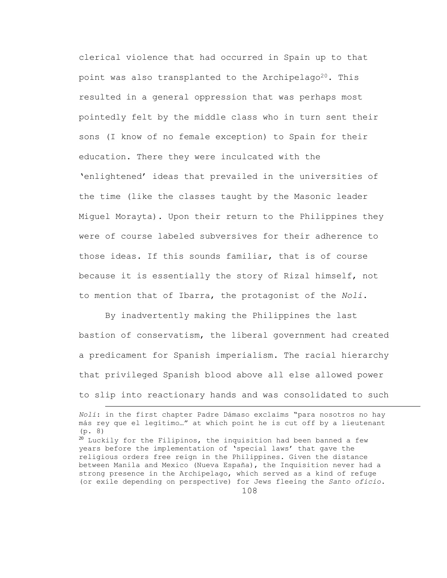clerical violence that had occurred in Spain up to that point was also transplanted to the Archipelago<sup>20</sup>. This resulted in a general oppression that was perhaps most pointedly felt by the middle class who in turn sent their sons (I know of no female exception) to Spain for their education. There they were inculcated with the 'enlightened' ideas that prevailed in the universities of the time (like the classes taught by the Masonic leader Miguel Morayta). Upon their return to the Philippines they were of course labeled subversives for their adherence to those ideas. If this sounds familiar, that is of course because it is essentially the story of Rizal himself, not to mention that of Ibarra, the protagonist of the *Noli*.

By inadvertently making the Philippines the last bastion of conservatism, the liberal government had created a predicament for Spanish imperialism. The racial hierarchy that privileged Spanish blood above all else allowed power to slip into reactionary hands and was consolidated to such

L,

*Noli*: in the first chapter Padre Dámaso exclaims "para nosotros no hay más rey que el legítimo…" at which point he is cut off by a lieutenant (p. 8)

 $20$  Luckily for the Filipinos, the inquisition had been banned a few years before the implementation of 'special laws' that gave the religious orders free reign in the Philippines. Given the distance between Manila and Mexico (Nueva España), the Inquisition never had a strong presence in the Archipelago, which served as a kind of refuge (or exile depending on perspective) for Jews fleeing the *Santo oficio*.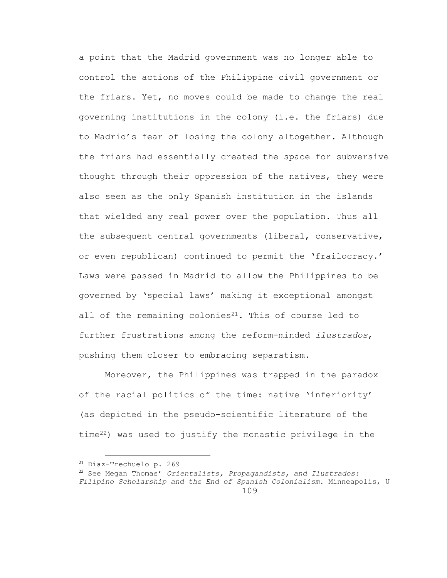a point that the Madrid government was no longer able to control the actions of the Philippine civil government or the friars. Yet, no moves could be made to change the real governing institutions in the colony (i.e. the friars) due to Madrid's fear of losing the colony altogether. Although the friars had essentially created the space for subversive thought through their oppression of the natives, they were also seen as the only Spanish institution in the islands that wielded any real power over the population. Thus all the subsequent central governments (liberal, conservative, or even republican) continued to permit the 'frailocracy.' Laws were passed in Madrid to allow the Philippines to be governed by 'special laws' making it exceptional amongst all of the remaining colonies $21$ . This of course led to further frustrations among the reform-minded *ilustrados*, pushing them closer to embracing separatism.

Moreover, the Philippines was trapped in the paradox of the racial politics of the time: native 'inferiority' (as depicted in the pseudo-scientific literature of the time22) was used to justify the monastic privilege in the

<sup>21</sup> Díaz-Trechuelo p. 269

<sup>109</sup> <sup>22</sup> See Megan Thomas' *Orientalists, Propagandists, and Ilustrados: Filipino Scholarship and the End of Spanish Colonialism*. Minneapolis, U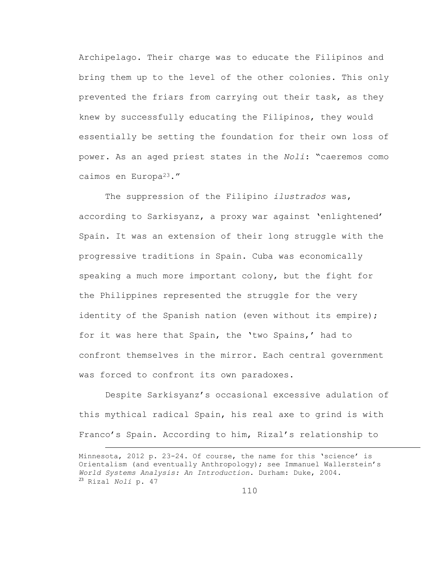Archipelago. Their charge was to educate the Filipinos and bring them up to the level of the other colonies. This only prevented the friars from carrying out their task, as they knew by successfully educating the Filipinos, they would essentially be setting the foundation for their own loss of power. As an aged priest states in the *Noli*: "caeremos como caimos en Europa23."

The suppression of the Filipino *ilustrados* was, according to Sarkisyanz, a proxy war against 'enlightened' Spain. It was an extension of their long struggle with the progressive traditions in Spain. Cuba was economically speaking a much more important colony, but the fight for the Philippines represented the struggle for the very identity of the Spanish nation (even without its empire); for it was here that Spain, the 'two Spains,' had to confront themselves in the mirror. Each central government was forced to confront its own paradoxes.

Despite Sarkisyanz's occasional excessive adulation of this mythical radical Spain, his real axe to grind is with Franco's Spain. According to him, Rizal's relationship to

Minnesota, 2012 p. 23-24. Of course, the name for this 'science' is Orientalism (and eventually Anthropology); see Immanuel Wallerstein's *World Systems Analysis: An Introduction*. Durham: Duke, 2004. <sup>23</sup> Rizal *Noli* p. 47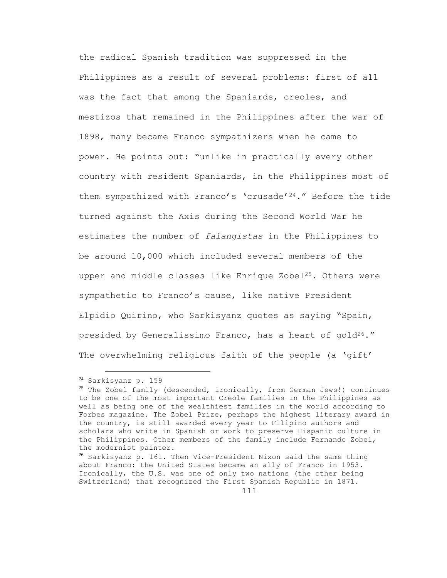the radical Spanish tradition was suppressed in the Philippines as a result of several problems: first of all was the fact that among the Spaniards, creoles, and mestizos that remained in the Philippines after the war of 1898, many became Franco sympathizers when he came to power. He points out: "unlike in practically every other country with resident Spaniards, in the Philippines most of them sympathized with Franco's 'crusade'24." Before the tide turned against the Axis during the Second World War he estimates the number of *falangistas* in the Philippines to be around 10,000 which included several members of the upper and middle classes like Enrique Zobel<sup>25</sup>. Others were sympathetic to Franco's cause, like native President Elpidio Quirino, who Sarkisyanz quotes as saying "Spain, presided by Generalissimo Franco, has a heart of gold<sup>26</sup>." The overwhelming religious faith of the people (a 'gift'

<sup>24</sup> Sarkisyanz p. 159

<sup>&</sup>lt;sup>25</sup> The Zobel family (descended, ironically, from German Jews!) continues to be one of the most important Creole families in the Philippines as well as being one of the wealthiest families in the world according to Forbes magazine. The Zobel Prize, perhaps the highest literary award in the country, is still awarded every year to Filipino authors and scholars who write in Spanish or work to preserve Hispanic culture in the Philippines. Other members of the family include Fernando Zobel, the modernist painter.

<sup>26</sup> Sarkisyanz p. 161. Then Vice-President Nixon said the same thing about Franco: the United States became an ally of Franco in 1953. Ironically, the U.S. was one of only two nations (the other being Switzerland) that recognized the First Spanish Republic in 1871.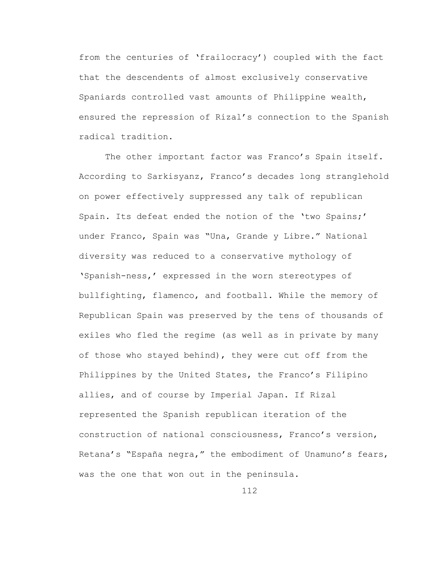from the centuries of 'frailocracy') coupled with the fact that the descendents of almost exclusively conservative Spaniards controlled vast amounts of Philippine wealth, ensured the repression of Rizal's connection to the Spanish radical tradition.

The other important factor was Franco's Spain itself. According to Sarkisyanz, Franco's decades long stranglehold on power effectively suppressed any talk of republican Spain. Its defeat ended the notion of the 'two Spains;' under Franco, Spain was "Una, Grande y Libre." National diversity was reduced to a conservative mythology of 'Spanish-ness,' expressed in the worn stereotypes of bullfighting, flamenco, and football. While the memory of Republican Spain was preserved by the tens of thousands of exiles who fled the regime (as well as in private by many of those who stayed behind), they were cut off from the Philippines by the United States, the Franco's Filipino allies, and of course by Imperial Japan. If Rizal represented the Spanish republican iteration of the construction of national consciousness, Franco's version, Retana's "España negra," the embodiment of Unamuno's fears, was the one that won out in the peninsula.

112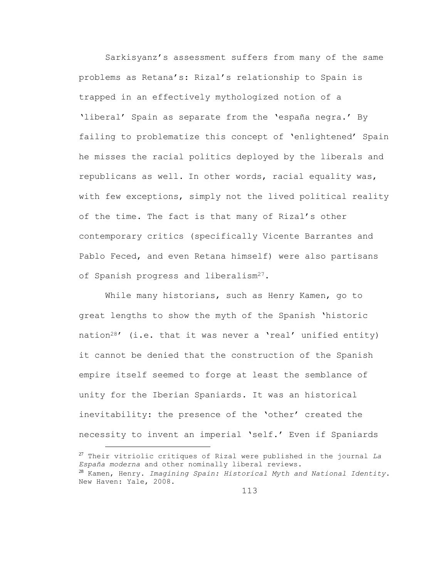Sarkisyanz's assessment suffers from many of the same problems as Retana's: Rizal's relationship to Spain is trapped in an effectively mythologized notion of a 'liberal' Spain as separate from the 'españa negra.' By failing to problematize this concept of 'enlightened' Spain he misses the racial politics deployed by the liberals and republicans as well. In other words, racial equality was, with few exceptions, simply not the lived political reality of the time. The fact is that many of Rizal's other contemporary critics (specifically Vicente Barrantes and Pablo Feced, and even Retana himself) were also partisans of Spanish progress and liberalism<sup>27</sup>.

While many historians, such as Henry Kamen, go to great lengths to show the myth of the Spanish 'historic nation<sup>28</sup>' (i.e. that it was never a 'real' unified entity) it cannot be denied that the construction of the Spanish empire itself seemed to forge at least the semblance of unity for the Iberian Spaniards. It was an historical inevitability: the presence of the 'other' created the necessity to invent an imperial 'self.' Even if Spaniards a<br>B

<sup>27</sup> Their vitriolic critiques of Rizal were published in the journal *La España moderna* and other nominally liberal reviews. <sup>28</sup> Kamen, Henry. *Imagining Spain: Historical Myth and National Identity*. New Haven: Yale, 2008.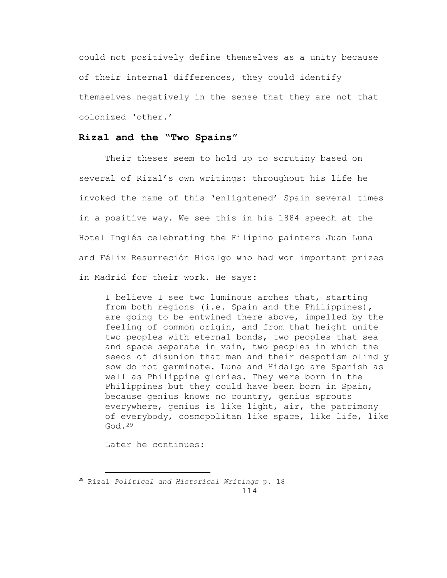could not positively define themselves as a unity because of their internal differences, they could identify themselves negatively in the sense that they are not that colonized 'other.'

## **Rizal and the "Two Spains"**

Their theses seem to hold up to scrutiny based on several of Rizal's own writings: throughout his life he invoked the name of this 'enlightened' Spain several times in a positive way. We see this in his 1884 speech at the Hotel Inglés celebrating the Filipino painters Juan Luna and Félix Resurreción Hidalgo who had won important prizes in Madrid for their work. He says:

I believe I see two luminous arches that, starting from both regions (i.e. Spain and the Philippines), are going to be entwined there above, impelled by the feeling of common origin, and from that height unite two peoples with eternal bonds, two peoples that sea and space separate in vain, two peoples in which the seeds of disunion that men and their despotism blindly sow do not germinate. Luna and Hidalgo are Spanish as well as Philippine glories. They were born in the Philippines but they could have been born in Spain, because genius knows no country, genius sprouts everywhere, genius is like light, air, the patrimony of everybody, cosmopolitan like space, like life, like  $God.29$ 

Later he continues:

<sup>114</sup> <sup>29</sup> Rizal *Political and Historical Writings* p. 18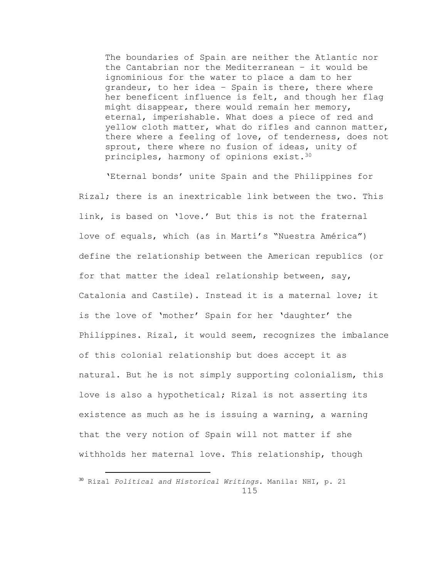The boundaries of Spain are neither the Atlantic nor the Cantabrian nor the Mediterranean – it would be ignominious for the water to place a dam to her grandeur, to her idea – Spain is there, there where her beneficent influence is felt, and though her flag might disappear, there would remain her memory, eternal, imperishable. What does a piece of red and yellow cloth matter, what do rifles and cannon matter, there where a feeling of love, of tenderness, does not sprout, there where no fusion of ideas, unity of principles, harmony of opinions exist.<sup>30</sup>

'Eternal bonds' unite Spain and the Philippines for Rizal; there is an inextricable link between the two. This link, is based on 'love.' But this is not the fraternal love of equals, which (as in Martí's "Nuestra América") define the relationship between the American republics (or for that matter the ideal relationship between, say, Catalonia and Castile). Instead it is a maternal love; it is the love of 'mother' Spain for her 'daughter' the Philippines. Rizal, it would seem, recognizes the imbalance of this colonial relationship but does accept it as natural. But he is not simply supporting colonialism, this love is also a hypothetical; Rizal is not asserting its existence as much as he is issuing a warning, a warning that the very notion of Spain will not matter if she withholds her maternal love. This relationship, though

<sup>115</sup> <sup>30</sup> Rizal *Political and Historical Writings*. Manila: NHI, p. 21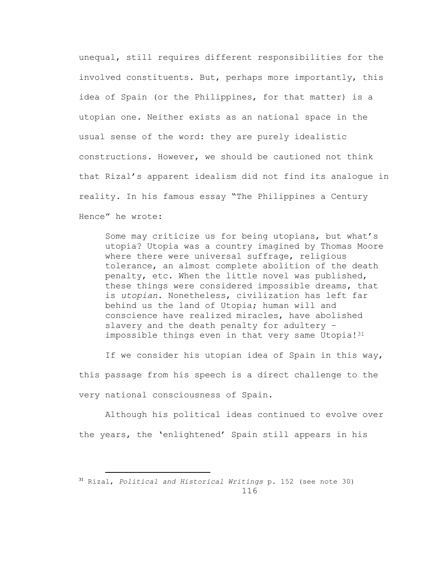unequal, still requires different responsibilities for the involved constituents. But, perhaps more importantly, this idea of Spain (or the Philippines, for that matter) is a utopian one. Neither exists as an national space in the usual sense of the word: they are purely idealistic constructions. However, we should be cautioned not think that Rizal's apparent idealism did not find its analogue in reality. In his famous essay "The Philippines a Century Hence" he wrote:

Some may criticize us for being utopians, but what's utopia? Utopia was a country imagined by Thomas Moore where there were universal suffrage, religious tolerance, an almost complete abolition of the death penalty, etc. When the little novel was published, these things were considered impossible dreams, that is *utopian*. Nonetheless, civilization has left far behind us the land of Utopia; human will and conscience have realized miracles, have abolished slavery and the death penalty for adultery – impossible things even in that very same Utopia!<sup>31</sup>

If we consider his utopian idea of Spain in this way, this passage from his speech is a direct challenge to the very national consciousness of Spain.

Although his political ideas continued to evolve over the years, the 'enlightened' Spain still appears in his

<sup>116</sup> <sup>31</sup> Rizal, *Political and Historical Writings* p. 152 (see note 30)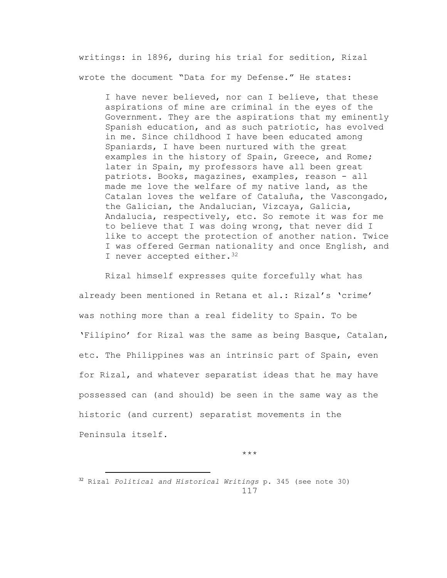writings: in 1896, during his trial for sedition, Rizal wrote the document "Data for my Defense." He states:

I have never believed, nor can I believe, that these aspirations of mine are criminal in the eyes of the Government. They are the aspirations that my eminently Spanish education, and as such patriotic, has evolved in me. Since childhood I have been educated among Spaniards, I have been nurtured with the great examples in the history of Spain, Greece, and Rome; later in Spain, my professors have all been great patriots. Books, magazines, examples, reason - all made me love the welfare of my native land, as the Catalan loves the welfare of Cataluña, the Vascongado, the Galician, the Andalucian, Vizcaya, Galicia, Andalucía, respectively, etc. So remote it was for me to believe that I was doing wrong, that never did I like to accept the protection of another nation. Twice I was offered German nationality and once English, and I never accepted either.<sup>32</sup>

Rizal himself expresses quite forcefully what has already been mentioned in Retana et al.: Rizal's 'crime' was nothing more than a real fidelity to Spain. To be 'Filipino' for Rizal was the same as being Basque, Catalan, etc. The Philippines was an intrinsic part of Spain, even for Rizal, and whatever separatist ideas that he may have possessed can (and should) be seen in the same way as the historic (and current) separatist movements in the Peninsula itself.

\*\*\*

<sup>117</sup> <sup>32</sup> Rizal *Political and Historical Writings* p. 345 (see note 30)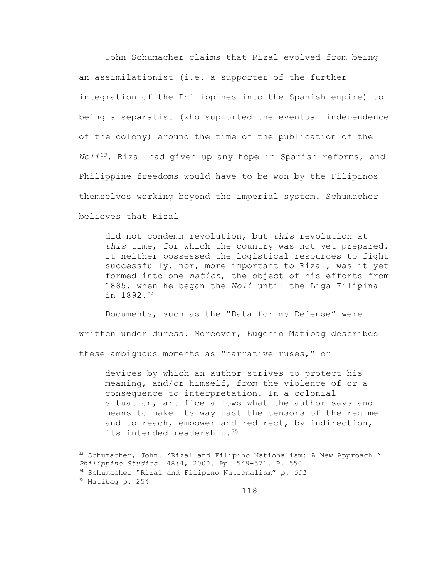John Schumacher claims that Rizal evolved from being an assimilationist (i.e. a supporter of the further integration of the Philippines into the Spanish empire) to being a separatist (who supported the eventual independence of the colony) around the time of the publication of the *Noli33*. Rizal had given up any hope in Spanish reforms, and Philippine freedoms would have to be won by the Filipinos themselves working beyond the imperial system. Schumacher believes that Rizal

did not condemn revolution, but *this* revolution at *this* time, for which the country was not yet prepared. It neither possessed the logistical resources to fight successfully, nor, more important to Rizal, was it yet formed into one *nation*, the object of his efforts from 1885, when he began the *Noli* until the Liga Filipina in 1892.<sup>34</sup>

Documents, such as the "Data for my Defense" were written under duress. Moreover, Eugenio Matibag describes these ambiguous moments as "narrative ruses," or

devices by which an author strives to protect his meaning, and/or himself, from the violence of or a consequence to interpretation. In a colonial situation, artifice allows what the author says and means to make its way past the censors of the regime and to reach, empower and redirect, by indirection, its intended readership.<sup>35</sup>

<sup>33</sup> Schumacher, John. "Rizal and Filipino Nationalism: A New Approach." *Philippine Studies*. 48:4, 2000. Pp. 549-571. P. 550 <sup>34</sup> Schumacher "Rizal and Filipino Nationalism" *p. 551* <sup>35</sup> Matibag p. 254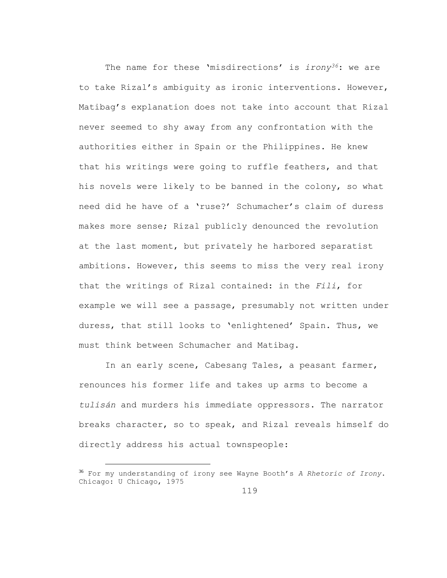The name for these 'misdirections' is *irony36*: we are to take Rizal's ambiguity as ironic interventions. However, Matibag's explanation does not take into account that Rizal never seemed to shy away from any confrontation with the authorities either in Spain or the Philippines. He knew that his writings were going to ruffle feathers, and that his novels were likely to be banned in the colony, so what need did he have of a 'ruse?' Schumacher's claim of duress makes more sense; Rizal publicly denounced the revolution at the last moment, but privately he harbored separatist ambitions. However, this seems to miss the very real irony that the writings of Rizal contained: in the *Fili*, for example we will see a passage, presumably not written under duress, that still looks to 'enlightened' Spain. Thus, we must think between Schumacher and Matibag.

In an early scene, Cabesang Tales, a peasant farmer, renounces his former life and takes up arms to become a *tulisán* and murders his immediate oppressors. The narrator breaks character, so to speak, and Rizal reveals himself do directly address his actual townspeople:

<sup>36</sup> For my understanding of irony see Wayne Booth's *A Rhetoric of Irony*. Chicago: U Chicago, 1975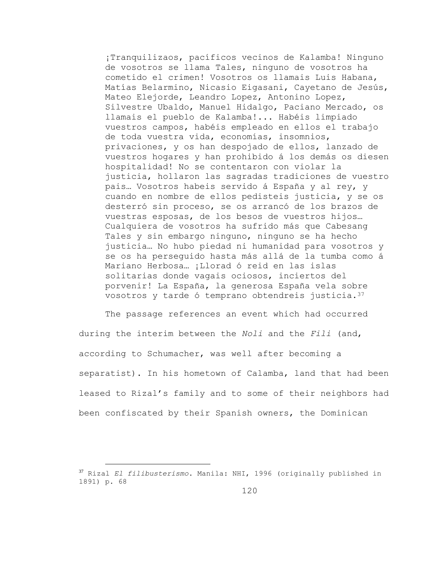¡Tranquilizaos, pacíficos vecinos de Kalamba! Ninguno de vosotros se llama Tales, ninguno de vosotros ha cometido el crimen! Vosotros os llamais Luis Habana, Matías Belarmino, Nicasio Eigasani, Cayetano de Jesús, Mateo Elejorde, Leandro Lopez, Antonino Lopez, Silvestre Ubaldo, Manuel Hidalgo, Paciano Mercado, os llamais el pueblo de Kalamba!... Habéis limpiado vuestros campos, habéis empleado en ellos el trabajo de toda vuestra vida, economías, insomnios, privaciones, y os han despojado de ellos, lanzado de vuestros hogares y han prohibido á los demás os diesen hospitalidad! No se contentaron con violar la justicia, hollaron las sagradas tradiciones de vuestro pais… Vosotros habeis servido á España y al rey, y cuando en nombre de ellos pedisteis justicia, y se os desterró sin proceso, se os arrancó de los brazos de vuestras esposas, de los besos de vuestros hijos… Cualquiera de vosotros ha sufrido más que Cabesang Tales y sin embargo ninguno, ninguno se ha hecho justicia… No hubo piedad ni humanidad para vosotros y se os ha perseguido hasta más allá de la tumba como á Mariano Herbosa… ¡Llorad ó reid en las islas solitarias donde vagais ociosos, inciertos del porvenir! La España, la generosa España vela sobre vosotros y tarde ó temprano obtendreis justicia.<sup>37</sup>

The passage references an event which had occurred during the interim between the *Noli* and the *Fili* (and, according to Schumacher, was well after becoming a separatist). In his hometown of Calamba, land that had been leased to Rizal's family and to some of their neighbors had been confiscated by their Spanish owners, the Dominican

<sup>37</sup> Rizal *El filibusterismo*. Manila: NHI, 1996 (originally published in 1891) p. 68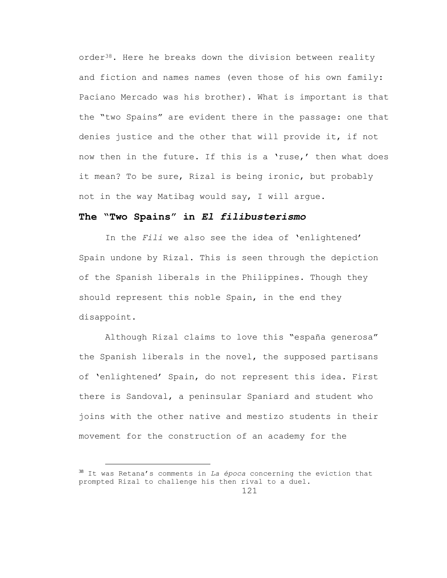order38. Here he breaks down the division between reality and fiction and names names (even those of his own family: Paciano Mercado was his brother). What is important is that the "two Spains" are evident there in the passage: one that denies justice and the other that will provide it, if not now then in the future. If this is a 'ruse,' then what does it mean? To be sure, Rizal is being ironic, but probably not in the way Matibag would say, I will argue.

# **The "Two Spains" in** *El filibusterismo*

In the *Fili* we also see the idea of 'enlightened' Spain undone by Rizal. This is seen through the depiction of the Spanish liberals in the Philippines. Though they should represent this noble Spain, in the end they disappoint.

Although Rizal claims to love this "españa generosa" the Spanish liberals in the novel, the supposed partisans of 'enlightened' Spain, do not represent this idea. First there is Sandoval, a peninsular Spaniard and student who joins with the other native and mestizo students in their movement for the construction of an academy for the

<sup>38</sup> It was Retana's comments in *La época* concerning the eviction that prompted Rizal to challenge his then rival to a duel.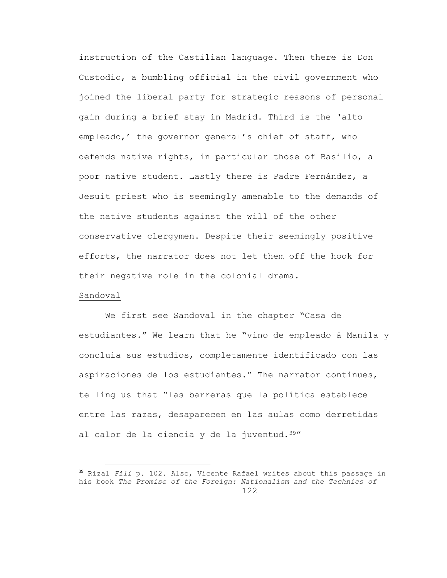instruction of the Castilian language. Then there is Don Custodio, a bumbling official in the civil government who joined the liberal party for strategic reasons of personal gain during a brief stay in Madrid. Third is the 'alto empleado,' the governor general's chief of staff, who defends native rights, in particular those of Basilio, a poor native student. Lastly there is Padre Fernández, a Jesuit priest who is seemingly amenable to the demands of the native students against the will of the other conservative clergymen. Despite their seemingly positive efforts, the narrator does not let them off the hook for their negative role in the colonial drama.

### Sandoval

a<br>B

We first see Sandoval in the chapter "Casa de estudiantes." We learn that he "vino de empleado á Manila y concluía sus estudios, completamente identificado con las aspiraciones de los estudiantes." The narrator continues, telling us that "las barreras que la política establece entre las razas, desaparecen en las aulas como derretidas al calor de la ciencia y de la juventud.<sup>39"</sup>

<sup>122</sup> <sup>39</sup> Rizal *Fili* p. 102. Also, Vicente Rafael writes about this passage in his book *The Promise of the Foreign: Nationalism and the Technics of*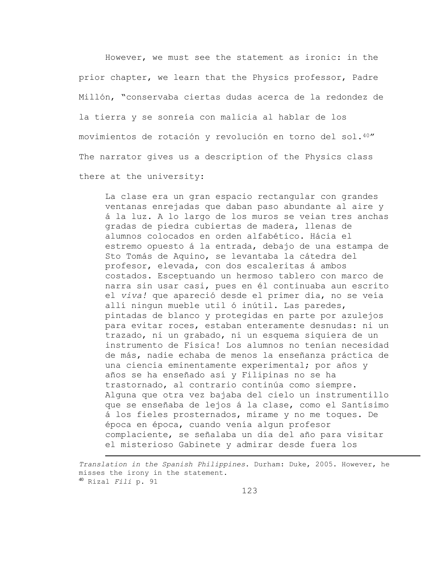However, we must see the statement as ironic: in the prior chapter, we learn that the Physics professor, Padre Millón, "conservaba ciertas dudas acerca de la redondez de la tierra y se sonreía con malicia al hablar de los movimientos de rotación y revolución en torno del sol.40" The narrator gives us a description of the Physics class there at the university:

La clase era un gran espacio rectangular con grandes ventanas enrejadas que daban paso abundante al aire y á la luz. A lo largo de los muros se veian tres anchas gradas de piedra cubiertas de madera, llenas de alumnos colocados en orden alfabético. Hácia el estremo opuesto á la entrada, debajo de una estampa de Sto Tomás de Aquino, se levantaba la cátedra del profesor, elevada, con dos escaleritas á ambos costados. Esceptuando un hermoso tablero con marco de narra sin usar casi, pues en él continuaba aun escrito el *viva!* que apareció desde el primer dia, no se veía allí ningun mueble util ó inútil. Las paredes, pintadas de blanco y protegidas en parte por azulejos para evitar roces, estaban enteramente desnudas: ni un trazado, ni un grabado, ni un esquema siquiera de un instrumento de Física! Los alumnos no tenían necesidad de más, nadie echaba de menos la enseñanza práctica de una ciencia eminentamente experimental; por años y años se ha enseñado así y Filipinas no se ha trastornado, al contrario continúa como siempre. Alguna que otra vez bajaba del cielo un instrumentillo que se enseñaba de lejos á la clase, como el Santísimo á los fieles prosternados, mírame y no me toques. De época en época, cuando venía algun profesor complaciente, se señalaba un día del año para visitar el misterioso Gabinete y admirar desde fuera los

*Translation in the Spanish Philippines*. Durham: Duke, 2005. However, he misses the irony in the statement. <sup>40</sup> Rizal *Fili* p. 91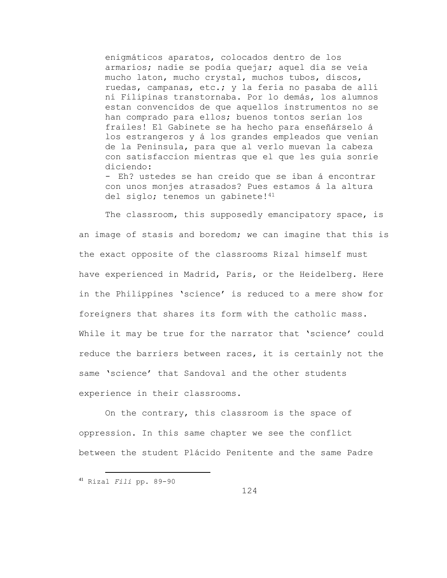enigmáticos aparatos, colocados dentro de los armarios; nadie se podía quejar; aquel día se veía mucho laton, mucho crystal, muchos tubos, discos, ruedas, campanas, etc.; y la feria no pasaba de allí ni Filipinas transtornaba. Por lo demás, los alumnos estan convencidos de que aquellos instrumentos no se han comprado para ellos; buenos tontos serían los frailes! El Gabinete se ha hecho para enseñárselo á los estrangeros y á los grandes empleados que venían de la Peninsula, para que al verlo muevan la cabeza con satisfaccion mientras que el que les guía sonríe diciendo:

- Eh? ustedes se han creido que se iban á encontrar con unos monjes atrasados? Pues estamos á la altura del siglo; tenemos un gabinete!<sup>41</sup>

The classroom, this supposedly emancipatory space, is an image of stasis and boredom; we can imagine that this is the exact opposite of the classrooms Rizal himself must have experienced in Madrid, Paris, or the Heidelberg. Here in the Philippines 'science' is reduced to a mere show for foreigners that shares its form with the catholic mass. While it may be true for the narrator that 'science' could reduce the barriers between races, it is certainly not the same 'science' that Sandoval and the other students experience in their classrooms.

On the contrary, this classroom is the space of oppression. In this same chapter we see the conflict between the student Plácido Penitente and the same Padre

<sup>41</sup> Rizal *Fili* pp. 89-90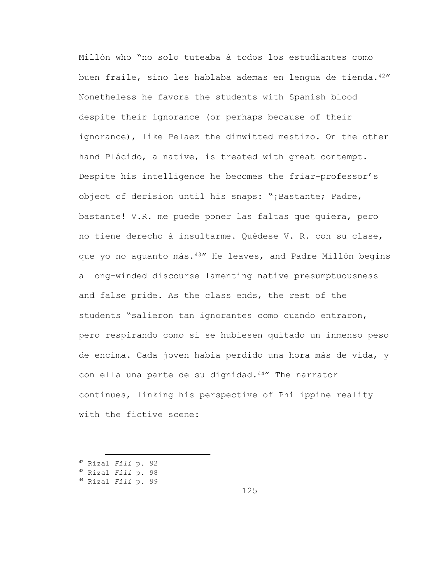Millón who "no solo tuteaba á todos los estudiantes como buen fraile, sino les hablaba ademas en lengua de tienda.42" Nonetheless he favors the students with Spanish blood despite their ignorance (or perhaps because of their ignorance), like Pelaez the dimwitted mestizo. On the other hand Plácido, a native, is treated with great contempt. Despite his intelligence he becomes the friar-professor's object of derision until his snaps: "¡Bastante; Padre, bastante! V.R. me puede poner las faltas que quiera, pero no tiene derecho á insultarme. Quédese V. R. con su clase, que yo no aguanto más.43" He leaves, and Padre Millón begins a long-winded discourse lamenting native presumptuousness and false pride. As the class ends, the rest of the students "salieron tan ignorantes como cuando entraron, pero respirando como si se hubiesen quitado un inmenso peso de encima. Cada joven había perdido una hora más de vida, y con ella una parte de su dignidad.44" The narrator continues, linking his perspective of Philippine reality with the fictive scene:

<sup>42</sup> Rizal *Fili* p. 92

a<br>B

<sup>44</sup> Rizal *Fili* p. 99

125

<sup>43</sup> Rizal *Fili* p. 98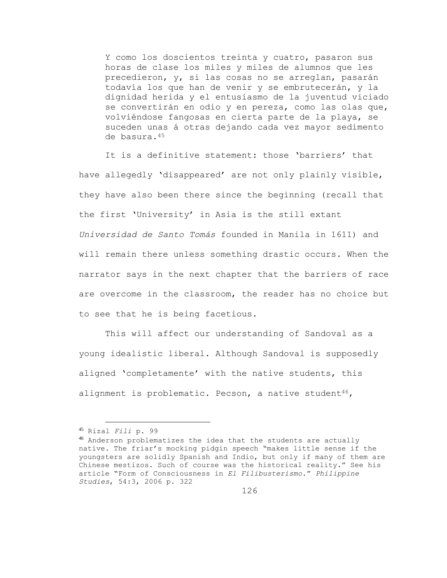Y como los doscientos treinta y cuatro, pasaron sus horas de clase los miles y miles de alumnos que les precedieron, y, si las cosas no se arreglan, pasarán todavía los que han de venir y se embrutecerán, y la dignidad herida y el entusiasmo de la juventud viciado se convertirán en odio y en pereza, como las olas que, volviéndose fangosas en cierta parte de la playa, se suceden unas á otras dejando cada vez mayor sedimento de basura.<sup>45</sup>

It is a definitive statement: those 'barriers' that have allegedly 'disappeared' are not only plainly visible, they have also been there since the beginning (recall that the first 'University' in Asia is the still extant *Universidad de Santo Tomás* founded in Manila in 1611) and will remain there unless something drastic occurs. When the narrator says in the next chapter that the barriers of race are overcome in the classroom, the reader has no choice but to see that he is being facetious.

This will affect our understanding of Sandoval as a young idealistic liberal. Although Sandoval is supposedly aligned 'completamente' with the native students, this alignment is problematic. Pecson, a native student<sup>46</sup>,

<sup>45</sup> Rizal *Fili* p. 99

<sup>46</sup> Anderson problematizes the idea that the students are actually native. The friar's mocking pidgin speech "makes little sense if the youngsters are solidly Spanish and Indio, but only if many of them are Chinese mestizos. Such of course was the historical reality." See his article "Form of Consciousness in *El Filibusterismo*." *Philippine Studies*, 54:3, 2006 p. 322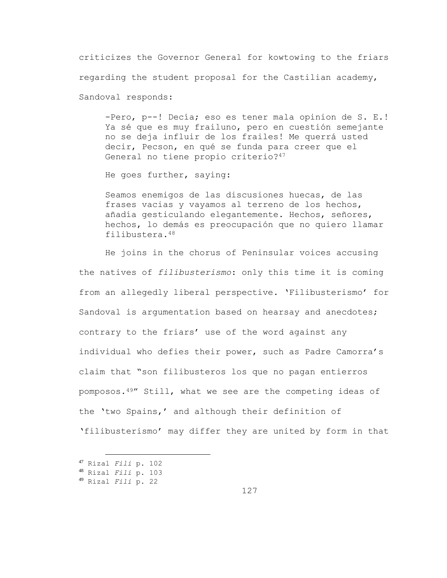criticizes the Governor General for kowtowing to the friars regarding the student proposal for the Castilian academy, Sandoval responds:

-Pero, p--! Decía; eso es tener mala opinion de S. E.! Ya sé que es muy frailuno, pero en cuestión semejante no se deja influir de los frailes! Me querrá usted decir, Pecson, en qué se funda para creer que el General no tiene propio criterio?<sup>47</sup>

He goes further, saying:

Seamos enemigos de las discusiones huecas, de las frases vacias y vayamos al terreno de los hechos, añadía gesticulando elegantemente. Hechos, señores, hechos, lo demás es preocupación que no quiero llamar filibustera.<sup>48</sup>

He joins in the chorus of Peninsular voices accusing the natives of *filibusterismo*: only this time it is coming from an allegedly liberal perspective. 'Filibusterismo' for Sandoval is argumentation based on hearsay and anecdotes; contrary to the friars' use of the word against any individual who defies their power, such as Padre Camorra's claim that "son filibusteros los que no pagan entierros pomposos.49" Still, what we see are the competing ideas of the 'two Spains,' and although their definition of 'filibusterismo' may differ they are united by form in that

<sup>47</sup> Rizal *Fili* p. 102

<sup>48</sup> Rizal *Fili* p. 103

<sup>49</sup> Rizal *Fili* p. 22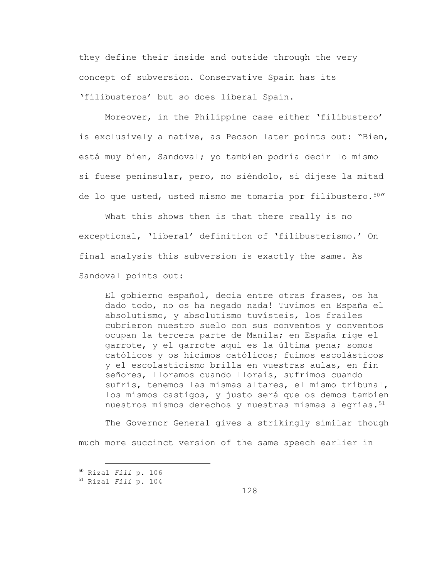they define their inside and outside through the very concept of subversion. Conservative Spain has its 'filibusteros' but so does liberal Spain.

Moreover, in the Philippine case either 'filibustero' is exclusively a native, as Pecson later points out: "Bien, está muy bien, Sandoval; yo tambien podría decir lo mismo si fuese peninsular, pero, no siéndolo, si dijese la mitad de lo que usted, usted mismo me tomaría por filibustero.50"

What this shows then is that there really is no exceptional, 'liberal' definition of 'filibusterismo.' On final analysis this subversion is exactly the same. As Sandoval points out:

El gobierno español, decía entre otras frases, os ha dado todo, no os ha negado nada! Tuvimos en España el absolutismo, y absolutismo tuvísteis, los frailes cubrieron nuestro suelo con sus conventos y conventos ocupan la tercera parte de Manila; en España rige el garrote, y el garrote aquí es la última pena; somos católicos y os hicimos católicos; fuimos escolásticos y el escolasticismo brilla en vuestras aulas, en fin señores, lloramos cuando llorais, sufrimos cuando sufrís, tenemos las mismas altares, el mismo tribunal, los mismos castigos, y justo será que os demos tambien nuestros mismos derechos y nuestras mismas alegrías.<sup>51</sup>

The Governor General gives a strikingly similar though much more succinct version of the same speech earlier in

<sup>50</sup> Rizal *Fili* p. 106

<sup>51</sup> Rizal *Fili* p. 104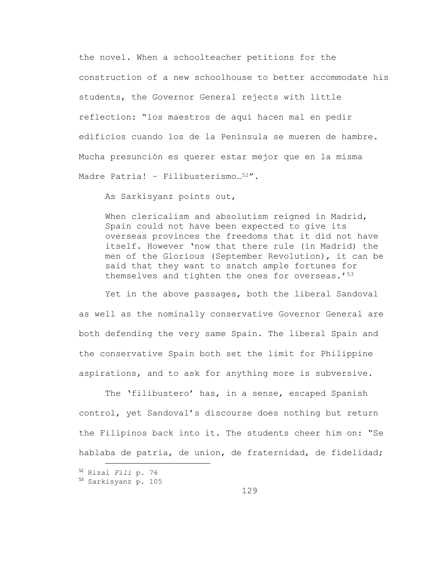the novel. When a schoolteacher petitions for the construction of a new schoolhouse to better accommodate his students, the Governor General rejects with little reflection: "los maestros de aquí hacen mal en pedir edificios cuando los de la Península se mueren de hambre. Mucha presunción es querer estar mejor que en la misma Madre Patria! - Filibusterismo...<sup>52"</sup>.

As Sarkisyanz points out,

When clericalism and absolutism reigned in Madrid, Spain could not have been expected to give its overseas provinces the freedoms that it did not have itself. However 'now that there rule (in Madrid) the men of the Glorious (September Revolution), it can be said that they want to snatch ample fortunes for themselves and tighten the ones for overseas.'<sup>53</sup>

Yet in the above passages, both the liberal Sandoval as well as the nominally conservative Governor General are both defending the very same Spain. The liberal Spain and the conservative Spain both set the limit for Philippine aspirations, and to ask for anything more is subversive.

The 'filibustero' has, in a sense, escaped Spanish control, yet Sandoval's discourse does nothing but return the Filipinos back into it. The students cheer him on: "Se hablaba de patria, de union, de fraternidad, de fidelidad;

<sup>52</sup> Rizal *Fili* p. 76

<sup>53</sup> Sarkisyanz p. 105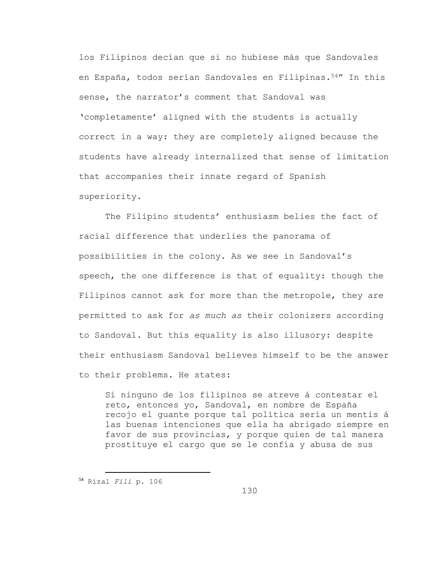los Filipinos decían que si no hubiese más que Sandovales en España, todos serían Sandovales en Filipinas.54" In this sense, the narrator's comment that Sandoval was 'completamente' aligned with the students is actually correct in a way: they are completely aligned because the students have already internalized that sense of limitation that accompanies their innate regard of Spanish superiority.

The Filipino students' enthusiasm belies the fact of racial difference that underlies the panorama of possibilities in the colony. As we see in Sandoval's speech, the one difference is that of equality: though the Filipinos cannot ask for more than the metropole, they are permitted to ask for *as much as* their colonizers according to Sandoval. But this equality is also illusory: despite their enthusiasm Sandoval believes himself to be the answer to their problems. He states:

Si ninguno de los filipinos se atreve á contestar el reto, entonces yo, Sandoval, en nombre de España recojo el guante porque tal política sería un mentis á las buenas intenciones que ella ha abrigado siempre en favor de sus provincias, y porque quien de tal manera prostituye el cargo que se le confía y abusa de sus

a<br>B

130

<sup>54</sup> Rizal *Fili* p. 106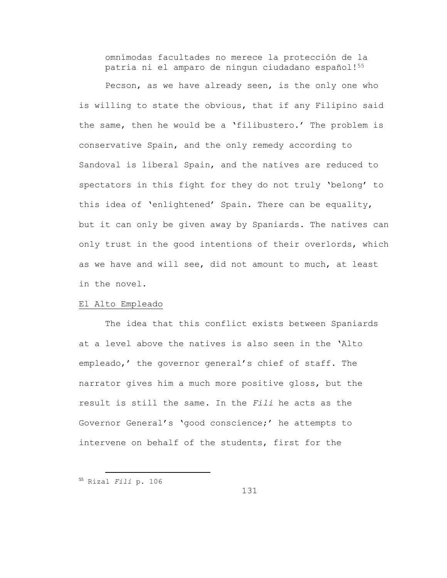omnímodas facultades no merece la protección de la patria ni el amparo de ningun ciudadano español!<sup>55</sup>

Pecson, as we have already seen, is the only one who is willing to state the obvious, that if any Filipino said the same, then he would be a 'filibustero.' The problem is conservative Spain, and the only remedy according to Sandoval is liberal Spain, and the natives are reduced to spectators in this fight for they do not truly 'belong' to this idea of 'enlightened' Spain. There can be equality, but it can only be given away by Spaniards. The natives can only trust in the good intentions of their overlords, which as we have and will see, did not amount to much, at least in the novel.

### El Alto Empleado

The idea that this conflict exists between Spaniards at a level above the natives is also seen in the 'Alto empleado,' the governor general's chief of staff. The narrator gives him a much more positive gloss, but the result is still the same. In the *Fili* he acts as the Governor General's 'good conscience;' he attempts to intervene on behalf of the students, first for the

a<br>B

131

<sup>55</sup> Rizal *Fili* p. 106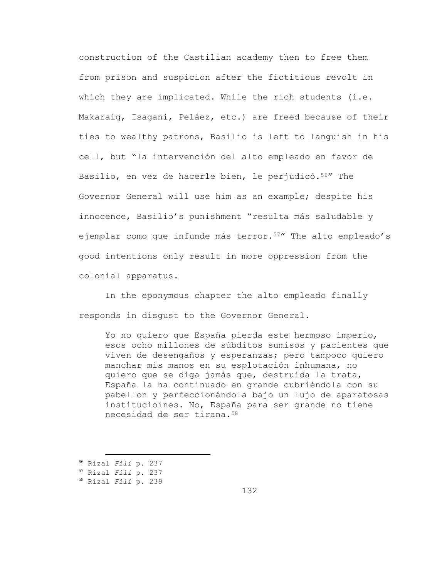construction of the Castilian academy then to free them from prison and suspicion after the fictitious revolt in which they are implicated. While the rich students (i.e. Makaraig, Isagani, Peláez, etc.) are freed because of their ties to wealthy patrons, Basilio is left to languish in his cell, but "la intervención del alto empleado en favor de Basilio, en vez de hacerle bien, le perjudicó.<sup>56</sup>" The Governor General will use him as an example; despite his innocence, Basilio's punishment "resulta más saludable y ejemplar como que infunde más terror.<sup>57</sup> The alto empleado's good intentions only result in more oppression from the colonial apparatus.

In the eponymous chapter the alto empleado finally responds in disgust to the Governor General.

Yo no quiero que España pierda este hermoso imperio, esos ocho millones de súbditos sumisos y pacientes que viven de desengaños y esperanzas; pero tampoco quiero manchar mis manos en su esplotación inhumana, no quiero que se diga jamás que, destruida la trata, España la ha continuado en grande cubriéndola con su pabellon y perfeccionándola bajo un lujo de aparatosas institucioines. No, España para ser grande no tiene necesidad de ser tirana.<sup>58</sup>

<sup>56</sup> Rizal *Fili* p. 237

<sup>57</sup> Rizal *Fili* p. 237

<sup>58</sup> Rizal *Fili* p. 239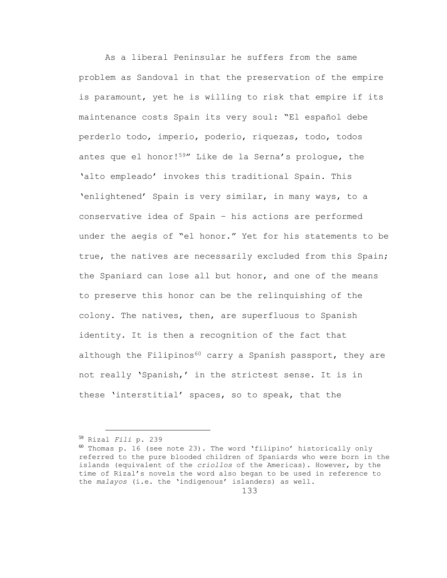As a liberal Peninsular he suffers from the same problem as Sandoval in that the preservation of the empire is paramount, yet he is willing to risk that empire if its maintenance costs Spain its very soul: "El español debe perderlo todo, imperio, poderío, riquezas, todo, todos antes que el honor!59" Like de la Serna's prologue, the 'alto empleado' invokes this traditional Spain. This 'enlightened' Spain is very similar, in many ways, to a conservative idea of Spain – his actions are performed under the aegis of "el honor." Yet for his statements to be true, the natives are necessarily excluded from this Spain; the Spaniard can lose all but honor, and one of the means to preserve this honor can be the relinquishing of the colony. The natives, then, are superfluous to Spanish identity. It is then a recognition of the fact that although the Filipinos<sup>60</sup> carry a Spanish passport, they are not really 'Spanish,' in the strictest sense. It is in these 'interstitial' spaces, so to speak, that the

<sup>59</sup> Rizal *Fili* p. 239

 $60$  Thomas p. 16 (see note 23). The word 'filipino' historically only referred to the pure blooded children of Spaniards who were born in the islands (equivalent of the *criollos* of the Americas). However, by the time of Rizal's novels the word also began to be used in reference to the *malayos* (i.e. the 'indigenous' islanders) as well.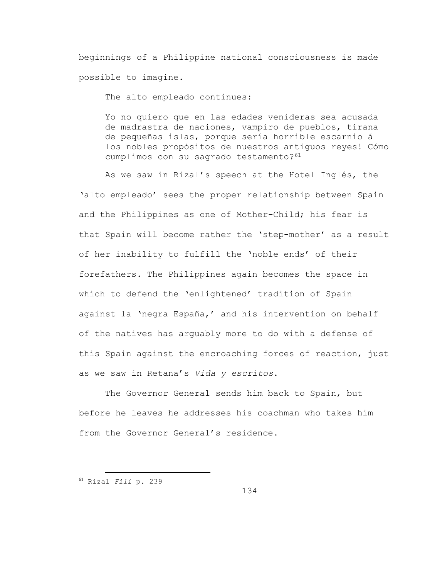beginnings of a Philippine national consciousness is made possible to imagine.

The alto empleado continues:

Yo no quiero que en las edades venideras sea acusada de madrastra de naciones, vampiro de pueblos, tirana de pequeñas islas, porque sería horrible escarnio á los nobles propósitos de nuestros antiguos reyes! Cómo cumplimos con su sagrado testamento?<sup>61</sup>

As we saw in Rizal's speech at the Hotel Inglés, the 'alto empleado' sees the proper relationship between Spain and the Philippines as one of Mother-Child; his fear is that Spain will become rather the 'step-mother' as a result of her inability to fulfill the 'noble ends' of their forefathers. The Philippines again becomes the space in which to defend the 'enlightened' tradition of Spain against la 'negra España,' and his intervention on behalf of the natives has arguably more to do with a defense of this Spain against the encroaching forces of reaction, just as we saw in Retana's *Vida y escritos*.

The Governor General sends him back to Spain, but before he leaves he addresses his coachman who takes him from the Governor General's residence.

<sup>61</sup> Rizal *Fili* p. 239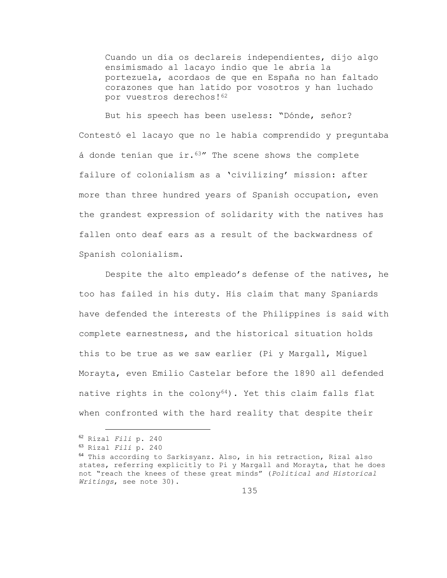Cuando un día os declareis independientes, dijo algo ensimismado al lacayo indio que le abría la portezuela, acordaos de que en España no han faltado corazones que han latido por vosotros y han luchado por vuestros derechos!<sup>62</sup>

But his speech has been useless: "Dónde, señor? Contestó el lacayo que no le había comprendido y preguntaba á donde tenían que  $ir.^{63}$ " The scene shows the complete failure of colonialism as a 'civilizing' mission: after more than three hundred years of Spanish occupation, even the grandest expression of solidarity with the natives has fallen onto deaf ears as a result of the backwardness of Spanish colonialism.

Despite the alto empleado's defense of the natives, he too has failed in his duty. His claim that many Spaniards have defended the interests of the Philippines is said with complete earnestness, and the historical situation holds this to be true as we saw earlier (Pi y Margall, Miguel Morayta, even Emilio Castelar before the 1890 all defended native rights in the  $\text{colony}^{64}$ ). Yet this claim falls flat when confronted with the hard reality that despite their

<sup>62</sup> Rizal *Fili* p. 240

<sup>63</sup> Rizal *Fili* p. 240

<sup>64</sup> This according to Sarkisyanz. Also, in his retraction, Rizal also states, referring explicitly to Pi y Margall and Morayta, that he does not "reach the knees of these great minds" (*Political and Historical Writings*, see note 30).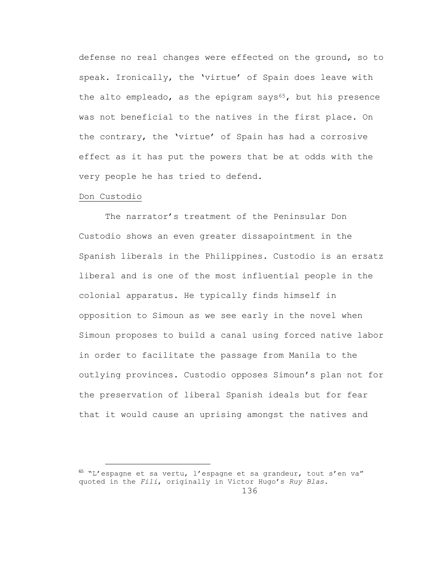defense no real changes were effected on the ground, so to speak. Ironically, the 'virtue' of Spain does leave with the alto empleado, as the epigram says $65$ , but his presence was not beneficial to the natives in the first place. On the contrary, the 'virtue' of Spain has had a corrosive effect as it has put the powers that be at odds with the very people he has tried to defend.

### Don Custodio

i<br>L

The narrator's treatment of the Peninsular Don Custodio shows an even greater dissapointment in the Spanish liberals in the Philippines. Custodio is an ersatz liberal and is one of the most influential people in the colonial apparatus. He typically finds himself in opposition to Simoun as we see early in the novel when Simoun proposes to build a canal using forced native labor in order to facilitate the passage from Manila to the outlying provinces. Custodio opposes Simoun's plan not for the preservation of liberal Spanish ideals but for fear that it would cause an uprising amongst the natives and

<sup>65</sup> "L'espagne et sa vertu, l'espagne et sa grandeur, tout s'en va" quoted in the *Fili*, originally in Victor Hugo's *Ruy Blas*.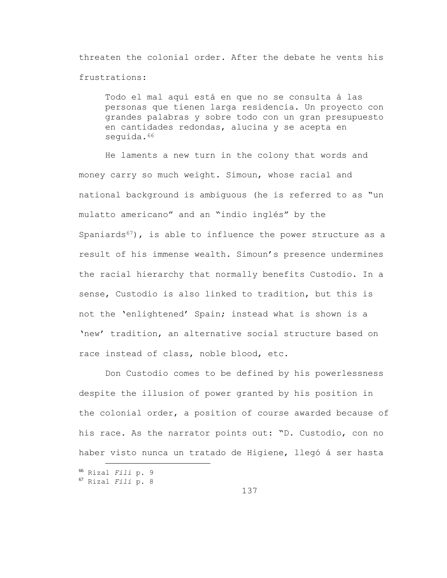threaten the colonial order. After the debate he vents his frustrations:

Todo el mal aquí está en que no se consulta á las personas que tienen larga residencia. Un proyecto con grandes palabras y sobre todo con un gran presupuesto en cantidades redondas, alucina y se acepta en sequida.<sup>66</sup>

He laments a new turn in the colony that words and money carry so much weight. Simoun, whose racial and national background is ambiguous (he is referred to as "un mulatto americano" and an "indio inglés" by the Spaniards $67$ ), is able to influence the power structure as a result of his immense wealth. Simoun's presence undermines the racial hierarchy that normally benefits Custodio. In a sense, Custodio is also linked to tradition, but this is not the 'enlightened' Spain; instead what is shown is a 'new' tradition, an alternative social structure based on race instead of class, noble blood, etc.

Don Custodio comes to be defined by his powerlessness despite the illusion of power granted by his position in the colonial order, a position of course awarded because of his race. As the narrator points out: "D. Custodio, con no haber visto nunca un tratado de Higiene, llegó á ser hasta

<sup>66</sup> Rizal *Fili* p. 9

<sup>67</sup> Rizal *Fili* p. 8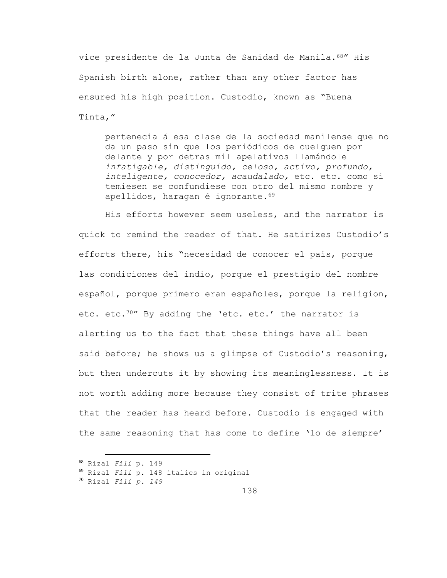vice presidente de la Junta de Sanidad de Manila.68" His Spanish birth alone, rather than any other factor has ensured his high position. Custodio, known as "Buena Tinta,"

pertenecía á esa clase de la sociedad manilense que no da un paso sin que los periódicos de cuelguen por delante y por detras mil apelativos llamándole *infatigable, distinguido, celoso, activo, profundo, inteligente, conocedor, acaudalado,* etc. etc. como si temiesen se confundiese con otro del mismo nombre y apellidos, haragan é ignorante. 69

His efforts however seem useless, and the narrator is quick to remind the reader of that. He satirizes Custodio's efforts there, his "necesidad de conocer el país, porque las condiciones del indio, porque el prestigio del nombre español, porque primero eran españoles, porque la religion, etc. etc.<sup>70"</sup> By adding the 'etc. etc.' the narrator is alerting us to the fact that these things have all been said before; he shows us a glimpse of Custodio's reasoning, but then undercuts it by showing its meaninglessness. It is not worth adding more because they consist of trite phrases that the reader has heard before. Custodio is engaged with the same reasoning that has come to define 'lo de siempre'

<sup>68</sup> Rizal *Fili* p. 149

<sup>69</sup> Rizal *Fili* p. 148 italics in original

<sup>70</sup> Rizal *Fili p. 149*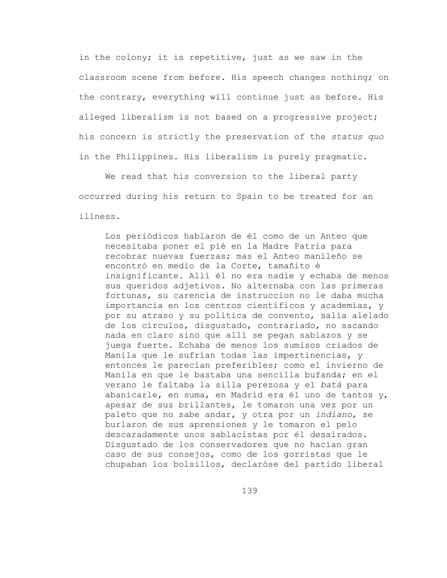in the colony; it is repetitive, just as we saw in the classroom scene from before. His speech changes nothing; on the contrary, everything will continue just as before. His alleged liberalism is not based on a progressive project; his concern is strictly the preservation of the *status quo* in the Philippines. His liberalism is purely pragmatic.

We read that his conversion to the liberal party occurred during his return to Spain to be treated for an illness.

Los periódicos hablaron de él como de un Anteo que necesitaba poner el pié en la Madre Patria para recobrar nuevas fuerzas; mas el Anteo manileño se encontró en medio de la Corte, tamañito é insignificante. Allí él no era nadie y echaba de menos sus queridos adjetivos. No alternaba con las primeras fortunas, su carencia de instruccion no le daba mucha importancia en los centros científicos y academias, y por su atraso y su política de convento, salía alelado de los círculos, disgustado, contrariado, no sacando nada en claro sino que allí se pegan sablazos y se juega fuerte. Echaba de menos los sumisos criados de Manila que le sufrían todas las impertinencias, y entonces le parecían preferibles; como el invierno de Manila en que le bastaba una sencilla bufanda; en el verano le faltaba la silla perezosa y el *batà* para abanicarle, en suma, en Madrid era él uno de tantos y, apesar de sus brillantes, le tomaron una vez por un paleto que no sabe andar, y otra por un *indiano*, se burlaron de sus aprensiones y le tomaron el pelo descaradamente unos sablacistas por él desairados. Disgustado de los conservadores que no hacían gran caso de sus consejos, como de los gorristas que le chupaban los bolsillos, declaróse del partido liberal

139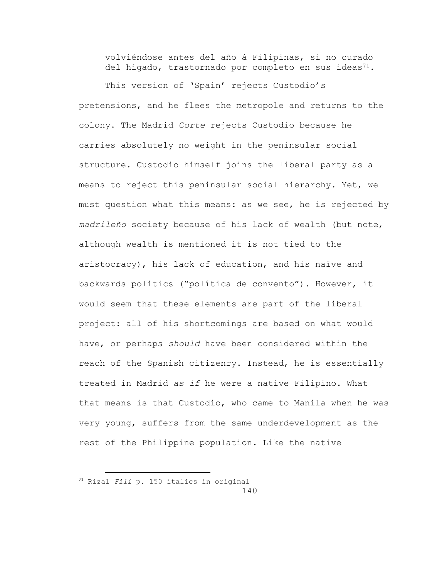volviéndose antes del año á Filipinas, si no curado del hígado, trastornado por completo en sus ideas<sup>71</sup>.

This version of 'Spain' rejects Custodio's pretensions, and he flees the metropole and returns to the colony. The Madrid *Corte* rejects Custodio because he carries absolutely no weight in the peninsular social structure. Custodio himself joins the liberal party as a means to reject this peninsular social hierarchy. Yet, we must question what this means: as we see, he is rejected by *madrileño* society because of his lack of wealth (but note, although wealth is mentioned it is not tied to the aristocracy), his lack of education, and his naïve and backwards politics ("política de convento"). However, it would seem that these elements are part of the liberal project: all of his shortcomings are based on what would have, or perhaps *should* have been considered within the reach of the Spanish citizenry. Instead, he is essentially treated in Madrid *as if* he were a native Filipino. What that means is that Custodio, who came to Manila when he was very young, suffers from the same underdevelopment as the rest of the Philippine population. Like the native

<sup>140</sup> <sup>71</sup> Rizal *Fili* p. 150 italics in original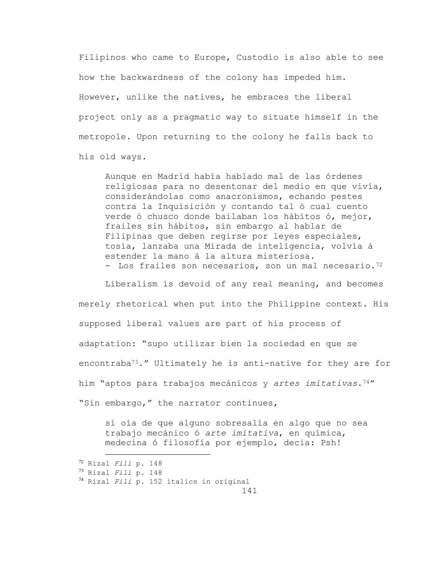Filipinos who came to Europe, Custodio is also able to see how the backwardness of the colony has impeded him. However, unlike the natives, he embraces the liberal project only as a pragmatic way to situate himself in the metropole. Upon returning to the colony he falls back to his old ways.

Aunque en Madrid había hablado mal de las órdenes religiosas para no desentonar del medio en que vivía, considerándolas como anacronismos, echando pestes contra la Inquisición y contando tal ó cual cuento verde ó chusco donde bailaban los hábitos ó, mejor, frailes sin hábitos, sin embargo al hablar de Filipinas que deben regirse por leyes especiales, tosía, lanzaba una Mirada de inteligencia, volvía á estender la mano á la altura misteriosa. - Los frailes son necesarios, son un mal necesario.<sup>72</sup>

Liberalism is devoid of any real meaning, and becomes merely rhetorical when put into the Philippine context. His supposed liberal values are part of his process of adaptation: "supo utilizar bien la sociedad en que se encontraba<sup>73</sup>." Ultimately he is anti-native for they are for him "aptos para trabajos mecánicos y *artes imitativas*.74" "Sin embargo," the narrator continues,

si oía de que alguno sobresalía en algo que no sea trabajo mecánico ó *arte imitativa*, en química, medecina ó filosofía por ejemplo, decia: Psh!

<sup>72</sup> Rizal *Fili* p. 148

<sup>73</sup> Rizal *Fili* p. 148

<sup>74</sup> Rizal *Fili* p. 152 italics in original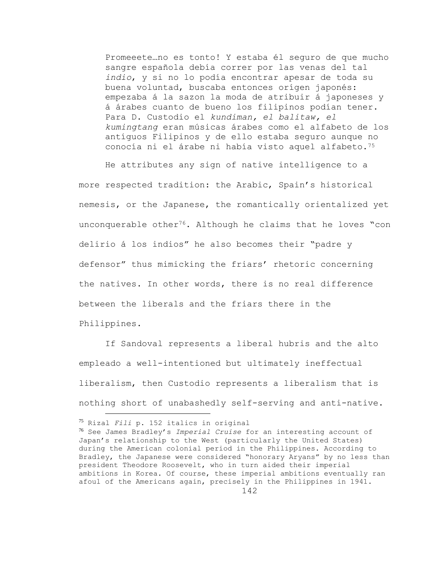Promeeete…no es tonto! Y estaba él seguro de que mucho sangre española debía correr por las venas del tal *indio*, y si no lo podía encontrar apesar de toda su buena voluntad, buscaba entonces orígen japonés: empezaba á la sazon la moda de atribuir á japoneses y á árabes cuanto de bueno los filipinos podían tener. Para D. Custodio el *kundiman, el balitaw, el kumingtang* eran músicas árabes como el alfabeto de los antíguos Filipinos y de ello estaba seguro aunque no conocía ni el árabe ni había visto aquel alfabeto.<sup>75</sup>

He attributes any sign of native intelligence to a more respected tradition: the Arabic, Spain's historical nemesis, or the Japanese, the romantically orientalized yet unconquerable other<sup>76</sup>. Although he claims that he loves "con delirio á los indios" he also becomes their "padre y defensor" thus mimicking the friars' rhetoric concerning the natives. In other words, there is no real difference between the liberals and the friars there in the Philippines.

If Sandoval represents a liberal hubris and the alto empleado a well-intentioned but ultimately ineffectual liberalism, then Custodio represents a liberalism that is nothing short of unabashedly self-serving and anti-native.

<sup>75</sup> Rizal *Fili* p. 152 italics in original

<sup>76</sup> See James Bradley's *Imperial Cruise* for an interesting account of Japan's relationship to the West (particularly the United States) during the American colonial period in the Philippines. According to Bradley, the Japanese were considered "honorary Aryans" by no less than president Theodore Roosevelt, who in turn aided their imperial ambitions in Korea. Of course, these imperial ambitions eventually ran afoul of the Americans again, precisely in the Philippines in 1941.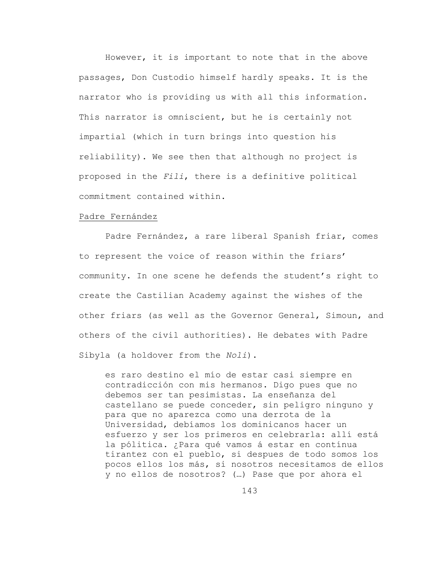However, it is important to note that in the above passages, Don Custodio himself hardly speaks. It is the narrator who is providing us with all this information. This narrator is omniscient, but he is certainly not impartial (which in turn brings into question his reliability). We see then that although no project is proposed in the *Fili*, there is a definitive political commitment contained within.

## Padre Fernández

Padre Fernández, a rare liberal Spanish friar, comes to represent the voice of reason within the friars' community. In one scene he defends the student's right to create the Castilian Academy against the wishes of the other friars (as well as the Governor General, Simoun, and others of the civil authorities). He debates with Padre Sibyla (a holdover from the *Noli*).

es raro destino el mío de estar casi siempre en contradicción con mis hermanos. Digo pues que no debemos ser tan pesimistas. La enseñanza del castellano se puede conceder, sin peligro ninguno y para que no aparezca como una derrota de la Universidad, debíamos los dominicanos hacer un esfuerzo y ser los primeros en celebrarla: allí está la pólitica. ¿Para qué vamos á estar en contínua tirantez con el pueblo, si despues de todo somos los pocos ellos los más, si nosotros necesitamos de ellos y no ellos de nosotros? (…) Pase que por ahora el

143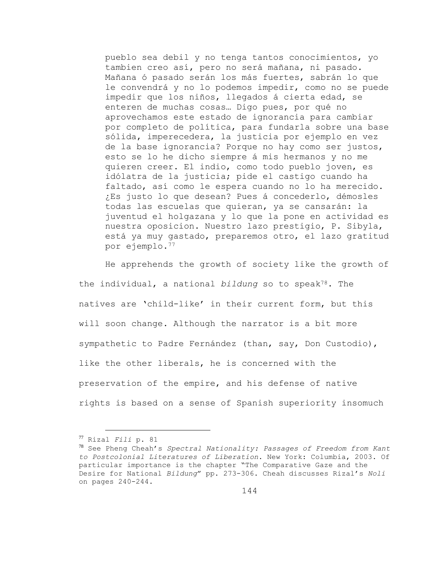pueblo sea debil y no tenga tantos conocimientos, yo tambien creo así, pero no será mañana, ni pasado. Mañana ó pasado serán los más fuertes, sabrán lo que le convendrá y no lo podemos impedir, como no se puede impedir que los niños, llegados á cierta edad, se enteren de muchas cosas… Digo pues, por qué no aprovechamos este estado de ignorancia para cambiar por completo de política, para fundarla sobre una base sólida, imperecedera, la justicia por ejemplo en vez de la base ignorancia? Porque no hay como ser justos, esto se lo he dicho siempre á mis hermanos y no me quieren creer. El indio, como todo pueblo joven, es idólatra de la justicia; pide el castigo cuando ha faltado, así como le espera cuando no lo ha merecido. ¿Es justo lo que desean? Pues á concederlo, démosles todas las escuelas que quieran, ya se cansarán: la juventud el holgazana y lo que la pone en actividad es nuestra oposicion. Nuestro lazo prestigio, P. Sibyla, está ya muy gastado, preparemos otro, el lazo gratitud por ejemplo.<sup>77</sup>

He apprehends the growth of society like the growth of the individual, a national *bildung* so to speak78. The natives are 'child-like' in their current form, but this will soon change. Although the narrator is a bit more sympathetic to Padre Fernández (than, say, Don Custodio), like the other liberals, he is concerned with the preservation of the empire, and his defense of native rights is based on a sense of Spanish superiority insomuch

<sup>77</sup> Rizal *Fili* p. 81

<sup>78</sup> See Pheng Cheah's *Spectral Nationality: Passages of Freedom from Kant to Postcolonial Literatures of Liberation*. New York: Columbia, 2003. Of particular importance is the chapter "The Comparative Gaze and the Desire for National *Bildung*" pp. 273-306. Cheah discusses Rizal's *Noli* on pages 240-244.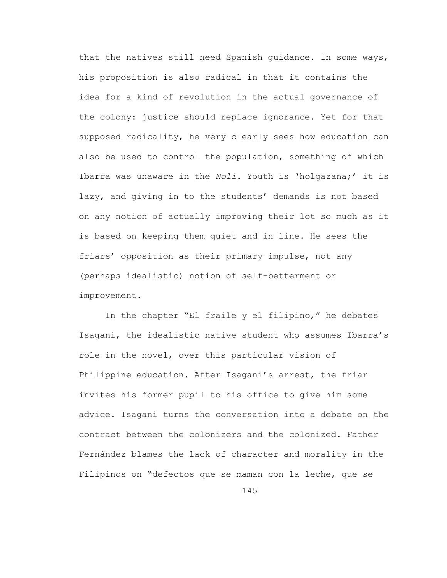that the natives still need Spanish guidance. In some ways, his proposition is also radical in that it contains the idea for a kind of revolution in the actual governance of the colony: justice should replace ignorance. Yet for that supposed radicality, he very clearly sees how education can also be used to control the population, something of which Ibarra was unaware in the *Noli*. Youth is 'holgazana;' it is lazy, and giving in to the students' demands is not based on any notion of actually improving their lot so much as it is based on keeping them quiet and in line. He sees the friars' opposition as their primary impulse, not any (perhaps idealistic) notion of self-betterment or improvement.

In the chapter "El fraile y el filipino," he debates Isagani, the idealistic native student who assumes Ibarra's role in the novel, over this particular vision of Philippine education. After Isagani's arrest, the friar invites his former pupil to his office to give him some advice. Isagani turns the conversation into a debate on the contract between the colonizers and the colonized. Father Fernández blames the lack of character and morality in the Filipinos on "defectos que se maman con la leche, que se

145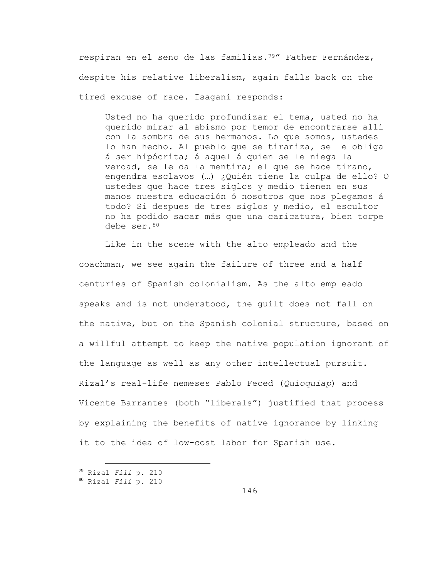respiran en el seno de las familias.79" Father Fernández, despite his relative liberalism, again falls back on the tired excuse of race. Isagani responds:

Usted no ha querido profundizar el tema, usted no ha querido mirar al abismo por temor de encontrarse allí con la sombra de sus hermanos. Lo que somos, ustedes lo han hecho. Al pueblo que se tiraniza, se le obliga á ser hipócrita; á aquel á quien se le niega la verdad, se le da la mentira; el que se hace tirano, engendra esclavos (…) ¿Quién tiene la culpa de ello? O ustedes que hace tres siglos y medio tienen en sus manos nuestra educación ó nosotros que nos plegamos á todo? Si despues de tres siglos y medio, el escultor no ha podido sacar más que una caricatura, bien torpe debe ser.<sup>80</sup>

Like in the scene with the alto empleado and the coachman, we see again the failure of three and a half centuries of Spanish colonialism. As the alto empleado speaks and is not understood, the guilt does not fall on the native, but on the Spanish colonial structure, based on a willful attempt to keep the native population ignorant of the language as well as any other intellectual pursuit. Rizal's real-life nemeses Pablo Feced (*Quioquiap*) and Vicente Barrantes (both "liberals") justified that process by explaining the benefits of native ignorance by linking it to the idea of low-cost labor for Spanish use.

<sup>79</sup> Rizal *Fili* p. 210

<sup>80</sup> Rizal *Fili* p. 210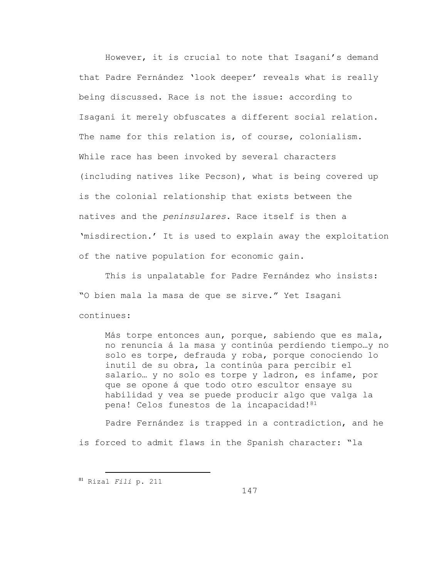However, it is crucial to note that Isagani's demand that Padre Fernández 'look deeper' reveals what is really being discussed. Race is not the issue: according to Isagani it merely obfuscates a different social relation. The name for this relation is, of course, colonialism. While race has been invoked by several characters (including natives like Pecson), what is being covered up is the colonial relationship that exists between the natives and the *peninsulares*. Race itself is then a 'misdirection.' It is used to explain away the exploitation of the native population for economic gain.

This is unpalatable for Padre Fernández who insists: "O bien mala la masa de que se sirve." Yet Isagani continues:

Más torpe entonces aun, porque, sabiendo que es mala, no renuncia á la masa y continúa perdiendo tiempo…y no solo es torpe, defrauda y roba, porque conociendo lo inutil de su obra, la continúa para percibir el salario… y no solo es torpe y ladron, es infame, por que se opone á que todo otro escultor ensaye su habilidad y vea se puede producir algo que valga la pena! Celos funestos de la incapacidad!<sup>81</sup>

Padre Fernández is trapped in a contradiction, and he is forced to admit flaws in the Spanish character: "la

<sup>81</sup> Rizal *Fili* p. 211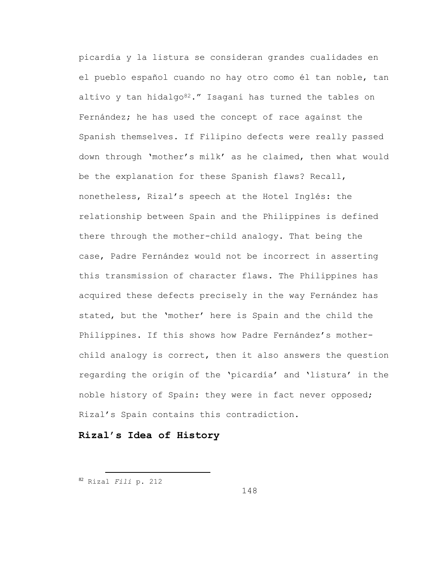picardía y la listura se consideran grandes cualidades en el pueblo español cuando no hay otro como él tan noble, tan altivo y tan hidalgo $82.$ " Isagani has turned the tables on Fernández; he has used the concept of race against the Spanish themselves. If Filipino defects were really passed down through 'mother's milk' as he claimed, then what would be the explanation for these Spanish flaws? Recall, nonetheless, Rizal's speech at the Hotel Inglés: the relationship between Spain and the Philippines is defined there through the mother-child analogy. That being the case, Padre Fernández would not be incorrect in asserting this transmission of character flaws. The Philippines has acquired these defects precisely in the way Fernández has stated, but the 'mother' here is Spain and the child the Philippines. If this shows how Padre Fernández's motherchild analogy is correct, then it also answers the question regarding the origin of the 'picardía' and 'listura' in the noble history of Spain: they were in fact never opposed; Rizal's Spain contains this contradiction.

## **Rizal's Idea of History**

<sup>82</sup> Rizal *Fili* p. 212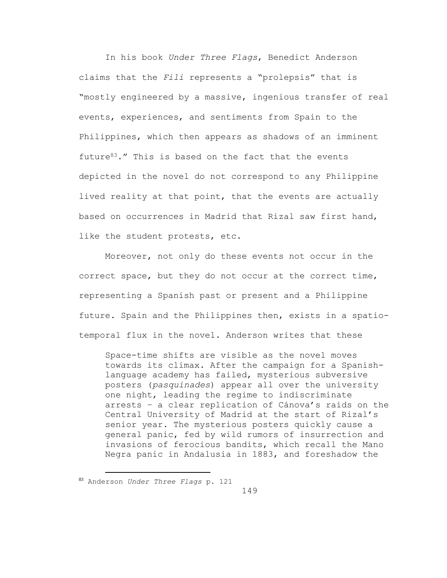In his book *Under Three Flags*, Benedict Anderson claims that the *Fili* represents a "prolepsis" that is "mostly engineered by a massive, ingenious transfer of real events, experiences, and sentiments from Spain to the Philippines, which then appears as shadows of an imminent future $83.$ " This is based on the fact that the events depicted in the novel do not correspond to any Philippine lived reality at that point, that the events are actually based on occurrences in Madrid that Rizal saw first hand, like the student protests, etc.

Moreover, not only do these events not occur in the correct space, but they do not occur at the correct time, representing a Spanish past or present and a Philippine future. Spain and the Philippines then, exists in a spatiotemporal flux in the novel. Anderson writes that these

Space-time shifts are visible as the novel moves towards its climax. After the campaign for a Spanishlanguage academy has failed, mysterious subversive posters (*pasquinades*) appear all over the university one night, leading the regime to indiscriminate arrests – a clear replication of Cánova's raids on the Central University of Madrid at the start of Rizal's senior year. The mysterious posters quickly cause a general panic, fed by wild rumors of insurrection and invasions of ferocious bandits, which recall the Mano Negra panic in Andalusia in 1883, and foreshadow the

<sup>83</sup> Anderson *Under Three Flags* p. 121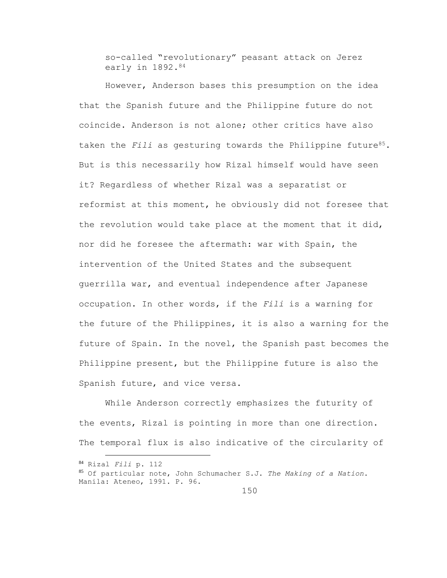so-called "revolutionary" peasant attack on Jerez early in 1892.<sup>84</sup>

However, Anderson bases this presumption on the idea that the Spanish future and the Philippine future do not coincide. Anderson is not alone; other critics have also taken the *Fili* as gesturing towards the Philippine future<sup>85</sup>. But is this necessarily how Rizal himself would have seen it? Regardless of whether Rizal was a separatist or reformist at this moment, he obviously did not foresee that the revolution would take place at the moment that it did, nor did he foresee the aftermath: war with Spain, the intervention of the United States and the subsequent guerrilla war, and eventual independence after Japanese occupation. In other words, if the *Fili* is a warning for the future of the Philippines, it is also a warning for the future of Spain. In the novel, the Spanish past becomes the Philippine present, but the Philippine future is also the Spanish future, and vice versa.

While Anderson correctly emphasizes the futurity of the events, Rizal is pointing in more than one direction. The temporal flux is also indicative of the circularity of

<sup>84</sup> Rizal *Fili* p. 112 <sup>85</sup> Of particular note, John Schumacher S.J. *The Making of a Nation*. Manila: Ateneo, 1991. P. 96.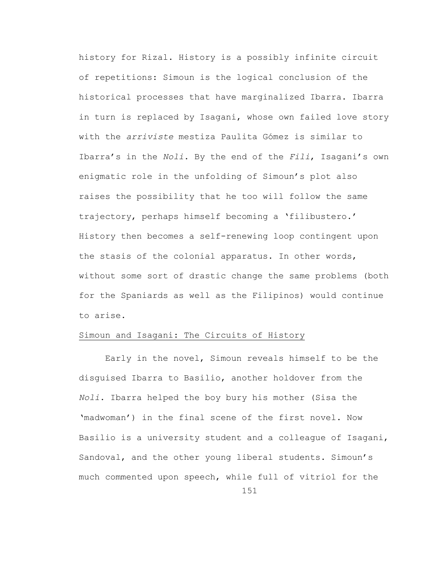history for Rizal. History is a possibly infinite circuit of repetitions: Simoun is the logical conclusion of the historical processes that have marginalized Ibarra. Ibarra in turn is replaced by Isagani, whose own failed love story with the *arriviste* mestiza Paulita Gómez is similar to Ibarra's in the *Noli*. By the end of the *Fili*, Isagani's own enigmatic role in the unfolding of Simoun's plot also raises the possibility that he too will follow the same trajectory, perhaps himself becoming a 'filibustero.' History then becomes a self-renewing loop contingent upon the stasis of the colonial apparatus. In other words, without some sort of drastic change the same problems (both for the Spaniards as well as the Filipinos) would continue to arise.

## Simoun and Isagani: The Circuits of History

Early in the novel, Simoun reveals himself to be the disguised Ibarra to Basilio, another holdover from the *Noli*. Ibarra helped the boy bury his mother (Sisa the 'madwoman') in the final scene of the first novel. Now Basilio is a university student and a colleague of Isagani, Sandoval, and the other young liberal students. Simoun's much commented upon speech, while full of vitriol for the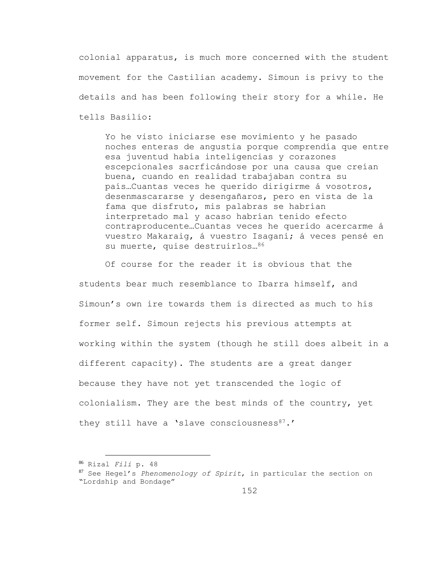colonial apparatus, is much more concerned with the student movement for the Castilian academy. Simoun is privy to the details and has been following their story for a while. He tells Basilio:

Yo he visto iniciarse ese movimiento y he pasado noches enteras de angustia porque comprendía que entre esa juventud había inteligencias y corazones escepcionales sacrficándose por una causa que creían buena, cuando en realidad trabajaban contra su país…Cuantas veces he querido dirigirme á vosotros, desenmascararse y desengañaros, pero en vista de la fama que disfruto, mis palabras se habrían interpretado mal y acaso habrían tenido efecto contraproducente…Cuantas veces he querido acercarme á vuestro Makaraig, á vuestro Isagani; á veces pensé en su muerte, quise destruirlos…<sup>86</sup>

Of course for the reader it is obvious that the students bear much resemblance to Ibarra himself, and Simoun's own ire towards them is directed as much to his former self. Simoun rejects his previous attempts at working within the system (though he still does albeit in a different capacity). The students are a great danger because they have not yet transcended the logic of colonialism. They are the best minds of the country, yet they still have a 'slave consciousness<sup>87</sup>.'

<sup>86</sup> Rizal *Fili* p. 48

<sup>87</sup> See Hegel's *Phenomenology of Spirit*, in particular the section on "Lordship and Bondage"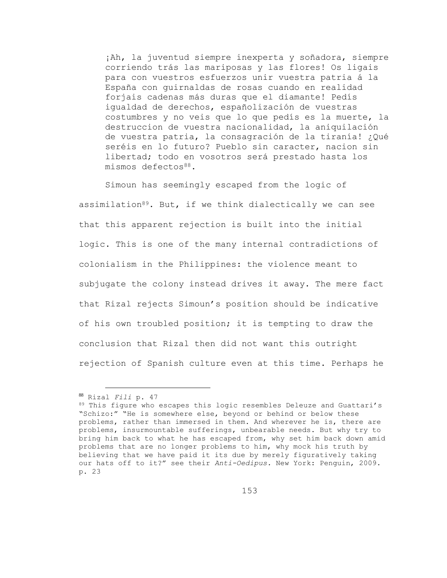¡Ah, la juventud siempre inexperta y soñadora, siempre corriendo trás las mariposas y las flores! Os ligais para con vuestros esfuerzos unir vuestra patria á la España con guirnaldas de rosas cuando en realidad forjais cadenas más duras que el diamante! Pedís igualdad de derechos, españolización de vuestras costumbres y no veis que lo que pedís es la muerte, la destruccion de vuestra nacionalidad, la aniquilación de vuestra patria, la consagración de la tiranía! ¿Qué seréis en lo futuro? Pueblo sin caracter, nacion sin libertad; todo en vosotros será prestado hasta los mismos defectos<sup>88</sup>.

Simoun has seemingly escaped from the logic of assimilation $89$ . But, if we think dialectically we can see that this apparent rejection is built into the initial logic. This is one of the many internal contradictions of colonialism in the Philippines: the violence meant to subjugate the colony instead drives it away. The mere fact that Rizal rejects Simoun's position should be indicative of his own troubled position; it is tempting to draw the conclusion that Rizal then did not want this outright rejection of Spanish culture even at this time. Perhaps he

<sup>88</sup> Rizal *Fili* p. 47

<sup>89</sup> This figure who escapes this logic resembles Deleuze and Guattari's "Schizo:" "He is somewhere else, beyond or behind or below these problems, rather than immersed in them. And wherever he is, there are problems, insurmountable sufferings, unbearable needs. But why try to bring him back to what he has escaped from, why set him back down amid problems that are no longer problems to him, why mock his truth by believing that we have paid it its due by merely figuratively taking our hats off to it?" see their *Anti-Oedipus.* New York: Penguin, 2009. p. 23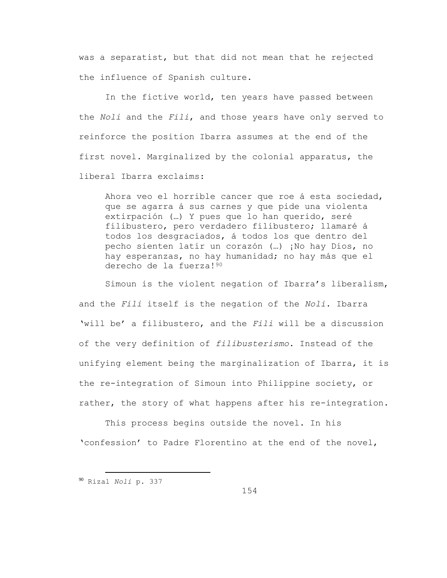was a separatist, but that did not mean that he rejected the influence of Spanish culture.

In the fictive world, ten years have passed between the *Noli* and the *Fili*, and those years have only served to reinforce the position Ibarra assumes at the end of the first novel. Marginalized by the colonial apparatus, the liberal Ibarra exclaims:

Ahora veo el horrible cancer que roe á esta sociedad, que se agarra á sus carnes y que pide una violenta extirpación (…) Y pues que lo han querido, seré filibustero, pero verdadero filibustero; llamaré á todos los desgraciados, á todos los que dentro del pecho sienten latir un corazón (…) ¡No hay Dios, no hay esperanzas, no hay humanidad; no hay más que el derecho de la fuerza!<sup>90</sup>

Simoun is the violent negation of Ibarra's liberalism, and the *Fili* itself is the negation of the *Noli*. Ibarra 'will be' a filibustero, and the *Fili* will be a discussion of the very definition of *filibusterismo*. Instead of the unifying element being the marginalization of Ibarra, it is the re-integration of Simoun into Philippine society, or rather, the story of what happens after his re-integration.

This process begins outside the novel. In his 'confession' to Padre Florentino at the end of the novel,

<sup>90</sup> Rizal *Noli* p. 337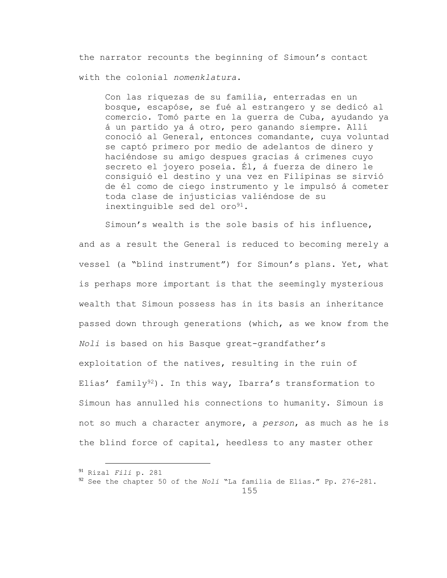the narrator recounts the beginning of Simoun's contact with the colonial *nomenklatura*.

Con las riquezas de su familia, enterradas en un bosque, escapóse, se fué al estrangero y se dedicó al comercio. Tomó parte en la guerra de Cuba, ayudando ya á un partido ya á otro, pero ganando siempre. Allí conoció al General, entonces comandante, cuya voluntad se captó primero por medio de adelantos de dinero y haciéndose su amigo despues gracias á crímenes cuyo secreto el joyero poseía. Él, á fuerza de dinero le consiguió el destino y una vez en Filipinas se sirvió de él como de ciego instrumento y le impulsó á cometer toda clase de injusticias valiéndose de su inextinguible sed del oro<sup>91</sup>.

Simoun's wealth is the sole basis of his influence, and as a result the General is reduced to becoming merely a vessel (a "blind instrument") for Simoun's plans. Yet, what is perhaps more important is that the seemingly mysterious wealth that Simoun possess has in its basis an inheritance passed down through generations (which, as we know from the *Noli* is based on his Basque great-grandfather's exploitation of the natives, resulting in the ruin of Elías' family<sup>92</sup>). In this way, Ibarra's transformation to Simoun has annulled his connections to humanity. Simoun is not so much a character anymore, a *person*, as much as he is the blind force of capital, heedless to any master other

<sup>91</sup> Rizal *Fili* p. 281

<sup>92</sup> See the chapter 50 of the *Noli* "La familia de Elías." Pp. 276-281.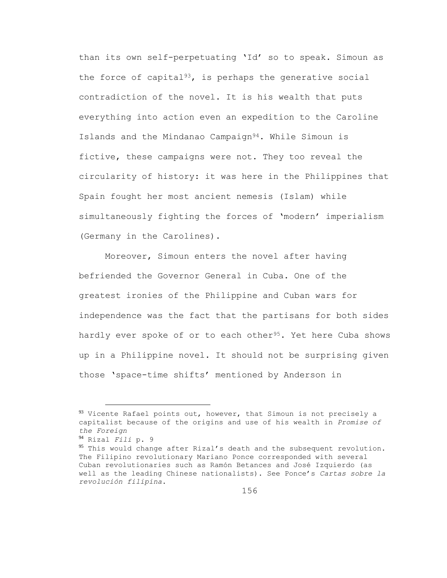than its own self-perpetuating 'Id' so to speak. Simoun as the force of capital<sup>93</sup>, is perhaps the generative social contradiction of the novel. It is his wealth that puts everything into action even an expedition to the Caroline Islands and the Mindanao Campaign94. While Simoun is fictive, these campaigns were not. They too reveal the circularity of history: it was here in the Philippines that Spain fought her most ancient nemesis (Islam) while simultaneously fighting the forces of 'modern' imperialism (Germany in the Carolines).

Moreover, Simoun enters the novel after having befriended the Governor General in Cuba. One of the greatest ironies of the Philippine and Cuban wars for independence was the fact that the partisans for both sides hardly ever spoke of or to each other<sup>95</sup>. Yet here Cuba shows up in a Philippine novel. It should not be surprising given those 'space-time shifts' mentioned by Anderson in

 $93$  Vicente Rafael points out, however, that Simoun is not precisely a capitalist because of the origins and use of his wealth in *Promise of the Foreign*

<sup>94</sup> Rizal *Fili* p. 9

<sup>&</sup>lt;sup>95</sup> This would change after Rizal's death and the subsequent revolution. The Filipino revolutionary Mariano Ponce corresponded with several Cuban revolutionaries such as Ramón Betances and José Izquierdo (as well as the leading Chinese nationalists). See Ponce's *Cartas sobre la revolución filipina*.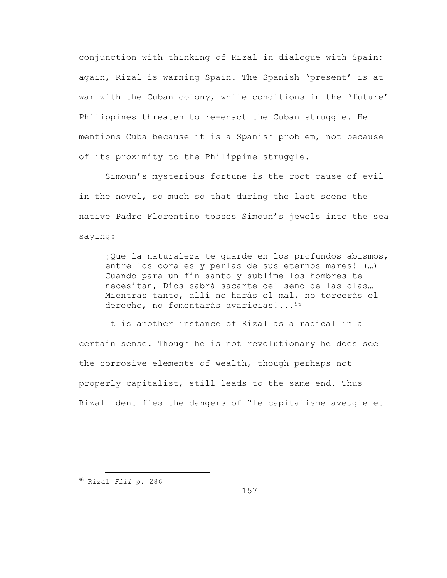conjunction with thinking of Rizal in dialogue with Spain: again, Rizal is warning Spain. The Spanish 'present' is at war with the Cuban colony, while conditions in the 'future' Philippines threaten to re-enact the Cuban struggle. He mentions Cuba because it is a Spanish problem, not because of its proximity to the Philippine struggle.

Simoun's mysterious fortune is the root cause of evil in the novel, so much so that during the last scene the native Padre Florentino tosses Simoun's jewels into the sea saying:

¡Que la naturaleza te guarde en los profundos abismos, entre los corales y perlas de sus eternos mares! (…) Cuando para un fin santo y sublime los hombres te necesitan, Dios sabrá sacarte del seno de las olas… Mientras tanto, allí no harás el mal, no torcerás el derecho, no fomentarás avaricias!...<sup>96</sup>

It is another instance of Rizal as a radical in a certain sense. Though he is not revolutionary he does see the corrosive elements of wealth, though perhaps not properly capitalist, still leads to the same end. Thus Rizal identifies the dangers of "le capitalisme aveugle et

÷.

157

<sup>96</sup> Rizal *Fili* p. 286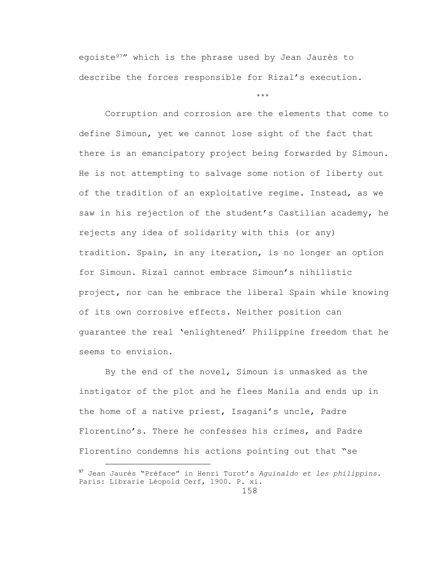egoiste97" which is the phrase used by Jean Jaurès to describe the forces responsible for Rizal's execution.

\*\*\*

Corruption and corrosion are the elements that come to define Simoun, yet we cannot lose sight of the fact that there is an emancipatory project being forwarded by Simoun. He is not attempting to salvage some notion of liberty out of the tradition of an exploitative regime. Instead, as we saw in his rejection of the student's Castilian academy, he rejects any idea of solidarity with this (or any) tradition. Spain, in any iteration, is no longer an option for Simoun. Rizal cannot embrace Simoun's nihilistic project, nor can he embrace the liberal Spain while knowing of its own corrosive effects. Neither position can guarantee the real 'enlightened' Philippine freedom that he seems to envision.

By the end of the novel, Simoun is unmasked as the instigator of the plot and he flees Manila and ends up in the home of a native priest, Isagani's uncle, Padre Florentino's. There he confesses his crimes, and Padre Florentino condemns his actions pointing out that "se

<sup>97</sup> Jean Jaurés "Préface" in Henri Turot's *Aguinaldo et les philippins*. Paris: Librarie Léopold Cerf, 1900. P. xi.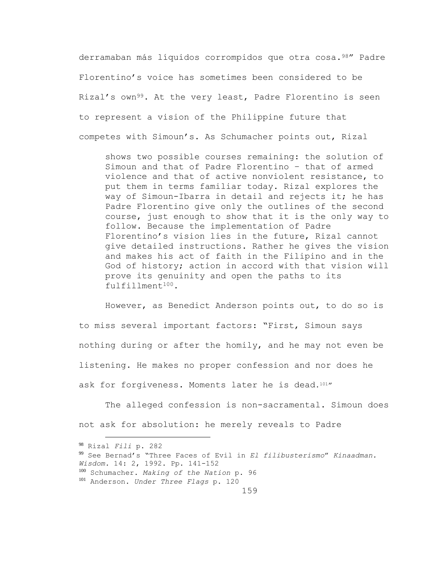derramaban más líquidos corrompidos que otra cosa.<sup>98</sup>" Padre Florentino's voice has sometimes been considered to be Rizal's own<sup>99</sup>. At the very least, Padre Florentino is seen to represent a vision of the Philippine future that competes with Simoun's. As Schumacher points out, Rizal

shows two possible courses remaining: the solution of Simoun and that of Padre Florentino – that of armed violence and that of active nonviolent resistance, to put them in terms familiar today. Rizal explores the way of Simoun-Ibarra in detail and rejects it; he has Padre Florentino give only the outlines of the second course, just enough to show that it is the only way to follow. Because the implementation of Padre Florentino's vision lies in the future, Rizal cannot give detailed instructions. Rather he gives the vision and makes his act of faith in the Filipino and in the God of history; action in accord with that vision will prove its genuinity and open the paths to its fulfillment100.

However, as Benedict Anderson points out, to do so is to miss several important factors: "First, Simoun says nothing during or after the homily, and he may not even be listening. He makes no proper confession and nor does he ask for forgiveness. Moments later he is dead.101"

The alleged confession is non-sacramental. Simoun does not ask for absolution: he merely reveals to Padre

÷.

<sup>99</sup> See Bernad's "Three Faces of Evil in *El filibusterismo*" *Kinaadman.* 

<sup>100</sup> Schumacher. *Making of the Nation* p. 96

<sup>101</sup> Anderson. *Under Three Flags* p. 120

<sup>98</sup> Rizal *Fili* p. 282

*Wisdom.* 14: 2, 1992. Pp. 141-152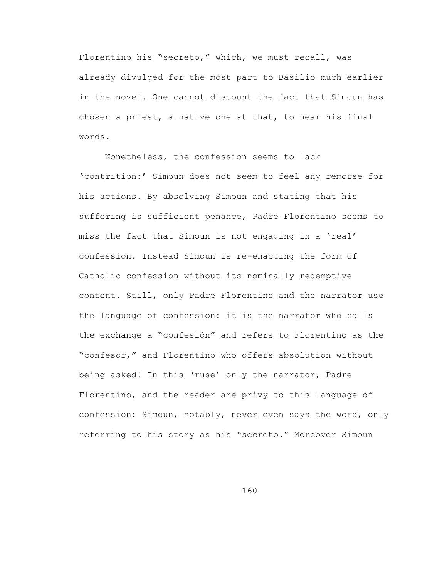Florentino his "secreto," which, we must recall, was already divulged for the most part to Basilio much earlier in the novel. One cannot discount the fact that Simoun has chosen a priest, a native one at that, to hear his final words.

Nonetheless, the confession seems to lack 'contrition:' Simoun does not seem to feel any remorse for his actions. By absolving Simoun and stating that his suffering is sufficient penance, Padre Florentino seems to miss the fact that Simoun is not engaging in a 'real' confession. Instead Simoun is re-enacting the form of Catholic confession without its nominally redemptive content. Still, only Padre Florentino and the narrator use the language of confession: it is the narrator who calls the exchange a "confesión" and refers to Florentino as the "confesor," and Florentino who offers absolution without being asked! In this 'ruse' only the narrator, Padre Florentino, and the reader are privy to this language of confession: Simoun, notably, never even says the word, only referring to his story as his "secreto." Moreover Simoun

160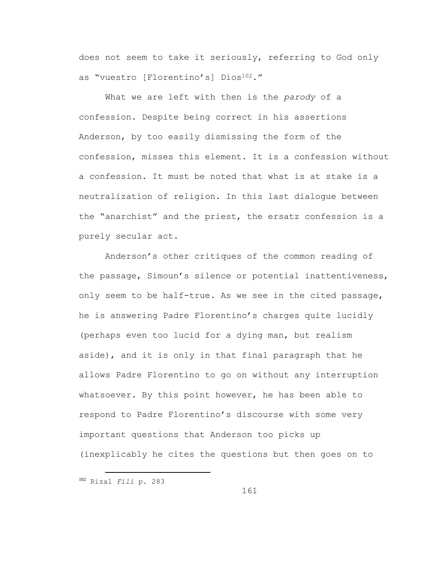does not seem to take it seriously, referring to God only as "vuestro [Florentino's] Dios<sup>102</sup>."

What we are left with then is the *parody* of a confession. Despite being correct in his assertions Anderson, by too easily dismissing the form of the confession, misses this element. It is a confession without a confession. It must be noted that what is at stake is a neutralization of religion. In this last dialogue between the "anarchist" and the priest, the ersatz confession is a purely secular act.

Anderson's other critiques of the common reading of the passage, Simoun's silence or potential inattentiveness, only seem to be half-true. As we see in the cited passage, he is answering Padre Florentino's charges quite lucidly (perhaps even too lucid for a dying man, but realism aside), and it is only in that final paragraph that he allows Padre Florentino to go on without any interruption whatsoever. By this point however, he has been able to respond to Padre Florentino's discourse with some very important questions that Anderson too picks up (inexplicably he cites the questions but then goes on to

<sup>102</sup> Rizal *Fili* p. 283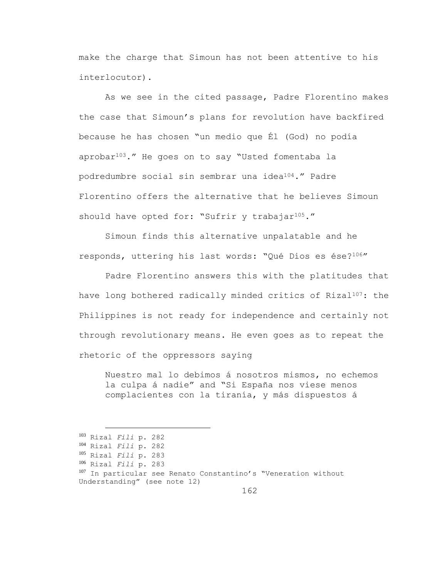make the charge that Simoun has not been attentive to his interlocutor).

As we see in the cited passage, Padre Florentino makes the case that Simoun's plans for revolution have backfired because he has chosen "un medio que Él (God) no podía aprobar103." He goes on to say "Usted fomentaba la podredumbre social sin sembrar una idea104." Padre Florentino offers the alternative that he believes Simoun should have opted for: "Sufrir y trabajar<sup>105</sup>."

Simoun finds this alternative unpalatable and he responds, uttering his last words: "Qué Dios es ése?106"

Padre Florentino answers this with the platitudes that have long bothered radically minded critics of Rizal<sup>107</sup>: the Philippines is not ready for independence and certainly not through revolutionary means. He even goes as to repeat the rhetoric of the oppressors saying

Nuestro mal lo debimos á nosotros mismos, no echemos la culpa á nadie" and "Si España nos viese menos complacientes con la tiranía, y más dispuestos á

<sup>103</sup> Rizal *Fili* p. 282 <sup>104</sup> Rizal *Fili* p. 282 <sup>105</sup> Rizal *Fili* p. 283 <sup>106</sup> Rizal *Fili* p. 283 107 In particular see Renato Constantino's "Veneration without Understanding" (see note 12)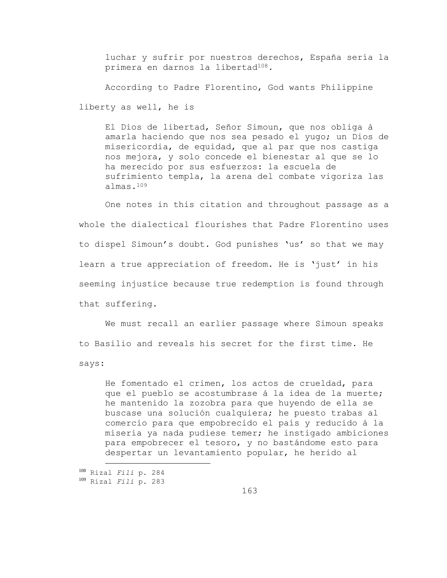luchar y sufrir por nuestros derechos, España sería la primera en darnos la libertad<sup>108</sup>.

According to Padre Florentino, God wants Philippine

liberty as well, he is

El Dios de libertad, Señor Simoun, que nos obliga á amarla haciendo que nos sea pesado el yugo; un Dios de misericordia, de equidad, que al par que nos castiga nos mejora, y solo concede el bienestar al que se lo ha merecido por sus esfuerzos: la escuela de sufrimiento templa, la arena del combate vigoriza las almas.<sup>109</sup>

One notes in this citation and throughout passage as a whole the dialectical flourishes that Padre Florentino uses to dispel Simoun's doubt. God punishes 'us' so that we may learn a true appreciation of freedom. He is 'just' in his seeming injustice because true redemption is found through that suffering.

We must recall an earlier passage where Simoun speaks to Basilio and reveals his secret for the first time. He says:

He fomentado el crimen, los actos de crueldad, para que el pueblo se acostumbrase á la idea de la muerte; he mantenido la zozobra para que huyendo de ella se buscase una solución cualquiera; he puesto trabas al comercio para que empobrecido el país y reducido á la miseria ya nada pudiese temer; he instigado ambiciones para empobrecer el tesoro, y no bastándome esto para despertar un levantamiento popular, he herido al

<sup>108</sup> Rizal *Fili* p. 284 <sup>109</sup> Rizal *Fili* p. 283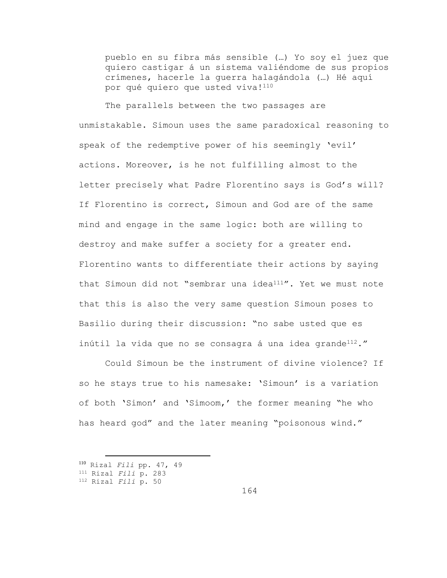pueblo en su fibra más sensible (…) Yo soy el juez que quiero castigar á un sistema valiéndome de sus propios crímenes, hacerle la guerra halagándola (…) Hé aquí por qué quiero que usted viva!<sup>110</sup>

The parallels between the two passages are unmistakable. Simoun uses the same paradoxical reasoning to speak of the redemptive power of his seemingly 'evil' actions. Moreover, is he not fulfilling almost to the letter precisely what Padre Florentino says is God's will? If Florentino is correct, Simoun and God are of the same mind and engage in the same logic: both are willing to destroy and make suffer a society for a greater end. Florentino wants to differentiate their actions by saying that Simoun did not "sembrar una idea $111''$ . Yet we must note that this is also the very same question Simoun poses to Basilio during their discussion: "no sabe usted que es inútil la vida que no se consagra á una idea grande<sup>112</sup>."

Could Simoun be the instrument of divine violence? If so he stays true to his namesake: 'Simoun' is a variation of both 'Simon' and 'Simoom,' the former meaning "he who has heard god" and the later meaning "poisonous wind."

<sup>110</sup> Rizal *Fili* pp. 47, 49

<sup>111</sup> Rizal *Fili* p. 283

<sup>112</sup> Rizal *Fili* p. 50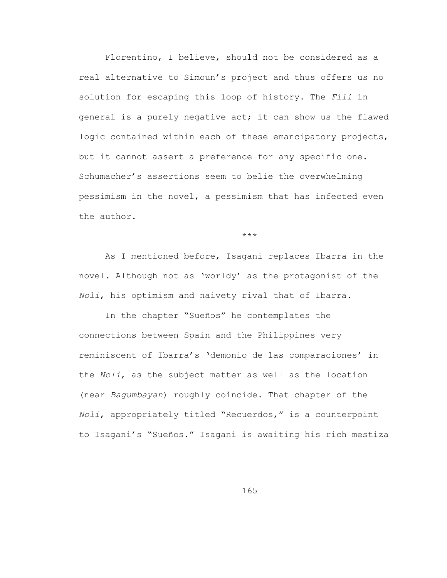Florentino, I believe, should not be considered as a real alternative to Simoun's project and thus offers us no solution for escaping this loop of history. The *Fili* in general is a purely negative act; it can show us the flawed logic contained within each of these emancipatory projects, but it cannot assert a preference for any specific one. Schumacher's assertions seem to belie the overwhelming pessimism in the novel, a pessimism that has infected even the author.

\*\*\*

As I mentioned before, Isagani replaces Ibarra in the novel. Although not as 'worldy' as the protagonist of the *Noli*, his optimism and naivety rival that of Ibarra.

In the chapter "Sueños" he contemplates the connections between Spain and the Philippines very reminiscent of Ibarra's 'demonio de las comparaciones' in the *Noli*, as the subject matter as well as the location (near *Bagumbayan*) roughly coincide. That chapter of the *Noli*, appropriately titled "Recuerdos," is a counterpoint to Isagani's "Sueños." Isagani is awaiting his rich mestiza

165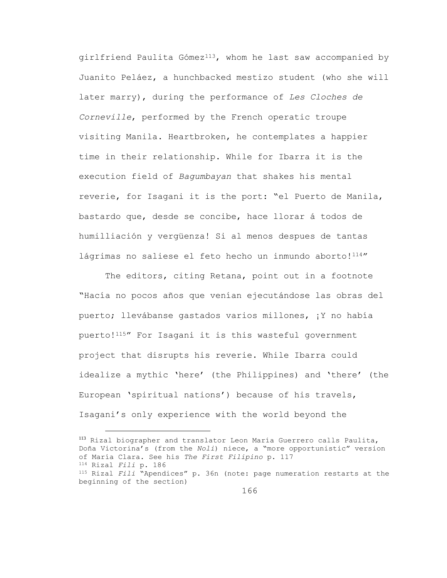girlfriend Paulita Gómez<sup>113</sup>, whom he last saw accompanied by Juanito Peláez, a hunchbacked mestizo student (who she will later marry), during the performance of *Les Cloches de Corneville*, performed by the French operatic troupe visiting Manila. Heartbroken, he contemplates a happier time in their relationship. While for Ibarra it is the execution field of *Bagumbayan* that shakes his mental reverie, for Isagani it is the port: "el Puerto de Manila, bastardo que, desde se concibe, hace llorar á todos de humilliación y vergüenza! Si al menos despues de tantas lágrimas no saliese el feto hecho un inmundo aborto!<sup>114</sup>"

The editors, citing Retana, point out in a footnote "Hacía no pocos años que venían ejecutándose las obras del puerto; llevábanse gastados varios millones, ¡Y no había puerto!115" For Isagani it is this wasteful government project that disrupts his reverie. While Ibarra could idealize a mythic 'here' (the Philippines) and 'there' (the European 'spiritual nations') because of his travels, Isagani's only experience with the world beyond the

<sup>113</sup> Rizal biographer and translator Leon María Guerrero calls Paulita, Doña Victorina's (from the *Noli*) niece, a "more opportunistic" version of María Clara. See his *The First Filipino* p. 117 <sup>114</sup> Rizal *Fili* p. 186 <sup>115</sup> Rizal *Fili* "Apendices" p. 36n (note: page numeration restarts at the beginning of the section)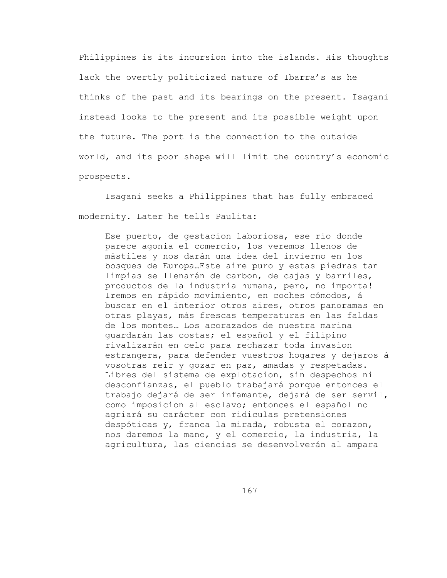Philippines is its incursion into the islands. His thoughts lack the overtly politicized nature of Ibarra's as he thinks of the past and its bearings on the present. Isagani instead looks to the present and its possible weight upon the future. The port is the connection to the outside world, and its poor shape will limit the country's economic prospects.

Isagani seeks a Philippines that has fully embraced modernity. Later he tells Paulita:

Ese puerto, de gestacion laboriosa, ese rio donde parece agonia el comercio, los veremos llenos de mástiles y nos darán una idea del invierno en los bosques de Europa…Este aire puro y estas piedras tan limpias se llenarán de carbon, de cajas y barriles, productos de la industria humana, pero, no importa! Iremos en rápido movimiento, en coches cómodos, á buscar en el interior otros aires, otros panoramas en otras playas, más frescas temperaturas en las faldas de los montes… Los acorazados de nuestra marina guardarán las costas; el español y el filipino rivalizarán en celo para rechazar toda invasion estrangera, para defender vuestros hogares y dejaros á vosotras reir y gozar en paz, amadas y respetadas. Libres del sistema de explotacion, sin despechos ni desconfianzas, el pueblo trabajará porque entonces el trabajo dejará de ser infamante, dejará de ser servil, como imposicion al esclavo; entonces el español no agriará su carácter con ridiculas pretensiones despóticas y, franca la mirada, robusta el corazon, nos daremos la mano, y el comercio, la industria, la agricultura, las ciencias se desenvolverán al ampara

167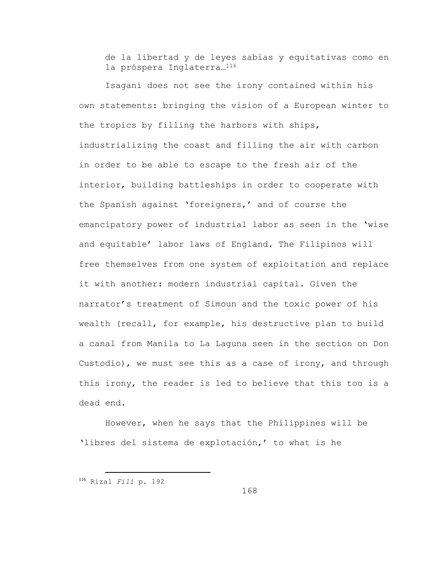de la libertad y de leyes sabias y equitativas como en la próspera Inglaterra…<sup>116</sup>

Isagani does not see the irony contained within his own statements: bringing the vision of a European winter to the tropics by filling the harbors with ships, industrializing the coast and filling the air with carbon in order to be able to escape to the fresh air of the interior, building battleships in order to cooperate with the Spanish against 'foreigners,' and of course the emancipatory power of industrial labor as seen in the 'wise and equitable' labor laws of England. The Filipinos will free themselves from one system of exploitation and replace it with another: modern industrial capital. Given the narrator's treatment of Simoun and the toxic power of his wealth (recall, for example, his destructive plan to build a canal from Manila to La Laguna seen in the section on Don Custodio), we must see this as a case of irony, and through this irony, the reader is led to believe that this too is a dead end.

However, when he says that the Philippines will be 'libres del sistema de explotación,' to what is he

<sup>116</sup> Rizal *Fili* p. 192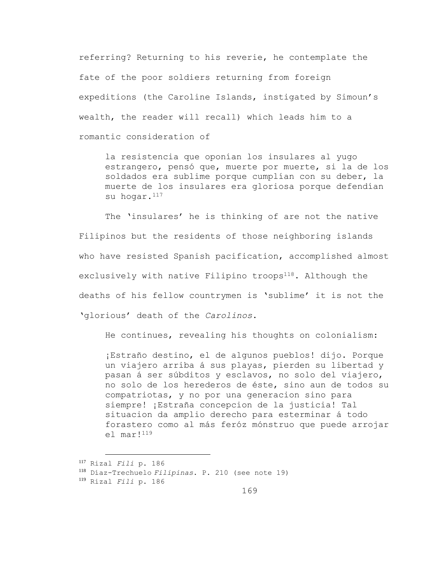referring? Returning to his reverie, he contemplate the fate of the poor soldiers returning from foreign expeditions (the Caroline Islands, instigated by Simoun's wealth, the reader will recall) which leads him to a romantic consideration of

la resistencia que oponían los insulares al yugo estrangero, pensó que, muerte por muerte, si la de los soldados era sublime porque cumplían con su deber, la muerte de los insulares era gloriosa porque defendían su hogar.<sup>117</sup>

The 'insulares' he is thinking of are not the native Filipinos but the residents of those neighboring islands who have resisted Spanish pacification, accomplished almost exclusively with native Filipino troops<sup>118</sup>. Although the deaths of his fellow countrymen is 'sublime' it is not the 'glorious' death of the *Carolinos*.

He continues, revealing his thoughts on colonialism:

¡Estraño destino, el de algunos pueblos! dijo. Porque un viajero arriba á sus playas, pierden su libertad y pasan á ser súbditos y esclavos, no solo del viajero, no solo de los herederos de éste, sino aun de todos su compatriotas, y no por una generacion sino para siempre! ¡Estraña concepcion de la justicia! Tal situacion da amplio derecho para esterminar á todo forastero como al más feróz mónstruo que puede arrojar el mar!<sup>119</sup>

<sup>117</sup> Rizal *Fili* p. 186

<sup>118</sup> Díaz-Trechuelo *Filipinas*. P. 210 (see note 19)

<sup>119</sup> Rizal *Fili* p. 186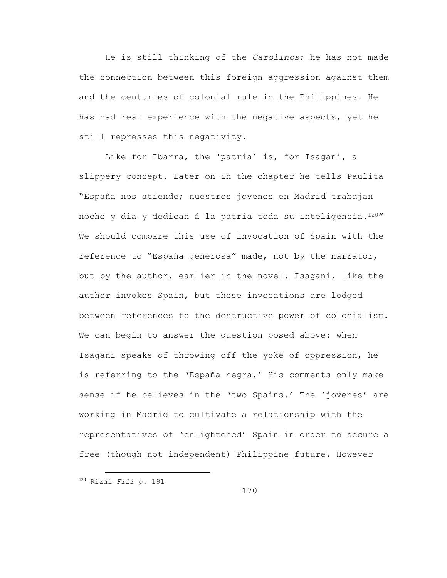He is still thinking of the *Carolinos*; he has not made the connection between this foreign aggression against them and the centuries of colonial rule in the Philippines. He has had real experience with the negative aspects, yet he still represses this negativity.

Like for Ibarra, the 'patria' is, for Isagani, a slippery concept. Later on in the chapter he tells Paulita "España nos atiende; nuestros jovenes en Madrid trabajan noche y día y dedican á la patria toda su inteligencia.<sup>120</sup>" We should compare this use of invocation of Spain with the reference to "España generosa" made, not by the narrator, but by the author, earlier in the novel. Isagani, like the author invokes Spain, but these invocations are lodged between references to the destructive power of colonialism. We can begin to answer the question posed above: when Isagani speaks of throwing off the yoke of oppression, he is referring to the 'España negra.' His comments only make sense if he believes in the 'two Spains.' The 'jovenes' are working in Madrid to cultivate a relationship with the representatives of 'enlightened' Spain in order to secure a free (though not independent) Philippine future. However

<sup>120</sup> Rizal *Fili* p. 191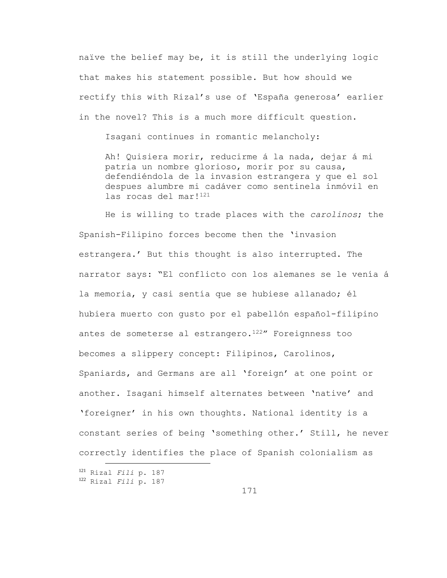naïve the belief may be, it is still the underlying logic that makes his statement possible. But how should we rectify this with Rizal's use of 'España generosa' earlier in the novel? This is a much more difficult question.

Isagani continues in romantic melancholy:

Ah! Quisiera morir, reducirme á la nada, dejar á mi patria un nombre glorioso, morir por su causa, defendiéndola de la invasion estrangera y que el sol despues alumbre mi cadáver como sentinela inmóvil en las rocas del mar!<sup>121</sup>

He is willing to trade places with the *carolinos*; the Spanish-Filipino forces become then the 'invasion estrangera.' But this thought is also interrupted. The narrator says: "El conflicto con los alemanes se le venía á la memoria, y casi sentía que se hubiese allanado; él hubiera muerto con gusto por el pabellón español-filipino antes de someterse al estrangero.<sup>122</sup>" Foreignness too becomes a slippery concept: Filipinos, Carolinos, Spaniards, and Germans are all 'foreign' at one point or another. Isagani himself alternates between 'native' and 'foreigner' in his own thoughts. National identity is a constant series of being 'something other.' Still, he never correctly identifies the place of Spanish colonialism as

<sup>121</sup> Rizal *Fili* p. 187

<sup>122</sup> Rizal *Fili* p. 187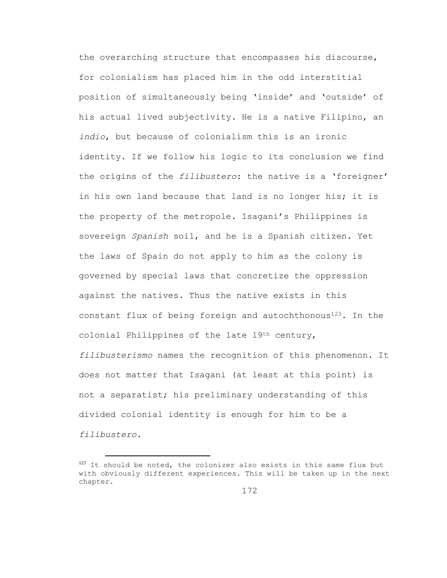the overarching structure that encompasses his discourse, for colonialism has placed him in the odd interstitial position of simultaneously being 'inside' and 'outside' of his actual lived subjectivity. He is a native Filipino, an *indio*, but because of colonialism this is an ironic identity. If we follow his logic to its conclusion we find the origins of the *filibustero*: the native is a 'foreigner' in his own land because that land is no longer his; it is the property of the metropole. Isagani's Philippines is sovereign *Spanish* soil, and he is a Spanish citizen. Yet the laws of Spain do not apply to him as the colony is governed by special laws that concretize the oppression against the natives. Thus the native exists in this constant flux of being foreign and autochthonous<sup>123</sup>. In the colonial Philippines of the late 19th century, *filibusterismo* names the recognition of this phenomenon. It does not matter that Isagani (at least at this point) is not a separatist; his preliminary understanding of this divided colonial identity is enough for him to be a *filibustero*.

<sup>&</sup>lt;sup>123</sup> It should be noted, the colonizer also exists in this same flux but with obviously different experiences. This will be taken up in the next chapter.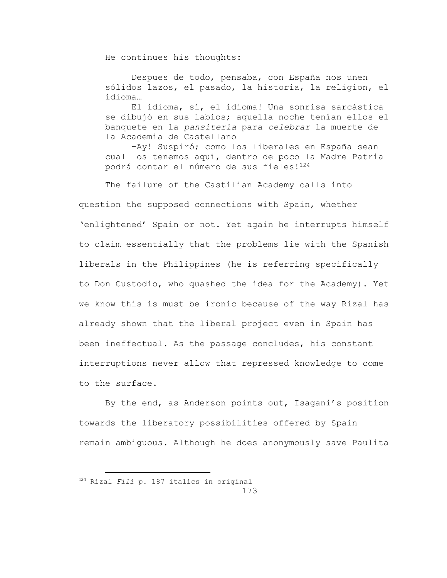He continues his thoughts:

Despues de todo, pensaba, con España nos unen sólidos lazos, el pasado, la historia, la religion, el idioma…

El idioma, sí, el idioma! Una sonrisa sarcástica se dibujó en sus labios; aquella noche tenían ellos el banquete en la *pansitería* para *celebrar* la muerte de la Academia de Castellano

-Ay! Suspiró; como los liberales en España sean cual los tenemos aquí, dentro de poco la Madre Patria podrá contar el número de sus fieles!<sup>124</sup>

The failure of the Castilian Academy calls into question the supposed connections with Spain, whether 'enlightened' Spain or not. Yet again he interrupts himself to claim essentially that the problems lie with the Spanish liberals in the Philippines (he is referring specifically to Don Custodio, who quashed the idea for the Academy). Yet we know this is must be ironic because of the way Rizal has already shown that the liberal project even in Spain has been ineffectual. As the passage concludes, his constant interruptions never allow that repressed knowledge to come to the surface.

By the end, as Anderson points out, Isagani's position towards the liberatory possibilities offered by Spain remain ambiguous. Although he does anonymously save Paulita

<sup>124</sup> Rizal *Fili* p. 187 italics in original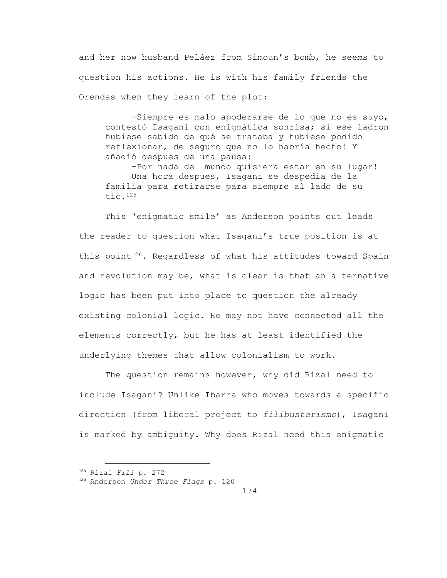and her now husband Peláez from Simoun's bomb, he seems to question his actions. He is with his family friends the Orendas when they learn of the plot:

-Siempre es malo apoderarse de lo que no es suyo, contestó Isagani con enigmática sonrisa; si ese ladron hubiese sabido de qué se trataba y hubiese podido reflexionar, de seguro que no lo habría hecho! Y añadió despues de una pausa:

-Por nada del mundo quisiera estar en su lugar! Una hora despues, Isagani se despedia de la familia para retirarse para siempre al lado de su tío.<sup>125</sup>

This 'enigmatic smile' as Anderson points out leads the reader to question what Isagani's true position is at this point<sup>126</sup>. Regardless of what his attitudes toward Spain and revolution may be, what is clear is that an alternative logic has been put into place to question the already existing colonial logic. He may not have connected all the elements correctly, but he has at least identified the underlying themes that allow colonialism to work.

The question remains however, why did Rizal need to include Isagani? Unlike Ibarra who moves towards a specific direction (from liberal project to *filibusterismo*), Isagani is marked by ambiguity. Why does Rizal need this enigmatic

<sup>125</sup> Rizal *Fili* p. 272

<sup>126</sup> Anderson *Under Three Flags* p. 120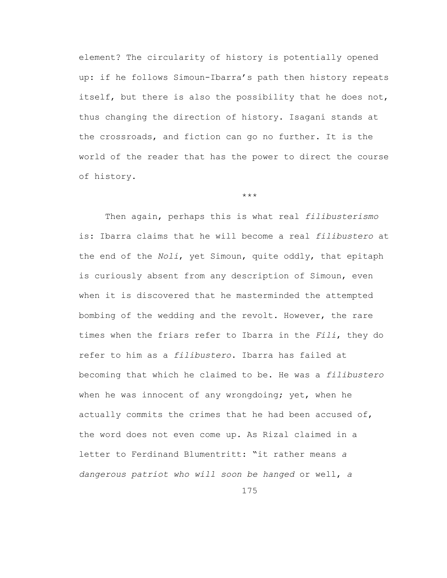element? The circularity of history is potentially opened up: if he follows Simoun-Ibarra's path then history repeats itself, but there is also the possibility that he does not, thus changing the direction of history. Isagani stands at the crossroads, and fiction can go no further. It is the world of the reader that has the power to direct the course of history.

## \*\*\*

Then again, perhaps this is what real *filibusterismo* is: Ibarra claims that he will become a real *filibustero* at the end of the *Noli*, yet Simoun, quite oddly, that epitaph is curiously absent from any description of Simoun, even when it is discovered that he masterminded the attempted bombing of the wedding and the revolt. However, the rare times when the friars refer to Ibarra in the *Fili*, they do refer to him as a *filibustero*. Ibarra has failed at becoming that which he claimed to be. He was a *filibustero* when he was innocent of any wrongdoing; yet, when he actually commits the crimes that he had been accused of, the word does not even come up. As Rizal claimed in a letter to Ferdinand Blumentritt: "it rather means *a dangerous patriot who will soon be hanged* or well, *a* 

175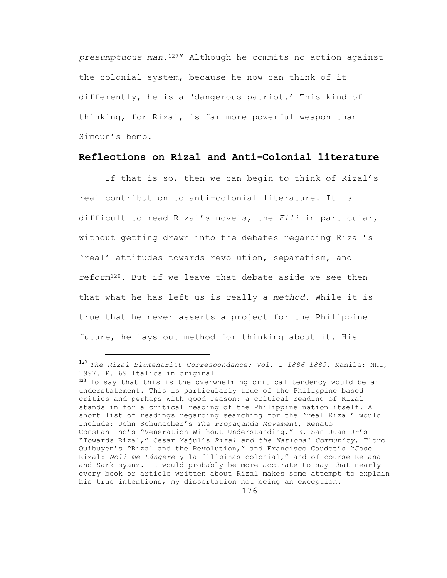*presumptuous man*.127" Although he commits no action against the colonial system, because he now can think of it differently, he is a 'dangerous patriot.' This kind of thinking, for Rizal, is far more powerful weapon than Simoun's bomb.

## **Reflections on Rizal and Anti-Colonial literature**

If that is so, then we can begin to think of Rizal's real contribution to anti-colonial literature. It is difficult to read Rizal's novels, the *Fili* in particular, without getting drawn into the debates regarding Rizal's 'real' attitudes towards revolution, separatism, and reform128. But if we leave that debate aside we see then that what he has left us is really a *method*. While it is true that he never asserts a project for the Philippine future, he lays out method for thinking about it. His

÷.

<sup>127</sup> *The Rizal-Blumentritt Correspondance: Vol. I 1886-1889.* Manila: NHI, 1997. P. 69 Italics in original

 $128$  To say that this is the overwhelming critical tendency would be an understatement. This is particularly true of the Philippine based critics and perhaps with good reason: a critical reading of Rizal stands in for a critical reading of the Philippine nation itself. A short list of readings regarding searching for the 'real Rizal' would include: John Schumacher's *The Propaganda Movement*, Renato Constantino's "Veneration Without Understanding," E. San Juan Jr's "Towards Rizal," Cesar Majul's *Rizal and the National Community*, Floro Quibuyen's "Rizal and the Revolution," and Francisco Caudet's "Jose Rizal: *Noli me tángere* y la filipinas colonial," and of course Retana and Sarkisyanz. It would probably be more accurate to say that nearly every book or article written about Rizal makes some attempt to explain his true intentions, my dissertation not being an exception.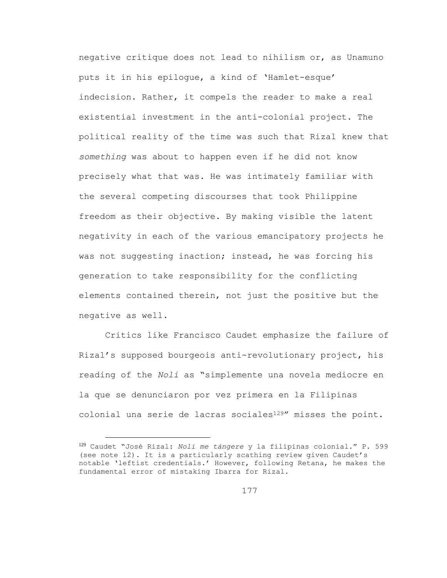negative critique does not lead to nihilism or, as Unamuno puts it in his epilogue, a kind of 'Hamlet-esque' indecision. Rather, it compels the reader to make a real existential investment in the anti-colonial project. The political reality of the time was such that Rizal knew that *something* was about to happen even if he did not know precisely what that was. He was intimately familiar with the several competing discourses that took Philippine freedom as their objective. By making visible the latent negativity in each of the various emancipatory projects he was not suggesting inaction; instead, he was forcing his generation to take responsibility for the conflicting elements contained therein, not just the positive but the negative as well.

Critics like Francisco Caudet emphasize the failure of Rizal's supposed bourgeois anti-revolutionary project, his reading of the *Noli* as "simplemente una novela mediocre en la que se denunciaron por vez primera en la Filipinas colonial una serie de lacras sociales<sup>129"</sup> misses the point.

÷.

<sup>129</sup> Caudet "José Rizal: *Noli me tángere* y la filipinas colonial." P. 599 (see note 12). It is a particularly scathing review given Caudet's notable 'leftist credentials.' However, following Retana, he makes the fundamental error of mistaking Ibarra for Rizal.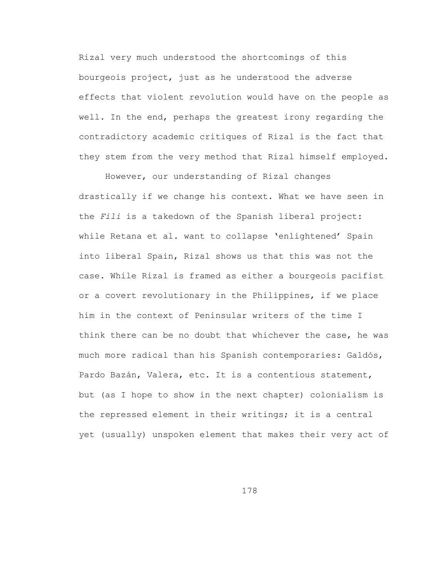Rizal very much understood the shortcomings of this bourgeois project, just as he understood the adverse effects that violent revolution would have on the people as well. In the end, perhaps the greatest irony regarding the contradictory academic critiques of Rizal is the fact that they stem from the very method that Rizal himself employed.

However, our understanding of Rizal changes drastically if we change his context. What we have seen in the *Fili* is a takedown of the Spanish liberal project: while Retana et al. want to collapse 'enlightened' Spain into liberal Spain, Rizal shows us that this was not the case. While Rizal is framed as either a bourgeois pacifist or a covert revolutionary in the Philippines, if we place him in the context of Peninsular writers of the time I think there can be no doubt that whichever the case, he was much more radical than his Spanish contemporaries: Galdós, Pardo Bazán, Valera, etc. It is a contentious statement, but (as I hope to show in the next chapter) colonialism is the repressed element in their writings; it is a central yet (usually) unspoken element that makes their very act of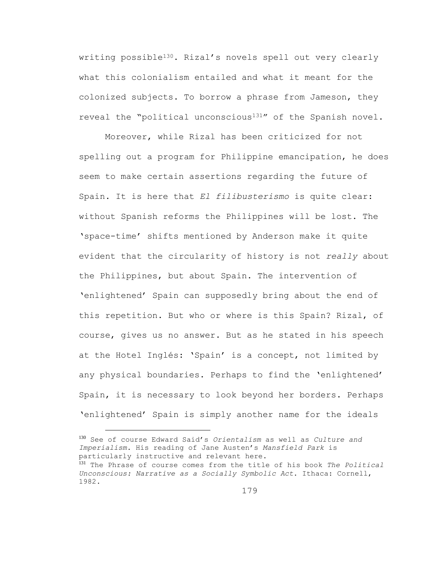writing possible<sup>130</sup>. Rizal's novels spell out very clearly what this colonialism entailed and what it meant for the colonized subjects. To borrow a phrase from Jameson, they reveal the "political unconscious131" of the Spanish novel.

Moreover, while Rizal has been criticized for not spelling out a program for Philippine emancipation, he does seem to make certain assertions regarding the future of Spain. It is here that *El filibusterismo* is quite clear: without Spanish reforms the Philippines will be lost. The 'space-time' shifts mentioned by Anderson make it quite evident that the circularity of history is not *really* about the Philippines, but about Spain. The intervention of 'enlightened' Spain can supposedly bring about the end of this repetition. But who or where is this Spain? Rizal, of course, gives us no answer. But as he stated in his speech at the Hotel Inglés: 'Spain' is a concept, not limited by any physical boundaries. Perhaps to find the 'enlightened' Spain, it is necessary to look beyond her borders. Perhaps 'enlightened' Spain is simply another name for the ideals

<sup>130</sup> See of course Edward Said's *Orientalism* as well as *Culture and Imperialism*. His reading of Jane Austen's *Mansfield Park* is particularly instructive and relevant here.

÷.

<sup>131</sup> The Phrase of course comes from the title of his book *The Political Unconscious: Narrative as a Socially Symbolic Act*. Ithaca: Cornell, 1982.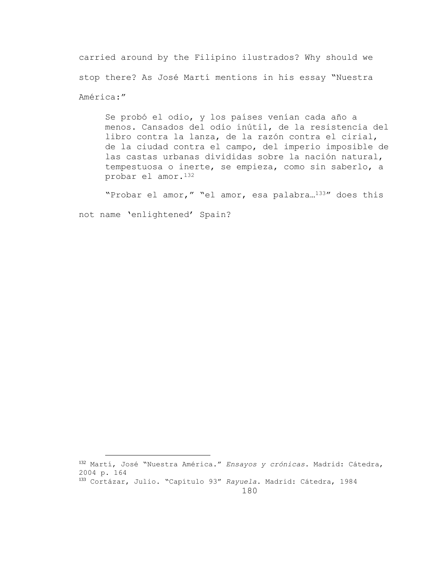carried around by the Filipino ilustrados? Why should we stop there? As José Martí mentions in his essay "Nuestra América:"

Se probó el odio, y los países venían cada año a menos. Cansados del odio inútil, de la resistencia del libro contra la lanza, de la razón contra el cirial, de la ciudad contra el campo, del imperio imposible de las castas urbanas divididas sobre la nación natural, tempestuosa o inerte, se empieza, como sin saberlo, a probar el amor.<sup>132</sup>

"Probar el amor," "el amor, esa palabra…133" does this

not name 'enlightened' Spain?

÷.

<sup>132</sup> Martí, José "Nuestra América." *Ensayos y crónicas*. Madrid: Cátedra, 2004 p. 164

180 <sup>133</sup> Cortázar, Julio. "Capítulo 93" *Rayuela*. Madrid: Cátedra, 1984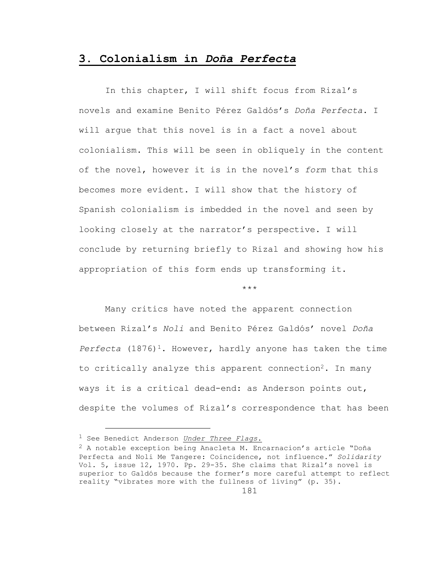## **3. Colonialism in** *Doña Perfecta*

In this chapter, I will shift focus from Rizal's novels and examine Benito Pérez Galdós's *Doña Perfecta*. I will argue that this novel is in a fact a novel about colonialism. This will be seen in obliquely in the content of the novel, however it is in the novel's *form* that this becomes more evident. I will show that the history of Spanish colonialism is imbedded in the novel and seen by looking closely at the narrator's perspective. I will conclude by returning briefly to Rizal and showing how his appropriation of this form ends up transforming it.

\*\*\*

Many critics have noted the apparent connection between Rizal's *Noli* and Benito Pérez Galdós' novel *Doña*  Perfecta (1876)<sup>1</sup>. However, hardly anyone has taken the time to critically analyze this apparent connection<sup>2</sup>. In many ways it is a critical dead-end: as Anderson points out, despite the volumes of Rizal's correspondence that has been

<sup>1</sup> See Benedict Anderson *Under Three Flags*.

 $2$  A notable exception being Anacleta M. Encarnacion's article "Doña Perfecta and Noli Me Tangere: Coincidence, not influence." *Solidarity* Vol. 5, issue 12, 1970. Pp. 29-35. She claims that Rizal's novel is superior to Galdós because the former's more careful attempt to reflect reality "vibrates more with the fullness of living" (p. 35).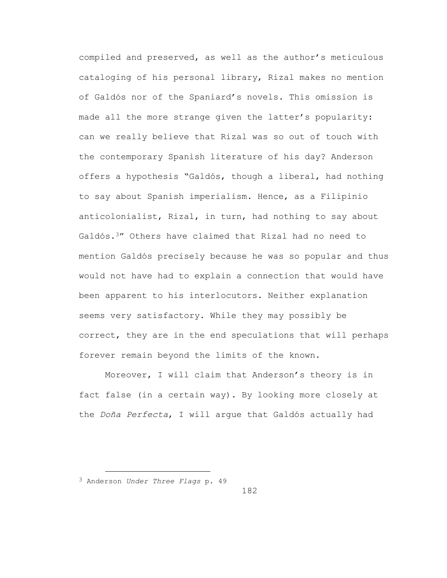compiled and preserved, as well as the author's meticulous cataloging of his personal library, Rizal makes no mention of Galdós nor of the Spaniard's novels. This omission is made all the more strange given the latter's popularity: can we really believe that Rizal was so out of touch with the contemporary Spanish literature of his day? Anderson offers a hypothesis "Galdós, though a liberal, had nothing to say about Spanish imperialism. Hence, as a Filipinio anticolonialist, Rizal, in turn, had nothing to say about Galdós.3" Others have claimed that Rizal had no need to mention Galdós precisely because he was so popular and thus would not have had to explain a connection that would have been apparent to his interlocutors. Neither explanation seems very satisfactory. While they may possibly be correct, they are in the end speculations that will perhaps forever remain beyond the limits of the known.

Moreover, I will claim that Anderson's theory is in fact false (in a certain way). By looking more closely at the *Doña Perfecta*, I will argue that Galdós actually had

<sup>3</sup> Anderson *Under Three Flags* p. 49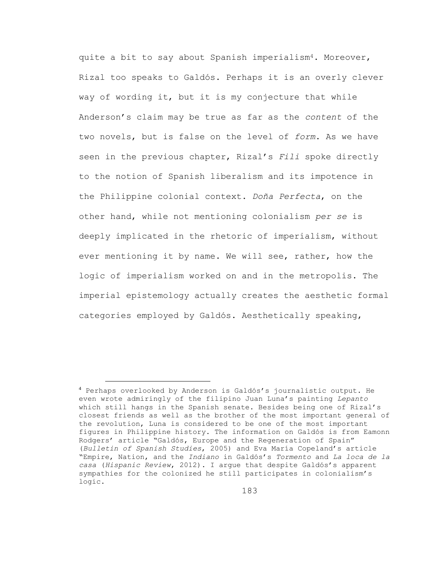quite a bit to say about Spanish imperialism<sup>4</sup>. Moreover, Rizal too speaks to Galdós. Perhaps it is an overly clever way of wording it, but it is my conjecture that while Anderson's claim may be true as far as the *content* of the two novels, but is false on the level of *form*. As we have seen in the previous chapter, Rizal's *Fili* spoke directly to the notion of Spanish liberalism and its impotence in the Philippine colonial context. *Doña Perfecta*, on the other hand, while not mentioning colonialism *per se* is deeply implicated in the rhetoric of imperialism, without ever mentioning it by name. We will see, rather, how the logic of imperialism worked on and in the metropolis. The imperial epistemology actually creates the aesthetic formal categories employed by Galdós. Aesthetically speaking,

<sup>4</sup> Perhaps overlooked by Anderson is Galdós's journalistic output. He even wrote admiringly of the filipino Juan Luna's painting *Lepanto* which still hangs in the Spanish senate. Besides being one of Rizal's closest friends as well as the brother of the most important general of the revolution, Luna is considered to be one of the most important figures in Philippine history. The information on Galdós is from Eamonn Rodgers' article "Galdós, Europe and the Regeneration of Spain" (*Bulletin of Spanish Studies*, 2005) and Eva María Copeland's article "Empire, Nation, and the *Indiano* in Galdós's *Tormento* and *La loca de la casa* (*Hispanic Review*, 2012). I argue that despite Galdós's apparent sympathies for the colonized he still participates in colonialism's logic.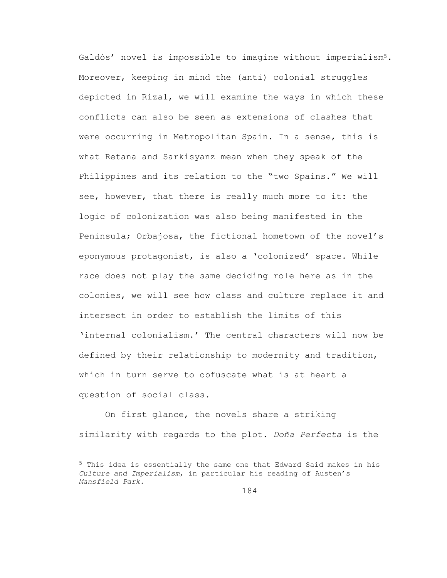Galdós' novel is impossible to imagine without imperialism5. Moreover, keeping in mind the (anti) colonial struggles depicted in Rizal, we will examine the ways in which these conflicts can also be seen as extensions of clashes that were occurring in Metropolitan Spain. In a sense, this is what Retana and Sarkisyanz mean when they speak of the Philippines and its relation to the "two Spains." We will see, however, that there is really much more to it: the logic of colonization was also being manifested in the Peninsula; Orbajosa, the fictional hometown of the novel's eponymous protagonist, is also a 'colonized' space. While race does not play the same deciding role here as in the colonies, we will see how class and culture replace it and intersect in order to establish the limits of this 'internal colonialism.' The central characters will now be defined by their relationship to modernity and tradition, which in turn serve to obfuscate what is at heart a question of social class.

On first glance, the novels share a striking similarity with regards to the plot. *Doña Perfecta* is the

L,

<sup>5</sup> This idea is essentially the same one that Edward Said makes in his *Culture and Imperialism*, in particular his reading of Austen's *Mansfield Park*.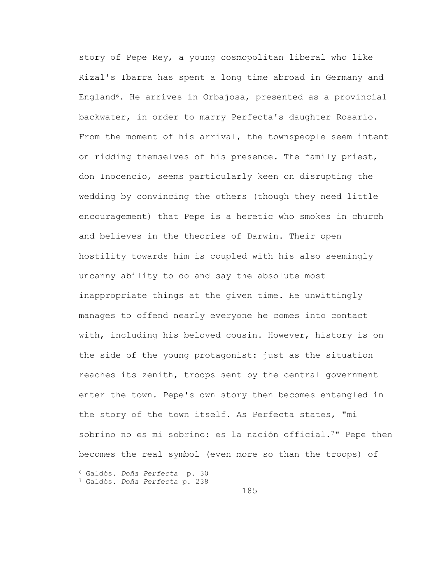story of Pepe Rey, a young cosmopolitan liberal who like Rizal's Ibarra has spent a long time abroad in Germany and England6. He arrives in Orbajosa, presented as a provincial backwater, in order to marry Perfecta's daughter Rosario. From the moment of his arrival, the townspeople seem intent on ridding themselves of his presence. The family priest, don Inocencio, seems particularly keen on disrupting the wedding by convincing the others (though they need little encouragement) that Pepe is a heretic who smokes in church and believes in the theories of Darwin. Their open hostility towards him is coupled with his also seemingly uncanny ability to do and say the absolute most inappropriate things at the given time. He unwittingly manages to offend nearly everyone he comes into contact with, including his beloved cousin. However, history is on the side of the young protagonist: just as the situation reaches its zenith, troops sent by the central government enter the town. Pepe's own story then becomes entangled in the story of the town itself. As Perfecta states, "mi sobrino no es mi sobrino: es la nación official.<sup>7</sup>" Pepe then becomes the real symbol (even more so than the troops) of

<sup>6</sup> Galdós. *Doña Perfecta* p. 30

<sup>7</sup> Galdós. *Doña Perfecta* p. 238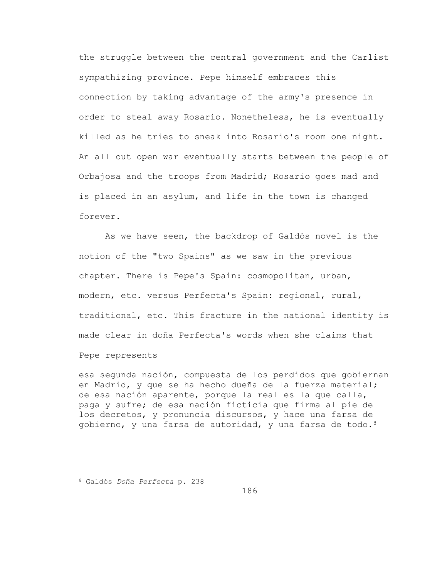the struggle between the central government and the Carlist sympathizing province. Pepe himself embraces this connection by taking advantage of the army's presence in order to steal away Rosario. Nonetheless, he is eventually killed as he tries to sneak into Rosario's room one night. An all out open war eventually starts between the people of Orbajosa and the troops from Madrid; Rosario goes mad and is placed in an asylum, and life in the town is changed forever.

As we have seen, the backdrop of Galdós novel is the notion of the "two Spains" as we saw in the previous chapter. There is Pepe's Spain: cosmopolitan, urban, modern, etc. versus Perfecta's Spain: regional, rural, traditional, etc. This fracture in the national identity is made clear in doña Perfecta's words when she claims that Pepe represents

esa segunda nación, compuesta de los perdidos que gobiernan en Madrid, y que se ha hecho dueña de la fuerza material; de esa nación aparente, porque la real es la que calla, paga y sufre; de esa nación ficticia que firma al pie de los decretos, y pronuncia discursos, y hace una farsa de gobierno, y una farsa de autoridad, y una farsa de todo.8

a<br>B

<sup>8</sup> Galdós *Doña Perfecta* p. 238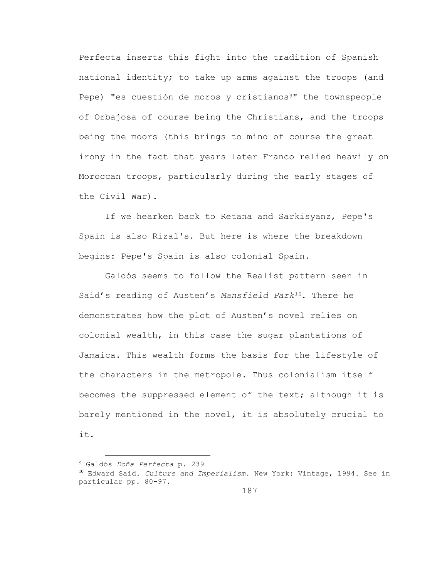Perfecta inserts this fight into the tradition of Spanish national identity; to take up arms against the troops (and Pepe) "es cuestión de moros y cristianos<sup>9</sup>" the townspeople of Orbajosa of course being the Christians, and the troops being the moors (this brings to mind of course the great irony in the fact that years later Franco relied heavily on Moroccan troops, particularly during the early stages of the Civil War).

If we hearken back to Retana and Sarkisyanz, Pepe's Spain is also Rizal's. But here is where the breakdown begins: Pepe's Spain is also colonial Spain.

Galdós seems to follow the Realist pattern seen in Said's reading of Austen's *Mansfield Park10*. There he demonstrates how the plot of Austen's novel relies on colonial wealth, in this case the sugar plantations of Jamaica. This wealth forms the basis for the lifestyle of the characters in the metropole. Thus colonialism itself becomes the suppressed element of the text; although it is barely mentioned in the novel, it is absolutely crucial to it.

<sup>9</sup> Galdós *Doña Perfecta* p. 239

<sup>10</sup> Edward Said. *Culture and Imperialism*. New York: Vintage, 1994. See in particular pp. 80-97.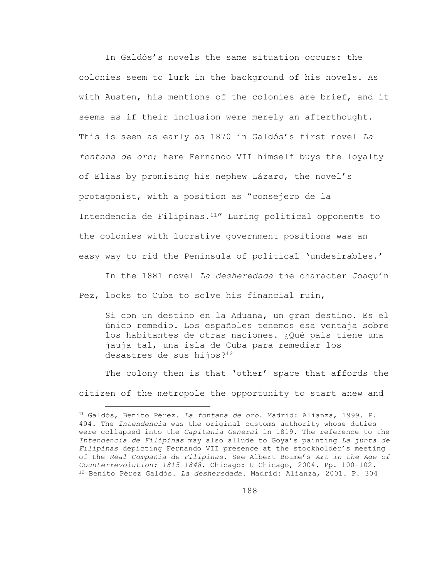In Galdós's novels the same situation occurs: the colonies seem to lurk in the background of his novels. As with Austen, his mentions of the colonies are brief, and it seems as if their inclusion were merely an afterthought. This is seen as early as 1870 in Galdós's first novel *La fontana de oro*; here Fernando VII himself buys the loyalty of Elías by promising his nephew Lázaro, the novel's protagonist, with a position as "consejero de la Intendencia de Filipinas.11" Luring political opponents to the colonies with lucrative government positions was an easy way to rid the Peninsula of political 'undesirables.'

In the 1881 novel *La desheredada* the character Joaquín Pez, looks to Cuba to solve his financial ruin,

Sí con un destino en la Aduana, un gran destino. Es el único remedio. Los españoles tenemos esa ventaja sobre los habitantes de otras naciones. ¿Qué país tiene una jauja tal, una isla de Cuba para remediar los desastres de sus hijos?<sup>12</sup>

The colony then is that 'other' space that affords the citizen of the metropole the opportunity to start anew and

L,

<sup>11</sup> Galdós, Benito Pérez. *La fontana de oro*. Madrid: Alianza, 1999. P. 404. The *Intendencia* was the original customs authority whose duties were collapsed into the *Capitanía General* in 1819. The reference to the *Intendencia de Filipinas* may also allude to Goya's painting *La junta de Filipinas* depicting Fernando VII presence at the stockholder's meeting of the *Real Compañía de Filipinas*. See Albert Boime's *Art in the Age of Counterrevolution: 1815-1848*. Chicago: U Chicago, 2004. Pp. 100-102. <sup>12</sup> Benito Pérez Galdós. *La desheredada*. Madrid: Alianza, 2001. P. 304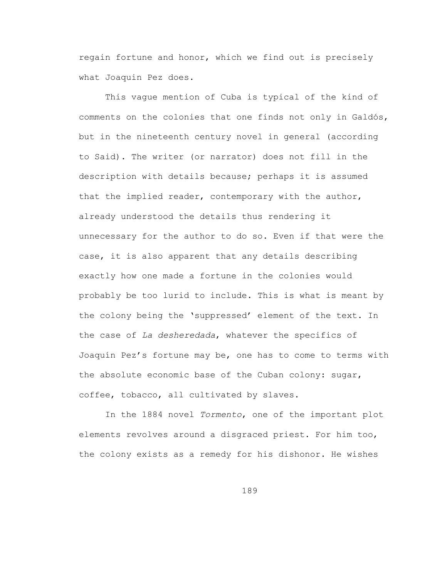regain fortune and honor, which we find out is precisely what Joaquin Pez does.

This vague mention of Cuba is typical of the kind of comments on the colonies that one finds not only in Galdós, but in the nineteenth century novel in general (according to Said). The writer (or narrator) does not fill in the description with details because; perhaps it is assumed that the implied reader, contemporary with the author, already understood the details thus rendering it unnecessary for the author to do so. Even if that were the case, it is also apparent that any details describing exactly how one made a fortune in the colonies would probably be too lurid to include. This is what is meant by the colony being the 'suppressed' element of the text. In the case of *La desheredada*, whatever the specifics of Joaquín Pez's fortune may be, one has to come to terms with the absolute economic base of the Cuban colony: sugar, coffee, tobacco, all cultivated by slaves.

In the 1884 novel *Tormento*, one of the important plot elements revolves around a disgraced priest. For him too, the colony exists as a remedy for his dishonor. He wishes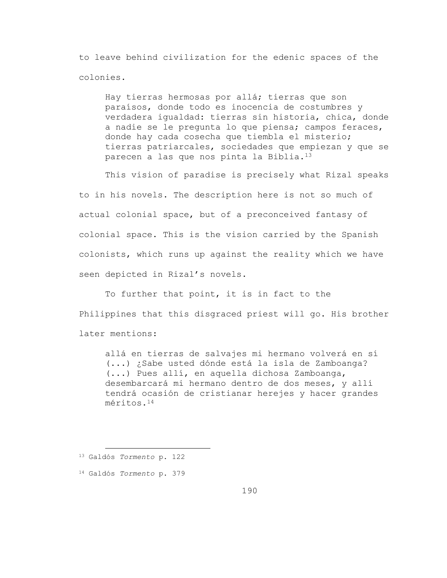to leave behind civilization for the edenic spaces of the colonies.

Hay tierras hermosas por allá; tierras que son paraísos, donde todo es inocencia de costumbres y verdadera igualdad: tierras sin historia, chica, donde a nadie se le pregunta lo que piensa; campos feraces, donde hay cada cosecha que tiembla el misterio; tierras patriarcales, sociedades que empiezan y que se parecen a las que nos pinta la Biblia.<sup>13</sup>

This vision of paradise is precisely what Rizal speaks to in his novels. The description here is not so much of actual colonial space, but of a preconceived fantasy of colonial space. This is the vision carried by the Spanish colonists, which runs up against the reality which we have seen depicted in Rizal's novels.

To further that point, it is in fact to the Philippines that this disgraced priest will go. His brother later mentions:

allá en tierras de salvajes mi hermano volverá en sí (...) ¿Sabe usted dónde está la isla de Zamboanga? (...) Pues allí, en aquella dichosa Zamboanga, desembarcará mi hermano dentro de dos meses, y allí tendrá ocasión de cristianar herejes y hacer grandes méritos.<sup>14</sup>

<sup>13</sup> Galdós *Tormento* p. 122

<sup>14</sup> Galdós *Tormento* p. 379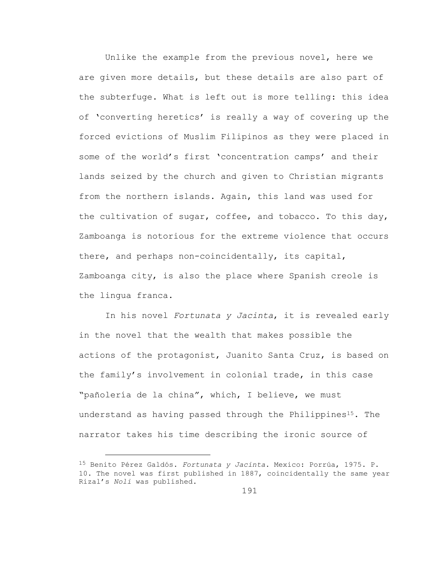Unlike the example from the previous novel, here we are given more details, but these details are also part of the subterfuge. What is left out is more telling: this idea of 'converting heretics' is really a way of covering up the forced evictions of Muslim Filipinos as they were placed in some of the world's first 'concentration camps' and their lands seized by the church and given to Christian migrants from the northern islands. Again, this land was used for the cultivation of sugar, coffee, and tobacco. To this day, Zamboanga is notorious for the extreme violence that occurs there, and perhaps non-coincidentally, its capital, Zamboanga city, is also the place where Spanish creole is the lingua franca.

In his novel *Fortunata y Jacinta*, it is revealed early in the novel that the wealth that makes possible the actions of the protagonist, Juanito Santa Cruz, is based on the family's involvement in colonial trade, in this case "pañolería de la china", which, I believe, we must understand as having passed through the Philippines<sup>15</sup>. The narrator takes his time describing the ironic source of

L,

<sup>15</sup> Benito Pérez Galdós. *Fortunata y Jacinta*. Mexico: Porrúa, 1975. P. 10. The novel was first published in 1887, coincidentally the same year Rizal's *Noli* was published.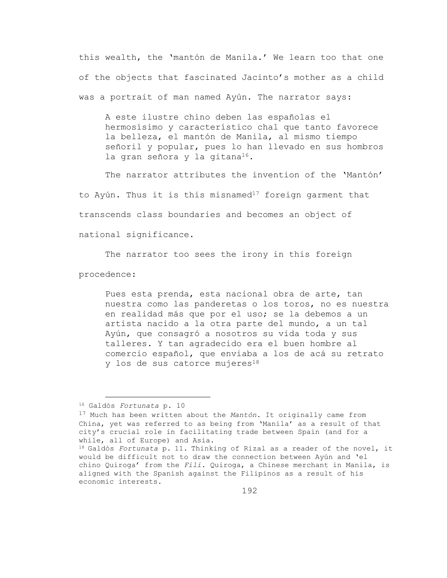this wealth, the 'mantón de Manila.' We learn too that one of the objects that fascinated Jacinto's mother as a child was a portrait of man named Ayún. The narrator says:

A este ilustre chino deben las españolas el hermosísimo y característico chal que tanto favorece la belleza, el mantón de Manila, al mismo tiempo señoril y popular, pues lo han llevado en sus hombros la gran señora y la gitana<sup>16</sup>.

The narrator attributes the invention of the 'Mantón' to Ayún. Thus it is this misnamed<sup>17</sup> foreign garment that transcends class boundaries and becomes an object of national significance.

The narrator too sees the irony in this foreign

procedence:

a<br>B

Pues esta prenda, esta nacional obra de arte, tan nuestra como las panderetas o los toros, no es nuestra en realidad más que por el uso; se la debemos a un artista nacido a la otra parte del mundo, a un tal Ayún, que consagró a nosotros su vida toda y sus talleres. Y tan agradecido era el buen hombre al comercio español, que enviaba a los de acá su retrato y los de sus catorce mujeres<sup>18</sup>

<sup>16</sup> Galdós *Fortunata* p. 10

<sup>17</sup> Much has been written about the *Mantón*. It originally came from China, yet was referred to as being from 'Manila' as a result of that city's crucial role in facilitating trade between Spain (and for a while, all of Europe) and Asia.

<sup>18</sup> Galdós *Fortunata* p. 11. Thinking of Rizal as a reader of the novel, it would be difficult not to draw the connection between Ayún and 'el chino Quiroga' from the *Fili*. Quiroga, a Chinese merchant in Manila, is aligned with the Spanish against the Filipinos as a result of his economic interests.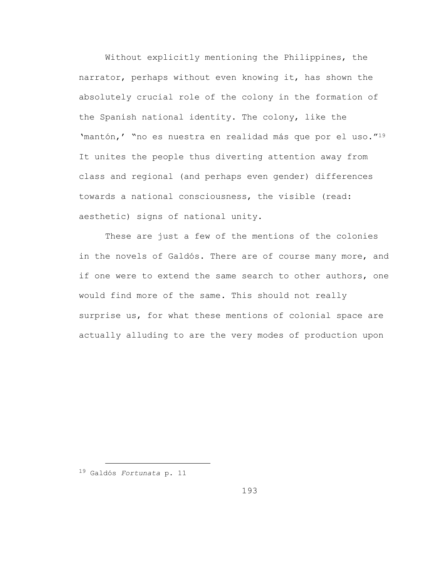Without explicitly mentioning the Philippines, the narrator, perhaps without even knowing it, has shown the absolutely crucial role of the colony in the formation of the Spanish national identity. The colony, like the 'mantón,' "no es nuestra en realidad más que por el uso."<sup>19</sup> It unites the people thus diverting attention away from class and regional (and perhaps even gender) differences towards a national consciousness, the visible (read: aesthetic) signs of national unity.

These are just a few of the mentions of the colonies in the novels of Galdós. There are of course many more, and if one were to extend the same search to other authors, one would find more of the same. This should not really surprise us, for what these mentions of colonial space are actually alluding to are the very modes of production upon

L,

<sup>19</sup> Galdós *Fortunata* p. 11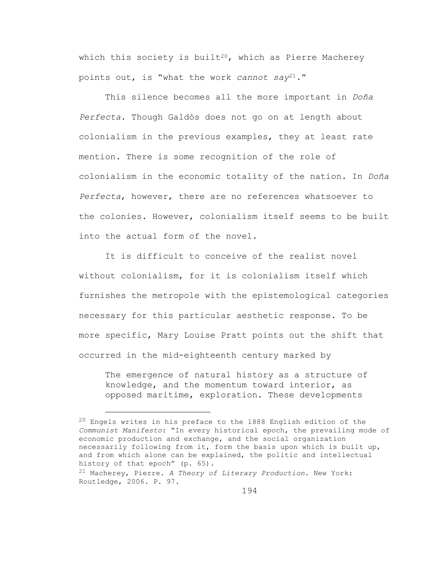which this society is built<sup>20</sup>, which as Pierre Macherey points out, is "what the work *cannot say*21*.*"

This silence becomes all the more important in *Doña Perfecta*. Though Galdós does not go on at length about colonialism in the previous examples, they at least rate mention. There is some recognition of the role of colonialism in the economic totality of the nation. In *Doña Perfecta*, however, there are no references whatsoever to the colonies. However, colonialism itself seems to be built into the actual form of the novel.

It is difficult to conceive of the realist novel without colonialism, for it is colonialism itself which furnishes the metropole with the epistemological categories necessary for this particular aesthetic response. To be more specific, Mary Louise Pratt points out the shift that occurred in the mid-eighteenth century marked by

The emergence of natural history as a structure of knowledge, and the momentum toward interior, as opposed maritime, exploration. These developments

<sup>20</sup> Engels writes in his preface to the 1888 English edition of the *Communist Manifesto*: "In every historical epoch, the prevailing mode of economic production and exchange, and the social organization necessarily following from it, form the basis upon which is built up, and from which alone can be explained, the politic and intellectual history of that epoch" (p. 65).

<sup>21</sup> Macherey, Pierre. *A Theory of Literary Production*. New York: Routledge, 2006. P. 97.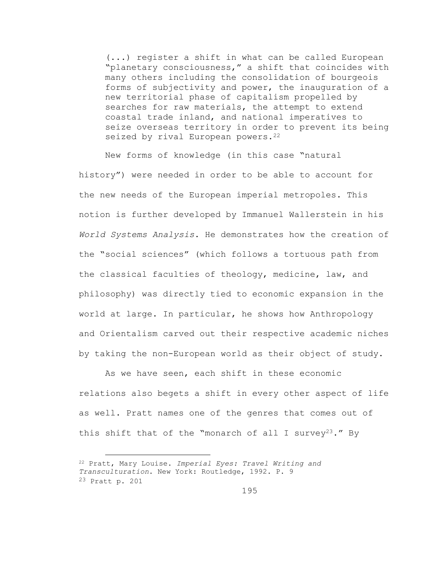(...) register a shift in what can be called European "planetary consciousness," a shift that coincides with many others including the consolidation of bourgeois forms of subjectivity and power, the inauguration of a new territorial phase of capitalism propelled by searches for raw materials, the attempt to extend coastal trade inland, and national imperatives to seize overseas territory in order to prevent its being seized by rival European powers.<sup>22</sup>

New forms of knowledge (in this case "natural history") were needed in order to be able to account for the new needs of the European imperial metropoles. This notion is further developed by Immanuel Wallerstein in his *World Systems Analysis*. He demonstrates how the creation of the "social sciences" (which follows a tortuous path from the classical faculties of theology, medicine, law, and philosophy) was directly tied to economic expansion in the world at large. In particular, he shows how Anthropology and Orientalism carved out their respective academic niches by taking the non-European world as their object of study.

As we have seen, each shift in these economic relations also begets a shift in every other aspect of life as well. Pratt names one of the genres that comes out of this shift that of the "monarch of all I survey<sup>23</sup>." By

L,

<sup>22</sup> Pratt, Mary Louise. *Imperial Eyes: Travel Writing and Transculturation*. New York: Routledge, 1992. P. 9 23 Pratt p. 201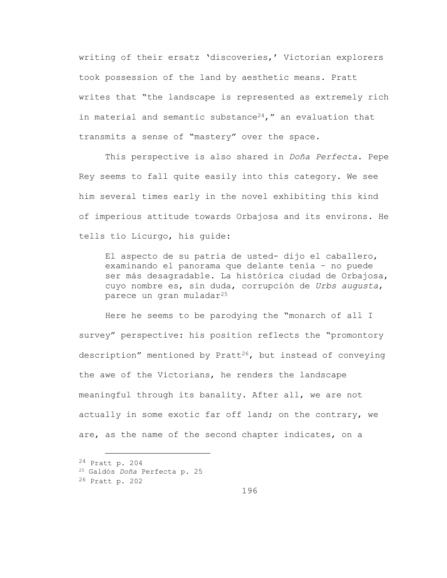writing of their ersatz 'discoveries,' Victorian explorers took possession of the land by aesthetic means. Pratt writes that "the landscape is represented as extremely rich in material and semantic substance<sup>24</sup>," an evaluation that transmits a sense of "mastery" over the space.

This perspective is also shared in *Doña Perfecta*. Pepe Rey seems to fall quite easily into this category. We see him several times early in the novel exhibiting this kind of imperious attitude towards Orbajosa and its environs. He tells tío Licurgo, his guide:

El aspecto de su patria de usted- dijo el caballero, examinando el panorama que delante tenía – no puede ser más desagradable. La histórica ciudad de Orbajosa, cuyo nombre es, sin duda, corrupción de *Urbs augusta*, parece un gran muladar<sup>25</sup>

Here he seems to be parodying the "monarch of all I survey" perspective: his position reflects the "promontory description" mentioned by Pratt<sup>26</sup>, but instead of conveying the awe of the Victorians, he renders the landscape meaningful through its banality. After all, we are not actually in some exotic far off land; on the contrary, we are, as the name of the second chapter indicates, on a

i<br>L 24 Pratt p. 204

<sup>25</sup> Galdós *Doña* Perfecta p. 25

<sup>26</sup> Pratt p. 202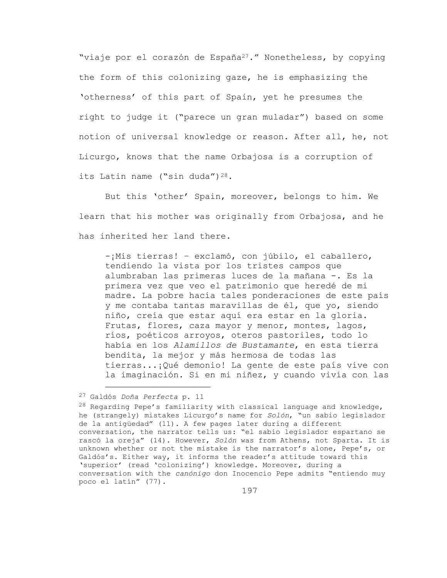"viaje por el corazón de España<sup>27</sup>." Nonetheless, by copying the form of this colonizing gaze, he is emphasizing the 'otherness' of this part of Spain, yet he presumes the right to judge it ("parece un gran muladar") based on some notion of universal knowledge or reason. After all, he, not Licurgo, knows that the name Orbajosa is a corruption of its Latin name ("sin duda") $28$ .

But this 'other' Spain, moreover, belongs to him. We learn that his mother was originally from Orbajosa, and he has inherited her land there.

-¡Mis tierras! – exclamó, con júbilo, el caballero, tendiendo la vista por los tristes campos que alumbraban las primeras luces de la mañana -. Es la primera vez que veo el patrimonio que heredé de mi madre. La pobre hacía tales ponderaciones de este país y me contaba tantas maravillas de él, que yo, siendo niño, creía que estar aquí era estar en la gloria. Frutas, flores, caza mayor y menor, montes, lagos, ríos, poéticos arroyos, oteros pastoriles, todo lo había en los *Alamillos de Bustamante*, en esta tierra bendita, la mejor y más hermosa de todas las tierras...¡Qué demonio! La gente de este país vive con la imaginación. Si en mi niñez, y cuando vivía con las

<sup>27</sup> Galdós *Doña Perfecta* p. 11

 $28$  Regarding Pepe's familiarity with classical language and knowledge, he (strangely) mistakes Licurgo's name for *Solón*, "un sabio legislador de la antigüedad" (11). A few pages later during a different conversation, the narrator tells us: "el sabio legislador espartano se rascó la oreja" (14). However, *Solón* was from Athens, not Sparta. It is unknown whether or not the mistake is the narrator's alone, Pepe's, or Galdós's. Either way, it informs the reader's attitude toward this 'superior' (read 'colonizing') knowledge. Moreover, during a conversation with the *canónigo* don Inocencio Pepe admits "entiendo muy poco el latín" (77).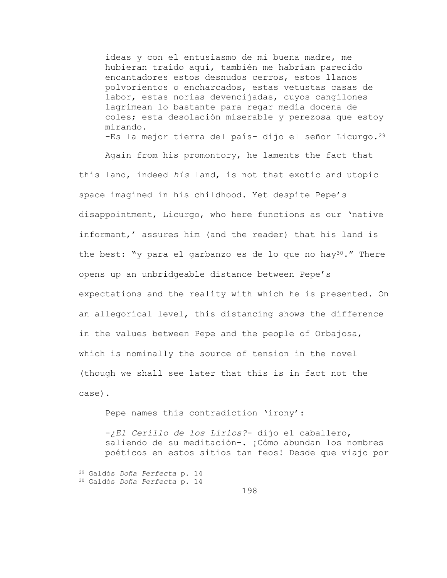ideas y con el entusiasmo de mi buena madre, me hubieran traído aquí, también me habrían parecido encantadores estos desnudos cerros, estos llanos polvorientos o encharcados, estas vetustas casas de labor, estas norias devencijadas, cuyos cangilones lagrimean lo bastante para regar media docena de coles; esta desolación miserable y perezosa que estoy mirando. -Es la mejor tierra del país- dijo el señor Licurgo.<sup>29</sup>

Again from his promontory, he laments the fact that this land, indeed *his* land, is not that exotic and utopic space imagined in his childhood. Yet despite Pepe's disappointment, Licurgo, who here functions as our 'native informant,' assures him (and the reader) that his land is the best: "y para el garbanzo es de lo que no hay<sup>30</sup>." There opens up an unbridgeable distance between Pepe's expectations and the reality with which he is presented. On an allegorical level, this distancing shows the difference in the values between Pepe and the people of Orbajosa, which is nominally the source of tension in the novel (though we shall see later that this is in fact not the case).

Pepe names this contradiction 'irony':

-*¿El Cerillo de los Lirios?*- dijo el caballero, saliendo de su meditación-. ¡Cómo abundan los nombres poéticos en estos sitios tan feos! Desde que viajo por

<sup>29</sup> Galdós *Doña Perfecta* p. 14

<sup>30</sup> Galdós *Doña Perfecta* p. 14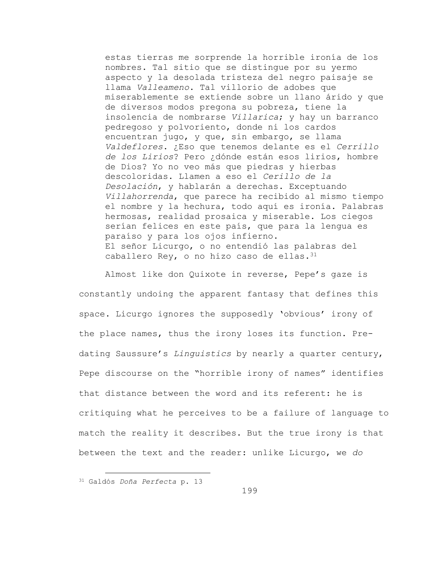estas tierras me sorprende la horrible ironía de los nombres. Tal sitio que se distingue por su yermo aspecto y la desolada tristeza del negro paisaje se llama *Valleameno*. Tal villorio de adobes que miserablemente se extiende sobre un llano árido y que de diversos modos pregona su pobreza, tiene la insolencia de nombrarse *Villarica*; y hay un barranco pedregoso y polvoriento, donde ni los cardos encuentran jugo, y que, sin embargo, se llama *Valdeflores*. ¿Eso que tenemos delante es el *Cerrillo de los Lirios*? Pero ¿dónde están esos lirios, hombre de Dios? Yo no veo más que piedras y hierbas descoloridas. Llamen a eso el *Cerillo de la Desolación*, y hablarán a derechas. Exceptuando *Villahorrenda*, que parece ha recibido al mismo tiempo el nombre y la hechura, todo aquí es ironía. Palabras hermosas, realidad prosaica y miserable. Los ciegos serían felices en este país, que para la lengua es paraíso y para los ojos infierno. El señor Licurgo, o no entendió las palabras del caballero Rey, o no hizo caso de ellas. 31

Almost like don Quixote in reverse, Pepe's gaze is constantly undoing the apparent fantasy that defines this space. Licurgo ignores the supposedly 'obvious' irony of the place names, thus the irony loses its function. Predating Saussure's *Linguistics* by nearly a quarter century, Pepe discourse on the "horrible irony of names" identifies that distance between the word and its referent: he is critiquing what he perceives to be a failure of language to match the reality it describes. But the true irony is that between the text and the reader: unlike Licurgo, we *do*

<sup>31</sup> Galdós *Doña Perfecta* p. 13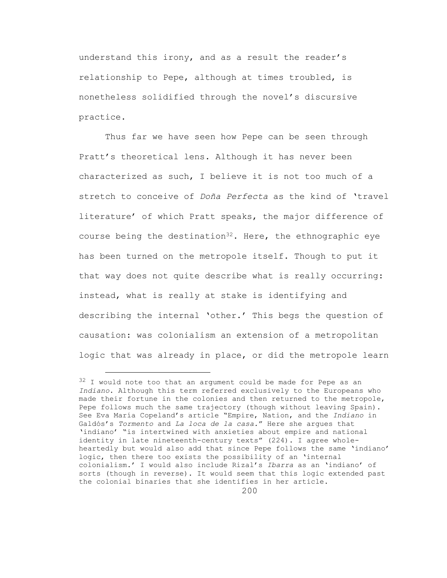understand this irony, and as a result the reader's relationship to Pepe, although at times troubled, is nonetheless solidified through the novel's discursive practice.

Thus far we have seen how Pepe can be seen through Pratt's theoretical lens. Although it has never been characterized as such, I believe it is not too much of a stretch to conceive of *Doña Perfecta* as the kind of 'travel literature' of which Pratt speaks, the major difference of course being the destination<sup>32</sup>. Here, the ethnographic eye has been turned on the metropole itself. Though to put it that way does not quite describe what is really occurring: instead, what is really at stake is identifying and describing the internal 'other.' This begs the question of causation: was colonialism an extension of a metropolitan logic that was already in place, or did the metropole learn

<sup>&</sup>lt;sup>32</sup> I would note too that an argument could be made for Pepe as an *Indiano*. Although this term referred exclusively to the Europeans who made their fortune in the colonies and then returned to the metropole, Pepe follows much the same trajectory (though without leaving Spain). See Eva María Copeland's article "Empire, Nation, and the *Indiano* in Galdós's *Tormento* and *La loca de la casa.*" Here she argues that 'indiano' "is intertwined with anxieties about empire and national identity in late nineteenth-century texts" (224). I agree wholeheartedly but would also add that since Pepe follows the same 'indiano' logic, then there too exists the possibility of an 'internal colonialism.' I would also include Rizal's *Ibarra* as an 'indiano' of sorts (though in reverse). It would seem that this logic extended past the colonial binaries that she identifies in her article.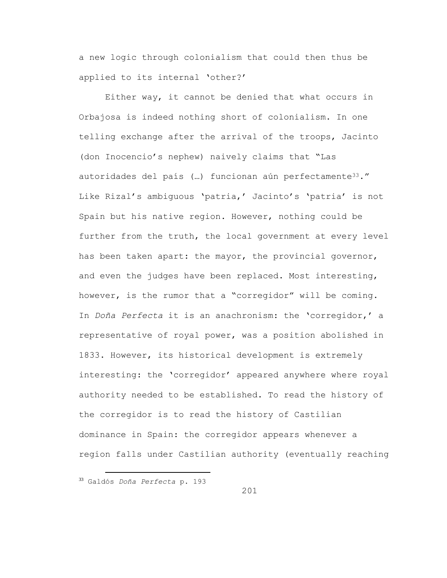a new logic through colonialism that could then thus be applied to its internal 'other?'

Either way, it cannot be denied that what occurs in Orbajosa is indeed nothing short of colonialism. In one telling exchange after the arrival of the troops, Jacinto (don Inocencio's nephew) naively claims that "Las autoridades del país (...) funcionan aún perfectamente<sup>33</sup>." Like Rizal's ambiguous 'patria,' Jacinto's 'patria' is not Spain but his native region. However, nothing could be further from the truth, the local government at every level has been taken apart: the mayor, the provincial governor, and even the judges have been replaced. Most interesting, however, is the rumor that a "corregidor" will be coming. In *Doña Perfecta* it is an anachronism: the 'corregidor,' a representative of royal power, was a position abolished in 1833. However, its historical development is extremely interesting: the 'corregidor' appeared anywhere where royal authority needed to be established. To read the history of the corregidor is to read the history of Castilian dominance in Spain: the corregidor appears whenever a region falls under Castilian authority (eventually reaching

<sup>33</sup> Galdós *Doña Perfecta* p. 193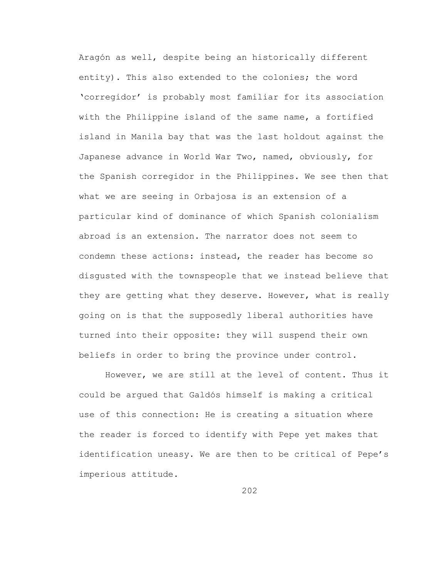Aragón as well, despite being an historically different entity). This also extended to the colonies; the word 'corregidor' is probably most familiar for its association with the Philippine island of the same name, a fortified island in Manila bay that was the last holdout against the Japanese advance in World War Two, named, obviously, for the Spanish corregidor in the Philippines. We see then that what we are seeing in Orbajosa is an extension of a particular kind of dominance of which Spanish colonialism abroad is an extension. The narrator does not seem to condemn these actions: instead, the reader has become so disgusted with the townspeople that we instead believe that they are getting what they deserve. However, what is really going on is that the supposedly liberal authorities have turned into their opposite: they will suspend their own beliefs in order to bring the province under control.

However, we are still at the level of content. Thus it could be argued that Galdós himself is making a critical use of this connection: He is creating a situation where the reader is forced to identify with Pepe yet makes that identification uneasy. We are then to be critical of Pepe's imperious attitude.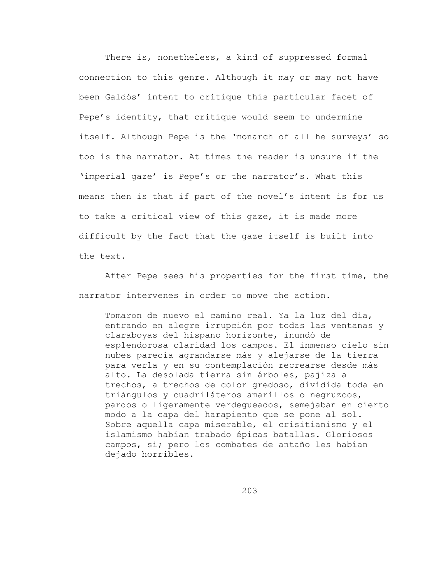There is, nonetheless, a kind of suppressed formal connection to this genre. Although it may or may not have been Galdós' intent to critique this particular facet of Pepe's identity, that critique would seem to undermine itself. Although Pepe is the 'monarch of all he surveys' so too is the narrator. At times the reader is unsure if the 'imperial gaze' is Pepe's or the narrator's. What this means then is that if part of the novel's intent is for us to take a critical view of this gaze, it is made more difficult by the fact that the gaze itself is built into the text.

After Pepe sees his properties for the first time, the narrator intervenes in order to move the action.

Tomaron de nuevo el camino real. Ya la luz del día, entrando en alegre irrupción por todas las ventanas y claraboyas del hispano horizonte, inundó de esplendorosa claridad los campos. El inmenso cielo sin nubes parecía agrandarse más y alejarse de la tierra para verla y en su contemplación recrearse desde más alto. La desolada tierra sin árboles, pajiza a trechos, a trechos de color gredoso, dividida toda en triángulos y cuadriláteros amarillos o negruzcos, pardos o ligeramente verdegueados, semejaban en cierto modo a la capa del harapiento que se pone al sol. Sobre aquella capa miserable, el crisitianismo y el islamismo habían trabado épicas batallas. Gloriosos campos, sí; pero los combates de antaño les habían dejado horribles.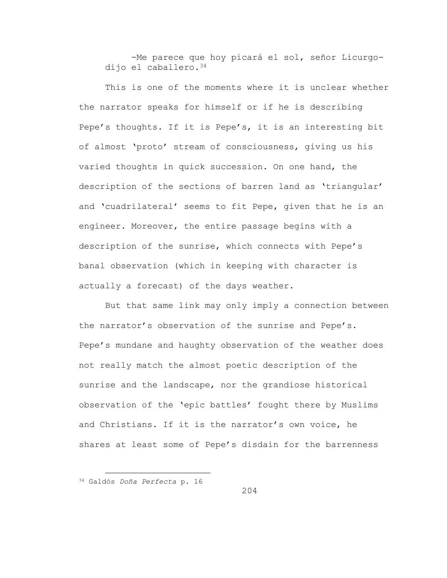-Me parece que hoy picará el sol, señor Licurgodijo el caballero.<sup>34</sup>

This is one of the moments where it is unclear whether the narrator speaks for himself or if he is describing Pepe's thoughts. If it is Pepe's, it is an interesting bit of almost 'proto' stream of consciousness, giving us his varied thoughts in quick succession. On one hand, the description of the sections of barren land as 'triangular' and 'cuadrilateral' seems to fit Pepe, given that he is an engineer. Moreover, the entire passage begins with a description of the sunrise, which connects with Pepe's banal observation (which in keeping with character is actually a forecast) of the days weather.

But that same link may only imply a connection between the narrator's observation of the sunrise and Pepe's. Pepe's mundane and haughty observation of the weather does not really match the almost poetic description of the sunrise and the landscape, nor the grandiose historical observation of the 'epic battles' fought there by Muslims and Christians. If it is the narrator's own voice, he shares at least some of Pepe's disdain for the barrenness

<sup>34</sup> Galdós *Doña Perfecta* p. 16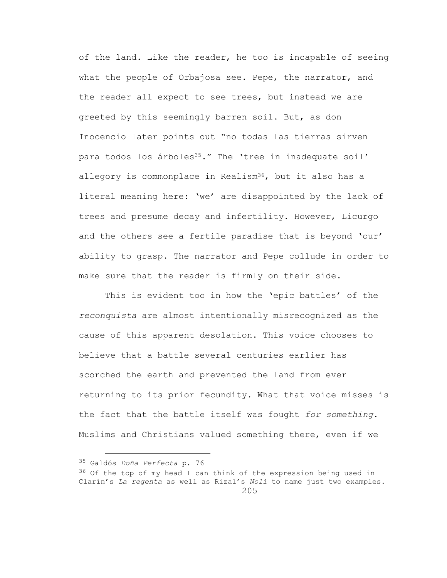of the land. Like the reader, he too is incapable of seeing what the people of Orbajosa see. Pepe, the narrator, and the reader all expect to see trees, but instead we are greeted by this seemingly barren soil. But, as don Inocencio later points out "no todas las tierras sirven para todos los árboles<sup>35</sup>." The 'tree in inadequate soil' allegory is commonplace in Realism<sup>36</sup>, but it also has a literal meaning here: 'we' are disappointed by the lack of trees and presume decay and infertility. However, Licurgo and the others see a fertile paradise that is beyond 'our' ability to grasp. The narrator and Pepe collude in order to make sure that the reader is firmly on their side.

This is evident too in how the 'epic battles' of the *reconquista* are almost intentionally misrecognized as the cause of this apparent desolation. This voice chooses to believe that a battle several centuries earlier has scorched the earth and prevented the land from ever returning to its prior fecundity. What that voice misses is the fact that the battle itself was fought *for something*. Muslims and Christians valued something there, even if we

<sup>35</sup> Galdós *Doña Perfecta* p. 76

<sup>205</sup>  $36$  Of the top of my head I can think of the expression being used in Clarín's *La regenta* as well as Rizal's *Noli* to name just two examples.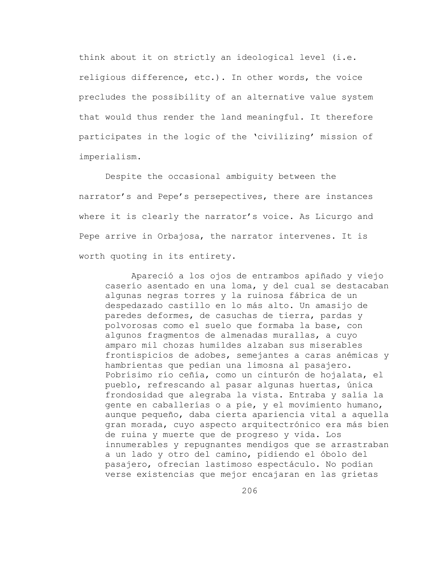think about it on strictly an ideological level (i.e. religious difference, etc.). In other words, the voice precludes the possibility of an alternative value system that would thus render the land meaningful. It therefore participates in the logic of the 'civilizing' mission of imperialism.

Despite the occasional ambiguity between the narrator's and Pepe's persepectives, there are instances where it is clearly the narrator's voice. As Licurgo and Pepe arrive in Orbajosa, the narrator intervenes. It is worth quoting in its entirety.

Apareció a los ojos de entrambos apiñado y viejo caserío asentado en una loma, y del cual se destacaban algunas negras torres y la ruinosa fábrica de un despedazado castillo en lo más alto. Un amasijo de paredes deformes, de casuchas de tierra, pardas y polvorosas como el suelo que formaba la base, con algunos fragmentos de almenadas murallas, a cuyo amparo mil chozas humildes alzaban sus miserables frontispicios de adobes, semejantes a caras anémicas y hambrientas que pedían una limosna al pasajero. Pobrísimo río ceñía, como un cinturón de hojalata, el pueblo, refrescando al pasar algunas huertas, única frondosidad que alegraba la vista. Entraba y salía la gente en caballerías o a pie, y el movimiento humano, aunque pequeño, daba cierta apariencia vital a aquella gran morada, cuyo aspecto arquitectrónico era más bien de ruina y muerte que de progreso y vida. Los innumerables y repugnantes mendigos que se arrastraban a un lado y otro del camino, pidiendo el óbolo del pasajero, ofrecían lastimoso espectáculo. No podían verse existencias que mejor encajaran en las grietas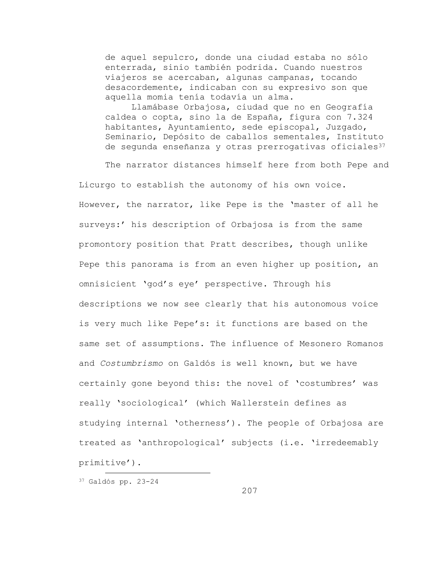de aquel sepulcro, donde una ciudad estaba no sólo enterrada, sinio también podrida. Cuando nuestros viajeros se acercaban, algunas campanas, tocando desacordemente, indicaban con su expresivo son que aquella momia tenía todavía un alma.

Llamábase Orbajosa, ciudad que no en Geografía caldea o copta, sino la de España, figura con 7.324 habitantes, Ayuntamiento, sede episcopal, Juzgado, Seminario, Depósito de caballos sementales, Instituto de segunda enseñanza y otras prerrogativas oficiales<sup>37</sup>

The narrator distances himself here from both Pepe and Licurgo to establish the autonomy of his own voice. However, the narrator, like Pepe is the 'master of all he surveys:' his description of Orbajosa is from the same promontory position that Pratt describes, though unlike Pepe this panorama is from an even higher up position, an omnisicient 'god's eye' perspective. Through his descriptions we now see clearly that his autonomous voice is very much like Pepe's: it functions are based on the same set of assumptions. The influence of Mesonero Romanos and *Costumbrismo* on Galdós is well known, but we have certainly gone beyond this: the novel of 'costumbres' was really 'sociological' (which Wallerstein defines as studying internal 'otherness'). The people of Orbajosa are treated as 'anthropological' subjects (i.e. 'irredeemably primitive').

<sup>37</sup> Galdós pp. 23-24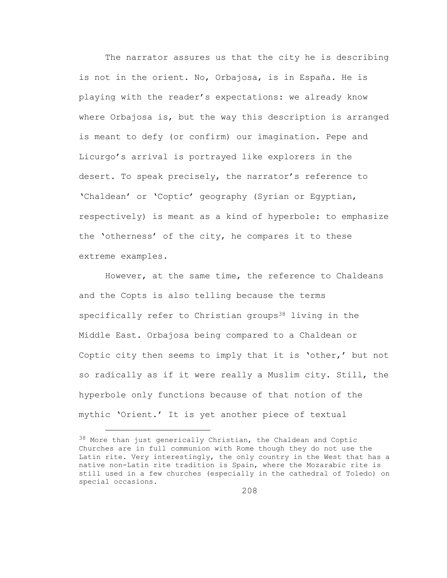The narrator assures us that the city he is describing is not in the orient. No, Orbajosa, is in España. He is playing with the reader's expectations: we already know where Orbajosa is, but the way this description is arranged is meant to defy (or confirm) our imagination. Pepe and Licurgo's arrival is portrayed like explorers in the desert. To speak precisely, the narrator's reference to 'Chaldean' or 'Coptic' geography (Syrian or Egyptian, respectively) is meant as a kind of hyperbole: to emphasize the 'otherness' of the city, he compares it to these extreme examples.

However, at the same time, the reference to Chaldeans and the Copts is also telling because the terms specifically refer to Christian groups<sup>38</sup> living in the Middle East. Orbajosa being compared to a Chaldean or Coptic city then seems to imply that it is 'other,' but not so radically as if it were really a Muslim city. Still, the hyperbole only functions because of that notion of the mythic 'Orient.' It is yet another piece of textual

L,

<sup>&</sup>lt;sup>38</sup> More than just generically Christian, the Chaldean and Coptic Churches are in full communion with Rome though they do not use the Latin rite. Very interestingly, the only country in the West that has a native non-Latin rite tradition is Spain, where the Mozarabic rite is still used in a few churches (especially in the cathedral of Toledo) on special occasions.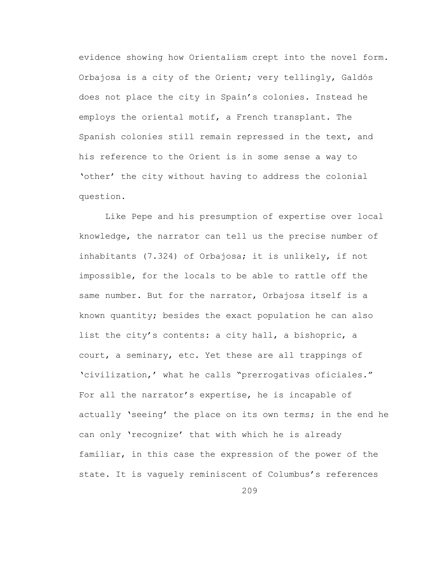evidence showing how Orientalism crept into the novel form. Orbajosa is a city of the Orient; very tellingly, Galdós does not place the city in Spain's colonies. Instead he employs the oriental motif, a French transplant. The Spanish colonies still remain repressed in the text, and his reference to the Orient is in some sense a way to 'other' the city without having to address the colonial question.

Like Pepe and his presumption of expertise over local knowledge, the narrator can tell us the precise number of inhabitants (7.324) of Orbajosa; it is unlikely, if not impossible, for the locals to be able to rattle off the same number. But for the narrator, Orbajosa itself is a known quantity; besides the exact population he can also list the city's contents: a city hall, a bishopric, a court, a seminary, etc. Yet these are all trappings of 'civilization,' what he calls "prerrogativas oficiales." For all the narrator's expertise, he is incapable of actually 'seeing' the place on its own terms; in the end he can only 'recognize' that with which he is already familiar, in this case the expression of the power of the state. It is vaguely reminiscent of Columbus's references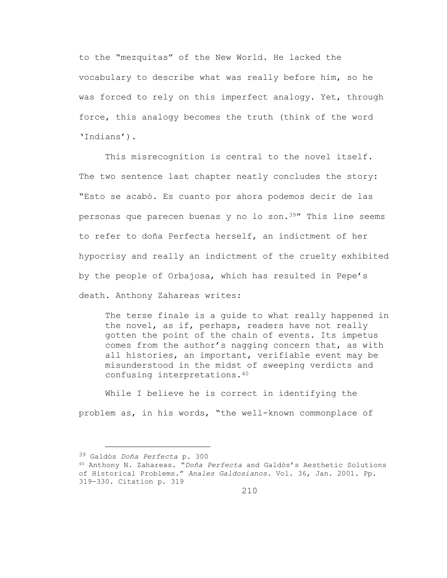to the "mezquitas" of the New World. He lacked the vocabulary to describe what was really before him, so he was forced to rely on this imperfect analogy. Yet, through force, this analogy becomes the truth (think of the word 'Indians').

This misrecognition is central to the novel itself. The two sentence last chapter neatly concludes the story: "Esto se acabó. Es cuanto por ahora podemos decir de las personas que parecen buenas y no lo son.39" This line seems to refer to doña Perfecta herself, an indictment of her hypocrisy and really an indictment of the cruelty exhibited by the people of Orbajosa, which has resulted in Pepe's death. Anthony Zahareas writes:

The terse finale is a guide to what really happened in the novel, as if, perhaps, readers have not really gotten the point of the chain of events. Its impetus comes from the author's nagging concern that, as with all histories, an important, verifiable event may be misunderstood in the midst of sweeping verdicts and confusing interpretations.<sup>40</sup>

While I believe he is correct in identifying the problem as, in his words, "the well-known commonplace of

<sup>39</sup> Galdós *Doña Perfecta* p. 300

<sup>40</sup> Anthony N. Zahareas. "*Doña Perfecta* and Galdós's Aesthetic Solutions of Historical Problems." *Anales Galdosianos*. Vol. 36, Jan. 2001. Pp. 319-330. Citation p. 319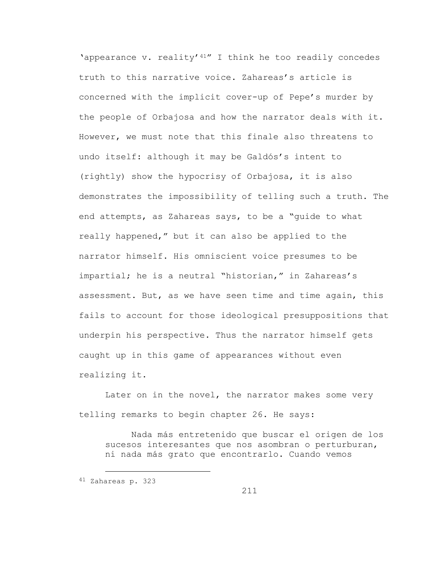'appearance v. reality'41" I think he too readily concedes truth to this narrative voice. Zahareas's article is concerned with the implicit cover-up of Pepe's murder by the people of Orbajosa and how the narrator deals with it. However, we must note that this finale also threatens to undo itself: although it may be Galdós's intent to (rightly) show the hypocrisy of Orbajosa, it is also demonstrates the impossibility of telling such a truth. The end attempts, as Zahareas says, to be a "guide to what really happened," but it can also be applied to the narrator himself. His omniscient voice presumes to be impartial; he is a neutral "historian," in Zahareas's assessment. But, as we have seen time and time again, this fails to account for those ideological presuppositions that underpin his perspective. Thus the narrator himself gets caught up in this game of appearances without even realizing it.

Later on in the novel, the narrator makes some very telling remarks to begin chapter 26. He says:

Nada más entretenido que buscar el origen de los sucesos interesantes que nos asombran o perturburan, ni nada más grato que encontrarlo. Cuando vemos

i<br>L

<sup>41</sup> Zahareas p. 323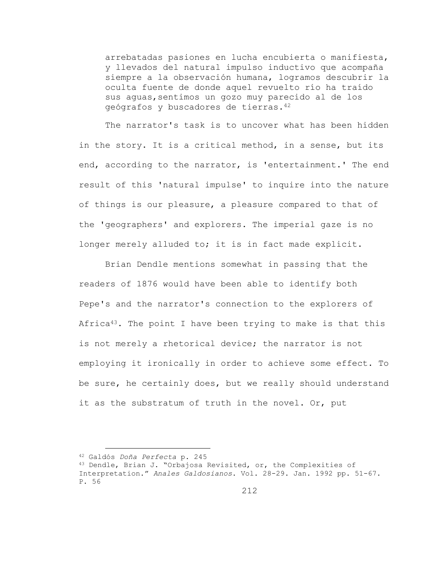arrebatadas pasiones en lucha encubierta o manifiesta, y llevados del natural impulso inductivo que acompaña siempre a la observación humana, logramos descubrir la oculta fuente de donde aquel revuelto río ha traído sus aguas,sentimos un gozo muy parecido al de los geógrafos y buscadores de tierras.<sup>42</sup>

The narrator's task is to uncover what has been hidden in the story. It is a critical method, in a sense, but its end, according to the narrator, is 'entertainment.' The end result of this 'natural impulse' to inquire into the nature of things is our pleasure, a pleasure compared to that of the 'geographers' and explorers. The imperial gaze is no longer merely alluded to; it is in fact made explicit.

Brian Dendle mentions somewhat in passing that the readers of 1876 would have been able to identify both Pepe's and the narrator's connection to the explorers of Africa<sup>43</sup>. The point I have been trying to make is that this is not merely a rhetorical device; the narrator is not employing it ironically in order to achieve some effect. To be sure, he certainly does, but we really should understand it as the substratum of truth in the novel. Or, put

<sup>42</sup> Galdós *Doña Perfecta* p. 245

<sup>43</sup> Dendle, Brian J. "Orbajosa Revisited, or, the Complexities of Interpretation." *Anales Galdosianos*. Vol. 28-29. Jan. 1992 pp. 51-67. P. 56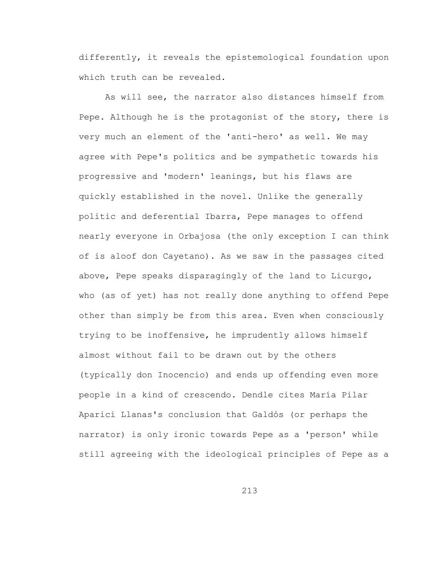differently, it reveals the epistemological foundation upon which truth can be revealed.

As will see, the narrator also distances himself from Pepe. Although he is the protagonist of the story, there is very much an element of the 'anti-hero' as well. We may agree with Pepe's politics and be sympathetic towards his progressive and 'modern' leanings, but his flaws are quickly established in the novel. Unlike the generally politic and deferential Ibarra, Pepe manages to offend nearly everyone in Orbajosa (the only exception I can think of is aloof don Cayetano). As we saw in the passages cited above, Pepe speaks disparagingly of the land to Licurgo, who (as of yet) has not really done anything to offend Pepe other than simply be from this area. Even when consciously trying to be inoffensive, he imprudently allows himself almost without fail to be drawn out by the others (typically don Inocencio) and ends up offending even more people in a kind of crescendo. Dendle cites María Pilar Aparici Llanas's conclusion that Galdós (or perhaps the narrator) is only ironic towards Pepe as a 'person' while still agreeing with the ideological principles of Pepe as a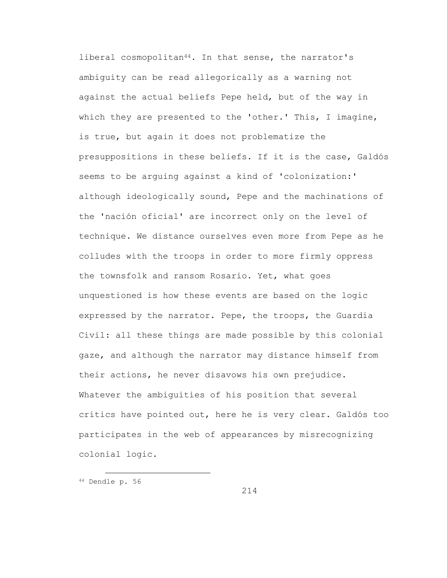liberal cosmopolitan<sup>44</sup>. In that sense, the narrator's ambiguity can be read allegorically as a warning not against the actual beliefs Pepe held, but of the way in which they are presented to the 'other.' This, I imagine, is true, but again it does not problematize the presuppositions in these beliefs. If it is the case, Galdós seems to be arguing against a kind of 'colonization:' although ideologically sound, Pepe and the machinations of the 'nación oficial' are incorrect only on the level of technique. We distance ourselves even more from Pepe as he colludes with the troops in order to more firmly oppress the townsfolk and ransom Rosario. Yet, what goes unquestioned is how these events are based on the logic expressed by the narrator. Pepe, the troops, the Guardia Civil: all these things are made possible by this colonial gaze, and although the narrator may distance himself from their actions, he never disavows his own prejudice. Whatever the ambiguities of his position that several critics have pointed out, here he is very clear. Galdós too participates in the web of appearances by misrecognizing colonial logic.

i<br>L <sup>44</sup> Dendle p. 56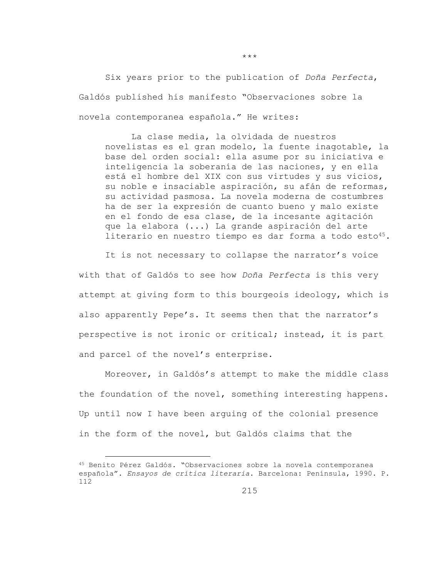Six years prior to the publication of *Doña Perfecta*, Galdós published his manifesto "Observaciones sobre la novela contemporanea española." He writes:

La clase media, la olvidada de nuestros novelistas es el gran modelo, la fuente inagotable, la base del orden social: ella asume por su iniciativa e inteligencia la soberanía de las naciones, y en ella está el hombre del XIX con sus virtudes y sus vicios, su noble e insaciable aspiración, su afán de reformas, su actividad pasmosa. La novela moderna de costumbres ha de ser la expresión de cuanto bueno y malo existe en el fondo de esa clase, de la incesante agitación que la elabora (...) La grande aspiración del arte literario en nuestro tiempo es dar forma a todo esto<sup>45</sup>.

It is not necessary to collapse the narrator's voice with that of Galdós to see how *Doña Perfecta* is this very attempt at giving form to this bourgeois ideology, which is also apparently Pepe's. It seems then that the narrator's perspective is not ironic or critical; instead, it is part and parcel of the novel's enterprise.

Moreover, in Galdós's attempt to make the middle class the foundation of the novel, something interesting happens. Up until now I have been arguing of the colonial presence in the form of the novel, but Galdós claims that the

i<br>L

\*\*\*

<sup>45</sup> Benito Pérez Galdós. "Observaciones sobre la novela contemporanea española". *Ensayos de crítica literaria*. Barcelona: Península, 1990. P. 112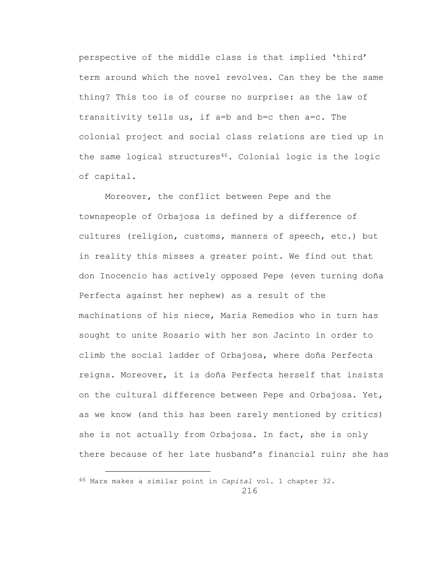perspective of the middle class is that implied 'third' term around which the novel revolves. Can they be the same thing? This too is of course no surprise: as the law of transitivity tells us, if a=b and b=c then a=c. The colonial project and social class relations are tied up in the same logical structures<sup>46</sup>. Colonial logic is the logic of capital.

Moreover, the conflict between Pepe and the townspeople of Orbajosa is defined by a difference of cultures (religion, customs, manners of speech, etc.) but in reality this misses a greater point. We find out that don Inocencio has actively opposed Pepe (even turning doña Perfecta against her nephew) as a result of the machinations of his niece, María Remedios who in turn has sought to unite Rosario with her son Jacinto in order to climb the social ladder of Orbajosa, where doña Perfecta reigns. Moreover, it is doña Perfecta herself that insists on the cultural difference between Pepe and Orbajosa. Yet, as we know (and this has been rarely mentioned by critics) she is not actually from Orbajosa. In fact, she is only there because of her late husband's financial ruin; she has

<sup>216</sup> 46 Marx makes a similar point in *Capital* vol. 1 chapter 32.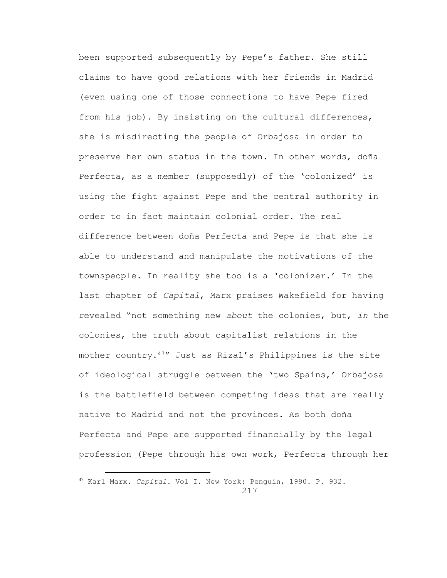been supported subsequently by Pepe's father. She still claims to have good relations with her friends in Madrid (even using one of those connections to have Pepe fired from his job). By insisting on the cultural differences, she is misdirecting the people of Orbajosa in order to preserve her own status in the town. In other words, doña Perfecta, as a member (supposedly) of the 'colonized' is using the fight against Pepe and the central authority in order to in fact maintain colonial order. The real difference between doña Perfecta and Pepe is that she is able to understand and manipulate the motivations of the townspeople. In reality she too is a 'colonizer.' In the last chapter of *Capital*, Marx praises Wakefield for having revealed "not something new *about* the colonies, but, *in* the colonies, the truth about capitalist relations in the mother country.47" Just as Rizal's Philippines is the site of ideological struggle between the 'two Spains,' Orbajosa is the battlefield between competing ideas that are really native to Madrid and not the provinces. As both doña Perfecta and Pepe are supported financially by the legal profession (Pepe through his own work, Perfecta through her

<sup>217</sup> <sup>47</sup> Karl Marx. *Capital*. Vol I. New York: Penguin, 1990. P. 932.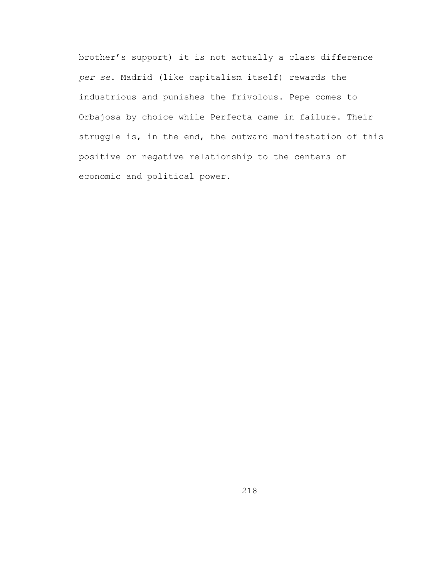brother's support) it is not actually a class difference *per se*. Madrid (like capitalism itself) rewards the industrious and punishes the frivolous. Pepe comes to Orbajosa by choice while Perfecta came in failure. Their struggle is, in the end, the outward manifestation of this positive or negative relationship to the centers of economic and political power.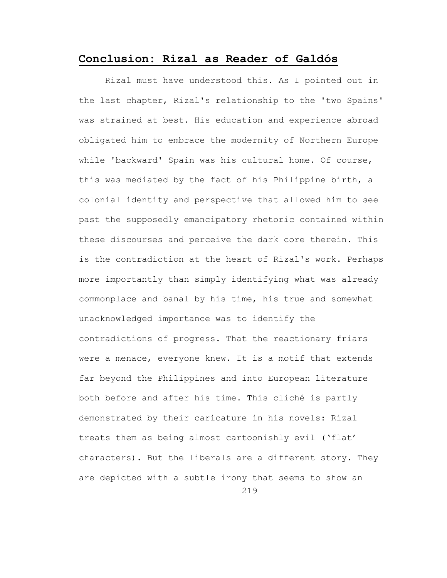## **Conclusion: Rizal as Reader of Galdós**

Rizal must have understood this. As I pointed out in the last chapter, Rizal's relationship to the 'two Spains' was strained at best. His education and experience abroad obligated him to embrace the modernity of Northern Europe while 'backward' Spain was his cultural home. Of course, this was mediated by the fact of his Philippine birth, a colonial identity and perspective that allowed him to see past the supposedly emancipatory rhetoric contained within these discourses and perceive the dark core therein. This is the contradiction at the heart of Rizal's work. Perhaps more importantly than simply identifying what was already commonplace and banal by his time, his true and somewhat unacknowledged importance was to identify the contradictions of progress. That the reactionary friars were a menace, everyone knew. It is a motif that extends far beyond the Philippines and into European literature both before and after his time. This cliché is partly demonstrated by their caricature in his novels: Rizal treats them as being almost cartoonishly evil ('flat' characters). But the liberals are a different story. They are depicted with a subtle irony that seems to show an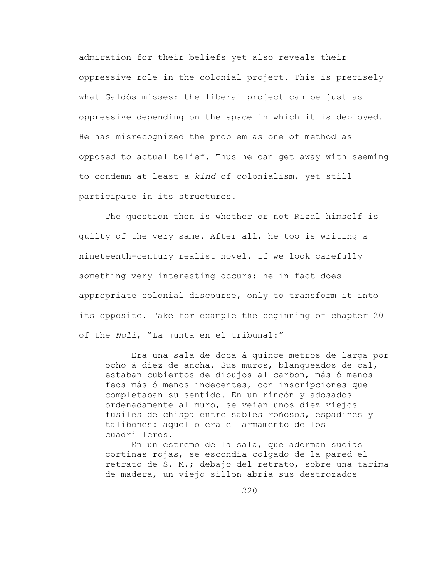admiration for their beliefs yet also reveals their oppressive role in the colonial project. This is precisely what Galdós misses: the liberal project can be just as oppressive depending on the space in which it is deployed. He has misrecognized the problem as one of method as opposed to actual belief. Thus he can get away with seeming to condemn at least a *kind* of colonialism, yet still participate in its structures.

The question then is whether or not Rizal himself is guilty of the very same. After all, he too is writing a nineteenth-century realist novel. If we look carefully something very interesting occurs: he in fact does appropriate colonial discourse, only to transform it into its opposite. Take for example the beginning of chapter 20 of the *Noli*, "La junta en el tribunal:"

Era una sala de doca á quince metros de larga por ocho á diez de ancha. Sus muros, blanqueados de cal, estaban cubiertos de dibujos al carbon, más ó menos feos más ó menos indecentes, con inscripciones que completaban su sentido. En un rincón y adosados ordenadamente al muro, se veían unos diez viejos fusiles de chispa entre sables roñosos, espadines y talibones: aquello era el armamento de los cuadrilleros.

En un estremo de la sala, que adorman sucias cortinas rojas, se escondía colgado de la pared el retrato de S. M.; debajo del retrato, sobre una tarima de madera, un viejo sillon abría sus destrozados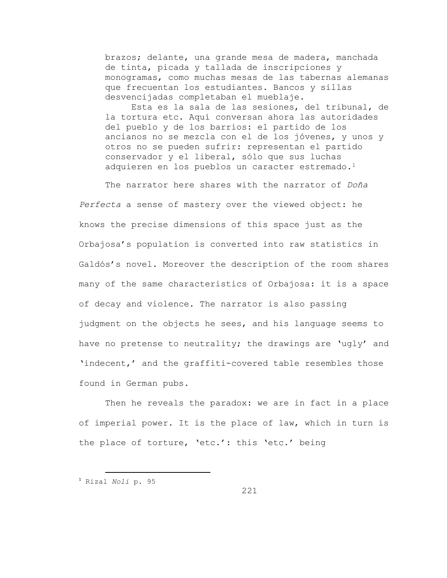brazos; delante, una grande mesa de madera, manchada de tinta, picada y tallada de inscripciones y monogramas, como muchas mesas de las tabernas alemanas que frecuentan los estudiantes. Bancos y sillas desvencijadas completaban el mueblaje.

Esta es la sala de las sesiones, del tribunal, de la tortura etc. Aquí conversan ahora las autoridades del pueblo y de los barrios: el partido de los ancianos no se mezcla con el de los jóvenes, y unos y otros no se pueden sufrir: representan el partido conservador y el liberal, sólo que sus luchas adquieren en los pueblos un caracter estremado.<sup>1</sup>

The narrator here shares with the narrator of *Doña Perfecta* a sense of mastery over the viewed object: he knows the precise dimensions of this space just as the Orbajosa's population is converted into raw statistics in Galdós's novel. Moreover the description of the room shares many of the same characteristics of Orbajosa: it is a space of decay and violence. The narrator is also passing judgment on the objects he sees, and his language seems to have no pretense to neutrality; the drawings are 'ugly' and 'indecent,' and the graffiti-covered table resembles those found in German pubs.

Then he reveals the paradox: we are in fact in a place of imperial power. It is the place of law, which in turn is the place of torture, 'etc.': this 'etc.' being

<sup>1</sup> Rizal *Noli* p. 95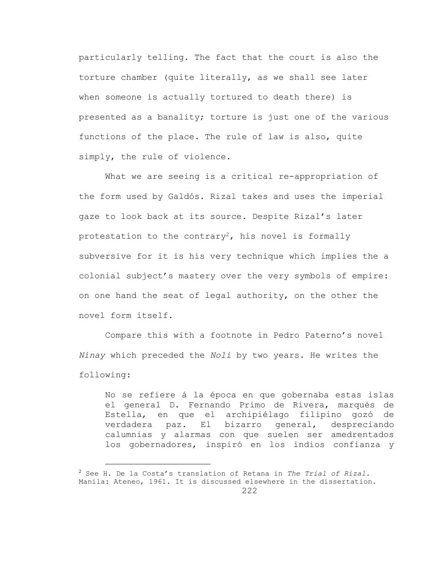particularly telling. The fact that the court is also the torture chamber (quite literally, as we shall see later when someone is actually tortured to death there) is presented as a banality; torture is just one of the various functions of the place. The rule of law is also, quite simply, the rule of violence.

What we are seeing is a critical re-appropriation of the form used by Galdós. Rizal takes and uses the imperial gaze to look back at its source. Despite Rizal's later protestation to the contrary<sup>2</sup>, his novel is formally subversive for it is his very technique which implies the a colonial subject's mastery over the very symbols of empire: on one hand the seat of legal authority, on the other the novel form itself.

Compare this with a footnote in Pedro Paterno's novel *Nínay* which preceded the *Noli* by two years. He writes the following:

No se refiere á la época en que gobernaba estas islas el general D. Fernando Primo de Rivera, marqués de Estella, en que el archipiélago filipino gozó de verdadera paz. El bizarro general, despreciando calumnias y alarmas con que suelen ser amedrentados los gobernadores, inspiró en los indios confianza y

<sup>2</sup> See H. De la Costa's translation of Retana in *The Trial of Rizal*. Manila: Ateneo, 1961. It is discussed elsewhere in the dissertation.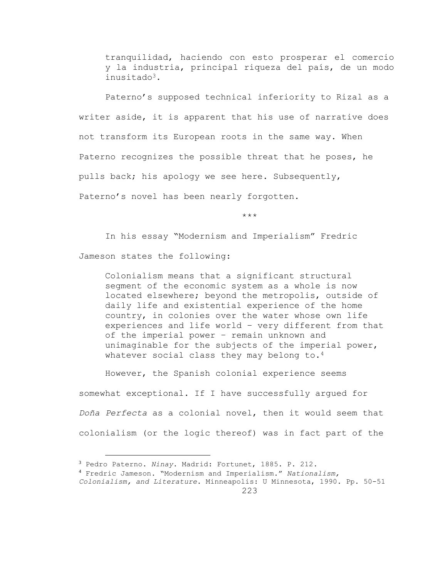tranquilidad, haciendo con esto prosperar el comercio y la industria, principal riqueza del país, de un modo inusitado3.

Paterno's supposed technical inferiority to Rizal as a writer aside, it is apparent that his use of narrative does not transform its European roots in the same way. When Paterno recognizes the possible threat that he poses, he pulls back; his apology we see here. Subsequently, Paterno's novel has been nearly forgotten.

\*\*\*

In his essay "Modernism and Imperialism" Fredric

Jameson states the following:

i<br>L

Colonialism means that a significant structural segment of the economic system as a whole is now located elsewhere; beyond the metropolis, outside of daily life and existential experience of the home country, in colonies over the water whose own life experiences and life world – very different from that of the imperial power – remain unknown and unimaginable for the subjects of the imperial power, whatever social class they may belong to.<sup>4</sup>

However, the Spanish colonial experience seems somewhat exceptional. If I have successfully argued for *Doña Perfecta* as a colonial novel, then it would seem that colonialism (or the logic thereof) was in fact part of the

<sup>3</sup> Pedro Paterno. *Ninay*. Madrid: Fortunet, 1885. P. 212.

<sup>4</sup> Fredric Jameson. "Modernism and Imperialism." *Nationalism,* 

<sup>223</sup> *Colonialism, and Literature*. Minneapolis: U Minnesota, 1990. Pp. 50-51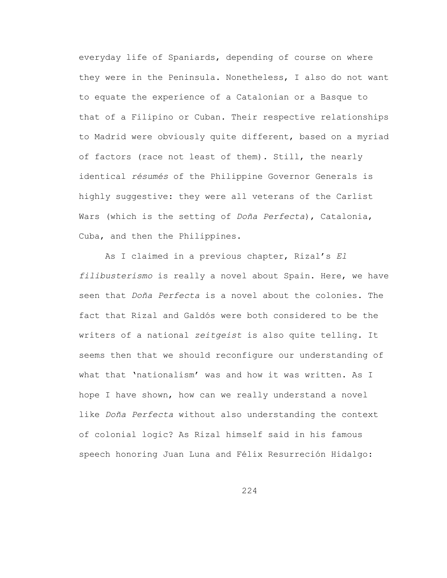everyday life of Spaniards, depending of course on where they were in the Peninsula. Nonetheless, I also do not want to equate the experience of a Catalonian or a Basque to that of a Filipino or Cuban. Their respective relationships to Madrid were obviously quite different, based on a myriad of factors (race not least of them). Still, the nearly identical *résumés* of the Philippine Governor Generals is highly suggestive: they were all veterans of the Carlist Wars (which is the setting of *Doña Perfecta*), Catalonia, Cuba, and then the Philippines.

As I claimed in a previous chapter, Rizal's *El filibusterismo* is really a novel about Spain. Here, we have seen that *Doña Perfecta* is a novel about the colonies. The fact that Rizal and Galdós were both considered to be the writers of a national *zeitgeist* is also quite telling. It seems then that we should reconfigure our understanding of what that 'nationalism' was and how it was written. As I hope I have shown, how can we really understand a novel like *Doña Perfecta* without also understanding the context of colonial logic? As Rizal himself said in his famous speech honoring Juan Luna and Félix Resurreción Hidalgo: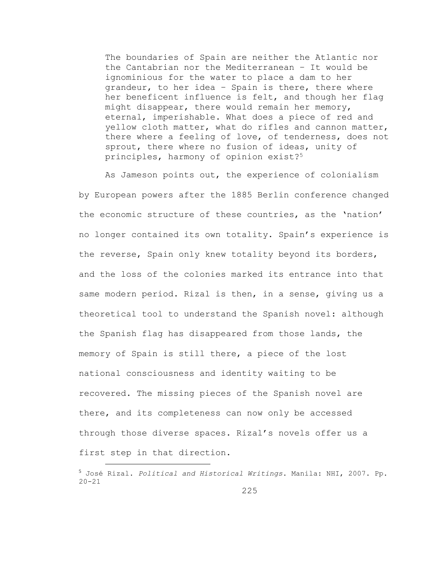The boundaries of Spain are neither the Atlantic nor the Cantabrian nor the Mediterranean – It would be ignominious for the water to place a dam to her grandeur, to her idea – Spain is there, there where her beneficent influence is felt, and though her flag might disappear, there would remain her memory, eternal, imperishable. What does a piece of red and yellow cloth matter, what do rifles and cannon matter, there where a feeling of love, of tenderness, does not sprout, there where no fusion of ideas, unity of principles, harmony of opinion exist?<sup>5</sup>

As Jameson points out, the experience of colonialism by European powers after the 1885 Berlin conference changed the economic structure of these countries, as the 'nation' no longer contained its own totality. Spain's experience is the reverse, Spain only knew totality beyond its borders, and the loss of the colonies marked its entrance into that same modern period. Rizal is then, in a sense, giving us a theoretical tool to understand the Spanish novel: although the Spanish flag has disappeared from those lands, the memory of Spain is still there, a piece of the lost national consciousness and identity waiting to be recovered. The missing pieces of the Spanish novel are there, and its completeness can now only be accessed through those diverse spaces. Rizal's novels offer us a first step in that direction.

<sup>5</sup> José Rizal. *Political and Historical Writings*. Manila: NHI, 2007. Pp. 20-21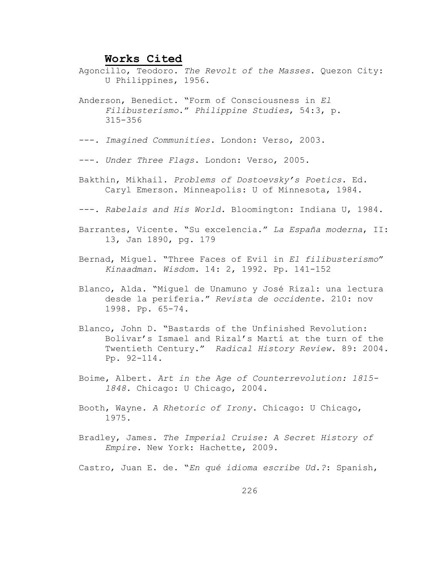## **Works Cited**

- Agoncillo, Teodoro. *The Revolt of the Masses*. Quezon City: U Philippines, 1956.
- Anderson, Benedict. "Form of Consciousness in *El Filibusterismo*." *Philippine Studies*, 54:3, p. 315-356
- ---. *Imagined Communities*. London: Verso, 2003.
- ---. *Under Three Flags*. London: Verso, 2005.
- Bakthin, Mikhail. *Problems of Dostoevsky's Poetics.* Ed. Caryl Emerson. Minneapolis: U of Minnesota, 1984.
- ---. *Rabelais and His World*. Bloomington: Indiana U, 1984.
- Barrantes, Vicente. "Su excelencia." *La España moderna*, II: 13, Jan 1890, pg. 179
- Bernad, Miguel. "Three Faces of Evil in *El filibusterismo*" *Kinaadman. Wisdom.* 14: 2, 1992. Pp. 141-152
- Blanco, Alda. "Miguel de Unamuno y José Rizal: una lectura desde la periferia." *Revista de occidente*. 210: nov 1998. Pp. 65-74.
- Blanco, John D. "Bastards of the Unfinished Revolution: Bolívar's Ismael and Rizal's Martí at the turn of the Twentieth Century." *Radical History Review*. 89: 2004. Pp. 92-114.
- Boime, Albert. *Art in the Age of Counterrevolution: 1815- 1848*. Chicago: U Chicago, 2004.
- Booth, Wayne. *A Rhetoric of Irony*. Chicago: U Chicago, 1975.
- Bradley, James. *The Imperial Cruise: A Secret History of Empire*. New York: Hachette, 2009.
- Castro, Juan E. de. "*En qué idioma escribe Ud.?*: Spanish,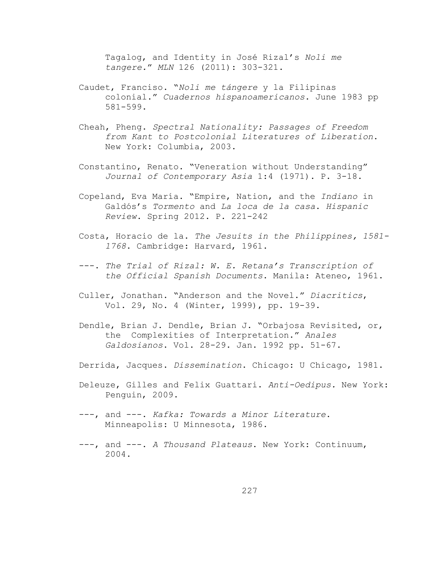Tagalog, and Identity in José Rizal's *Noli me tangere.*" *MLN* 126 (2011): 303-321.

- Caudet, Franciso. "*Noli me tángere* y la Filipinas colonial." *Cuadernos hispanoamericanos*. June 1983 pp 581-599.
- Cheah, Pheng. *Spectral Nationality: Passages of Freedom from Kant to Postcolonial Literatures of Liberation*. New York: Columbia, 2003.
- Constantino, Renato. "Veneration without Understanding" *Journal of Contemporary Asia* 1:4 (1971). P. 3-18.
- Copeland, Eva María. "Empire, Nation, and the *Indiano* in Galdós's *Tormento* and *La loca de la casa*. *Hispanic Review*. Spring 2012. P. 221-242
- Costa, Horacio de la. *The Jesuits in the Philippines, 1581- 1768*. Cambridge: Harvard, 1961.
- ---. *The Trial of Rizal: W. E. Retana's Transcription of the Official Spanish Documents*. Manila: Ateneo, 1961.
- Culler, Jonathan. "Anderson and the Novel." *Diacritics*, Vol. 29, No. 4 (Winter, 1999), pp. 19-39.
- Dendle, Brian J. Dendle, Brian J. "Orbajosa Revisited, or, the Complexities of Interpretation." *Anales Galdosianos*. Vol. 28-29. Jan. 1992 pp. 51-67.
- Derrida, Jacques. *Dissemination*. Chicago: U Chicago, 1981.
- Deleuze, Gilles and Felix Guattari. *Anti-Oedipus.* New York: Penguin, 2009.
- ---, and ---. *Kafka: Towards a Minor Literature*. Minneapolis: U Minnesota, 1986.
- ---, and ---. *A Thousand Plateaus*. New York: Continuum, 2004.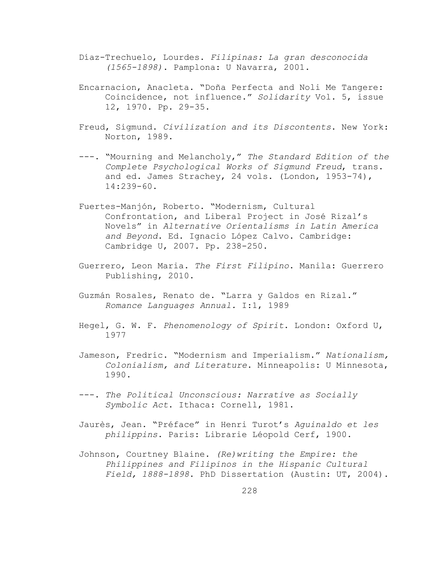- Díaz-Trechuelo, Lourdes. *Filipinas: La gran desconocida (1565-1898)*. Pamplona: U Navarra, 2001.
- Encarnacion, Anacleta. "Doña Perfecta and Noli Me Tangere: Coincidence, not influence." *Solidarity* Vol. 5, issue 12, 1970. Pp. 29-35.
- Freud, Sigmund. *Civilization and its Discontents*. New York: Norton, 1989.
- ---. "Mourning and Melancholy," *The Standard Edition of the Complete Psychological Works of Sigmund Freud*, trans. and ed. James Strachey, 24 vols. (London, 1953-74), 14:239-60.
- Fuertes-Manjón, Roberto. "Modernism, Cultural Confrontation, and Liberal Project in José Rizal's Novels" in *Alternative Orientalisms in Latin America and Beyond*. Ed. Ignacio López Calvo. Cambridge: Cambridge U, 2007. Pp. 238-250.
- Guerrero, Leon Maria. *The First Filipino*. Manila: Guerrero Publishing, 2010.
- Guzmán Rosales, Renato de. "Larra y Galdos en Rizal." *Romance Languages Annual.* I:1, 1989
- Hegel, G. W. F. *Phenomenology of Spirit*. London: Oxford U, 1977
- Jameson, Fredric. "Modernism and Imperialism." *Nationalism, Colonialism, and Literature*. Minneapolis: U Minnesota, 1990.
- ---. *The Political Unconscious: Narrative as Socially Symbolic Act*. Ithaca: Cornell, 1981.
- Jaurès, Jean. "Préface" in Henri Turot's *Aguinaldo et les philippins*. Paris: Librarie Léopold Cerf, 1900.
- Johnson, Courtney Blaine. *(Re)writing the Empire: the Philippines and Filipinos in the Hispanic Cultural Field, 1888-1898*. PhD Dissertation (Austin: UT, 2004).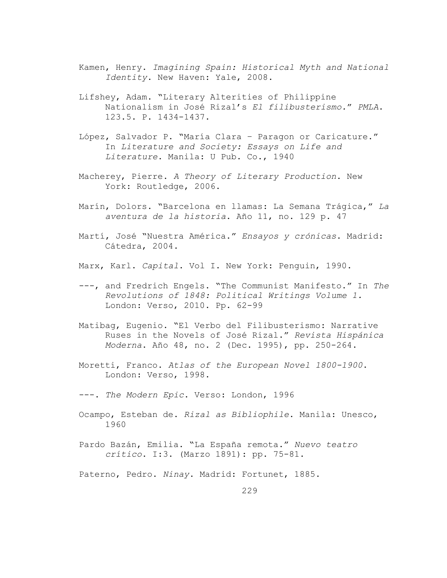- Kamen, Henry. *Imagining Spain: Historical Myth and National Identity*. New Haven: Yale, 2008.
- Lifshey, Adam. "Literary Alterities of Philippine Nationalism in José Rizal's *El filibusterismo.*" *PMLA*. 123.5. P. 1434-1437.
- López, Salvador P. "María Clara Paragon or Caricature." In *Literature and Society: Essays on Life and Literature*. Manila: U Pub. Co., 1940
- Macherey, Pierre. *A Theory of Literary Production*. New York: Routledge, 2006.
- Marín, Dolors. "Barcelona en llamas: La Semana Trágica," *La aventura de la historia*. Año 11, no. 129 p. 47
- Martí, José "Nuestra América." *Ensayos y crónicas*. Madrid: Cátedra, 2004.
- Marx, Karl. *Capital*. Vol I. New York: Penguin, 1990.
- ---, and Fredrich Engels. "The Communist Manifesto." In *The Revolutions of 1848: Political Writings Volume 1.* London: Verso, 2010. Pp. 62-99
- Matibag, Eugenio. "El Verbo del Filibusterismo: Narrative Ruses in the Novels of José Rizal." *Revista Hispánica Moderna*. Año 48, no. 2 (Dec. 1995), pp. 250-264.
- Moretti, Franco. *Atlas of the European Novel 1800-1900*. London: Verso, 1998.
- ---. *The Modern Epic*. Verso: London, 1996
- Ocampo, Esteban de. *Rizal as Bibliophile*. Manila: Unesco, 1960
- Pardo Bazán, Emilia. "La España remota." *Nuevo teatro crítico*. I:3. (Marzo 1891): pp. 75-81.
- Paterno, Pedro. *Ninay*. Madrid: Fortunet, 1885.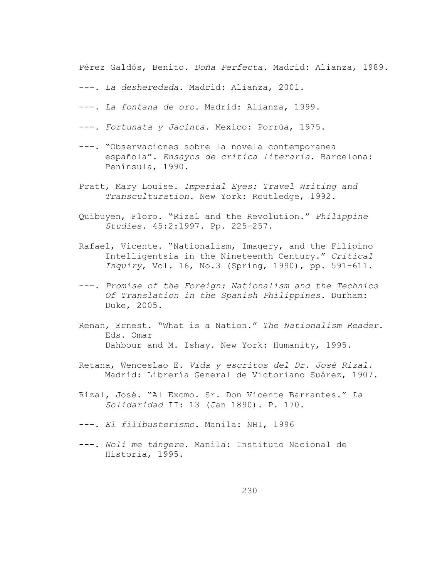Pérez Galdós, Benito. *Doña Perfecta*. Madrid: Alianza, 1989.

- ---. *La desheredada*. Madrid: Alianza, 2001.
- ---. *La fontana de oro*. Madrid: Alianza, 1999.
- ---. *Fortunata y Jacinta*. Mexico: Porrúa, 1975.
- ---. "Observaciones sobre la novela contemporanea española". *Ensayos de crítica literaria*. Barcelona: Península, 1990.
- Pratt, Mary Louise. *Imperial Eyes: Travel Writing and Transculturation*. New York: Routledge, 1992.
- Quibuyen, Floro. "Rizal and the Revolution." *Philippine Studies*. 45:2:1997. Pp. 225-257.
- Rafael, Vicente. "Nationalism, Imagery, and the Filipino Intelligentsia in the Nineteenth Century." *Critical Inquiry*, Vol. 16, No.3 (Spring, 1990), pp. 591-611.
- ---. *Promise of the Foreign: Nationalism and the Technics Of Translation in the Spanish Philippines*. Durham: Duke, 2005.
- Renan, Ernest. "What is a Nation." *The Nationalism Reader*. Eds. Omar Dahbour and M. Ishay. New York: Humanity, 1995.
- Retana, Wenceslao E. *Vida y escritos del Dr. José Rizal.* Madrid: Librería General de Victoriano Suárez, 1907.
- Rizal, José. "Al Excmo. Sr. Don Vicente Barrantes." *La Solidaridad* II: 13 (Jan 1890). P. 170.
- ---. *El filibusterismo*. Manila: NHI, 1996
- ---. *Noli me tángere*. Manila: Instituto Nacional de Historia, 1995.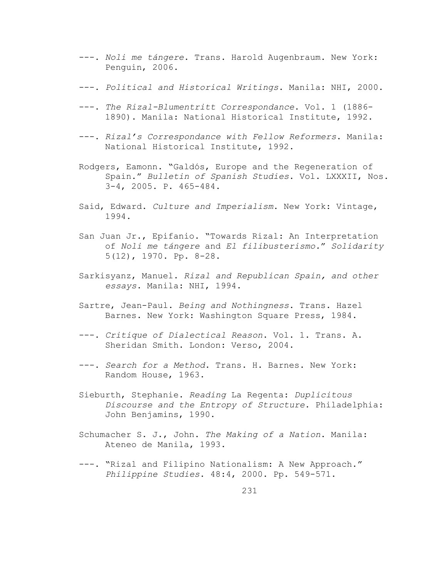- ---. *Noli me tángere*. Trans. Harold Augenbraum. New York: Penguin, 2006.
- ---. *Political and Historical Writings*. Manila: NHI, 2000.
- ---. *The Rizal-Blumentritt Correspondance*. Vol. 1 (1886- 1890). Manila: National Historical Institute, 1992.
- ---. *Rizal's Correspondance with Fellow Reformers*. Manila: National Historical Institute, 1992.
- Rodgers, Eamonn. "Galdós, Europe and the Regeneration of Spain." *Bulletin of Spanish Studies*. Vol. LXXXII, Nos. 3-4, 2005. P. 465-484.
- Said, Edward. *Culture and Imperialism*. New York: Vintage, 1994.
- San Juan Jr., Epifanio. "Towards Rizal: An Interpretation of *Noli me tángere* and *El filibusterismo.*" *Solidarity* 5(12), 1970. Pp. 8-28.
- Sarkisyanz, Manuel. *Rizal and Republican Spain, and other essays*. Manila: NHI, 1994.
- Sartre, Jean-Paul. *Being and Nothingness*. Trans. Hazel Barnes. New York: Washington Square Press, 1984.
- ---. *Critique of Dialectical Reason*. Vol. 1. Trans. A. Sheridan Smith. London: Verso, 2004.
- ---. *Search for a Method*. Trans. H. Barnes. New York: Random House, 1963.
- Sieburth, Stephanie. *Reading* La Regenta: *Duplicitous Discourse and the Entropy of Structure*. Philadelphia: John Benjamins, 1990.
- Schumacher S. J., John. *The Making of a Nation*. Manila: Ateneo de Manila, 1993.
- ---. "Rizal and Filipino Nationalism: A New Approach." *Philippine Studies*. 48:4, 2000. Pp. 549-571.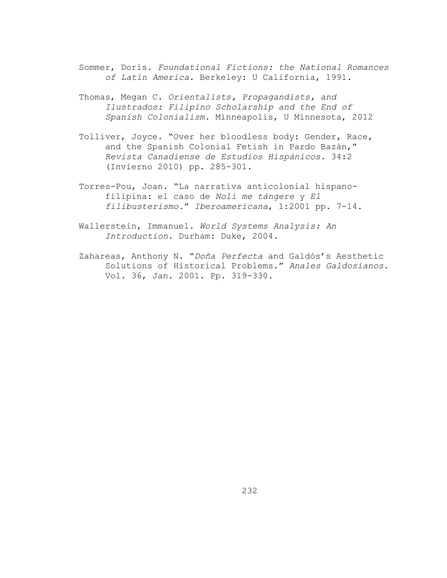- Sommer, Doris. *Foundational Fictions: the National Romances of Latin America*. Berkeley: U California, 1991.
- Thomas, Megan C. *Orientalists, Propagandists, and Ilustrados: Filipino Scholarship and the End of Spanish Colonialism*. Minneapolis, U Minnesota, 2012
- Tolliver, Joyce. "Over her bloodless body: Gender, Race, and the Spanish Colonial Fetish in Pardo Bazán," *Revista Canadiense de Estudios Hispánicos*. 34:2 (Invierno 2010) pp. 285-301.
- Torres-Pou, Joan. "La narrativa anticolonial hispanofilipina: el caso de *Noli me tángere* y *El filibusterismo.*" *Iberoamericana*, 1:2001 pp. 7-14.
- Wallerstein, Immanuel. *World Systems Analysis: An Introduction*. Durham: Duke, 2004.
- Zahareas, Anthony N. "*Doña Perfecta* and Galdós's Aesthetic Solutions of Historical Problems." *Anales Galdosianos*. Vol. 36, Jan. 2001. Pp. 319-330.